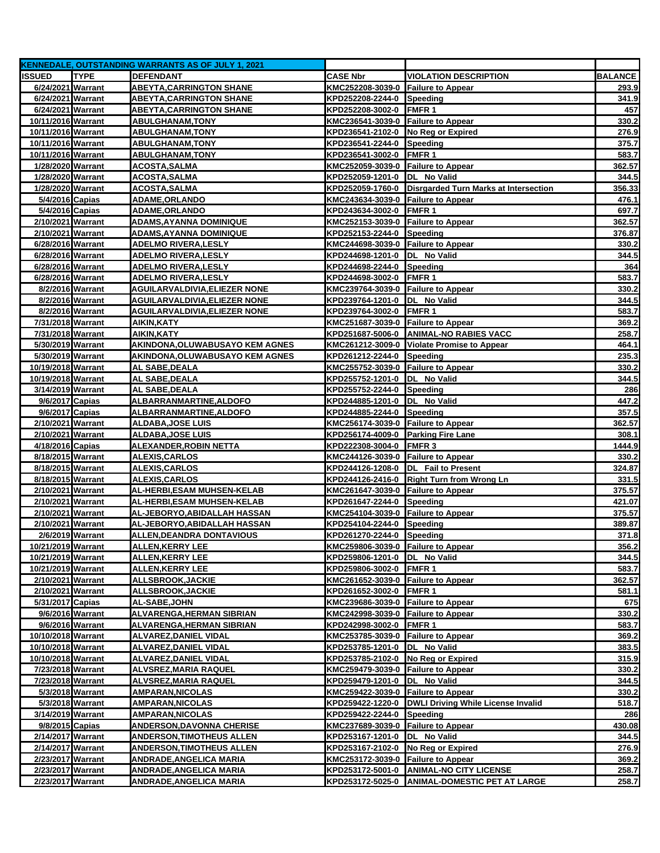|                                      |                  | <b>KENNEDALE, OUTSTANDING WARRANTS AS OF JULY 1, 2021</b> |                                                                          |                                               |                 |
|--------------------------------------|------------------|-----------------------------------------------------------|--------------------------------------------------------------------------|-----------------------------------------------|-----------------|
| <b>ISSUED</b>                        | <b>TYPE</b>      | <b>DEFENDANT</b>                                          | <b>CASE Nbr</b>                                                          | <b>VIOLATION DESCRIPTION</b>                  | <b>BALANCE</b>  |
| 6/24/2021 Warrant                    |                  | <b>ABEYTA, CARRINGTON SHANE</b>                           | KMC252208-3039-0 Failure to Appear                                       |                                               | 293.9           |
| 6/24/2021 Warrant                    |                  | <b>ABEYTA, CARRINGTON SHANE</b>                           | KPD252208-2244-0 Speeding                                                |                                               | 341.9           |
| 6/24/2021 Warrant                    |                  | <b>ABEYTA, CARRINGTON SHANE</b>                           | KPD252208-3002-0                                                         | FMFR <sub>1</sub>                             | 457             |
| 10/11/2016 Warrant                   |                  | <b>ABULGHANAM, TONY</b>                                   | KMC236541-3039-0 Failure to Appear                                       |                                               | 330.2           |
| 10/11/2016 Warrant                   |                  | <b>ABULGHANAM,TONY</b>                                    | KPD236541-2102-0 No Reg or Expired                                       |                                               | 276.9           |
| 10/11/2016 Warrant                   |                  | <b>ABULGHANAM, TONY</b>                                   | KPD236541-2244-0 Speeding                                                |                                               | 375.7           |
| 10/11/2016 Warrant                   |                  | <b>ABULGHANAM,TONY</b>                                    | KPD236541-3002-0                                                         | <b>FMFR1</b>                                  | 583.7           |
| 1/28/2020 Warrant                    |                  | <b>ACOSTA, SALMA</b>                                      | KMC252059-3039-0 Failure to Appear                                       |                                               | 362.57          |
| 1/28/2020 Warrant                    |                  | <b>ACOSTA, SALMA</b>                                      | KPD252059-1201-0                                                         | DL No Valid                                   | 344.5           |
| 1/28/2020 Warrant                    |                  | ACOSTA,SALMA                                              | KPD252059-1760-0                                                         | Disrgarded Turn Marks at Intersection         | 356.33          |
| 5/4/2016 Capias                      |                  | <b>ADAME, ORLANDO</b>                                     | KMC243634-3039-0 Failure to Appear                                       |                                               | 476.1           |
| 5/4/2016 Capias                      |                  | <b>ADAME, ORLANDO</b>                                     | KPD243634-3002-0                                                         | <b>FMFR1</b>                                  | 697.7           |
| 2/10/2021 Warrant                    |                  | ADAMS,AYANNA DOMINIQUE                                    | KMC252153-3039-0 Failure to Appear                                       |                                               | 362.57          |
| 2/10/2021 Warrant                    |                  | ADAMS,AYANNA DOMINIQUE                                    | KPD252153-2244-0 Speeding                                                |                                               | 376.87          |
| 6/28/2016 Warrant                    |                  | <b>ADELMO RIVERA, LESLY</b>                               | KMC244698-3039-0 Failure to Appear                                       |                                               | 330.2           |
| 6/28/2016 Warrant                    |                  | <b>ADELMO RIVERA, LESLY</b>                               | KPD244698-1201-0                                                         | DL No Valid                                   | 344.5           |
| 6/28/2016 Warrant                    |                  | <b>ADELMO RIVERA, LESLY</b>                               | KPD244698-2244-0 Speeding                                                |                                               | 364             |
| 6/28/2016 Warrant                    |                  | <b>ADELMO RIVERA, LESLY</b>                               | KPD244698-3002-0                                                         | <b>FMFR1</b>                                  | 583.7           |
| 8/2/2016 Warrant                     |                  | <b>AGUILARVALDIVIA, ELIEZER NONE</b>                      | KMC239764-3039-0 Failure to Appear                                       |                                               | 330.2           |
| 8/2/2016 Warrant                     |                  | AGUILARVALDIVIA,ELIEZER NONE                              | KPD239764-1201-0  DL No Valid                                            |                                               | 344.5           |
| 8/2/2016 Warrant                     |                  | AGUILARVALDIVIA,ELIEZER NONE                              | KPD239764-3002-0 FMFR 1                                                  |                                               | 583.7           |
| 7/31/2018 Warrant                    |                  | AIKIN, KATY                                               | KMC251687-3039-0 Failure to Appear                                       |                                               | 369.2           |
| 7/31/2018 Warrant                    |                  | AIKIN,KATY                                                | KPD251687-5006-0                                                         | <b>ANIMAL-NO RABIES VACC</b>                  | 258.7           |
| 5/30/2019 Warrant                    |                  | AKINDONA, OLUWABUSAYO KEM AGNES                           |                                                                          | KMC261212-3009-0 Violate Promise to Appear    | 464.1           |
| 5/30/2019 Warrant                    |                  | AKINDONA, OLUWABUSAYO KEM AGNES                           | KPD261212-2244-0                                                         | Speeding                                      | 235.3           |
| 10/19/2018 Warrant                   |                  | AL SABE, DEALA                                            | KMC255752-3039-0 Failure to Appear                                       |                                               | 330.2           |
| 10/19/2018 Warrant                   |                  | AL SABE, DEALA                                            | KPD255752-1201-0 DL No Valid                                             |                                               | 344.5           |
| 3/14/2019 Warrant                    |                  | AL SABE,DEALA                                             | KPD255752-2244-0 Speeding                                                |                                               | 286             |
| 9/6/2017 Capias                      |                  | ALBARRANMARTINE, ALDOFO                                   | KPD244885-1201-0                                                         | DL No Valid                                   | 447.2           |
| 9/6/2017 Capias<br>2/10/2021 Warrant |                  | ALBARRANMARTINE, ALDOFO                                   | KPD244885-2244-0                                                         | Speeding                                      | 357.5<br>362.57 |
| 2/10/2021 Warrant                    |                  | <b>ALDABA, JOSE LUIS</b><br><b>ALDABA, JOSE LUIS</b>      | KMC256174-3039-0 Failure to Appear<br>KPD256174-4009-0 Parking Fire Lane |                                               | 308.1           |
| 4/18/2016 Capias                     |                  | ALEXANDER, ROBIN NETTA                                    | KPD222308-3004-0                                                         | <b>FMFR3</b>                                  | 1444.9          |
| 8/18/2015 Warrant                    |                  | <b>ALEXIS, CARLOS</b>                                     | KMC244126-3039-0 Failure to Appear                                       |                                               | 330.2           |
| 8/18/2015 Warrant                    |                  | <b>ALEXIS, CARLOS</b>                                     | KPD244126-1208-0 DL Fail to Present                                      |                                               | 324.87          |
| 8/18/2015 Warrant                    |                  | <b>ALEXIS,CARLOS</b>                                      |                                                                          | KPD244126-2416-0 Right Turn from Wrong Ln     | 331.5           |
| 2/10/2021 Warrant                    |                  | AL-HERBI, ESAM MUHSEN-KELAB                               | KMC261647-3039-0 Failure to Appear                                       |                                               | 375.57          |
| 2/10/2021 Warrant                    |                  | AL-HERBI,ESAM MUHSEN-KELAB                                | KPD261647-2244-0                                                         | Speeding                                      | 421.07          |
| 2/10/2021 Warrant                    |                  | AL-JEBORYO,ABIDALLAH HASSAN                               | KMC254104-3039-0 Failure to Appear                                       |                                               | 375.57          |
| 2/10/2021 Warrant                    |                  | AL-JEBORYO, ABIDALLAH HASSAN                              | KPD254104-2244-0                                                         | Speeding                                      | 389.87          |
| 2/6/2019 Warrant                     |                  | <b>ALLEN,DEANDRA DONTAVIOUS</b>                           | KPD261270-2244-0                                                         | Speeding                                      | 371.8           |
| 10/21/2019 Warrant                   |                  | <b>ALLEN, KERRY LEE</b>                                   | KMC259806-3039-0 Failure to Appear                                       |                                               | 356.2           |
| 10/21/2019 Warrant                   |                  | <b>ALLEN, KERRY LEE</b>                                   | KPD259806-1201-0  DL No Valid                                            |                                               | 344.5           |
| 10/21/2019 Warrant                   |                  | <b>ALLEN, KERRY LEE</b>                                   | KPD259806-3002-0 FMFR 1                                                  |                                               | 583.7           |
| 2/10/2021 Warrant                    |                  | <b>ALLSBROOK,JACKIE</b>                                   | KMC261652-3039-0 Failure to Appear                                       |                                               | 362.57          |
| 2/10/2021 Warrant                    |                  | ALLSBROOK, JACKIE                                         | KPD261652-3002-0 FMFR 1                                                  |                                               | 581.1           |
| 5/31/2017 Capias                     |                  | AL-SABE, JOHN                                             | KMC239686-3039-0 Failure to Appear                                       |                                               | 675             |
|                                      | 9/6/2016 Warrant | <b>ALVARENGA, HERMAN SIBRIAN</b>                          | KMC242998-3039-0 Failure to Appear                                       |                                               | 330.2           |
|                                      | 9/6/2016 Warrant | <b>ALVARENGA, HERMAN SIBRIAN</b>                          | KPD242998-3002-0 FMFR 1                                                  |                                               | 583.7           |
| 10/10/2018 Warrant                   |                  | <b>ALVAREZ, DANIEL VIDAL</b>                              | KMC253785-3039-0 Failure to Appear                                       |                                               | 369.2           |
| 10/10/2018 Warrant                   |                  | <b>ALVAREZ, DANIEL VIDAL</b>                              | KPD253785-1201-0  DL No Valid                                            |                                               | 383.5           |
| 10/10/2018 Warrant                   |                  | <b>ALVAREZ, DANIEL VIDAL</b>                              | KPD253785-2102-0                                                         | No Reg or Expired                             | 315.9           |
| 7/23/2018 Warrant                    |                  | <b>ALVSREZ, MARIA RAQUEL</b>                              | KMC259479-3039-0 Failure to Appear                                       |                                               | 330.2           |
| 7/23/2018 Warrant                    |                  | ALVSREZ,MARIA RAQUEL                                      | KPD259479-1201-0                                                         | DL No Valid                                   | 344.5           |
|                                      | 5/3/2018 Warrant | <b>AMPARAN, NICOLAS</b>                                   | KMC259422-3039-0 Failure to Appear                                       |                                               | 330.2           |
|                                      | 5/3/2018 Warrant | <b>AMPARAN, NICOLAS</b>                                   | KPD259422-1220-0                                                         | DWLI Driving While License Invalid            | 518.7           |
| 3/14/2019 Warrant                    |                  | <b>AMPARAN,NICOLAS</b>                                    | KPD259422-2244-0                                                         | Speeding                                      | 286             |
| 9/8/2015 Capias                      |                  | <b>ANDERSON, DAVONNA CHERISE</b>                          | KMC237689-3039-0 Failure to Appear                                       |                                               | 430.08          |
| 2/14/2017 Warrant                    |                  | <b>ANDERSON,TIMOTHEUS ALLEN</b>                           | KPD253167-1201-0 DL No Valid                                             |                                               | 344.5           |
| 2/14/2017 Warrant                    |                  | <b>ANDERSON, TIMOTHEUS ALLEN</b>                          | KPD253167-2102-0 No Reg or Expired                                       |                                               | 276.9           |
| 2/23/2017 Warrant                    |                  | <b>ANDRADE, ANGELICA MARIA</b>                            | KMC253172-3039-0 Failure to Appear                                       |                                               | 369.2           |
| 2/23/2017 Warrant                    |                  | <b>ANDRADE, ANGELICA MARIA</b>                            |                                                                          | KPD253172-5001-0 ANIMAL-NO CITY LICENSE       | 258.7           |
| 2/23/2017 Warrant                    |                  | <b>ANDRADE, ANGELICA MARIA</b>                            |                                                                          | KPD253172-5025-0 ANIMAL-DOMESTIC PET AT LARGE | 258.7           |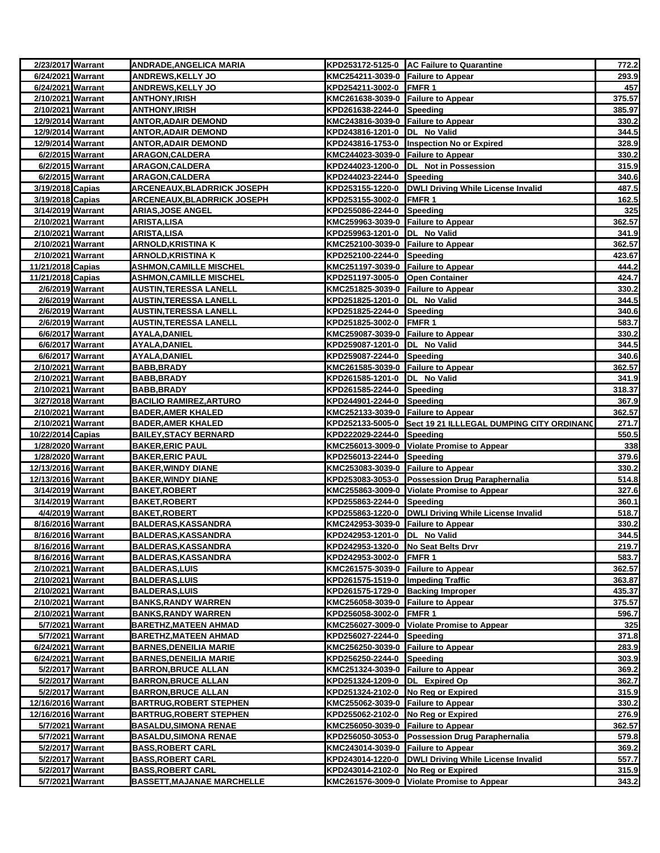| 2/23/2017 Warrant                      |                  | <b>ANDRADE, ANGELICA MARIA</b>                                 |                                                                      | KPD253172-5125-0 AC Failure to Quarantine                  | 772.2          |
|----------------------------------------|------------------|----------------------------------------------------------------|----------------------------------------------------------------------|------------------------------------------------------------|----------------|
| 6/24/2021 Warrant                      |                  | <b>ANDREWS,KELLY JO</b>                                        | KMC254211-3039-0 Failure to Appear                                   |                                                            | 293.9          |
| 6/24/2021 Warrant                      |                  | <b>ANDREWS, KELLY JO</b>                                       | KPD254211-3002-0 FMFR 1                                              |                                                            | 457            |
| 2/10/2021 Warrant                      |                  | ANTHONY,IRISH                                                  | KMC261638-3039-0 Failure to Appear                                   |                                                            | 375.57         |
| 2/10/2021 Warrant                      |                  | ANTHONY,IRISH                                                  | KPD261638-2244-0 Speeding                                            |                                                            | 385.97         |
| 12/9/2014 Warrant                      |                  | <b>ANTOR, ADAIR DEMOND</b>                                     | KMC243816-3039-0 Failure to Appear                                   |                                                            | 330.2          |
| 12/9/2014 Warrant                      |                  | <b>ANTOR, ADAIR DEMOND</b>                                     | KPD243816-1201-0  DL No Valid                                        |                                                            | 344.5          |
| 12/9/2014 Warrant                      |                  | <u>ANTOR,ADAIR DEMOND</u>                                      |                                                                      | KPD243816-1753-0  Inspection No or Expired                 | 328.9          |
| 6/2/2015 Warrant<br>6/2/2015 Warrant   |                  | <b>ARAGON, CALDERA</b><br><b>ARAGON, CALDERA</b>               | KMC244023-3039-0 Failure to Appear                                   | KPD244023-1200-0 DL Not in Possession                      | 330.2<br>315.9 |
| 6/2/2015 Warrant                       |                  | <b>ARAGON,CALDERA</b>                                          | KPD244023-2244-0 Speeding                                            |                                                            | 340.6          |
| 3/19/2018 Capias                       |                  | <u>ARCENEAUX, BLADRRICK JOSEPH</u>                             |                                                                      | KPD253155-1220-0 DWLI Driving While License Invalid        | 487.5          |
| 3/19/2018 Capias                       |                  | <b>ARCENEAUX,BLADRRICK JOSEPH</b>                              | KPD253155-3002-0 FMFR 1                                              |                                                            | 162.5          |
| 3/14/2019 Warrant                      |                  | <b>ARIAS, JOSE ANGEL</b>                                       | KPD255086-2244-0 Speeding                                            |                                                            | 325            |
| 2/10/2021 Warrant                      |                  | ARISTA,LISA                                                    | KMC259963-3039-0 Failure to Appear                                   |                                                            | 362.57         |
| 2/10/2021 Warrant                      |                  | <b>ARISTA, LISA</b>                                            | KPD259963-1201-0 DL No Valid                                         |                                                            | 341.9          |
| 2/10/2021 Warrant                      |                  | <u>ARNOLD, KRISTINA K</u>                                      | KMC252100-3039-0 Failure to Appear                                   |                                                            | 362.57         |
| 2/10/2021 Warrant                      |                  | <b>ARNOLD, KRISTINA K</b>                                      | KPD252100-2244-0 Speeding                                            |                                                            | 423.67         |
| 11/21/2018 Capias                      |                  | <u>ASHMON,CAMILLE MISCHEL</u>                                  | KMC251197-3039-0 Failure to Appear                                   |                                                            | 444.2          |
| 11/21/2018 Capias                      |                  | <b>ASHMON, CAMILLE MISCHEL</b>                                 | KPD251197-3005-0 Open Container                                      |                                                            | 424.7          |
|                                        | 2/6/2019 Warrant | <b>AUSTIN, TERESSA LANELL</b>                                  | KMC251825-3039-0 Failure to Appear                                   |                                                            | 330.2          |
|                                        | 2/6/2019 Warrant | <u>AUSTIN,TERESSA LANELL</u>                                   | KPD251825-1201-0  DL No Valid                                        |                                                            | 344.5          |
| 2/6/2019 Warrant                       |                  | <b>AUSTIN, TERESSA LANELL</b>                                  | KPD251825-2244-0 Speeding                                            |                                                            | 340.6          |
| 2/6/2019 Warrant                       |                  | <b>AUSTIN, TERESSA LANELL</b>                                  | KPD251825-3002-0 FMFR 1                                              |                                                            | 583.7          |
| 6/6/2017 Warrant                       |                  | <b>AYALA, DANIEL</b>                                           | KMC259087-3039-0 Failure to Appear                                   |                                                            | 330.2          |
| 6/6/2017 Warrant                       |                  | AYALA,DANIEL                                                   | KPD259087-1201-0  DL No Valid                                        |                                                            | 344.5          |
| 6/6/2017 Warrant                       |                  | AYALA,DANIEL                                                   | KPD259087-2244-0 Speeding                                            |                                                            | 340.6          |
| 2/10/2021 Warrant                      |                  | <b>BABB, BRADY</b>                                             | KMC261585-3039-0 Failure to Appear                                   |                                                            | 362.57         |
| 2/10/2021 Warrant                      |                  | BABB,BRADY                                                     | KPD261585-1201-0  DL No Valid                                        |                                                            | 341.9          |
| 2/10/2021 Warrant                      |                  | BABB,BRADY                                                     | KPD261585-2244-0 Speeding                                            |                                                            | 318.37         |
| 3/27/2018 Warrant                      |                  | <b>BACILIO RAMIREZ, ARTURO</b>                                 | KPD244901-2244-0 Speeding                                            |                                                            | 367.9          |
| 2/10/2021 Warrant                      |                  | <b>BADER, AMER KHALED</b>                                      | KMC252133-3039-0 Failure to Appear                                   |                                                            | 362.57         |
| 2/10/2021 Warrant<br>10/22/2014 Capias |                  | <b>BADER, AMER KHALED</b><br><b>BAILEY, STACY BERNARD</b>      | KPD222029-2244-0 Speeding                                            | KPD252133-5005-0 Sect 19 21 ILLLEGAL DUMPING CITY ORDINANO | 271.7<br>550.5 |
| 1/28/2020 Warrant                      |                  | <b>BAKER, ERIC PAUL</b>                                        |                                                                      | KMC256013-3009-0 Violate Promise to Appear                 | 338            |
| 1/28/2020 Warrant                      |                  | <b>BAKER, ERIC PAUL</b>                                        | KPD256013-2244-0 Speeding                                            |                                                            | 379.6          |
| 12/13/2016 Warrant                     |                  | BAKER,WINDY DIANE                                              | KMC253083-3039-0 Failure to Appear                                   |                                                            | 330.2          |
| 12/13/2016 Warrant                     |                  | <b>BAKER, WINDY DIANE</b>                                      |                                                                      | KPD253083-3053-0 Possession Drug Paraphernalia             | 514.8          |
| 3/14/2019 Warrant                      |                  | <b>BAKET,ROBERT</b>                                            |                                                                      | KMC255863-3009-0 Violate Promise to Appear                 | 327.6          |
| 3/14/2019 Warrant                      |                  | <b>BAKET, ROBERT</b>                                           | KPD255863-2244-0 Speeding                                            |                                                            | 360.1          |
| 4/4/2019 Warrant                       |                  | <b>BAKET, ROBERT</b>                                           |                                                                      | KPD255863-1220-0   DWLI Driving While License Invalid      | 518.7          |
| 8/16/2016 Warrant                      |                  | <b>BALDERAS, KASSANDRA</b>                                     | KMC242953-3039-0 Failure to Appear                                   |                                                            | 330.2          |
| 8/16/2016 Warrant                      |                  | <b>BALDERAS, KASSANDRA</b>                                     | KPD242953-1201-0  DL No Valid                                        |                                                            | 344.5          |
| 8/16/2016 Warrant                      |                  | <b>BALDERAS, KASSANDRA</b>                                     | KPD242953-1320-0 No Seat Belts Drvr                                  |                                                            | 219.7          |
| 8/16/2016 Warrant                      |                  | <b>BALDERAS,KASSANDRA</b>                                      | KPD242953-3002-0 FMFR 1                                              |                                                            | 583.7          |
| 2/10/2021 Warrant                      |                  | <b>BALDERAS, LUIS</b>                                          | KMC261575-3039-0 Failure to Appear                                   |                                                            | 362.57         |
| 2/10/2021 Warrant                      |                  | <b>BALDERAS,LUIS</b>                                           | KPD261575-1519-0 Impeding Traffic                                    |                                                            | 363.87         |
| 2/10/2021 Warrant                      |                  | <b>BALDERAS, LUIS</b>                                          | KPD261575-1729-0 Backing Improper                                    |                                                            | 435.37         |
| 2/10/2021 Warrant                      |                  | <b>BANKS,RANDY WARREN</b>                                      | KMC256058-3039-0 Failure to Appear                                   |                                                            | 375.57         |
| 2/10/2021 Warrant                      |                  | <b>BANKS, RANDY WARREN</b>                                     | KPD256058-3002-0 FMFR 1                                              |                                                            | 596.7          |
|                                        | 5/7/2021 Warrant | <b>BARETHZ, MATEEN AHMAD</b>                                   |                                                                      | KMC256027-3009-0 Violate Promise to Appear                 | 325            |
|                                        | 5/7/2021 Warrant | BARETHZ,MATEEN AHMAD                                           | KPD256027-2244-0                                                     | Speeding                                                   | 371.8          |
| 6/24/2021 Warrant<br>6/24/2021 Warrant |                  | <b>BARNES, DENEILIA MARIE</b><br><b>BARNES, DENEILIA MARIE</b> | KMC256250-3039-0 Failure to Appear<br>KPD256250-2244-0 Speeding      |                                                            | 283.9<br>303.9 |
|                                        | 5/2/2017 Warrant | <b>BARRON, BRUCE ALLAN</b>                                     |                                                                      |                                                            |                |
|                                        | 5/2/2017 Warrant | <b>BARRON, BRUCE ALLAN</b>                                     | KMC251324-3039-0 Failure to Appear<br>KPD251324-1209-0 DL Expired Op |                                                            | 369.2<br>362.7 |
|                                        | 5/2/2017 Warrant | <b>BARRON,BRUCE ALLAN</b>                                      | KPD251324-2102-0 No Reg or Expired                                   |                                                            | 315.9          |
| 12/16/2016 Warrant                     |                  | <b>BARTRUG, ROBERT STEPHEN</b>                                 | KMC255062-3039-0 Failure to Appear                                   |                                                            | 330.2          |
| 12/16/2016 Warrant                     |                  | <b>BARTRUG, ROBERT STEPHEN</b>                                 | KPD255062-2102-0 No Reg or Expired                                   |                                                            | 276.9          |
|                                        | 5/7/2021 Warrant | <b>BASALDU, SIMONA RENAE</b>                                   | KMC256050-3039-0 Failure to Appear                                   |                                                            | 362.57         |
|                                        | 5/7/2021 Warrant | <b>BASALDU, SIMONA RENAE</b>                                   |                                                                      | KPD256050-3053-0 Possession Drug Paraphernalia             | 579.8          |
|                                        | 5/2/2017 Warrant | <b>BASS, ROBERT CARL</b>                                       | KMC243014-3039-0 Failure to Appear                                   |                                                            | 369.2          |
|                                        | 5/2/2017 Warrant | <b>BASS, ROBERT CARL</b>                                       |                                                                      | KPD243014-1220-0   DWLI Driving While License Invalid      | 557.7          |
|                                        | 5/2/2017 Warrant | <b>BASS,ROBERT CARL</b>                                        | KPD243014-2102-0                                                     | No Reg or Expired                                          | 315.9          |
|                                        | 5/7/2021 Warrant | <b>BASSETT, MAJANAE MARCHELLE</b>                              |                                                                      | KMC261576-3009-0 Violate Promise to Appear                 | 343.2          |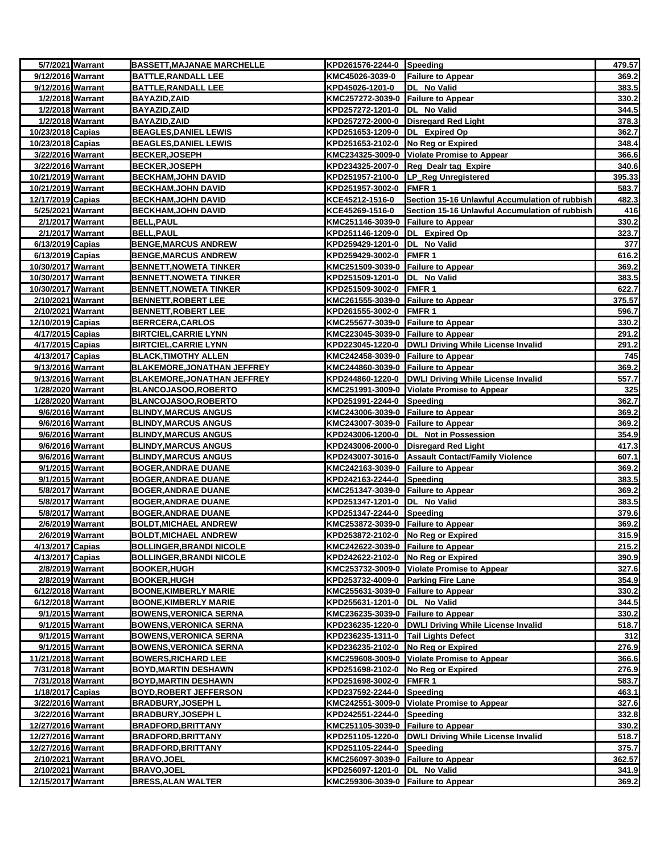| 5/7/2021 Warrant   |                  | <b>BASSETT, MAJANAE MARCHELLE</b>                               | KPD261576-2244-0 Speeding                                       |                                                      | 479.57         |
|--------------------|------------------|-----------------------------------------------------------------|-----------------------------------------------------------------|------------------------------------------------------|----------------|
| 9/12/2016 Warrant  |                  | <b>BATTLE, RANDALL LEE</b>                                      | KMC45026-3039-0                                                 | <b>Failure to Appear</b>                             | 369.2          |
| 9/12/2016 Warrant  |                  | <b>BATTLE, RANDALL LEE</b>                                      | KPD45026-1201-0                                                 | DL No Valid                                          | 383.5          |
|                    | 1/2/2018 Warrant | <b>BAYAZID, ZAID</b>                                            | KMC257272-3039-0 Failure to Appear                              |                                                      | 330.2          |
| 1/2/2018 Warrant   |                  | <b>BAYAZID, ZAID</b>                                            | KPD257272-1201-0  DL No Valid                                   |                                                      | 344.5          |
| 1/2/2018 Warrant   |                  | <b>BAYAZID, ZAID</b>                                            |                                                                 | KPD257272-2000-0 Disregard Red Light                 | 378.3          |
| 10/23/2018 Capias  |                  | <b>BEAGLES, DANIEL LEWIS</b>                                    | KPD251653-1209-0  DL Expired Op                                 |                                                      | 362.7          |
| 10/23/2018 Capias  |                  | <b>BEAGLES, DANIEL LEWIS</b>                                    | KPD251653-2102-0 No Reg or Expired                              |                                                      | 348.4          |
| 3/22/2016 Warrant  |                  | <b>BECKER, JOSEPH</b>                                           |                                                                 | KMC234325-3009-0 Violate Promise to Appear           | 366.6          |
| 3/22/2016 Warrant  |                  | <b>BECKER, JOSEPH</b>                                           |                                                                 | KPD234325-2007-0 Reg Dealr tag Expire                | 340.6          |
| 10/21/2019 Warrant |                  | <b>BECKHAM, JOHN DAVID</b>                                      |                                                                 | KPD251957-2100-0 LP_Reg Unregistered                 | 395.33         |
| 10/21/2019 Warrant |                  | <b>BECKHAM, JOHN DAVID</b>                                      | KPD251957-3002-0 FMFR 1                                         |                                                      | 583.7          |
| 12/17/2019 Capias  |                  | <b>BECKHAM, JOHN DAVID</b>                                      | KCE45212-1516-0                                                 | Section 15-16 Unlawful Accumulation of rubbish       | 482.3          |
| 5/25/2021 Warrant  |                  | <b>BECKHAM, JOHN DAVID</b>                                      | KCE45269-1516-0                                                 | Section 15-16 Unlawful Accumulation of rubbish       | 416            |
| 2/1/2017 Warrant   | 2/1/2017 Warrant | <b>BELL, PAUL</b>                                               | KMC251146-3039-0 Failure to Appear                              |                                                      | 330.2          |
| 6/13/2019 Capias   |                  | <b>BELL, PAUL</b><br><b>BENGE, MARCUS ANDREW</b>                | KPD251146-1209-0 DL Expired Op<br>KPD259429-1201-0  DL No Valid |                                                      | 323.7<br>377   |
| 6/13/2019 Capias   |                  | <b>BENGE, MARCUS ANDREW</b>                                     | KPD259429-3002-0 FMFR 1                                         |                                                      | 616.2          |
| 10/30/2017 Warrant |                  | <b>BENNETT, NOWETA TINKER</b>                                   | KMC251509-3039-0 Failure to Appear                              |                                                      | 369.2          |
| 10/30/2017 Warrant |                  | <b>BENNETT, NOWETA TINKER</b>                                   | KPD251509-1201-0  DL No Valid                                   |                                                      | 383.5          |
| 10/30/2017 Warrant |                  | <b>BENNETT, NOWETA TINKER</b>                                   | KPD251509-3002-0 FMFR 1                                         |                                                      | 622.7          |
| 2/10/2021 Warrant  |                  | <b>BENNETT, ROBERT LEE</b>                                      | KMC261555-3039-0 Failure to Appear                              |                                                      | 375.57         |
| 2/10/2021 Warrant  |                  | <b>BENNETT, ROBERT LEE</b>                                      | KPD261555-3002-0 FMFR 1                                         |                                                      | 596.7          |
| 12/10/2019 Capias  |                  | <b>BERRCERA, CARLOS</b>                                         | KMC255677-3039-0 Failure to Appear                              |                                                      | 330.2          |
| 4/17/2015 Capias   |                  | <b>BIRTCIEL, CARRIE LYNN</b>                                    | KMC223045-3039-0 Failure to Appear                              |                                                      | 291.2          |
| 4/17/2015 Capias   |                  | <b>BIRTCIEL, CARRIE LYNN</b>                                    |                                                                 | KPD223045-1220-0  DWLI Driving While License Invalid | 291.2          |
| 4/13/2017 Capias   |                  | <b>BLACK, TIMOTHY ALLEN</b>                                     | KMC242458-3039-0 Failure to Appear                              |                                                      | 745            |
| 9/13/2016 Warrant  |                  | <b>BLAKEMORE, JONATHAN JEFFREY</b>                              | KMC244860-3039-0 Failure to Appear                              |                                                      | 369.2          |
| 9/13/2016 Warrant  |                  | <b>BLAKEMORE, JONATHAN JEFFREY</b>                              |                                                                 | KPD244860-1220-0 DWLI Driving While License Invalid  | 557.7          |
| 1/28/2020 Warrant  |                  | BLANCOJASOO,ROBERTO                                             |                                                                 | KMC251991-3009-0 Violate Promise to Appear           | 325            |
| 1/28/2020 Warrant  |                  | <b>BLANCOJASOO,ROBERTO</b>                                      | KPD251991-2244-0 Speeding                                       |                                                      | 362.7          |
|                    | 9/6/2016 Warrant | <b>BLINDY, MARCUS ANGUS</b>                                     | KMC243006-3039-0 Failure to Appear                              |                                                      | 369.2          |
|                    | 9/6/2016 Warrant | <b>BLINDY, MARCUS ANGUS</b>                                     | KMC243007-3039-0 Failure to Appear                              |                                                      | 369.2          |
| 9/6/2016 Warrant   |                  | <b>BLINDY, MARCUS ANGUS</b>                                     |                                                                 | KPD243006-1200-0  DL Not in Possession               | 354.9          |
| 9/6/2016 Warrant   |                  | <b>BLINDY, MARCUS ANGUS</b>                                     |                                                                 | KPD243006-2000-0 Disregard Red Light                 | 417.3          |
| 9/6/2016 Warrant   |                  | <b>BLINDY, MARCUS ANGUS</b>                                     |                                                                 | KPD243007-3016-0 Assault Contact/Family Violence     | 607.1          |
| 9/1/2015 Warrant   |                  | <b>BOGER, ANDRAE DUANE</b>                                      | KMC242163-3039-0 Failure to Appear                              |                                                      | 369.2          |
| 9/1/2015 Warrant   |                  | <b>BOGER, ANDRAE DUANE</b>                                      | KPD242163-2244-0 Speeding                                       |                                                      | 383.5          |
| 5/8/2017 Warrant   |                  | <b>BOGER, ANDRAE DUANE</b>                                      | KMC251347-3039-0 Failure to Appear                              |                                                      | 369.2          |
| 5/8/2017 Warrant   |                  | <b>BOGER, ANDRAE DUANE</b>                                      | KPD251347-1201-0 DL No Valid                                    |                                                      | 383.5          |
|                    | 5/8/2017 Warrant | <b>BOGER, ANDRAE DUANE</b>                                      | KPD251347-2244-0 Speeding                                       |                                                      | 379.6          |
| 2/6/2019 Warrant   |                  | <b>BOLDT, MICHAEL ANDREW</b>                                    | KMC253872-3039-0 Failure to Appear                              |                                                      | 369.2          |
| 2/6/2019 Warrant   |                  | <b>BOLDT, MICHAEL ANDREW</b><br><b>BOLLINGER, BRANDI NICOLE</b> | KPD253872-2102-0 No Reg or Expired                              |                                                      | 315.9<br>215.2 |
| 4/13/2017 Capias   |                  |                                                                 | KMC242622-3039-0 Failure to Appear                              |                                                      |                |
| 4/13/2017 Capias   | 2/8/2019 Warrant | <b>BOLLINGER, BRANDI NICOLE</b><br><b>BOOKER, HUGH</b>          | KPD242622-2102-0 No Reg or Expired                              | KMC253732-3009-0 Violate Promise to Appear           | 390.9<br>327.6 |
| 2/8/2019 Warrant   |                  | <b>BOOKER, HUGH</b>                                             | KPD253732-4009-0 Parking Fire Lane                              |                                                      | 354.9          |
| 6/12/2018 Warrant  |                  | <b>BOONE, KIMBERLY MARIE</b>                                    | KMC255631-3039-0 Failure to Appear                              |                                                      | 330.2          |
| 6/12/2018 Warrant  |                  | <b>BOONE, KIMBERLY MARIE</b>                                    | KPD255631-1201-0 DL No Valid                                    |                                                      | 344.5          |
| 9/1/2015 Warrant   |                  | <b>BOWENS, VERONICA SERNA</b>                                   | KMC236235-3039-0 Failure to Appear                              |                                                      | 330.2          |
|                    | 9/1/2015 Warrant | <b>BOWENS, VERONICA SERNA</b>                                   |                                                                 | KPD236235-1220-0 DWLI Driving While License Invalid  | 518.7          |
|                    | 9/1/2015 Warrant | <b>BOWENS, VERONICA SERNA</b>                                   | KPD236235-1311-0 Tail Lights Defect                             |                                                      | 312            |
| 9/1/2015 Warrant   |                  | <b>BOWENS, VERONICA SERNA</b>                                   | KPD236235-2102-0 No Reg or Expired                              |                                                      | 276.9          |
| 11/21/2018 Warrant |                  | <b>BOWERS, RICHARD LEE</b>                                      |                                                                 | KMC259608-3009-0 Violate Promise to Appear           | 366.6          |
| 7/31/2018 Warrant  |                  | <b>BOYD, MARTIN DESHAWN</b>                                     | KPD251698-2102-0 No Reg or Expired                              |                                                      | 276.9          |
| 7/31/2018 Warrant  |                  | <b>BOYD, MARTIN DESHAWN</b>                                     | KPD251698-3002-0 FMFR 1                                         |                                                      | 583.7          |
| 1/18/2017 Capias   |                  | <b>BOYD,ROBERT JEFFERSON</b>                                    | KPD237592-2244-0 Speeding                                       |                                                      | 463.1          |
| 3/22/2016 Warrant  |                  | <b>BRADBURY, JOSEPH L</b>                                       |                                                                 | KMC242551-3009-0 Violate Promise to Appear           | 327.6          |
| 3/22/2016 Warrant  |                  | <b>BRADBURY, JOSEPH L</b>                                       | KPD242551-2244-0 Speeding                                       |                                                      | 332.8          |
| 12/27/2016 Warrant |                  | <b>BRADFORD, BRITTANY</b>                                       | KMC251105-3039-0 Failure to Appear                              |                                                      | 330.2          |
| 12/27/2016 Warrant |                  | <b>BRADFORD, BRITTANY</b>                                       |                                                                 | KPD251105-1220-0 DWLI Driving While License Invalid  | 518.7          |
| 12/27/2016 Warrant |                  | <b>BRADFORD, BRITTANY</b>                                       | KPD251105-2244-0 Speeding                                       |                                                      | 375.7          |
| 2/10/2021 Warrant  |                  | <b>BRAVO, JOEL</b>                                              | KMC256097-3039-0 Failure to Appear                              |                                                      | 362.57         |
| 2/10/2021 Warrant  |                  | <b>BRAVO, JOEL</b>                                              | KPD256097-1201-0  DL No Valid                                   |                                                      | 341.9          |
| 12/15/2017 Warrant |                  | <b>BRESS, ALAN WALTER</b>                                       | KMC259306-3039-0 Failure to Appear                              |                                                      | 369.2          |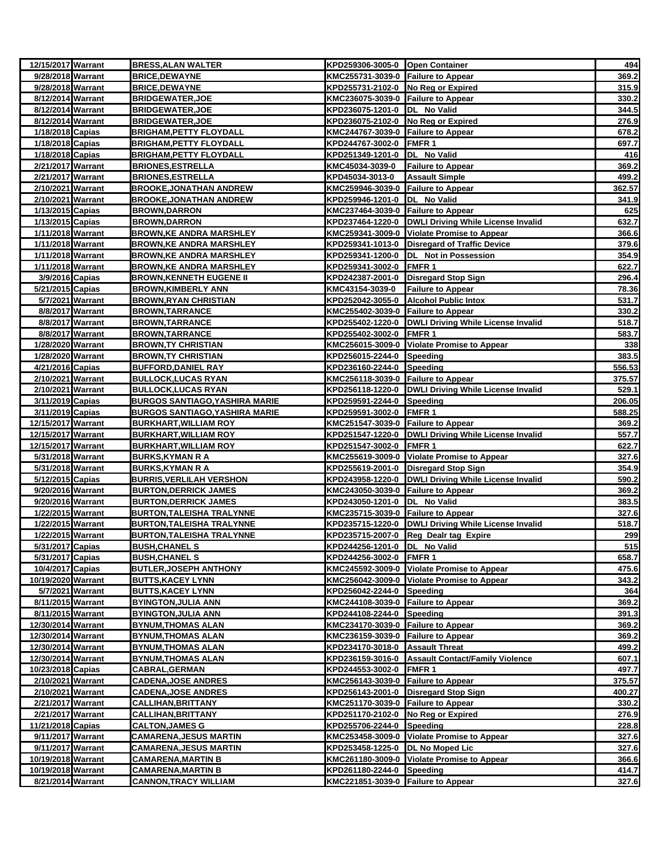| 12/15/2017 Warrant                    |                  | <b>BRESS, ALAN WALTER</b>                                | KPD259306-3005-0 Open Container                        |                                                       | 494             |
|---------------------------------------|------------------|----------------------------------------------------------|--------------------------------------------------------|-------------------------------------------------------|-----------------|
| 9/28/2018 Warrant                     |                  | <b>BRICE, DEWAYNE</b>                                    | KMC255731-3039-0 Failure to Appear                     |                                                       | 369.2           |
| 9/28/2018 Warrant                     |                  | <b>BRICE, DEWAYNE</b>                                    | KPD255731-2102-0 No Reg or Expired                     |                                                       | 315.9           |
| 8/12/2014 Warrant                     |                  | <b>BRIDGEWATER, JOE</b>                                  | KMC236075-3039-0 Failure to Appear                     |                                                       | 330.2           |
| 8/12/2014 Warrant                     |                  | <b>BRIDGEWATER, JOE</b>                                  | KPD236075-1201-0 DL No Valid                           |                                                       | 344.5           |
| 8/12/2014 Warrant                     |                  | <b>BRIDGEWATER, JOE</b>                                  | KPD236075-2102-0 No Reg or Expired                     |                                                       | 276.9           |
| 1/18/2018 Capias                      |                  | <b>BRIGHAM, PETTY FLOYDALL</b>                           | KMC244767-3039-0 Failure to Appear                     |                                                       | 678.2           |
| 1/18/2018 Capias                      |                  | <b>BRIGHAM, PETTY FLOYDALL</b>                           | KPD244767-3002-0 FMFR 1                                |                                                       | 697.7           |
| 1/18/2018 Capias                      |                  | <b>BRIGHAM, PETTY FLOYDALL</b>                           | KPD251349-1201-0 DL No Valid                           |                                                       | 416             |
| 2/21/2017 Warrant                     |                  | <b>BRIONES, ESTRELLA</b>                                 | KMC45034-3039-0                                        | <b>Failure to Appear</b>                              | 369.2           |
| 2/21/2017 Warrant                     |                  | <b>BRIONES, ESTRELLA</b>                                 | KPD45034-3013-0                                        | <b>Assault Simple</b>                                 | 499.2           |
| 2/10/2021 Warrant                     |                  | <b>BROOKE, JONATHAN ANDREW</b>                           | KMC259946-3039-0 Failure to Appear                     |                                                       | 362.57          |
| 2/10/2021 Warrant                     |                  | <b>BROOKE, JONATHAN ANDREW</b>                           | KPD259946-1201-0 DL No Valid                           |                                                       | 341.9           |
| 1/13/2015 Capias                      |                  | <b>BROWN,DARRON</b>                                      | KMC237464-3039-0 Failure to Appear                     |                                                       | 625             |
| 1/13/2015 Capias                      |                  | <b>BROWN, DARRON</b>                                     |                                                        | KPD237464-1220-0   DWLI Driving While License Invalid | 632.7           |
| 1/11/2018 Warrant                     |                  | <b>BROWN, KE ANDRA MARSHLEY</b>                          |                                                        | KMC259341-3009-0 Violate Promise to Appear            | 366.6           |
| 1/11/2018 Warrant                     |                  | <b>BROWN,KE ANDRA MARSHLEY</b>                           |                                                        | KPD259341-1013-0   Disregard of Traffic Device        | 379.6           |
| 1/11/2018 Warrant                     |                  | <b>BROWN, KE ANDRA MARSHLEY</b>                          |                                                        | KPD259341-1200-0  DL Not in Possession                | 354.9           |
| 1/11/2018 Warrant                     |                  | <b>BROWN,KE ANDRA MARSHLEY</b>                           | KPD259341-3002-0 FMFR 1                                |                                                       | 622.7           |
| 3/9/2016 Capias                       |                  | <b>BROWN, KENNETH EUGENE II</b>                          |                                                        | KPD242387-2001-0 Disregard Stop Sign                  | 296.4           |
| 5/21/2015 Capias                      |                  | <b>BROWN, KIMBERLY ANN</b>                               | KMC43154-3039-0                                        | <b>Failure to Appear</b>                              | 78.36           |
|                                       | 5/7/2021 Warrant | <b>BROWN, RYAN CHRISTIAN</b>                             |                                                        | KPD252042-3055-0 Alcohol Public Intox                 | 531.7           |
| 8/8/2017 Warrant                      |                  | <b>BROWN, TARRANCE</b>                                   | KMC255402-3039-0 Failure to Appear                     |                                                       | 330.2           |
| 8/8/2017 Warrant                      |                  | <b>BROWN, TARRANCE</b>                                   |                                                        | KPD255402-1220-0 DWLI Driving While License Invalid   | 518.7           |
| 8/8/2017 Warrant                      |                  | <b>BROWN, TARRANCE</b>                                   | KPD255402-3002-0 FMFR 1                                |                                                       | 583.7           |
| 1/28/2020 Warrant                     |                  | <b>BROWN, TY CHRISTIAN</b>                               |                                                        | KMC256015-3009-0 Violate Promise to Appear            | 338             |
| 1/28/2020 Warrant<br>4/21/2016 Capias |                  | <b>BROWN, TY CHRISTIAN</b><br><b>BUFFORD, DANIEL RAY</b> | KPD256015-2244-0 Speeding<br>KPD236160-2244-0 Speeding |                                                       | 383.5<br>556.53 |
| 2/10/2021 Warrant                     |                  |                                                          |                                                        |                                                       |                 |
| 2/10/2021 Warrant                     |                  | <b>BULLOCK, LUCAS RYAN</b><br><b>BULLOCK, LUCAS RYAN</b> | KMC256118-3039-0 Failure to Appear                     | KPD256118-1220-0 DWLI Driving While License Invalid   | 375.57<br>529.1 |
| 3/11/2019 Capias                      |                  | <b>BURGOS SANTIAGO, YASHIRA MARIE</b>                    | KPD259591-2244-0 Speeding                              |                                                       | 206.05          |
| 3/11/2019 Capias                      |                  | BURGOS SANTIAGO,YASHIRA MARIE                            | KPD259591-3002-0 FMFR 1                                |                                                       | 588.25          |
| 12/15/2017 Warrant                    |                  | <b>BURKHART, WILLIAM ROY</b>                             | KMC251547-3039-0 Failure to Appear                     |                                                       | 369.2           |
| 12/15/2017 Warrant                    |                  | <b>BURKHART, WILLIAM ROY</b>                             |                                                        | KPD251547-1220-0   DWLI Driving While License Invalid | 557.7           |
| 12/15/2017 Warrant                    |                  | <b>BURKHART, WILLIAM ROY</b>                             | KPD251547-3002-0 FMFR 1                                |                                                       | 622.7           |
| 5/31/2018 Warrant                     |                  | <b>BURKS, KYMAN R A</b>                                  |                                                        | KMC255619-3009-0 Violate Promise to Appear            | 327.6           |
| 5/31/2018 Warrant                     |                  | <b>BURKS, KYMAN R A</b>                                  |                                                        | KPD255619-2001-0 Disregard Stop Sign                  | 354.9           |
| 5/12/2015 Capias                      |                  | <b>BURRIS, VERLILAH VERSHON</b>                          |                                                        | KPD243958-1220-0 DWLI Driving While License Invalid   | 590.2           |
| 9/20/2016 Warrant                     |                  | <b>BURTON, DERRICK JAMES</b>                             | KMC243050-3039-0 Failure to Appear                     |                                                       | 369.2           |
| 9/20/2016 Warrant                     |                  | <b>BURTON, DERRICK JAMES</b>                             | KPD243050-1201-0 DL No Valid                           |                                                       | 383.5           |
| 1/22/2015 Warrant                     |                  | <b>BURTON, TALEISHA TRALYNNE</b>                         | KMC235715-3039-0 Failure to Appear                     |                                                       | 327.6           |
| 1/22/2015 Warrant                     |                  | <b>BURTON, TALEISHA TRALYNNE</b>                         |                                                        | KPD235715-1220-0   DWLI Driving While License Invalid | 518.7           |
| 1/22/2015 Warrant                     |                  | <b>BURTON, TALEISHA TRALYNNE</b>                         |                                                        | KPD235715-2007-0 Reg Dealr tag Expire                 | 299             |
| 5/31/2017 Capias                      |                  | <b>BUSH, CHANEL S</b>                                    | KPD244256-1201-0 DL No Valid                           |                                                       | 515             |
| 5/31/2017 Capias                      |                  | <b>BUSH, CHANEL S</b>                                    | KPD244256-3002-0 FMFR 1                                |                                                       | 658.7           |
| 10/4/2017 Capias                      |                  | <b>BUTLER, JOSEPH ANTHONY</b>                            |                                                        | KMC245592-3009-0 Violate Promise to Appear            | 475.6           |
| 10/19/2020 Warrant                    |                  | <b>BUTTS, KACEY LYNN</b>                                 |                                                        | KMC256042-3009-0 Violate Promise to Appear            | 343.2           |
|                                       | 5/7/2021 Warrant | <b>BUTTS, KACEY LYNN</b>                                 | KPD256042-2244-0 Speeding                              |                                                       | 364             |
| 8/11/2015 Warrant                     |                  | <b>BYINGTON, JULIA ANN</b>                               | KMC244108-3039-0 Failure to Appear                     |                                                       | 369.2           |
| 8/11/2015 Warrant                     |                  | <b>BYINGTON, JULIA ANN</b>                               | KPD244108-2244-0 Speeding                              |                                                       | 391.3           |
| 12/30/2014 Warrant                    |                  | <b>BYNUM, THOMAS ALAN</b>                                | KMC234170-3039-0 Failure to Appear                     |                                                       | 369.2           |
| 12/30/2014 Warrant                    |                  | <b>BYNUM, THOMAS ALAN</b>                                | KMC236159-3039-0 Failure to Appear                     |                                                       | 369.2           |
| 12/30/2014 Warrant                    |                  | <b>BYNUM, THOMAS ALAN</b>                                | KPD234170-3018-0 Assault Threat                        |                                                       | 499.2           |
| 12/30/2014 Warrant                    |                  | <b>BYNUM, THOMAS ALAN</b>                                |                                                        | KPD236159-3016-0 Assault Contact/Family Violence      | 607.1           |
| 10/23/2018 Capias                     |                  | <b>CABRAL, GERMAN</b>                                    | KPD244553-3002-0 FMFR 1                                |                                                       | 497.7           |
| 2/10/2021 Warrant                     |                  | <b>CADENA, JOSE ANDRES</b>                               | KMC256143-3039-0 Failure to Appear                     |                                                       | 375.57          |
| 2/10/2021 Warrant                     |                  | <b>CADENA, JOSE ANDRES</b>                               |                                                        | KPD256143-2001-0 Disregard Stop Sign                  | 400.27          |
| 2/21/2017 Warrant                     |                  | <b>CALLIHAN, BRITTANY</b>                                | KMC251170-3039-0 Failure to Appear                     |                                                       | 330.2           |
| 2/21/2017 Warrant                     |                  | <b>CALLIHAN, BRITTANY</b>                                | KPD251170-2102-0 No Reg or Expired                     |                                                       | 276.9           |
| 11/21/2018 Capias                     |                  | <b>CALTON, JAMES G</b>                                   | KPD255706-2244-0 Speeding                              |                                                       | 228.8           |
| 9/11/2017 Warrant                     |                  | <b>CAMARENA, JESUS MARTIN</b>                            |                                                        | KMC253458-3009-0 Violate Promise to Appear            | 327.6           |
| 9/11/2017 Warrant                     |                  | <b>CAMARENA, JESUS MARTIN</b>                            | KPD253458-1225-0 DL No Moped Lic                       |                                                       | 327.6           |
| 10/19/2018 Warrant                    |                  | <b>CAMARENA,MARTIN B</b>                                 |                                                        | KMC261180-3009-0 Violate Promise to Appear            | 366.6           |
| 10/19/2018 Warrant                    |                  | <b>CAMARENA,MARTIN B</b>                                 | KPD261180-2244-0 Speeding                              |                                                       | 414.7           |
| 8/21/2014 Warrant                     |                  | <b>CANNON, TRACY WILLIAM</b>                             | KMC221851-3039-0 Failure to Appear                     |                                                       | 327.6           |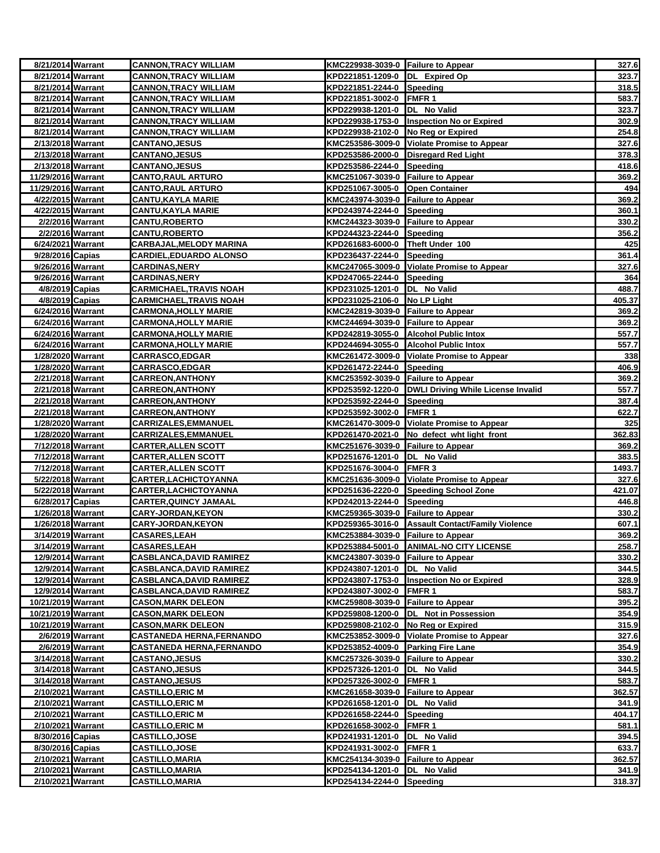| 8/21/2014 Warrant  |                  | <b>CANNON, TRACY WILLIAM</b>    | KMC229938-3039-0 Failure to Appear |                                                     | 327.6  |
|--------------------|------------------|---------------------------------|------------------------------------|-----------------------------------------------------|--------|
| 8/21/2014 Warrant  |                  | <b>CANNON, TRACY WILLIAM</b>    | KPD221851-1209-0 DL Expired Op     |                                                     | 323.7  |
| 8/21/2014 Warrant  |                  | <b>CANNON, TRACY WILLIAM</b>    | KPD221851-2244-0 Speeding          |                                                     | 318.5  |
| 8/21/2014 Warrant  |                  | <b>CANNON, TRACY WILLIAM</b>    | KPD221851-3002-0 FMFR 1            |                                                     | 583.7  |
| 8/21/2014 Warrant  |                  | <b>CANNON, TRACY WILLIAM</b>    | KPD229938-1201-0 DL No Valid       |                                                     | 323.7  |
| 8/21/2014 Warrant  |                  | <b>CANNON, TRACY WILLIAM</b>    |                                    | KPD229938-1753-0   Inspection No or Expired         | 302.9  |
| 8/21/2014 Warrant  |                  | <b>CANNON, TRACY WILLIAM</b>    | KPD229938-2102-0 No Reg or Expired |                                                     | 254.8  |
| 2/13/2018 Warrant  |                  | <b>CANTANO,JESUS</b>            |                                    | KMC253586-3009-0 Violate Promise to Appear          | 327.6  |
| 2/13/2018 Warrant  |                  | <b>CANTANO, JESUS</b>           |                                    | KPD253586-2000-0 Disregard Red Light                | 378.3  |
| 2/13/2018 Warrant  |                  | <b>CANTANO, JESUS</b>           | KPD253586-2244-0 Speeding          |                                                     | 418.6  |
| 11/29/2016 Warrant |                  | <b>CANTO, RAUL ARTURO</b>       | KMC251067-3039-0 Failure to Appear |                                                     | 369.2  |
| 11/29/2016 Warrant |                  | <b>CANTO, RAUL ARTURO</b>       | KPD251067-3005-0 Open Container    |                                                     | 494    |
| 4/22/2015 Warrant  |                  | CANTU,KAYLA MARIE               | KMC243974-3039-0 Failure to Appear |                                                     | 369.2  |
| 4/22/2015 Warrant  |                  | <b>CANTU, KAYLA MARIE</b>       | KPD243974-2244-0 Speeding          |                                                     | 360.1  |
| 2/2/2016 Warrant   |                  | <b>CANTU,ROBERTO</b>            | KMC244323-3039-0 Failure to Appear |                                                     | 330.2  |
| 2/2/2016 Warrant   |                  | <b>CANTU,ROBERTO</b>            | KPD244323-2244-0 Speeding          |                                                     | 356.2  |
| 6/24/2021 Warrant  |                  | <b>CARBAJAL, MELODY MARINA</b>  | KPD261683-6000-0 Theft Under 100   |                                                     | 425    |
| 9/28/2016 Capias   |                  | <b>CARDIEL, EDUARDO ALONSO</b>  | KPD236437-2244-0 Speeding          |                                                     | 361.4  |
| 9/26/2016 Warrant  |                  | <b>CARDINAS,NERY</b>            |                                    | KMC247065-3009-0 Violate Promise to Appear          | 327.6  |
| 9/26/2016 Warrant  |                  | <b>CARDINAS,NERY</b>            | KPD247065-2244-0 Speeding          |                                                     | 364    |
| 4/8/2019 Capias    |                  | CARMICHAEL,TRAVIS NOAH          | KPD231025-1201-0  DL No Valid      |                                                     | 488.7  |
| 4/8/2019 Capias    |                  | CARMICHAEL,TRAVIS NOAH          | KPD231025-2106-0 No LP Light       |                                                     | 405.37 |
| 6/24/2016 Warrant  |                  | <b>CARMONA, HOLLY MARIE</b>     | KMC242819-3039-0 Failure to Appear |                                                     | 369.2  |
| 6/24/2016 Warrant  |                  | <b>CARMONA, HOLLY MARIE</b>     | KMC244694-3039-0 Failure to Appear |                                                     | 369.2  |
| 6/24/2016 Warrant  |                  | <b>CARMONA, HOLLY MARIE</b>     |                                    | KPD242819-3055-0 Alcohol Public Intox               | 557.7  |
| 6/24/2016 Warrant  |                  | CARMONA,HOLLY MARIE             |                                    | KPD244694-3055-0 Alcohol Public Intox               | 557.7  |
| 1/28/2020 Warrant  |                  | <b>CARRASCO,EDGAR</b>           |                                    | KMC261472-3009-0 Violate Promise to Appear          | 338    |
| 1/28/2020 Warrant  |                  | <b>CARRASCO,EDGAR</b>           | KPD261472-2244-0 Speeding          |                                                     | 406.9  |
| 2/21/2018 Warrant  |                  | <b>CARREON, ANTHONY</b>         | KMC253592-3039-0 Failure to Appear |                                                     | 369.2  |
| 2/21/2018 Warrant  |                  | <b>CARREON, ANTHONY</b>         |                                    | KPD253592-1220-0 DWLI Driving While License Invalid | 557.7  |
| 2/21/2018 Warrant  |                  | <b>CARREON,ANTHONY</b>          | KPD253592-2244-0 Speeding          |                                                     | 387.4  |
| 2/21/2018 Warrant  |                  | <b>CARREON, ANTHONY</b>         | KPD253592-3002-0 FMFR 1            |                                                     | 622.7  |
| 1/28/2020 Warrant  |                  | <b>CARRIZALES,EMMANUEL</b>      |                                    | KMC261470-3009-0 Violate Promise to Appear          | 325    |
| 1/28/2020 Warrant  |                  | <b>CARRIZALES,EMMANUEL</b>      |                                    | KPD261470-2021-0 No defect wht light front          | 362.83 |
| 7/12/2018 Warrant  |                  | <b>CARTER, ALLEN SCOTT</b>      | KMC251676-3039-0 Failure to Appear |                                                     | 369.2  |
| 7/12/2018 Warrant  |                  | <b>CARTER, ALLEN SCOTT</b>      | KPD251676-1201-0  DL No Valid      |                                                     | 383.5  |
| 7/12/2018 Warrant  |                  | <b>CARTER, ALLEN SCOTT</b>      | KPD251676-3004-0 FMFR 3            |                                                     | 1493.7 |
| 5/22/2018 Warrant  |                  | CARTER, LACHICTOY ANNA          |                                    | KMC251636-3009-0 Violate Promise to Appear          | 327.6  |
| 5/22/2018 Warrant  |                  | CARTER, LACHICTOY ANNA          |                                    | KPD251636-2220-0 Speeding School Zone               | 421.07 |
| 6/28/2017 Capias   |                  | <u>CARTER,QUINCY JAMAAL</u>     | KPD242013-2244-0 Speeding          |                                                     | 446.8  |
| 1/26/2018 Warrant  |                  | <b>CARY-JORDAN, KEYON</b>       | KMC259365-3039-0 Failure to Appear |                                                     | 330.2  |
| 1/26/2018 Warrant  |                  | <b>CARY-JORDAN, KEYON</b>       |                                    | KPD259365-3016-0 Assault Contact/Family Violence    | 607.1  |
| 3/14/2019 Warrant  |                  | <b>CASARES,LEAH</b>             | KMC253884-3039-0 Failure to Appear |                                                     | 369.2  |
| 3/14/2019 Warrant  |                  | <b>CASARES,LEAH</b>             |                                    | KPD253884-5001-0 ANIMAL-NO CITY LICENSE             | 258.7  |
| 12/9/2014 Warrant  |                  | <b>CASBLANCA, DAVID RAMIREZ</b> | KMC243807-3039-0 Failure to Appear |                                                     | 330.2  |
| 12/9/2014 Warrant  |                  | <b>CASBLANCA, DAVID RAMIREZ</b> | KPD243807-1201-0 DL No Valid       |                                                     | 344.5  |
| 12/9/2014 Warrant  |                  | <b>CASBLANCA, DAVID RAMIREZ</b> |                                    | KPD243807-1753-0  Inspection No or Expired          | 328.9  |
| 12/9/2014 Warrant  |                  | <b>CASBLANCA, DAVID RAMIREZ</b> | KPD243807-3002-0 FMFR 1            |                                                     | 583.7  |
| 10/21/2019 Warrant |                  | <b>CASON, MARK DELEON</b>       | KMC259808-3039-0 Failure to Appear |                                                     | 395.2  |
| 10/21/2019 Warrant |                  | <b>CASON, MARK DELEON</b>       |                                    | KPD259808-1200-0  DL Not in Possession              | 354.9  |
| 10/21/2019 Warrant |                  | <b>CASON,MARK DELEON</b>        | KPD259808-2102-0 No Reg or Expired |                                                     | 315.9  |
|                    | 2/6/2019 Warrant | <b>CASTANEDA HERNA,FERNANDO</b> |                                    | KMC253852-3009-0 Violate Promise to Appear          | 327.6  |
| 2/6/2019 Warrant   |                  | <b>CASTANEDA HERNA,FERNANDO</b> | KPD253852-4009-0 Parking Fire Lane |                                                     | 354.9  |
| 3/14/2018 Warrant  |                  | <b>CASTANO,JESUS</b>            | KMC257326-3039-0 Failure to Appear |                                                     | 330.2  |
| 3/14/2018 Warrant  |                  | <b>CASTANO, JESUS</b>           | KPD257326-1201-0 DL No Valid       |                                                     | 344.5  |
| 3/14/2018 Warrant  |                  | <b>CASTANO,JESUS</b>            | KPD257326-3002-0 FMFR 1            |                                                     | 583.7  |
| 2/10/2021 Warrant  |                  | <u>CASTILLO,ERIC M</u>          | KMC261658-3039-0 Failure to Appear |                                                     | 362.57 |
| 2/10/2021 Warrant  |                  | <b>CASTILLO, ERIC M</b>         | KPD261658-1201-0 DL No Valid       |                                                     | 341.9  |
| 2/10/2021 Warrant  |                  | <b>CASTILLO, ERIC M</b>         | KPD261658-2244-0 Speeding          |                                                     | 404.17 |
| 2/10/2021 Warrant  |                  | <b>CASTILLO, ERIC M</b>         | KPD261658-3002-0 FMFR 1            |                                                     | 581.1  |
| 8/30/2016 Capias   |                  | <b>CASTILLO,JOSE</b>            | KPD241931-1201-0 DL No Valid       |                                                     | 394.5  |
| 8/30/2016 Capias   |                  | <b>CASTILLO,JOSE</b>            | KPD241931-3002-0 FMFR 1            |                                                     | 633.7  |
| 2/10/2021 Warrant  |                  | <b>CASTILLO, MARIA</b>          | KMC254134-3039-0 Failure to Appear |                                                     | 362.57 |
| 2/10/2021 Warrant  |                  | <b>CASTILLO, MARIA</b>          | KPD254134-1201-0  DL No Valid      |                                                     | 341.9  |
| 2/10/2021 Warrant  |                  | <b>CASTILLO,MARIA</b>           | KPD254134-2244-0 Speeding          |                                                     | 318.37 |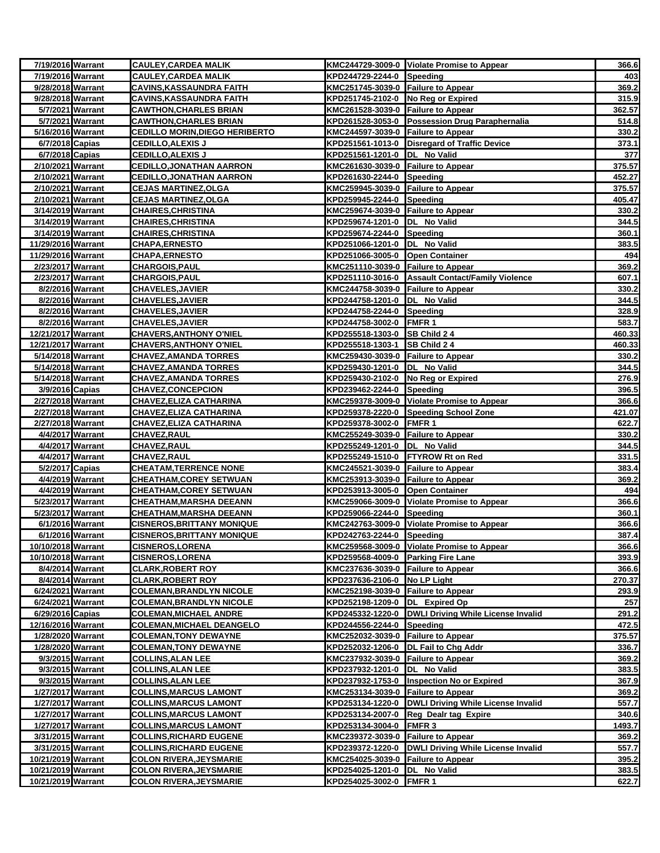| 7/19/2016 Warrant                     |                  | <b>CAULEY, CARDEA MALIK</b>                                        |                                                                      | KMC244729-3009-0 Violate Promise to Appear           | 366.6           |
|---------------------------------------|------------------|--------------------------------------------------------------------|----------------------------------------------------------------------|------------------------------------------------------|-----------------|
| 7/19/2016 Warrant                     |                  | <b>CAULEY, CARDEA MALIK</b>                                        | KPD244729-2244-0 Speeding                                            |                                                      | 403             |
| 9/28/2018 Warrant                     |                  | <b>CAVINS, KASSAUNDRA FAITH</b>                                    | KMC251745-3039-0 Failure to Appear                                   |                                                      | 369.2           |
| 9/28/2018 Warrant                     |                  | <b>CAVINS, KASSAUNDRA FAITH</b>                                    | KPD251745-2102-0 No Reg or Expired                                   |                                                      | 315.9           |
| 5/7/2021 Warrant                      |                  | <b>CAWTHON, CHARLES BRIAN</b>                                      | KMC261528-3039-0 Failure to Appear                                   |                                                      | 362.57          |
| 5/7/2021 Warrant                      |                  | <b>CAWTHON, CHARLES BRIAN</b>                                      |                                                                      | KPD261528-3053-0 Possession Drug Paraphernalia       | 514.8           |
| 5/16/2016 Warrant                     |                  | <b>CEDILLO MORIN, DIEGO HERIBERTO</b>                              | KMC244597-3039-0 Failure to Appear                                   |                                                      | 330.2           |
| 6/7/2018 Capias                       |                  | <b>CEDILLO, ALEXIS J</b>                                           |                                                                      | KPD251561-1013-0 Disregard of Traffic Device         | 373.1           |
| 6/7/2018 Capias                       |                  | <b>CEDILLO, ALEXIS J</b>                                           | KPD251561-1201-0  DL No Valid                                        |                                                      | 377             |
| 2/10/2021 Warrant                     |                  | <b>CEDILLO, JONATHAN AARRON</b>                                    | KMC261630-3039-0 Failure to Appear                                   |                                                      | 375.57          |
| 2/10/2021 Warrant                     |                  | <b>CEDILLO, JONATHAN AARRON</b>                                    | KPD261630-2244-0 Speeding                                            |                                                      | 452.27          |
| 2/10/2021 Warrant                     |                  | <b>CEJAS MARTINEZ, OLGA</b>                                        | KMC259945-3039-0 Failure to Appear                                   |                                                      | 375.57          |
| 2/10/2021 Warrant                     |                  | <b>CEJAS MARTINEZ,OLGA</b>                                         | KPD259945-2244-0 Speeding                                            |                                                      | 405.47          |
| 3/14/2019 Warrant                     |                  | <b>CHAIRES, CHRISTINA</b>                                          | KMC259674-3039-0 Failure to Appear                                   |                                                      | 330.2           |
| 3/14/2019 Warrant                     |                  | <b>CHAIRES,CHRISTINA</b>                                           | KPD259674-1201-0  DL No Valid                                        |                                                      | 344.5           |
| 3/14/2019 Warrant                     |                  | <b>CHAIRES, CHRISTINA</b>                                          | KPD259674-2244-0 Speeding                                            |                                                      | 360.1           |
| 11/29/2016 Warrant                    |                  | <b>CHAPA, ERNESTO</b>                                              | KPD251066-1201-0 DL No Valid                                         |                                                      | 383.5           |
| 11/29/2016 Warrant                    |                  | <b>CHAPA, ERNESTO</b>                                              | KPD251066-3005-0 Open Container                                      |                                                      | 494             |
| 2/23/2017 Warrant                     |                  | <b>CHARGOIS, PAUL</b>                                              | KMC251110-3039-0 Failure to Appear                                   |                                                      | 369.2           |
| 2/23/2017 Warrant                     |                  | <b>CHARGOIS, PAUL</b>                                              |                                                                      | KPD251110-3016-0 Assault Contact/Family Violence     | 607.1           |
| 8/2/2016 Warrant                      |                  | <b>CHAVELES, JAVIER</b>                                            | KMC244758-3039-0 Failure to Appear                                   |                                                      | 330.2           |
| 8/2/2016 Warrant                      |                  | <b>CHAVELES,JAVIER</b>                                             | KPD244758-1201-0  DL No Valid                                        |                                                      | 344.5           |
| 8/2/2016 Warrant                      |                  | <b>CHAVELES,JAVIER</b>                                             | KPD244758-2244-0 Speeding                                            |                                                      | 328.9           |
| 8/2/2016 Warrant                      |                  | <b>CHAVELES, JAVIER</b>                                            | KPD244758-3002-0 FMFR 1                                              |                                                      | 583.7           |
| 12/21/2017 Warrant                    |                  | <b>CHAVERS, ANTHONY O'NIEL</b>                                     | KPD255518-1303-0 SB Child 2 4                                        |                                                      | 460.33          |
| 12/21/2017 Warrant                    |                  | <b>CHAVERS, ANTHONY O'NIEL</b>                                     | KPD255518-1303-1                                                     | <b>SB Child 24</b>                                   | 460.33          |
| 5/14/2018 Warrant                     |                  | <b>CHAVEZ, AMANDA TORRES</b>                                       | KMC259430-3039-0 Failure to Appear                                   |                                                      | 330.2           |
| 5/14/2018 Warrant                     |                  | <b>CHAVEZ, AMANDA TORRES</b>                                       | KPD259430-1201-0  DL No Valid                                        |                                                      | 344.5           |
| 5/14/2018 Warrant                     |                  | <b>CHAVEZ, AMANDA TORRES</b>                                       | KPD259430-2102-0 No Reg or Expired                                   |                                                      | 276.9           |
| 3/9/2016 Capias                       |                  | <b>CHAVEZ,CONCEPCION</b>                                           | KPD239462-2244-0 Speeding                                            |                                                      | 396.5           |
| 2/27/2018 Warrant                     |                  | <b>CHAVEZ, ELIZA CATHARINA</b>                                     |                                                                      | KMC259378-3009-0 Violate Promise to Appear           | 366.6           |
| 2/27/2018 Warrant                     |                  | <b>CHAVEZ, ELIZA CATHARINA</b>                                     |                                                                      | KPD259378-2220-0 Speeding School Zone                | 421.07          |
| 2/27/2018 Warrant                     |                  | CHAVEZ,ELIZA CATHARINA                                             | KPD259378-3002-0 FMFR 1                                              |                                                      | 622.7           |
| 4/4/2017 Warrant                      |                  | <u>CHAVEZ,RAUL</u>                                                 | KMC255249-3039-0 Failure to Appear                                   |                                                      | 330.2           |
| 4/4/2017 Warrant                      |                  | <b>CHAVEZ,RAUL</b>                                                 | KPD255249-1201-0 DL No Valid                                         |                                                      | 344.5           |
| 4/4/2017 Warrant                      |                  | <b>CHAVEZ, RAUL</b>                                                |                                                                      | KPD255249-1510-0 FTYROW Rt on Red                    | 331.5           |
| 5/2/2017 Capias                       |                  | <b>CHEATAM, TERRENCE NONE</b>                                      | KMC245521-3039-0 Failure to Appear                                   |                                                      | 383.4           |
| 4/4/2019 Warrant                      |                  | <b>CHEATHAM, COREY SETWUAN</b>                                     | KMC253913-3039-0 Failure to Appear                                   |                                                      | 369.2           |
| 4/4/2019 Warrant                      |                  | <b>CHEATHAM, COREY SETWUAN</b>                                     | KPD253913-3005-0 Open Container                                      |                                                      | 494             |
| 5/23/2017 Warrant                     |                  | <b>CHEATHAM, MARSHA DEEANN</b>                                     |                                                                      | KMC259066-3009-0 Violate Promise to Appear           | 366.6           |
| 5/23/2017 Warrant                     |                  | <b>CHEATHAM, MARSHA DEEANN</b>                                     | KPD259066-2244-0 Speeding                                            |                                                      | 360.1           |
| 6/1/2016 Warrant                      |                  | <b>CISNEROS, BRITTANY MONIQUE</b>                                  |                                                                      | KMC242763-3009-0 Violate Promise to Appear           | 366.6           |
| 6/1/2016 Warrant                      |                  | <b>CISNEROS, BRITTANY MONIQUE</b>                                  | KPD242763-2244-0 Speeding                                            |                                                      | 387.4           |
| 10/10/2018 Warrant                    |                  | <b>CISNEROS,LORENA</b>                                             |                                                                      | KMC259568-3009-0 Violate Promise to Appear           | 366.6           |
| 10/10/2018 Warrant                    |                  | <b>CISNEROS, LORENA</b>                                            | KPD259568-4009-0 Parking Fire Lane                                   |                                                      | 393.9           |
| 8/4/2014 Warrant                      | 8/4/2014 Warrant | <b>CLARK, ROBERT ROY</b>                                           | KMC237636-3039-0 Failure to Appear<br>KPD237636-2106-0 No LP Light   |                                                      | 366.6           |
| 6/24/2021 Warrant                     |                  | <b>CLARK, ROBERT ROY</b>                                           |                                                                      |                                                      | 270.37<br>293.9 |
|                                       |                  | <b>COLEMAN, BRANDLYN NICOLE</b><br><b>COLEMAN, BRANDLYN NICOLE</b> | KMC252198-3039-0 Failure to Appear<br>KPD252198-1209-0 DL Expired Op |                                                      |                 |
| 6/24/2021 Warrant<br>6/29/2016 Capias |                  | <b>COLEMAN, MICHAEL ANDRE</b>                                      |                                                                      | KPD245332-1220-0 DWLI Driving While License Invalid  | 257<br>291.2    |
| 12/16/2016 Warrant                    |                  | <b>COLEMAN, MICHAEL DEANGELO</b>                                   | KPD244556-2244-0 Speeding                                            |                                                      | 472.5           |
| 1/28/2020 Warrant                     |                  | <b>COLEMAN, TONY DEWAYNE</b>                                       | KMC252032-3039-0 Failure to Appear                                   |                                                      | 375.57          |
| 1/28/2020 Warrant                     |                  | <b>COLEMAN, TONY DEWAYNE</b>                                       |                                                                      | KPD252032-1206-0 DL Fail to Chg Addr                 | 336.7           |
| 9/3/2015 Warrant                      |                  | <b>COLLINS, ALAN LEE</b>                                           | KMC237932-3039-0 Failure to Appear                                   |                                                      | 369.2           |
| 9/3/2015 Warrant                      |                  | <b>COLLINS, ALAN LEE</b>                                           | KPD237932-1201-0 DL No Valid                                         |                                                      | 383.5           |
| 9/3/2015 Warrant                      |                  | <b>COLLINS, ALAN LEE</b>                                           |                                                                      | KPD237932-1753-0  Inspection No or Expired           | 367.9           |
| 1/27/2017 Warrant                     |                  | <u>COLLINS,MARCUS LAMONT</u>                                       | KMC253134-3039-0 Failure to Appear                                   |                                                      | 369.2           |
| 1/27/2017 Warrant                     |                  | COLLINS,MARCUS LAMONT                                              |                                                                      | KPD253134-1220-0  DWLI Driving While License Invalid | 557.7           |
| 1/27/2017 Warrant                     |                  | <b>COLLINS, MARCUS LAMONT</b>                                      |                                                                      | KPD253134-2007-0 Reg Dealr tag Expire                | 340.6           |
| 1/27/2017 Warrant                     |                  | <b>COLLINS, MARCUS LAMONT</b>                                      | KPD253134-3004-0 FMFR 3                                              |                                                      | 1493.7          |
| 3/31/2015 Warrant                     |                  | <b>COLLINS, RICHARD EUGENE</b>                                     | KMC239372-3039-0 Failure to Appear                                   |                                                      | 369.2           |
| 3/31/2015 Warrant                     |                  | <b>COLLINS, RICHARD EUGENE</b>                                     |                                                                      | KPD239372-1220-0 DWLI Driving While License Invalid  | 557.7           |
| 10/21/2019 Warrant                    |                  | <b>COLON RIVERA, JEYSMARIE</b>                                     | KMC254025-3039-0 Failure to Appear                                   |                                                      | 395.2           |
| 10/21/2019 Warrant                    |                  | <b>COLON RIVERA, JEYSMARIE</b>                                     | KPD254025-1201-0  DL No Valid                                        |                                                      | 383.5           |
| 10/21/2019 Warrant                    |                  | <b>COLON RIVERA, JEYSMARIE</b>                                     | KPD254025-3002-0 FMFR 1                                              |                                                      | 622.7           |
|                                       |                  |                                                                    |                                                                      |                                                      |                 |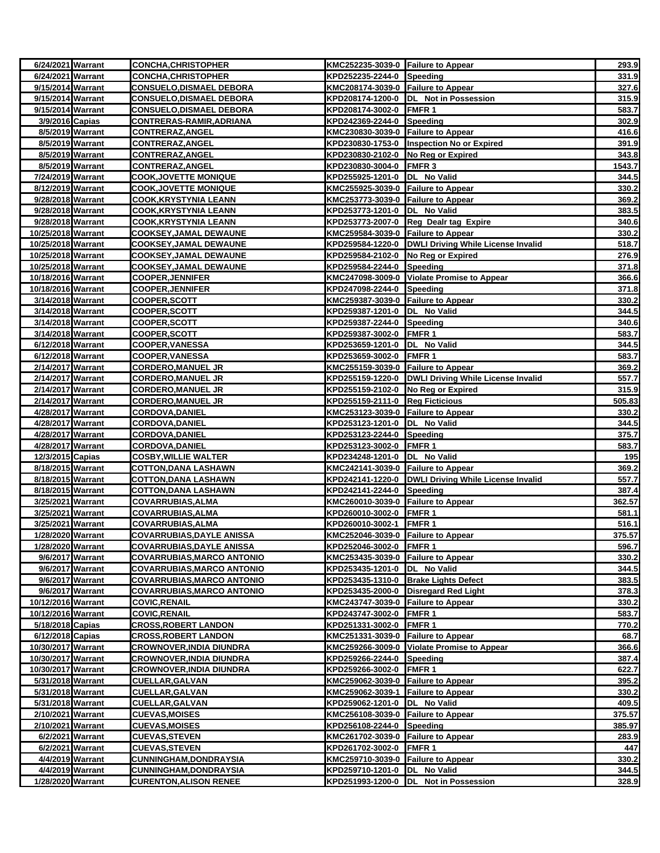| 6/24/2021 Warrant                      |                  | <b>CONCHA, CHRISTOPHER</b>                     | KMC252235-3039-0 Failure to Appear |                                                     | 293.9          |
|----------------------------------------|------------------|------------------------------------------------|------------------------------------|-----------------------------------------------------|----------------|
| 6/24/2021 Warrant                      |                  | <b>CONCHA, CHRISTOPHER</b>                     | KPD252235-2244-0 Speeding          |                                                     | 331.9          |
| 9/15/2014 Warrant                      |                  | <b>CONSUELO, DISMAEL DEBORA</b>                | KMC208174-3039-0 Failure to Appear |                                                     | 327.6          |
| 9/15/2014 Warrant                      |                  | <b>CONSUELO,DISMAEL DEBORA</b>                 |                                    | KPD208174-1200-0  DL Not in Possession              | 315.9          |
| 9/15/2014 Warrant                      |                  | <u>CONSUELO,DISMAEL DEBORA</u>                 | KPD208174-3002-0 FMFR 1            |                                                     | 583.7          |
| 3/9/2016 Capias                        |                  | CONTRERAS-RAMIR, ADRIANA                       | KPD242369-2244-0 Speeding          |                                                     | 302.9          |
| 8/5/2019 Warrant                       |                  | <b>CONTRERAZ, ANGEL</b>                        | KMC230830-3039-0 Failure to Appear |                                                     | 416.6          |
| 8/5/2019 Warrant                       |                  | <b>CONTRERAZ, ANGEL</b>                        |                                    | KPD230830-1753-0  Inspection No or Expired          | 391.9          |
| 8/5/2019 Warrant                       |                  | <b>CONTRERAZ, ANGEL</b>                        | KPD230830-2102-0 No Reg or Expired |                                                     | 343.8          |
| 8/5/2019 Warrant                       |                  | <b>CONTRERAZ, ANGEL</b>                        | KPD230830-3004-0 FMFR 3            |                                                     | 1543.7         |
| 7/24/2019 Warrant                      |                  | <b>COOK, JOVETTE MONIQUE</b>                   | KPD255925-1201-0  DL No Valid      |                                                     | 344.5          |
| 8/12/2019 Warrant                      |                  | <u>COOK,JOVETTE MONIQUE</u>                    | KMC255925-3039-0 Failure to Appear |                                                     | 330.2          |
| 9/28/2018 Warrant                      |                  | <b>COOK, KRYSTYNIA LEANN</b>                   | KMC253773-3039-0 Failure to Appear |                                                     | 369.2          |
| 9/28/2018 Warrant                      |                  | <b>COOK, KRYSTYNIA LEANN</b>                   | KPD253773-1201-0  DL No Valid      |                                                     | 383.5          |
| 9/28/2018 Warrant                      |                  | COOK,KRYSTYNIA LEANN                           |                                    | KPD253773-2007-0 Reg Dealr tag Expire               | 340.6          |
| 10/25/2018 Warrant                     |                  | <b>COOKSEY, JAMAL DEWAUNE</b>                  | KMC259584-3039-0 Failure to Appear |                                                     | 330.2          |
| 10/25/2018 Warrant                     |                  | COOKSEY, JAMAL DEWAUNE                         |                                    | KPD259584-1220-0 DWLI Driving While License Invalid | 518.7          |
| 10/25/2018 Warrant                     |                  | COOKSEY, JAMAL DEWAUNE                         | KPD259584-2102-0 No Reg or Expired |                                                     | 276.9          |
| 10/25/2018 Warrant                     |                  | COOKSEY,JAMAL DEWAUNE                          | KPD259584-2244-0 Speeding          |                                                     | 371.8          |
| 10/18/2016 Warrant                     |                  | <u>COOPER,JENNIFER</u>                         |                                    | KMC247098-3009-0 Violate Promise to Appear          | 366.6          |
| 10/18/2016 Warrant                     |                  | <b>COOPER, JENNIFER</b>                        | KPD247098-2244-0 Speeding          |                                                     | 371.8          |
| 3/14/2018 Warrant                      |                  | <b>COOPER, SCOTT</b>                           | KMC259387-3039-0 Failure to Appear |                                                     | 330.2          |
| 3/14/2018 Warrant                      |                  | COOPER, SCOTT                                  | KPD259387-1201-0 DL No Valid       |                                                     | 344.5          |
| 3/14/2018 Warrant                      |                  | <b>COOPER,SCOTT</b>                            | KPD259387-2244-0 Speeding          |                                                     | 340.6          |
| 3/14/2018 Warrant                      |                  | COOPER, SCOTT                                  | KPD259387-3002-0 FMFR 1            |                                                     | 583.7          |
| 6/12/2018 Warrant                      |                  | <b>COOPER,VANESSA</b>                          | KPD253659-1201-0  DL No Valid      |                                                     | 344.5          |
| 6/12/2018 Warrant<br>2/14/2017 Warrant |                  | COOPER,VANESSA<br><b>CORDERO, MANUEL JR</b>    | KPD253659-3002-0 FMFR 1            |                                                     | 583.7<br>369.2 |
|                                        |                  |                                                | KMC255159-3039-0 Failure to Appear |                                                     | 557.7          |
| 2/14/2017 Warrant<br>2/14/2017 Warrant |                  | <b>CORDERO, MANUEL JR</b><br>CORDERO,MANUEL JR | KPD255159-2102-0 No Reg or Expired | KPD255159-1220-0 DWLI Driving While License Invalid | 315.9          |
| 2/14/2017 Warrant                      |                  | <b>CORDERO,MANUEL JR</b>                       | KPD255159-2111-0 Reg Ficticious    |                                                     | 505.83         |
| 4/28/2017 Warrant                      |                  | <b>CORDOVA, DANIEL</b>                         | KMC253123-3039-0 Failure to Appear |                                                     | 330.2          |
| 4/28/2017 Warrant                      |                  | <b>CORDOVA,DANIEL</b>                          | KPD253123-1201-0 DL No Valid       |                                                     | 344.5          |
| 4/28/2017 Warrant                      |                  | <b>CORDOVA, DANIEL</b>                         | KPD253123-2244-0 Speeding          |                                                     | 375.7          |
| 4/28/2017 Warrant                      |                  | <b>CORDOVA, DANIEL</b>                         | KPD253123-3002-0 FMFR 1            |                                                     | 583.7          |
| 12/3/2015 Capias                       |                  | <b>COSBY, WILLIE WALTER</b>                    | KPD234248-1201-0  DL No Valid      |                                                     | 195            |
| 8/18/2015 Warrant                      |                  | <b>COTTON,DANA LASHAWN</b>                     | KMC242141-3039-0 Failure to Appear |                                                     | 369.2          |
| 8/18/2015 Warrant                      |                  | COTTON,DANA LASHAWN                            |                                    | KPD242141-1220-0 DWLI Driving While License Invalid | 557.7          |
| 8/18/2015 Warrant                      |                  | <b>COTTON, DANA LASHAWN</b>                    | KPD242141-2244-0 Speeding          |                                                     | 387.4          |
| 3/25/2021 Warrant                      |                  | COVARRUBIAS, ALMA                              | KMC260010-3039-0 Failure to Appear |                                                     | 362.57         |
| 3/25/2021 Warrant                      |                  | COVARRUBIAS, ALMA                              | KPD260010-3002-0 FMFR 1            |                                                     | 581.1          |
| 3/25/2021 Warrant                      |                  | COVARRUBIAS, ALMA                              | KPD260010-3002-1                   | <b>FMFR1</b>                                        | 516.1          |
| 1/28/2020 Warrant                      |                  | <b>COVARRUBIAS, DAYLE ANISSA</b>               | KMC252046-3039-0 Failure to Appear |                                                     | 375.57         |
| 1/28/2020 Warrant                      |                  | <b>COVARRUBIAS, DAYLE ANISSA</b>               | KPD252046-3002-0 FMFR 1            |                                                     | 596.7          |
| 9/6/2017 Warrant                       |                  | COVARRUBIAS, MARCO ANTONIO                     | KMC253435-3039-0 Failure to Appear |                                                     | 330.2          |
| 9/6/2017 Warrant                       |                  | COVARRUBIAS,MARCO ANTONIO                      | KPD253435-1201-0 DL No Valid       |                                                     | 344.5          |
| 9/6/2017 Warrant                       |                  | COVARRUBIAS, MARCO ANTONIO                     |                                    | KPD253435-1310-0 Brake Lights Defect                | 383.5          |
|                                        | 9/6/2017 Warrant | COVARRUBIAS, MARCO ANTONIO                     |                                    | KPD253435-2000-0 Disregard Red Light                | 378.3          |
| 10/12/2016 Warrant                     |                  | <b>COVIC, RENAIL</b>                           | KMC243747-3039-0 Failure to Appear |                                                     | 330.2          |
| 10/12/2016 Warrant                     |                  | <b>COVIC, RENAIL</b>                           | KPD243747-3002-0 FMFR 1            |                                                     | 583.7          |
| 5/18/2018 Capias                       |                  | <b>CROSS, ROBERT LANDON</b>                    | KPD251331-3002-0 FMFR 1            |                                                     | 770.2          |
| 6/12/2018 Capias                       |                  | <b>CROSS, ROBERT LANDON</b>                    | KMC251331-3039-0 Failure to Appear |                                                     | 68.7           |
| 10/30/2017 Warrant                     |                  | <b>CROWNOVER, INDIA DIUNDRA</b>                |                                    | KMC259266-3009-0 Violate Promise to Appear          | 366.6          |
| 10/30/2017 Warrant                     |                  | <b>CROWNOVER, INDIA DIUNDRA</b>                | KPD259266-2244-0 Speeding          |                                                     | 387.4          |
| 10/30/2017 Warrant                     |                  | <b>CROWNOVER, INDIA DIUNDRA</b>                | KPD259266-3002-0 FMFR 1            |                                                     | 622.7          |
| 5/31/2018 Warrant                      |                  | <b>CUELLAR, GALVAN</b>                         | KMC259062-3039-0 Failure to Appear |                                                     | 395.2          |
| 5/31/2018 Warrant                      |                  | <b>CUELLAR, GALVAN</b>                         | KMC259062-3039-1 Failure to Appear |                                                     | 330.2          |
| 5/31/2018 Warrant                      |                  | <b>CUELLAR, GALVAN</b>                         | KPD259062-1201-0  DL No Valid      |                                                     | 409.5          |
| 2/10/2021 Warrant                      |                  | <b>CUEVAS, MOISES</b>                          | KMC256108-3039-0 Failure to Appear |                                                     | 375.57         |
| 2/10/2021 Warrant                      |                  | <b>CUEVAS, MOISES</b>                          | KPD256108-2244-0 Speeding          |                                                     | 385.97         |
| 6/2/2021 Warrant                       |                  | <b>CUEVAS, STEVEN</b>                          | KMC261702-3039-0 Failure to Appear |                                                     | 283.9          |
| 6/2/2021 Warrant                       |                  | <b>CUEVAS, STEVEN</b>                          | KPD261702-3002-0 FMFR 1            |                                                     | 447            |
|                                        | 4/4/2019 Warrant | <b>CUNNINGHAM, DONDRAYSIA</b>                  | KMC259710-3039-0 Failure to Appear |                                                     | 330.2          |
|                                        | 4/4/2019 Warrant | CUNNINGHAM,DONDRAYSIA                          | KPD259710-1201-0 DL No Valid       |                                                     | 344.5          |
| 1/28/2020 Warrant                      |                  | <b>CURENTON, ALISON RENEE</b>                  |                                    | KPD251993-1200-0 DL Not in Possession               | 328.9          |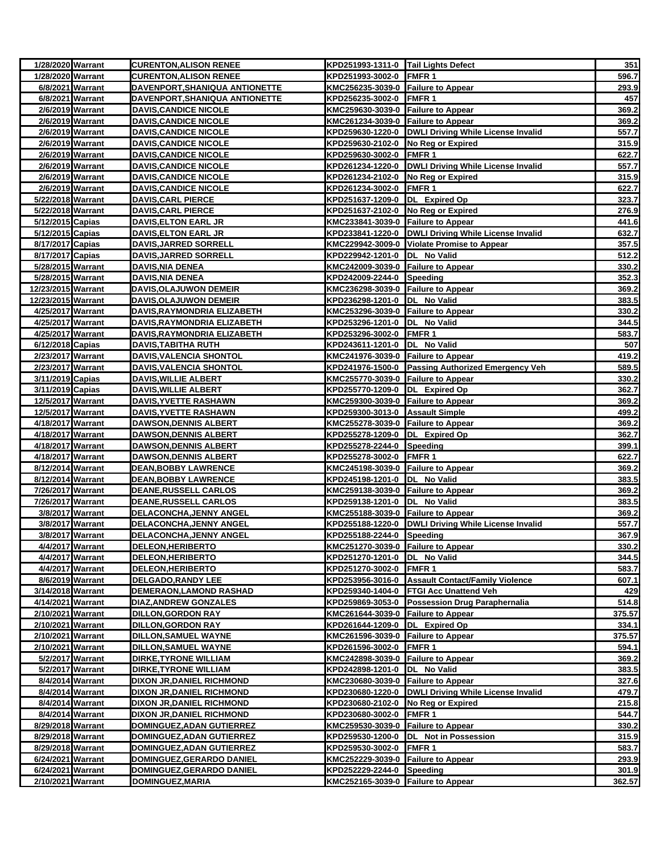| 1/28/2020 Warrant                       |                  | <b>CURENTON, ALISON RENEE</b>                               | KPD251993-1311-0 Tail Lights Defect                                |                                                       | 351            |
|-----------------------------------------|------------------|-------------------------------------------------------------|--------------------------------------------------------------------|-------------------------------------------------------|----------------|
| 1/28/2020 Warrant                       |                  | <b>CURENTON, ALISON RENEE</b>                               | KPD251993-3002-0 FMFR 1                                            |                                                       | 596.7          |
| 6/8/2021 Warrant                        |                  | DAVENPORT, SHANIQUA ANTIONETTE                              | KMC256235-3039-0 Failure to Appear                                 |                                                       | 293.9          |
| 6/8/2021 Warrant                        |                  | DAVENPORT, SHANIQUA ANTIONETTE                              | KPD256235-3002-0 FMFR 1                                            |                                                       | 457            |
| 2/6/2019 Warrant                        |                  | <u>DAVIS,CANDICE NICOLE</u>                                 | KMC259630-3039-0 Failure to Appear                                 |                                                       | 369.2          |
| 2/6/2019 Warrant                        |                  | <b>DAVIS,CANDICE NICOLE</b>                                 | KMC261234-3039-0 Failure to Appear                                 |                                                       | 369.2          |
| 2/6/2019 Warrant                        |                  | <b>DAVIS,CANDICE NICOLE</b>                                 |                                                                    | KPD259630-1220-0   DWLI Driving While License Invalid | 557.7          |
| 2/6/2019 Warrant                        |                  | <b>DAVIS, CANDICE NICOLE</b>                                | KPD259630-2102-0 No Reg or Expired                                 |                                                       | 315.9          |
| 2/6/2019 Warrant                        |                  | <b>DAVIS, CANDICE NICOLE</b>                                | KPD259630-3002-0 FMFR 1                                            |                                                       | 622.7          |
| 2/6/2019 Warrant                        |                  | <b>DAVIS, CANDICE NICOLE</b>                                |                                                                    | KPD261234-1220-0 DWLI Driving While License Invalid   | 557.7          |
|                                         | 2/6/2019 Warrant | <b>DAVIS, CANDICE NICOLE</b>                                | KPD261234-2102-0 No Reg or Expired                                 |                                                       | 315.9          |
| 2/6/2019 Warrant                        |                  | <b>DAVIS, CANDICE NICOLE</b>                                | KPD261234-3002-0 FMFR 1                                            |                                                       | 622.7          |
| 5/22/2018 Warrant                       |                  | <u>DAVIS,CARL PIERCE</u>                                    | KPD251637-1209-0 DL Expired Op                                     |                                                       | 323.7          |
| 5/22/2018 Warrant                       |                  | <b>DAVIS, CARL PIERCE</b>                                   | KPD251637-2102-0 No Reg or Expired                                 |                                                       | 276.9          |
| 5/12/2015 Capias                        |                  | <b>DAVIS, ELTON EARL JR</b>                                 | KMC233841-3039-0 Failure to Appear                                 |                                                       | 441.6          |
| 5/12/2015 Capias                        |                  | <b>DAVIS, ELTON EARL JR</b>                                 |                                                                    | KPD233841-1220-0   DWLI Driving While License Invalid | 632.7          |
| 8/17/2017 Capias                        |                  | DAVIS, JARRED SORRELL                                       |                                                                    | KMC229942-3009-0 Violate Promise to Appear            | 357.5          |
| 8/17/2017 Capias                        |                  | DAVIS, JARRED SORRELL                                       | KPD229942-1201-0 DL No Valid                                       |                                                       | 512.2          |
| 5/28/2015 Warrant                       |                  | DAVIS,NIA DENEA                                             | KMC242009-3039-0 Failure to Appear                                 |                                                       | 330.2          |
| 5/28/2015 Warrant                       |                  | <b>DAVIS, NIA DENEA</b>                                     | KPD242009-2244-0 Speeding                                          |                                                       | 352.3          |
| 12/23/2015 Warrant                      |                  | <b>DAVIS,OLAJUWON DEMEIR</b>                                | KMC236298-3039-0 Failure to Appear                                 |                                                       | 369.2          |
| 12/23/2015 Warrant<br>4/25/2017 Warrant |                  | DAVIS, OLAJUWON DEMEIR<br><b>DAVIS,RAYMONDRIA ELIZABETH</b> | KPD236298-1201-0 DL No Valid<br>KMC253296-3039-0 Failure to Appear |                                                       | 383.5<br>330.2 |
| 4/25/2017 Warrant                       |                  |                                                             |                                                                    |                                                       |                |
| 4/25/2017 Warrant                       |                  | DAVIS, RAYMONDRIA ELIZABETH<br>DAVIS, RAYMONDRIA ELIZABETH  | KPD253296-1201-0  DL No Valid<br>KPD253296-3002-0 FMFR 1           |                                                       | 344.5<br>583.7 |
| 6/12/2018 Capias                        |                  | DAVIS,TABITHA RUTH                                          | KPD243611-1201-0 DL No Valid                                       |                                                       | 507            |
| 2/23/2017 Warrant                       |                  | <u>DAVIS,VALENCIA SHONTOL</u>                               | KMC241976-3039-0 Failure to Appear                                 |                                                       | 419.2          |
| 2/23/2017 Warrant                       |                  | DAVIS, VALENCIA SHONTOL                                     |                                                                    | KPD241976-1500-0 Passing Authorized Emergency Veh     | 589.5          |
| 3/11/2019 Capias                        |                  | <b>DAVIS, WILLIE ALBERT</b>                                 | KMC255770-3039-0 Failure to Appear                                 |                                                       | 330.2          |
| 3/11/2019 Capias                        |                  | <b>DAVIS, WILLIE ALBERT</b>                                 | KPD255770-1209-0 DL Expired Op                                     |                                                       | 362.7          |
| 12/5/2017 Warrant                       |                  | DAVIS,YVETTE RASHAWN                                        | KMC259300-3039-0 Failure to Appear                                 |                                                       | 369.2          |
| 12/5/2017 Warrant                       |                  | DAVIS, YVETTE RASHAWN                                       | KPD259300-3013-0 Assault Simple                                    |                                                       | 499.2          |
| 4/18/2017 Warrant                       |                  | <b>DAWSON, DENNIS ALBERT</b>                                | KMC255278-3039-0 Failure to Appear                                 |                                                       | 369.2          |
| 4/18/2017 Warrant                       |                  | DAWSON,DENNIS ALBERT                                        | KPD255278-1209-0  DL Expired Op                                    |                                                       | 362.7          |
| 4/18/2017 Warrant                       |                  | <b>DAWSON, DENNIS ALBERT</b>                                | KPD255278-2244-0 Speeding                                          |                                                       | 399.1          |
| 4/18/2017 Warrant                       |                  | <b>DAWSON, DENNIS ALBERT</b>                                | KPD255278-3002-0 FMFR 1                                            |                                                       | 622.7          |
| 8/12/2014 Warrant                       |                  | <b>DEAN, BOBBY LAWRENCE</b>                                 | KMC245198-3039-0 Failure to Appear                                 |                                                       | 369.2          |
| 8/12/2014 Warrant                       |                  | <b>DEAN, BOBBY LAWRENCE</b>                                 | KPD245198-1201-0  DL No Valid                                      |                                                       | 383.5          |
| 7/26/2017 Warrant                       |                  | <b>DEANE, RUSSELL CARLOS</b>                                | KMC259138-3039-0 Failure to Appear                                 |                                                       | 369.2          |
| 7/26/2017 Warrant                       |                  | <b>DEANE, RUSSELL CARLOS</b>                                | KPD259138-1201-0 DL No Valid                                       |                                                       | 383.5          |
| 3/8/2017 Warrant                        |                  | DELACONCHA, JENNY ANGEL                                     | KMC255188-3039-0 Failure to Appear                                 |                                                       | 369.2          |
| 3/8/2017 Warrant                        |                  | <b>DELACONCHA,JENNY ANGEL</b>                               |                                                                    | KPD255188-1220-0   DWLI Driving While License Invalid | 557.7          |
| 3/8/2017 Warrant                        |                  | <b>DELACONCHA, JENNY ANGEL</b>                              | KPD255188-2244-0 Speeding                                          |                                                       | 367.9          |
|                                         | 4/4/2017 Warrant | <b>DELEON, HERIBERTO</b>                                    | KMC251270-3039-0 Failure to Appear                                 |                                                       | 330.2          |
| 4/4/2017 Warrant                        |                  | DELEON, HERIBERTO                                           | KPD251270-1201-0  DL No Valid                                      |                                                       | 344.5          |
| 4/4/2017 Warrant                        |                  | <b>DELEON,HERIBERTO</b>                                     | KPD251270-3002-0 FMFR 1                                            |                                                       | 583.7          |
| 8/6/2019 Warrant                        |                  | <b>DELGADO, RANDY LEE</b>                                   |                                                                    | KPD253956-3016-0 Assault Contact/Family Violence      | 607.1          |
| 3/14/2018 Warrant                       |                  | DEMERAON, LAMOND RASHAD                                     |                                                                    | KPD259340-1404-0 FTGI Acc Unattend Veh                | 429            |
| 4/14/2021 Warrant                       |                  | <b>DIAZ, ANDREW GONZALES</b>                                |                                                                    | KPD259869-3053-0 Possession Drug Paraphernalia        | 514.8          |
| 2/10/2021 Warrant                       |                  | <b>DILLON, GORDON RAY</b>                                   | KMC261644-3039-0 Failure to Appear                                 |                                                       | 375.57         |
| 2/10/2021 Warrant                       |                  | DILLON,GORDON RAY                                           | KPD261644-1209-0 DL Expired Op                                     |                                                       | 334.1          |
| 2/10/2021 Warrant                       |                  | DILLON, SAMUEL WAYNE                                        | KMC261596-3039-0 Failure to Appear                                 |                                                       | 375.57         |
| 2/10/2021 Warrant                       |                  | DILLON, SAMUEL WAYNE                                        | KPD261596-3002-0 FMFR 1                                            |                                                       | 594.1          |
| 5/2/2017 Warrant                        |                  | <b>DIRKE, TYRONE WILLIAM</b>                                | KMC242898-3039-0 Failure to Appear                                 |                                                       | 369.2          |
| 5/2/2017 Warrant                        |                  | <b>DIRKE, TYRONE WILLIAM</b>                                | KPD242898-1201-0 DL No Valid                                       |                                                       | 383.5          |
| 8/4/2014 Warrant                        |                  | <b>DIXON JR, DANIEL RICHMOND</b>                            | KMC230680-3039-0 Failure to Appear                                 |                                                       | 327.6          |
| 8/4/2014 Warrant                        |                  | DIXON JR, DANIEL RICHMOND                                   |                                                                    | KPD230680-1220-0   DWLI Driving While License Invalid | 479.7          |
| 8/4/2014 Warrant                        |                  | DIXON JR, DANIEL RICHMOND                                   | KPD230680-2102-0 No Reg or Expired                                 |                                                       | 215.8          |
| 8/4/2014 Warrant                        |                  | DIXON JR, DANIEL RICHMOND                                   | KPD230680-3002-0 FMFR 1                                            |                                                       | 544.7          |
| 8/29/2018 Warrant                       |                  | DOMINGUEZ, ADAN GUTIERREZ                                   | KMC259530-3039-0 Failure to Appear                                 |                                                       | 330.2          |
| 8/29/2018 Warrant                       |                  | DOMINGUEZ, ADAN GUTIERREZ                                   |                                                                    | KPD259530-1200-0 DL Not in Possession                 | 315.9          |
| 8/29/2018 Warrant                       |                  | DOMINGUEZ, ADAN GUTIERREZ                                   | KPD259530-3002-0                                                   | FMFR 1                                                | 583.7          |
| 6/24/2021 Warrant                       |                  | DOMINGUEZ, GERARDO DANIEL                                   | KMC252229-3039-0 Failure to Appear                                 |                                                       | 293.9          |
| 6/24/2021 Warrant                       |                  | DOMINGUEZ, GERARDO DANIEL                                   | KPD252229-2244-0 Speeding                                          |                                                       | 301.9          |
| 2/10/2021 Warrant                       |                  | DOMINGUEZ, MARIA                                            | KMC252165-3039-0 Failure to Appear                                 |                                                       | 362.57         |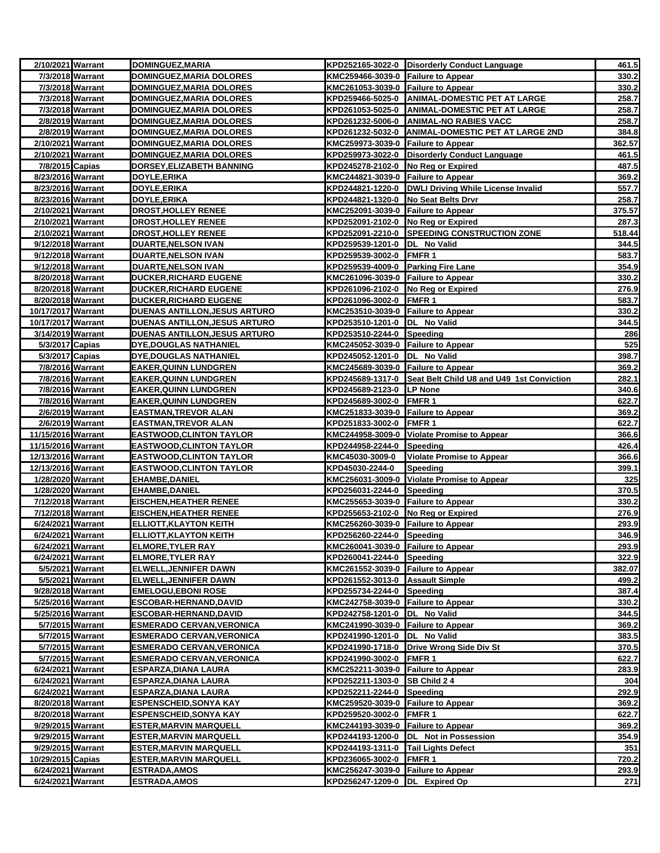| 2/10/2021 Warrant  |                  | DOMINGUEZ, MARIA                 |                                     | KPD252165-3022-0 Disorderly Conduct Language               | 461.5  |
|--------------------|------------------|----------------------------------|-------------------------------------|------------------------------------------------------------|--------|
|                    | 7/3/2018 Warrant | DOMINGUEZ, MARIA DOLORES         | KMC259466-3039-0 Failure to Appear  |                                                            | 330.2  |
|                    | 7/3/2018 Warrant | DOMINGUEZ, MARIA DOLORES         | KMC261053-3039-0 Failure to Appear  |                                                            | 330.2  |
|                    | 7/3/2018 Warrant | <b>DOMINGUEZ, MARIA DOLORES</b>  |                                     | KPD259466-5025-0 ANIMAL-DOMESTIC PET AT LARGE              | 258.7  |
|                    | 7/3/2018 Warrant | <b>DOMINGUEZ, MARIA DOLORES</b>  |                                     | KPD261053-5025-0 ANIMAL-DOMESTIC PET AT LARGE              | 258.7  |
|                    | 2/8/2019 Warrant | DOMINGUEZ, MARIA DOLORES         |                                     | KPD261232-5006-0 ANIMAL-NO RABIES VACC                     | 258.7  |
|                    | 2/8/2019 Warrant | <b>DOMINGUEZ, MARIA DOLORES</b>  |                                     | KPD261232-5032-0 ANIMAL-DOMESTIC PET AT LARGE 2ND          | 384.8  |
| 2/10/2021 Warrant  |                  | DOMINGUEZ, MARIA DOLORES         | KMC259973-3039-0 Failure to Appear  |                                                            | 362.57 |
| 2/10/2021 Warrant  |                  | <b>DOMINGUEZ, MARIA DOLORES</b>  |                                     | KPD259973-3022-0 Disorderly Conduct Language               | 461.5  |
| 7/8/2015 Capias    |                  | DORSEY, ELIZABETH BANNING        | KPD245278-2102-0 No Reg or Expired  |                                                            | 487.5  |
| 8/23/2016 Warrant  |                  | DOYLE, ERIKA                     | KMC244821-3039-0 Failure to Appear  |                                                            | 369.2  |
| 8/23/2016 Warrant  |                  | DOYLE, ERIKA                     |                                     | KPD244821-1220-0   DWLI Driving While License Invalid      | 557.7  |
| 8/23/2016 Warrant  |                  | DOYLE, ERIKA                     | KPD244821-1320-0 No Seat Belts Drvr |                                                            | 258.7  |
| 2/10/2021 Warrant  |                  | <b>DROST, HOLLEY RENEE</b>       | KMC252091-3039-0 Failure to Appear  |                                                            | 375.57 |
| 2/10/2021 Warrant  |                  | <b>DROST, HOLLEY RENEE</b>       | KPD252091-2102-0 No Reg or Expired  |                                                            | 287.3  |
| 2/10/2021 Warrant  |                  | <b>DROST, HOLLEY RENEE</b>       |                                     | KPD252091-2210-0 SPEEDING CONSTRUCTION ZONE                | 518.44 |
| 9/12/2018 Warrant  |                  | <b>DUARTE, NELSON IVAN</b>       | KPD259539-1201-0                    | DL No Valid                                                | 344.5  |
| 9/12/2018 Warrant  |                  | <b>DUARTE, NELSON IVAN</b>       | KPD259539-3002-0                    | <b>FMFR1</b>                                               | 583.7  |
| 9/12/2018 Warrant  |                  | <b>DUARTE, NELSON IVAN</b>       | KPD259539-4009-0                    | <b>Parking Fire Lane</b>                                   | 354.9  |
| 8/20/2018 Warrant  |                  | <b>DUCKER, RICHARD EUGENE</b>    | KMC261096-3039-0 Failure to Appear  |                                                            | 330.2  |
| 8/20/2018 Warrant  |                  | <b>DUCKER, RICHARD EUGENE</b>    | KPD261096-2102-0 No Reg or Expired  |                                                            | 276.9  |
| 8/20/2018 Warrant  |                  | <b>DUCKER, RICHARD EUGENE</b>    | KPD261096-3002-0 FMFR 1             |                                                            | 583.7  |
| 10/17/2017 Warrant |                  | DUENAS ANTILLON, JESUS ARTURO    | KMC253510-3039-0 Failure to Appear  |                                                            | 330.2  |
| 10/17/2017 Warrant |                  | DUENAS ANTILLON, JESUS ARTURO    | KPD253510-1201-0 DL No Valid        |                                                            | 344.5  |
| 3/14/2019 Warrant  |                  | DUENAS ANTILLON, JESUS ARTURO    | KPD253510-2244-0 Speeding           |                                                            | 286    |
| 5/3/2017 Capias    |                  | <b>DYE, DOUGLAS NATHANIEL</b>    | KMC245052-3039-0 Failure to Appear  |                                                            | 525    |
| 5/3/2017 Capias    |                  | <b>DYE, DOUGLAS NATHANIEL</b>    | KPD245052-1201-0  DL No Valid       |                                                            | 398.7  |
|                    | 7/8/2016 Warrant | <b>EAKER, QUINN LUNDGREN</b>     | KMC245689-3039-0 Failure to Appear  |                                                            | 369.2  |
|                    | 7/8/2016 Warrant | <b>EAKER, QUINN LUNDGREN</b>     |                                     | KPD245689-1317-0 Seat Belt Child U8 and U49 1st Conviction | 282.1  |
|                    | 7/8/2016 Warrant | <b>EAKER, QUINN LUNDGREN</b>     | KPD245689-2123-0 LP None            |                                                            | 340.6  |
|                    | 7/8/2016 Warrant | <b>EAKER, QUINN LUNDGREN</b>     | KPD245689-3002-0                    | FMFR <sub>1</sub>                                          | 622.7  |
|                    | 2/6/2019 Warrant | <b>EASTMAN, TREVOR ALAN</b>      | KMC251833-3039-0 Failure to Appear  |                                                            | 369.2  |
|                    | 2/6/2019 Warrant | <b>EASTMAN, TREVOR ALAN</b>      | KPD251833-3002-0                    | <b>FMFR1</b>                                               | 622.7  |
| 11/15/2016 Warrant |                  | <b>EASTWOOD,CLINTON TAYLOR</b>   |                                     | KMC244958-3009-0 Violate Promise to Appear                 | 366.6  |
| 11/15/2016 Warrant |                  | <b>EASTWOOD, CLINTON TAYLOR</b>  | KPD244958-2244-0                    | Speeding                                                   | 426.4  |
| 12/13/2016 Warrant |                  | <b>EASTWOOD,CLINTON TAYLOR</b>   | KMC45030-3009-0                     | <b>Violate Promise to Appear</b>                           | 366.6  |
| 12/13/2016 Warrant |                  | <b>EASTWOOD, CLINTON TAYLOR</b>  | KPD45030-2244-0                     | Speeding                                                   | 399.1  |
| 1/28/2020 Warrant  |                  | <b>EHAMBE, DANIEL</b>            |                                     | KMC256031-3009-0 Violate Promise to Appear                 | 325    |
| 1/28/2020 Warrant  |                  | <b>EHAMBE, DANIEL</b>            | KPD256031-2244-0 Speeding           |                                                            | 370.5  |
| 7/12/2018 Warrant  |                  | <b>EISCHEN, HEATHER RENEE</b>    | KMC255653-3039-0 Failure to Appear  |                                                            | 330.2  |
| 7/12/2018 Warrant  |                  | <b>EISCHEN,HEATHER RENEE</b>     | KPD255653-2102-0 No Reg or Expired  |                                                            | 276.9  |
| 6/24/2021 Warrant  |                  | <b>ELLIOTT, KLAYTON KEITH</b>    | KMC256260-3039-0 Failure to Appear  |                                                            | 293.9  |
| 6/24/2021 Warrant  |                  | <b>ELLIOTT, KLAYTON KEITH</b>    | KPD256260-2244-0 Speeding           |                                                            | 346.9  |
| 6/24/2021 Warrant  |                  | <b>ELMORE,TYLER RAY</b>          | KMC260041-3039-0 Failure to Appear  |                                                            | 293.9  |
| 6/24/2021 Warrant  |                  | <b>ELMORE, TYLER RAY</b>         | KPD260041-2244-0 Speeding           |                                                            | 322.9  |
|                    | 5/5/2021 Warrant | ELWELL, JENNIFER DAWN            | KMC261552-3039-0 Failure to Appear  |                                                            | 382.07 |
|                    | 5/5/2021 Warrant | ELWELL, JENNIFER DAWN            | KPD261552-3013-0 Assault Simple     |                                                            | 499.2  |
| 9/28/2018 Warrant  |                  | <b>EMELOGU, EBONI ROSE</b>       | KPD255734-2244-0 Speeding           |                                                            | 387.4  |
| 5/25/2016 Warrant  |                  | ESCOBAR-HERNAND, DAVID           | KMC242758-3039-0 Failure to Appear  |                                                            | 330.2  |
| 5/25/2016 Warrant  |                  | <b>ESCOBAR-HERNAND, DAVID</b>    | KPD242758-1201-0 DL No Valid        |                                                            | 344.5  |
|                    | 5/7/2015 Warrant | <b>ESMERADO CERVAN, VERONICA</b> | KMC241990-3039-0 Failure to Appear  |                                                            | 369.2  |
|                    | 5/7/2015 Warrant | <b>ESMERADO CERVAN, VERONICA</b> | KPD241990-1201-0                    | DL No Valid                                                | 383.5  |
|                    | 5/7/2015 Warrant | <b>ESMERADO CERVAN, VERONICA</b> |                                     | KPD241990-1718-0 Drive Wrong Side Div St                   | 370.5  |
|                    | 5/7/2015 Warrant | <b>ESMERADO CERVAN, VERONICA</b> | KPD241990-3002-0 FMFR 1             |                                                            | 622.7  |
| 6/24/2021 Warrant  |                  | <b>ESPARZA, DIANA LAURA</b>      | KMC252211-3039-0 Failure to Appear  |                                                            | 283.9  |
| 6/24/2021 Warrant  |                  | <b>ESPARZA,DIANA LAURA</b>       | KPD252211-1303-0 SB Child 2 4       |                                                            | 304    |
| 6/24/2021 Warrant  |                  | <b>ESPARZA, DIANA LAURA</b>      | KPD252211-2244-0                    | Speeding                                                   | 292.9  |
| 8/20/2018 Warrant  |                  | <b>ESPENSCHEID, SONYA KAY</b>    | KMC259520-3039-0 Failure to Appear  |                                                            | 369.2  |
| 8/20/2018 Warrant  |                  | <b>ESPENSCHEID, SONYA KAY</b>    | KPD259520-3002-0                    | FMFR <sub>1</sub>                                          | 622.7  |
| 9/29/2015 Warrant  |                  | <b>ESTER, MARVIN MARQUELL</b>    | KMC244193-3039-0 Failure to Appear  |                                                            | 369.2  |
| 9/29/2015 Warrant  |                  | <b>ESTER, MARVIN MARQUELL</b>    |                                     | KPD244193-1200-0  DL Not in Possession                     | 354.9  |
| 9/29/2015 Warrant  |                  | <b>ESTER,MARVIN MARQUELL</b>     | KPD244193-1311-0 Tail Lights Defect |                                                            | 351    |
| 10/29/2015 Capias  |                  | <b>ESTER, MARVIN MARQUELL</b>    | KPD236065-3002-0 FMFR 1             |                                                            | 720.2  |
| 6/24/2021 Warrant  |                  | <b>ESTRADA, AMOS</b>             | KMC256247-3039-0 Failure to Appear  |                                                            | 293.9  |
| 6/24/2021 Warrant  |                  | <b>ESTRADA, AMOS</b>             | KPD256247-1209-0 DL Expired Op      |                                                            | 271    |
|                    |                  |                                  |                                     |                                                            |        |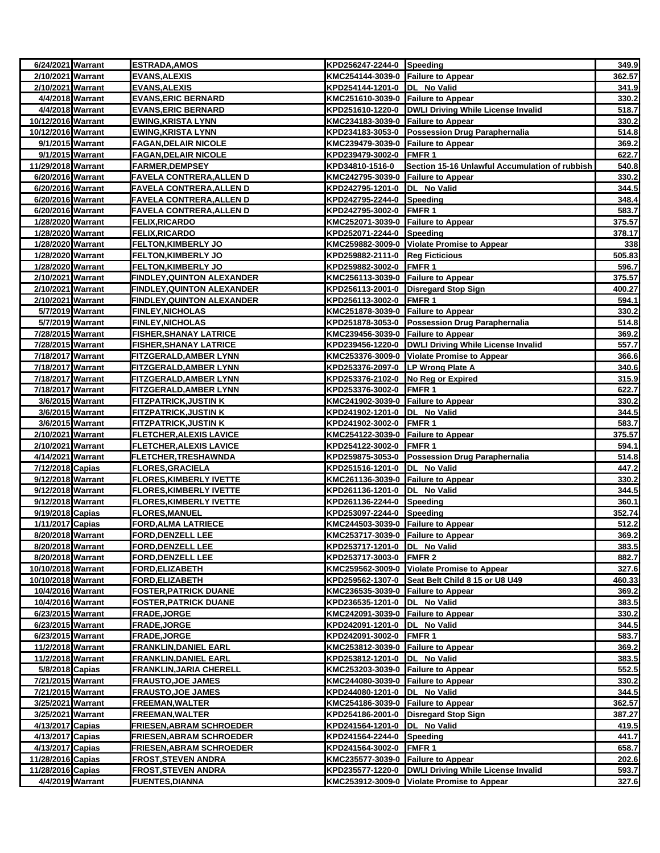| 6/24/2021 Warrant                      | <b>ESTRADA, AMOS</b>                                         | KPD256247-2244-0 Speeding                                     |                                                       | 349.9           |
|----------------------------------------|--------------------------------------------------------------|---------------------------------------------------------------|-------------------------------------------------------|-----------------|
| 2/10/2021 Warrant                      | <b>EVANS, ALEXIS</b>                                         | KMC254144-3039-0 Failure to Appear                            |                                                       | 362.57          |
| 2/10/2021 Warrant                      | EVANS, ALEXIS                                                | KPD254144-1201-0 DL No Valid                                  |                                                       | 341.9           |
| 4/4/2018 Warrant                       | <b>EVANS, ERIC BERNARD</b>                                   | KMC251610-3039-0 Failure to Appear                            |                                                       | 330.2           |
| 4/4/2018 Warrant                       | <b>EVANS, ERIC BERNARD</b>                                   |                                                               | KPD251610-1220-0 DWLI Driving While License Invalid   | 518.7           |
| 10/12/2016 Warrant                     | <b>EWING, KRISTA LYNN</b>                                    | KMC234183-3039-0 Failure to Appear                            |                                                       | 330.2           |
| 10/12/2016 Warrant                     | <b>EWING, KRISTA LYNN</b>                                    |                                                               | KPD234183-3053-0 Possession Drug Paraphernalia        | 514.8           |
| 9/1/2015 Warrant                       | <b>FAGAN, DELAIR NICOLE</b>                                  | KMC239479-3039-0 Failure to Appear                            |                                                       | 369.2           |
| 9/1/2015 Warrant                       | <b>FAGAN, DELAIR NICOLE</b>                                  | KPD239479-3002-0 FMFR 1                                       |                                                       | 622.7           |
| 11/29/2018 Warrant                     | <b>FARMER, DEMPSEY</b>                                       | KPD34810-1516-0                                               | Section 15-16 Unlawful Accumulation of rubbish        | 540.8           |
| 6/20/2016 Warrant                      | <b>FAVELA CONTRERA, ALLEN D</b>                              | KMC242795-3039-0 Failure to Appear                            |                                                       | 330.2           |
| 6/20/2016 Warrant                      | <b>FAVELA CONTRERA, ALLEN D</b>                              | KPD242795-1201-0  DL No Valid                                 |                                                       | 344.5           |
| 6/20/2016 Warrant                      | <b>FAVELA CONTRERA, ALLEN D</b>                              | KPD242795-2244-0 Speeding                                     |                                                       | 348.4           |
| 6/20/2016 Warrant                      | <b>FAVELA CONTRERA, ALLEN D</b>                              | KPD242795-3002-0 FMFR 1                                       |                                                       | 583.7           |
| 1/28/2020 Warrant                      | <b>FELIX, RICARDO</b>                                        | KMC252071-3039-0 Failure to Appear                            |                                                       | 375.57          |
| 1/28/2020 Warrant                      | <b>FELIX, RICARDO</b>                                        | KPD252071-2244-0 Speeding                                     |                                                       | 378.17          |
| 1/28/2020 Warrant                      | <b>FELTON, KIMBERLY JO</b>                                   |                                                               | KMC259882-3009-0 Violate Promise to Appear            | 338             |
| 1/28/2020 Warrant                      | <b>FELTON, KIMBERLY JO</b>                                   | KPD259882-2111-0 Reg Ficticious                               |                                                       | 505.83          |
| 1/28/2020 Warrant                      | <b>FELTON, KIMBERLY JO</b>                                   | KPD259882-3002-0 FMFR 1                                       |                                                       | 596.7           |
| 2/10/2021 Warrant                      | <b>FINDLEY, QUINTON ALEXANDER</b>                            | KMC256113-3039-0 Failure to Appear                            |                                                       | 375.57          |
| 2/10/2021 Warrant                      | <b>FINDLEY, QUINTON ALEXANDER</b>                            |                                                               | KPD256113-2001-0 Disregard Stop Sign                  | 400.27          |
| 2/10/2021 Warrant                      | <b>FINDLEY, QUINTON ALEXANDER</b>                            | KPD256113-3002-0 FMFR 1                                       |                                                       | 594.1           |
| 5/7/2019 Warrant                       | <b>FINLEY, NICHOLAS</b>                                      | KMC251878-3039-0 Failure to Appear                            |                                                       | 330.2           |
| 5/7/2019 Warrant                       | <b>FINLEY, NICHOLAS</b>                                      |                                                               | KPD251878-3053-0 Possession Drug Paraphernalia        | 514.8           |
| 7/28/2015 Warrant                      | <b>FISHER, SHANAY LATRICE</b>                                | KMC239456-3039-0 Failure to Appear                            |                                                       | 369.2           |
| 7/28/2015 Warrant                      | <b>FISHER, SHANAY LATRICE</b>                                |                                                               | KPD239456-1220-0  DWLI Driving While License Invalid  | 557.7           |
| 7/18/2017 Warrant                      | <b>FITZGERALD, AMBER LYNN</b>                                |                                                               | KMC253376-3009-0 Violate Promise to Appear            | 366.6           |
| 7/18/2017 Warrant                      | FITZGERALD, AMBER LYNN                                       | KPD253376-2097-0 LP Wrong Plate A                             |                                                       | 340.6           |
| 7/18/2017 Warrant                      | FITZGERALD, AMBER LYNN                                       | KPD253376-2102-0 No Reg or Expired                            |                                                       | 315.9           |
| 7/18/2017 Warrant                      | <b>FITZGERALD, AMBER LYNN</b>                                | KPD253376-3002-0 FMFR 1                                       |                                                       | 622.7           |
| 3/6/2015 Warrant                       | <b>FITZPATRICK, JUSTIN K</b>                                 | KMC241902-3039-0 Failure to Appear                            |                                                       | 330.2           |
| 3/6/2015 Warrant                       | <b>FITZPATRICK, JUSTIN K</b>                                 | KPD241902-1201-0  DL No Valid                                 |                                                       | 344.5           |
| 3/6/2015 Warrant                       | <b>FITZPATRICK, JUSTIN K</b>                                 | KPD241902-3002-0 FMFR 1                                       |                                                       | 583.7           |
| 2/10/2021 Warrant<br>2/10/2021 Warrant | <b>FLETCHER, ALEXIS LAVICE</b>                               | KMC254122-3039-0 Failure to Appear<br>KPD254122-3002-0 FMFR 1 |                                                       | 375.57<br>594.1 |
| 4/14/2021 Warrant                      | <b>FLETCHER, ALEXIS LAVICE</b><br><b>FLETCHER,TRESHAWNDA</b> |                                                               | KPD259875-3053-0 Possession Drug Paraphernalia        | 514.8           |
| 7/12/2018 Capias                       | <b>FLORES, GRACIELA</b>                                      | KPD251516-1201-0 DL No Valid                                  |                                                       | 447.2           |
| 9/12/2018 Warrant                      | <b>FLORES, KIMBERLY IVETTE</b>                               | KMC261136-3039-0 Failure to Appear                            |                                                       | 330.2           |
| 9/12/2018 Warrant                      | <b>FLORES, KIMBERLY IVETTE</b>                               | KPD261136-1201-0  DL No Valid                                 |                                                       | 344.5           |
| 9/12/2018 Warrant                      | <b>FLORES, KIMBERLY IVETTE</b>                               | KPD261136-2244-0 Speeding                                     |                                                       | 360.1           |
| 9/19/2018 Capias                       | <b>FLORES, MANUEL</b>                                        | KPD253097-2244-0 Speeding                                     |                                                       | 352.74          |
| 1/11/2017 Capias                       | <b>FORD, ALMA LATRIECE</b>                                   | KMC244503-3039-0 Failure to Appear                            |                                                       | 512.2           |
| 8/20/2018 Warrant                      | <b>FORD, DENZELL LEE</b>                                     | KMC253717-3039-0 Failure to Appear                            |                                                       | 369.2           |
| 8/20/2018 Warrant                      | <b>FORD, DENZELL LEE</b>                                     | KPD253717-1201-0 DL No Valid                                  |                                                       | 383.5           |
| 8/20/2018 Warrant                      | <b>FORD, DENZELL LEE</b>                                     | KPD253717-3003-0 FMFR 2                                       |                                                       | 882.7           |
| 10/10/2018 Warrant                     | <b>FORD, ELIZABETH</b>                                       |                                                               | KMC259562-3009-0 Violate Promise to Appear            | 327.6           |
| 10/10/2018 Warrant                     | <b>FORD, ELIZABETH</b>                                       |                                                               | KPD259562-1307-0 Seat Belt Child 8 15 or U8 U49       | 460.33          |
| 10/4/2016 Warrant                      | <b>FOSTER, PATRICK DUANE</b>                                 | KMC236535-3039-0 Failure to Appear                            |                                                       | 369.2           |
| 10/4/2016 Warrant                      | <b>FOSTER, PATRICK DUANE</b>                                 | KPD236535-1201-0  DL No Valid                                 |                                                       | 383.5           |
| 6/23/2015 Warrant                      | FRADE, JORGE                                                 | KMC242091-3039-0 Failure to Appear                            |                                                       | 330.2           |
| 6/23/2015 Warrant                      | FRADE, JORGE                                                 | KPD242091-1201-0 DL No Valid                                  |                                                       | 344.5           |
| 6/23/2015 Warrant                      | <b>FRADE,JORGE</b>                                           | KPD242091-3002-0 FMFR 1                                       |                                                       | 583.7           |
| 11/2/2018 Warrant                      | <b>FRANKLIN, DANIEL EARL</b>                                 | KMC253812-3039-0 Failure to Appear                            |                                                       | 369.2           |
| 11/2/2018 Warrant                      | <b>FRANKLIN, DANIEL EARL</b>                                 | KPD253812-1201-0  DL No Valid                                 |                                                       | 383.5           |
| 5/8/2018 Capias                        | <b>FRANKLIN, JARIA CHERELL</b>                               | KMC253203-3039-0 Failure to Appear                            |                                                       | 552.5           |
| 7/21/2015 Warrant                      | <b>FRAUSTO, JOE JAMES</b>                                    | KMC244080-3039-0 Failure to Appear                            |                                                       | 330.2           |
| 7/21/2015 Warrant                      | <b>FRAUSTO, JOE JAMES</b>                                    | KPD244080-1201-0 DL No Valid                                  |                                                       | 344.5           |
| 3/25/2021 Warrant                      | FREEMAN, WALTER                                              | KMC254186-3039-0 Failure to Appear                            |                                                       | 362.57          |
| 3/25/2021 Warrant                      | FREEMAN, WALTER                                              | KPD254186-2001-0                                              | <b>Disregard Stop Sign</b>                            | 387.27          |
| 4/13/2017 Capias                       | FRIESEN,ABRAM SCHROEDER                                      | KPD241564-1201-0  DL No Valid                                 |                                                       | 419.5           |
| 4/13/2017 Capias                       | FRIESEN,ABRAM SCHROEDER                                      | KPD241564-2244-0 Speeding                                     |                                                       | 441.7           |
| 4/13/2017 Capias                       | <b>FRIESEN, ABRAM SCHROEDER</b>                              | KPD241564-3002-0 FMFR 1                                       |                                                       | 658.7           |
| 11/28/2016 Capias                      | <b>FROST, STEVEN ANDRA</b>                                   | KMC235577-3039-0 Failure to Appear                            |                                                       | 202.6           |
| 11/28/2016 Capias                      | <b>FROST, STEVEN ANDRA</b>                                   |                                                               | KPD235577-1220-0   DWLI Driving While License Invalid | 593.7           |
| 4/4/2019 Warrant                       | <b>FUENTES, DIANNA</b>                                       |                                                               | KMC253912-3009-0 Violate Promise to Appear            | 327.6           |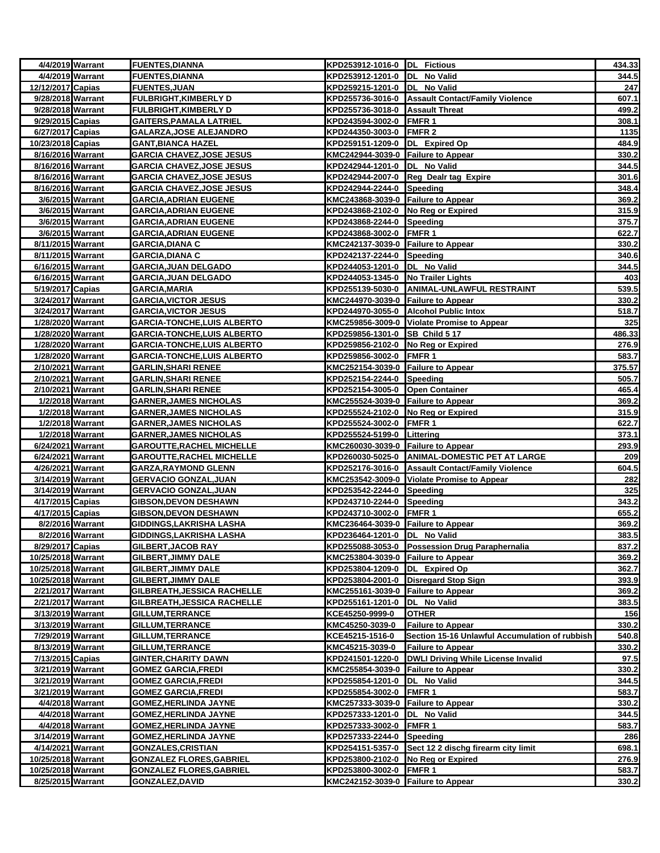|                    | 4/4/2019 Warrant | <b>FUENTES, DIANNA</b>             | KPD253912-1016-0 DL Fictious       |                                                  | 434.33 |
|--------------------|------------------|------------------------------------|------------------------------------|--------------------------------------------------|--------|
|                    | 4/4/2019 Warrant | <b>FUENTES, DIANNA</b>             | KPD253912-1201-0 DL No Valid       |                                                  | 344.5  |
| 12/12/2017 Capias  |                  | <b>FUENTES, JUAN</b>               | KPD259215-1201-0 DL No Valid       |                                                  | 247    |
| 9/28/2018 Warrant  |                  | <b>FULBRIGHT, KIMBERLY D</b>       |                                    | KPD255736-3016-0 Assault Contact/Family Violence | 607.1  |
| 9/28/2018 Warrant  |                  | <b>FULBRIGHT, KIMBERLY D</b>       | KPD255736-3018-0 Assault Threat    |                                                  | 499.2  |
| 9/29/2015 Capias   |                  | <b>GAITERS, PAMALA LATRIEL</b>     | KPD243594-3002-0 FMFR 1            |                                                  | 308.1  |
| 6/27/2017 Capias   |                  | GALARZA, JOSE ALEJANDRO            | KPD244350-3003-0                   | FMFR 2                                           | 1135   |
| 10/23/2018 Capias  |                  | <b>GANT, BIANCA HAZEL</b>          | KPD259151-1209-0 DL Expired Op     |                                                  | 484.9  |
| 8/16/2016 Warrant  |                  | <b>GARCIA CHAVEZ, JOSE JESUS</b>   | KMC242944-3039-0 Failure to Appear |                                                  | 330.2  |
| 8/16/2016 Warrant  |                  | <b>GARCIA CHAVEZ, JOSE JESUS</b>   | KPD242944-1201-0                   | DL No Valid                                      | 344.5  |
| 8/16/2016 Warrant  |                  | <b>GARCIA CHAVEZ, JOSE JESUS</b>   | KPD242944-2007-0                   | Reg Dealr tag Expire                             | 301.6  |
| 8/16/2016 Warrant  |                  | <b>GARCIA CHAVEZ, JOSE JESUS</b>   | KPD242944-2244-0 Speeding          |                                                  | 348.4  |
|                    | 3/6/2015 Warrant | <b>GARCIA, ADRIAN EUGENE</b>       | KMC243868-3039-0 Failure to Appear |                                                  | 369.2  |
|                    | 3/6/2015 Warrant | <b>GARCIA, ADRIAN EUGENE</b>       | KPD243868-2102-0 No Reg or Expired |                                                  | 315.9  |
|                    | 3/6/2015 Warrant | <b>GARCIA, ADRIAN EUGENE</b>       | KPD243868-2244-0 Speeding          |                                                  | 375.7  |
|                    | 3/6/2015 Warrant | <b>GARCIA, ADRIAN EUGENE</b>       | KPD243868-3002-0 FMFR 1            |                                                  | 622.7  |
| 8/11/2015 Warrant  |                  | <b>GARCIA, DIANA C</b>             | KMC242137-3039-0 Failure to Appear |                                                  | 330.2  |
| 8/11/2015 Warrant  |                  | <b>GARCIA, DIANA C</b>             | KPD242137-2244-0 Speeding          |                                                  | 340.6  |
| 6/16/2015 Warrant  |                  | <b>GARCIA, JUAN DELGADO</b>        | KPD244053-1201-0  DL No Valid      |                                                  | 344.5  |
| 6/16/2015 Warrant  |                  | <b>GARCIA, JUAN DELGADO</b>        | KPD244053-1345-0 No Trailer Lights |                                                  | 403    |
| 5/19/2017 Capias   |                  | <b>GARCIA, MARIA</b>               | KPD255139-5030-0                   | ANIMAL-UNLAWFUL RESTRAINT                        | 539.5  |
| 3/24/2017 Warrant  |                  | <b>GARCIA, VICTOR JESUS</b>        | KMC244970-3039-0 Failure to Appear |                                                  | 330.2  |
| 3/24/2017 Warrant  |                  | <b>GARCIA, VICTOR JESUS</b>        |                                    | KPD244970-3055-0 Alcohol Public Intox            | 518.7  |
| 1/28/2020 Warrant  |                  | <b>GARCIA-TONCHE,LUIS ALBERTO</b>  |                                    | KMC259856-3009-0 Violate Promise to Appear       | 325    |
| 1/28/2020 Warrant  |                  | GARCIA-TONCHE, LUIS ALBERTO        | KPD259856-1301-0 SB Child 5 17     |                                                  | 486.33 |
| 1/28/2020 Warrant  |                  | GARCIA-TONCHE, LUIS ALBERTO        | KPD259856-2102-0 No Reg or Expired |                                                  | 276.9  |
| 1/28/2020 Warrant  |                  | <b>GARCIA-TONCHE, LUIS ALBERTO</b> | KPD259856-3002-0 FMFR 1            |                                                  | 583.7  |
| 2/10/2021 Warrant  |                  | <b>GARLIN, SHARI RENEE</b>         | KMC252154-3039-0 Failure to Appear |                                                  | 375.57 |
| 2/10/2021 Warrant  |                  | <b>GARLIN, SHARI RENEE</b>         | KPD252154-2244-0 Speeding          |                                                  | 505.7  |
| 2/10/2021 Warrant  |                  | <b>GARLIN, SHARI RENEE</b>         | KPD252154-3005-0 Open Container    |                                                  | 465.4  |
|                    | 1/2/2018 Warrant | <b>GARNER, JAMES NICHOLAS</b>      | KMC255524-3039-0 Failure to Appear |                                                  | 369.2  |
|                    | 1/2/2018 Warrant | <b>GARNER, JAMES NICHOLAS</b>      | KPD255524-2102-0 No Reg or Expired |                                                  | 315.9  |
|                    | 1/2/2018 Warrant | <b>GARNER, JAMES NICHOLAS</b>      | KPD255524-3002-0                   | FMFR <sub>1</sub>                                | 622.7  |
|                    | 1/2/2018 Warrant | <b>GARNER, JAMES NICHOLAS</b>      | KPD255524-5199-0                   | Littering                                        | 373.1  |
| 6/24/2021 Warrant  |                  | <b>GAROUTTE, RACHEL MICHELLE</b>   | KMC260030-3039-0 Failure to Appear |                                                  | 293.9  |
| 6/24/2021 Warrant  |                  | <b>GAROUTTE, RACHEL MICHELLE</b>   |                                    | KPD260030-5025-0 ANIMAL-DOMESTIC PET AT LARGE    | 209    |
| 4/26/2021 Warrant  |                  | <b>GARZA, RAYMOND GLENN</b>        |                                    | KPD252176-3016-0 Assault Contact/Family Violence | 604.5  |
| 3/14/2019 Warrant  |                  | <b>GERVACIO GONZAL, JUAN</b>       |                                    | KMC253542-3009-0 Violate Promise to Appear       | 282    |
| 3/14/2019 Warrant  |                  | <b>GERVACIO GONZAL, JUAN</b>       | KPD253542-2244-0 Speeding          |                                                  | 325    |
| 4/17/2015 Capias   |                  | <b>GIBSON, DEVON DESHAWN</b>       | KPD243710-2244-0                   | Speeding                                         | 343.2  |
| 4/17/2015 Capias   |                  | <b>GIBSON, DEVON DESHAWN</b>       | KPD243710-3002-0 FMFR 1            |                                                  | 655.2  |
|                    | 8/2/2016 Warrant | GIDDINGS, LAKRISHA LASHA           | KMC236464-3039-0 Failure to Appear |                                                  | 369.2  |
|                    | 8/2/2016 Warrant | <b>GIDDINGS, LAKRISHA LASHA</b>    | KPD236464-1201-0 DL No Valid       |                                                  | 383.5  |
| 8/29/2017 Capias   |                  | GILBERT, JACOB RAY                 |                                    | KPD255088-3053-0 Possession Drug Paraphernalia   | 837.2  |
| 10/25/2018 Warrant |                  | <b>GILBERT, JIMMY DALE</b>         | KMC253804-3039-0 Failure to Appear |                                                  | 369.2  |
| 10/25/2018 Warrant |                  | <b>GILBERT, JIMMY DALE</b>         | KPD253804-1209-0 DL Expired Op     |                                                  | 362.7  |
| 10/25/2018 Warrant |                  | <b>GILBERT, JIMMY DALE</b>         | KPD253804-2001-0                   | Disregard Stop Sign                              | 393.9  |
| 2/21/2017 Warrant  |                  | GILBREATH, JESSICA RACHELLE        | KMC255161-3039-0                   | <b>Failure to Appear</b>                         | 369.2  |
| 2/21/2017 Warrant  |                  | GILBREATH, JESSICA RACHELLE        | KPD255161-1201-0                   | DL No Valid                                      | 383.5  |
| 3/13/2019 Warrant  |                  | GILLUM, TERRANCE                   | KCE45250-9999-0                    | <b>OTHER</b>                                     | 156    |
| 3/13/2019 Warrant  |                  | GILLUM, TERRANCE                   | KMC45250-3039-0                    | <b>Failure to Appear</b>                         | 330.2  |
| 7/29/2019 Warrant  |                  | <b>GILLUM, TERRANCE</b>            | KCE45215-1516-0                    | Section 15-16 Unlawful Accumulation of rubbish   | 540.8  |
| 8/13/2019 Warrant  |                  | GILLUM, TERRANCE                   | KMC45215-3039-0                    | <b>Failure to Appear</b>                         | 330.2  |
| 7/13/2015 Capias   |                  | <b>GINTER, CHARITY DAWN</b>        | KPD241501-1220-0                   | DWLI Driving While License Invalid               | 97.5   |
| 3/21/2019 Warrant  |                  | <b>GOMEZ GARCIA, FREDI</b>         | KMC255854-3039-0 Failure to Appear |                                                  | 330.2  |
| 3/21/2019 Warrant  |                  | <b>GOMEZ GARCIA, FREDI</b>         | KPD255854-1201-0                   | DL No Valid                                      | 344.5  |
| 3/21/2019 Warrant  |                  | <b>GOMEZ GARCIA, FREDI</b>         | KPD255854-3002-0 FMFR 1            |                                                  | 583.7  |
|                    | 4/4/2018 Warrant | <b>GOMEZ, HERLINDA JAYNE</b>       | KMC257333-3039-0 Failure to Appear |                                                  | 330.2  |
|                    | 4/4/2018 Warrant | <b>GOMEZ, HERLINDA JAYNE</b>       | KPD257333-1201-0                   | DL No Valid                                      | 344.5  |
|                    | 4/4/2018 Warrant | <b>GOMEZ, HERLINDA JAYNE</b>       | KPD257333-3002-0                   | FMFR 1                                           | 583.7  |
| 3/14/2019 Warrant  |                  | <b>GOMEZ, HERLINDA JAYNE</b>       | KPD257333-2244-0                   | Speeding                                         | 286    |
| 4/14/2021 Warrant  |                  | <b>GONZALES, CRISTIAN</b>          | KPD254151-5357-0                   | Sect 12 2 dischg firearm city limit              | 698.1  |
| 10/25/2018 Warrant |                  | <b>GONZALEZ FLORES, GABRIEL</b>    | KPD253800-2102-0                   | No Reg or Expired                                | 276.9  |
| 10/25/2018 Warrant |                  | <b>GONZALEZ FLORES, GABRIEL</b>    | KPD253800-3002-0                   | FMFR <sub>1</sub>                                | 583.7  |
| 8/25/2015 Warrant  |                  | GONZALEZ, DAVID                    | KMC242152-3039-0 Failure to Appear |                                                  | 330.2  |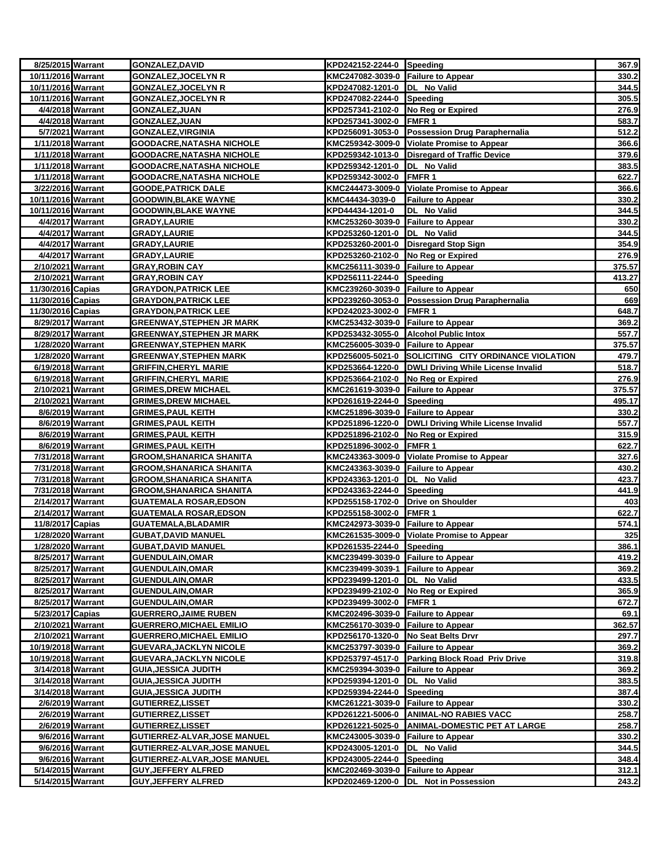| 8/25/2015 Warrant  |                  | <b>GONZALEZ, DAVID</b>                                 | KPD242152-2244-0 Speeding                                     |                                                      | 367.9          |
|--------------------|------------------|--------------------------------------------------------|---------------------------------------------------------------|------------------------------------------------------|----------------|
| 10/11/2016 Warrant |                  | <b>GONZALEZ, JOCELYN R</b>                             | KMC247082-3039-0 Failure to Appear                            |                                                      | 330.2          |
| 10/11/2016 Warrant |                  | <b>GONZALEZ,JOCELYN R</b>                              | KPD247082-1201-0 DL No Valid                                  |                                                      | 344.5          |
| 10/11/2016 Warrant |                  | <b>GONZALEZ, JOCELYN R</b>                             | KPD247082-2244-0 Speeding                                     |                                                      | 305.5          |
|                    | 4/4/2018 Warrant | <b>GONZALEZ, JUAN</b>                                  | KPD257341-2102-0 No Reg or Expired                            |                                                      | 276.9          |
|                    | 4/4/2018 Warrant | GONZALEZ, JUAN                                         | KPD257341-3002-0 FMFR 1                                       |                                                      | 583.7          |
|                    | 5/7/2021 Warrant | <b>GONZALEZ, VIRGINIA</b>                              |                                                               | KPD256091-3053-0 Possession Drug Paraphernalia       | 512.2          |
| 1/11/2018 Warrant  |                  | <b>GOODACRE, NATASHA NICHOLE</b>                       |                                                               | KMC259342-3009-0 Violate Promise to Appear           | 366.6          |
| 1/11/2018 Warrant  |                  | <b>GOODACRE, NATASHA NICHOLE</b>                       |                                                               | KPD259342-1013-0 Disregard of Traffic Device         | 379.6          |
| 1/11/2018 Warrant  |                  | <b>GOODACRE, NATASHA NICHOLE</b>                       | KPD259342-1201-0  DL No Valid                                 |                                                      | 383.5          |
| 1/11/2018 Warrant  |                  | GOODACRE, NATASHA NICHOLE                              | KPD259342-3002-0 FMFR 1                                       |                                                      | 622.7          |
| 3/22/2016 Warrant  |                  | <b>GOODE, PATRICK DALE</b>                             |                                                               | KMC244473-3009-0 Violate Promise to Appear           | 366.6          |
| 10/11/2016 Warrant |                  | <b>GOODWIN, BLAKE WAYNE</b>                            | KMC44434-3039-0                                               | <b>Failure to Appear</b>                             | 330.2          |
| 10/11/2016 Warrant |                  | <b>GOODWIN, BLAKE WAYNE</b>                            | KPD44434-1201-0                                               | DL No Valid                                          | 344.5          |
|                    | 4/4/2017 Warrant | <b>GRADY,LAURIE</b>                                    | KMC253260-3039-0 Failure to Appear                            |                                                      | 330.2          |
|                    | 4/4/2017 Warrant | <b>GRADY,LAURIE</b>                                    | KPD253260-1201-0 DL No Valid                                  |                                                      | 344.5          |
|                    | 4/4/2017 Warrant | <b>GRADY, LAURIE</b>                                   |                                                               | KPD253260-2001-0 Disregard Stop Sign                 | 354.9          |
|                    | 4/4/2017 Warrant | <b>GRADY, LAURIE</b>                                   | KPD253260-2102-0 No Reg or Expired                            |                                                      | 276.9          |
| 2/10/2021 Warrant  |                  | GRAY,ROBIN CAY                                         | KMC256111-3039-0 Failure to Appear                            |                                                      | 375.57         |
| 2/10/2021 Warrant  |                  | <b>GRAY, ROBIN CAY</b>                                 | KPD256111-2244-0 Speeding                                     |                                                      | 413.27         |
| 11/30/2016 Capias  |                  | <b>GRAYDON, PATRICK LEE</b>                            | KMC239260-3039-0 Failure to Appear                            |                                                      | 650            |
| 11/30/2016 Capias  |                  | <b>GRAYDON, PATRICK LEE</b>                            |                                                               | KPD239260-3053-0 Possession Drug Paraphernalia       | 669            |
| 11/30/2016 Capias  |                  | <b>GRAYDON, PATRICK LEE</b>                            | KPD242023-3002-0 FMFR 1                                       |                                                      | 648.7          |
| 8/29/2017 Warrant  |                  | <b>GREENWAY, STEPHEN JR MARK</b>                       | KMC253432-3039-0 Failure to Appear                            |                                                      | 369.2          |
| 8/29/2017 Warrant  |                  | <b>GREENWAY, STEPHEN JR MARK</b>                       |                                                               | KPD253432-3055-0 Alcohol Public Intox                | 557.7          |
| 1/28/2020 Warrant  |                  | GREENWAY,STEPHEN MARK                                  | KMC256005-3039-0 Failure to Appear                            |                                                      | 375.57         |
| 1/28/2020 Warrant  |                  | GREENWAY,STEPHEN MARK                                  |                                                               | KPD256005-5021-0 SOLICITING CITY ORDINANCE VIOLATION | 479.7          |
| 6/19/2018 Warrant  |                  | <b>GRIFFIN, CHERYL MARIE</b>                           |                                                               | KPD253664-1220-0 DWLI Driving While License Invalid  | 518.7          |
| 6/19/2018 Warrant  |                  | <b>GRIFFIN, CHERYL MARIE</b>                           | KPD253664-2102-0 No Reg or Expired                            |                                                      | 276.9          |
| 2/10/2021 Warrant  |                  | <b>GRIMES, DREW MICHAEL</b>                            | KMC261619-3039-0 Failure to Appear                            |                                                      | 375.57         |
| 2/10/2021 Warrant  |                  | <b>GRIMES, DREW MICHAEL</b>                            | KPD261619-2244-0 Speeding                                     |                                                      | 495.17         |
| 8/6/2019 Warrant   |                  | <b>GRIMES, PAUL KEITH</b>                              | KMC251896-3039-0 Failure to Appear                            |                                                      | 330.2          |
|                    | 8/6/2019 Warrant | <b>GRIMES,PAUL KEITH</b>                               |                                                               | KPD251896-1220-0  DWLI Driving While License Invalid | 557.7          |
| 8/6/2019 Warrant   | 8/6/2019 Warrant | <b>GRIMES, PAUL KEITH</b><br><b>GRIMES, PAUL KEITH</b> | KPD251896-2102-0 No Reg or Expired<br>KPD251896-3002-0 FMFR 1 |                                                      | 315.9<br>622.7 |
| 7/31/2018 Warrant  |                  | <b>GROOM, SHANARICA SHANITA</b>                        |                                                               | KMC243363-3009-0 Violate Promise to Appear           | 327.6          |
| 7/31/2018 Warrant  |                  | <b>GROOM, SHANARICA SHANITA</b>                        | KMC243363-3039-0 Failure to Appear                            |                                                      | 430.2          |
| 7/31/2018 Warrant  |                  | <b>GROOM, SHANARICA SHANITA</b>                        | KPD243363-1201-0 DL No Valid                                  |                                                      | 423.7          |
| 7/31/2018 Warrant  |                  | <b>GROOM, SHANARICA SHANITA</b>                        | KPD243363-2244-0 Speeding                                     |                                                      | 441.9          |
| 2/14/2017 Warrant  |                  | <b>GUATEMALA ROSAR, EDSON</b>                          | KPD255158-1702-0 Drive on Shoulder                            |                                                      | 403            |
| 2/14/2017 Warrant  |                  | <b>GUATEMALA ROSAR, EDSON</b>                          | KPD255158-3002-0 FMFR 1                                       |                                                      | 622.7          |
| 11/8/2017 Capias   |                  | GUATEMALA,BLADAMIR                                     | KMC242973-3039-0 Failure to Appear                            |                                                      | 574.1          |
| 1/28/2020 Warrant  |                  | <b>GUBAT, DAVID MANUEL</b>                             |                                                               | KMC261535-3009-0 Violate Promise to Appear           | 325            |
| 1/28/2020 Warrant  |                  | <b>GUBAT, DAVID MANUEL</b>                             | KPD261535-2244-0 Speeding                                     |                                                      | 386.1          |
| 8/25/2017 Warrant  |                  | <b>GUENDULAIN, OMAR</b>                                | KMC239499-3039-0 Failure to Appear                            |                                                      | 419.2          |
| 8/25/2017 Warrant  |                  | <b>GUENDULAIN, OMAR</b>                                | KMC239499-3039-1 Failure to Appear                            |                                                      | 369.2          |
| 8/25/2017 Warrant  |                  | <b>GUENDULAIN, OMAR</b>                                | KPD239499-1201-0  DL No Valid                                 |                                                      | 433.5          |
| 8/25/2017 Warrant  |                  | <b>GUENDULAIN, OMAR</b>                                | KPD239499-2102-0 No Reg or Expired                            |                                                      | 365.9          |
| 8/25/2017 Warrant  |                  | <b>GUENDULAIN, OMAR</b>                                | KPD239499-3002-0 FMFR 1                                       |                                                      | 672.7          |
| 5/23/2017 Capias   |                  | <b>GUERRERO, JAIME RUBEN</b>                           | KMC202496-3039-0 Failure to Appear                            |                                                      | 69.1           |
| 2/10/2021 Warrant  |                  | <b>GUERRERO, MICHAEL EMILIO</b>                        | KMC256170-3039-0 Failure to Appear                            |                                                      | 362.57         |
| 2/10/2021 Warrant  |                  | <b>GUERRERO, MICHAEL EMILIO</b>                        | KPD256170-1320-0 No Seat Belts Drvr                           |                                                      | 297.7          |
| 10/19/2018 Warrant |                  | <b>GUEVARA, JACKLYN NICOLE</b>                         | KMC253797-3039-0 Failure to Appear                            |                                                      | 369.2          |
| 10/19/2018 Warrant |                  | <b>GUEVARA, JACKLYN NICOLE</b>                         |                                                               | KPD253797-4517-0 Parking Block Road Priv Drive       | 319.8          |
| 3/14/2018 Warrant  |                  | <b>GUIA, JESSICA JUDITH</b>                            | KMC259394-3039-0 Failure to Appear                            |                                                      | 369.2          |
| 3/14/2018 Warrant  |                  | <u>GUIA,JESSICA JUDITH</u>                             | KPD259394-1201-0  DL No Valid                                 |                                                      | 383.5          |
| 3/14/2018 Warrant  |                  | GUIA,JESSICA JUDITH                                    | KPD259394-2244-0 Speeding                                     |                                                      | 387.4          |
|                    | 2/6/2019 Warrant | <b>GUTIERREZ,LISSET</b>                                | KMC261221-3039-0 Failure to Appear                            |                                                      | 330.2          |
|                    | 2/6/2019 Warrant | <b>GUTIERREZ, LISSET</b>                               |                                                               | KPD261221-5006-0 ANIMAL-NO RABIES VACC               | 258.7          |
|                    | 2/6/2019 Warrant | GUTIERREZ,LISSET                                       |                                                               | KPD261221-5025-0 ANIMAL-DOMESTIC PET AT LARGE        | 258.7          |
|                    | 9/6/2016 Warrant | <b>GUTIERREZ-ALVAR, JOSE MANUEL</b>                    | KMC243005-3039-0 Failure to Appear                            |                                                      | 330.2          |
|                    | 9/6/2016 Warrant | GUTIERREZ-ALVAR, JOSE MANUEL                           | KPD243005-1201-0  DL No Valid                                 |                                                      | 344.5          |
|                    | 9/6/2016 Warrant | GUTIERREZ-ALVAR,JOSE MANUEL                            | KPD243005-2244-0 Speeding                                     |                                                      | 348.4          |
| 5/14/2015 Warrant  |                  | <b>GUY,JEFFERY ALFRED</b>                              | KMC202469-3039-0 Failure to Appear                            |                                                      | 312.1          |
| 5/14/2015 Warrant  |                  | <b>GUY, JEFFERY ALFRED</b>                             |                                                               | KPD202469-1200-0 DL Not in Possession                | 243.2          |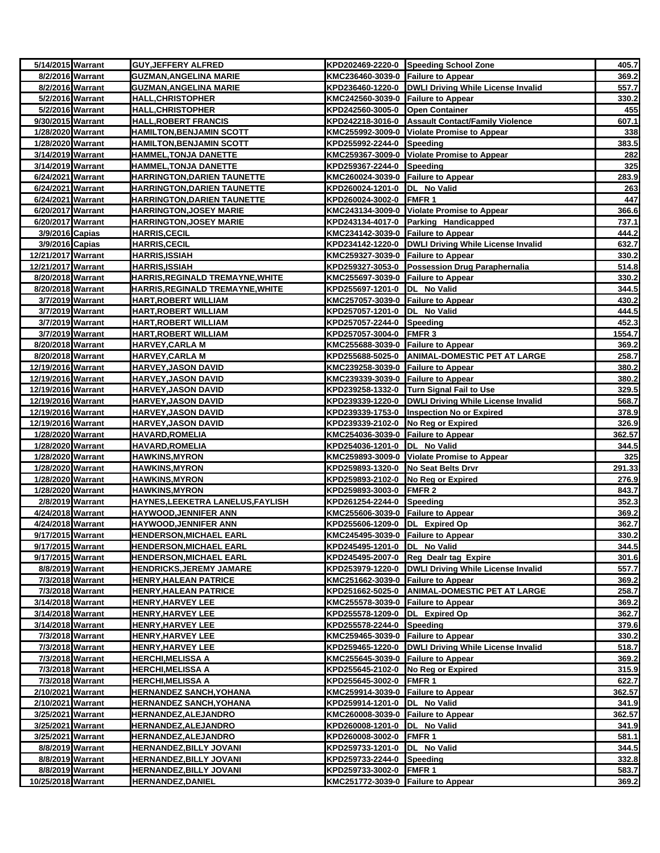| 5/14/2015 Warrant                     |                  | <b>GUY, JEFFERY ALFRED</b>              |                                     | KPD202469-2220-0 Speeding School Zone                 | 405.7           |
|---------------------------------------|------------------|-----------------------------------------|-------------------------------------|-------------------------------------------------------|-----------------|
| 8/2/2016 Warrant                      |                  | <b>GUZMAN, ANGELINA MARIE</b>           | KMC236460-3039-0 Failure to Appear  |                                                       | 369.2           |
| 8/2/2016 Warrant                      |                  | <b>GUZMAN, ANGELINA MARIE</b>           |                                     | KPD236460-1220-0  DWLI Driving While License Invalid  | 557.7           |
| 5/2/2016 Warrant                      |                  | <b>HALL,CHRISTOPHER</b>                 | KMC242560-3039-0 Failure to Appear  |                                                       | 330.2           |
| 5/2/2016 Warrant                      |                  | <u>HALL,CHRISTOPHER</u>                 | KPD242560-3005-0 Open Container     |                                                       | 455             |
| 9/30/2015 Warrant                     |                  | <b>HALL, ROBERT FRANCIS</b>             |                                     | KPD242218-3016-0 Assault Contact/Family Violence      | 607.1           |
| 1/28/2020 Warrant                     |                  | <b>HAMILTON, BENJAMIN SCOTT</b>         |                                     | KMC255992-3009-0 Violate Promise to Appear            | 338             |
| 1/28/2020 Warrant                     |                  | <b>HAMILTON, BENJAMIN SCOTT</b>         | KPD255992-2244-0 Speeding           |                                                       | 383.5           |
| 3/14/2019 Warrant                     |                  | HAMMEL, TONJA DANETTE                   |                                     | KMC259367-3009-0 Violate Promise to Appear            | 282             |
| 3/14/2019 Warrant                     |                  | HAMMEL, TONJA DANETTE                   | KPD259367-2244-0 Speeding           |                                                       | 325             |
| 6/24/2021 Warrant                     |                  | <b>HARRINGTON, DARIEN TAUNETTE</b>      | KMC260024-3039-0 Failure to Appear  |                                                       | 283.9           |
| 6/24/2021 Warrant                     |                  | <u>HARRINGTON, DARIEN TAUNETTE</u>      | KPD260024-1201-0  DL No Valid       |                                                       | 263             |
| 6/24/2021 Warrant                     |                  | <b>HARRINGTON, DARIEN TAUNETTE</b>      | KPD260024-3002-0 FMFR 1             |                                                       | 447             |
| 6/20/2017 Warrant                     |                  | <b>HARRINGTON, JOSEY MARIE</b>          |                                     | KMC243134-3009-0 Violate Promise to Appear            | 366.6           |
| 6/20/2017 Warrant                     |                  | <b>HARRINGTON, JOSEY MARIE</b>          |                                     | KPD243134-4017-0 Parking Handicapped                  | 737.1           |
| 3/9/2016 Capias                       |                  | <u>HARRIS,CECIL</u>                     | KMC234142-3039-0 Failure to Appear  |                                                       | 444.2           |
| 3/9/2016 Capias                       |                  | <b>HARRIS,CECIL</b>                     |                                     | KPD234142-1220-0 DWLI Driving While License Invalid   | 632.7           |
| 12/21/2017 Warrant                    |                  | <b>HARRIS,ISSIAH</b>                    | KMC259327-3039-0 Failure to Appear  |                                                       | 330.2           |
| 12/21/2017 Warrant                    |                  | HARRIS,ISSIAH                           |                                     | KPD259327-3053-0 Possession Drug Paraphernalia        | 514.8           |
| 8/20/2018 Warrant                     |                  | HARRIS, REGINALD TREMAYNE, WHITE        | KMC255697-3039-0 Failure to Appear  |                                                       | 330.2           |
| 8/20/2018 Warrant                     |                  | HARRIS, REGINALD TREMAYNE, WHITE        | KPD255697-1201-0  DL No Valid       |                                                       | 344.5           |
|                                       | 3/7/2019 Warrant | <b>HART,ROBERT WILLIAM</b>              | KMC257057-3039-0 Failure to Appear  |                                                       | 430.2           |
| 3/7/2019 Warrant<br>3/7/2019 Warrant  |                  | HART, ROBERT WILLIAM                    | KPD257057-1201-0  DL No Valid       |                                                       | 444.5           |
|                                       |                  | <b>HART,ROBERT WILLIAM</b>              | KPD257057-2244-0 Speeding           |                                                       | 452.3           |
| 3/7/2019 Warrant<br>8/20/2018 Warrant |                  | <b>HART,ROBERT WILLIAM</b>              | KPD257057-3004-0 FMFR 3             |                                                       | 1554.7<br>369.2 |
| 8/20/2018 Warrant                     |                  | <u>HARVEY,CARLA M</u><br>HARVEY,CARLA M | KMC255688-3039-0 Failure to Appear  | KPD255688-5025-0 ANIMAL-DOMESTIC PET AT LARGE         | 258.7           |
| 12/19/2016 Warrant                    |                  | <b>HARVEY, JASON DAVID</b>              | KMC239258-3039-0 Failure to Appear  |                                                       | 380.2           |
| 12/19/2016 Warrant                    |                  | <b>HARVEY,JASON DAVID</b>               | KMC239339-3039-0 Failure to Appear  |                                                       | 380.2           |
| 12/19/2016 Warrant                    |                  | <b>HARVEY,JASON DAVID</b>               |                                     | KPD239258-1332-0 Turn Signal Fail to Use              | 329.5           |
| 12/19/2016 Warrant                    |                  | <b>HARVEY,JASON DAVID</b>               |                                     | KPD239339-1220-0   DWLI Driving While License Invalid | 568.7           |
| 12/19/2016 Warrant                    |                  | HARVEY,JASON DAVID                      |                                     | KPD239339-1753-0  Inspection No or Expired            | 378.9           |
| 12/19/2016 Warrant                    |                  | <u>HARVEY,JASON DAVID</u>               | KPD239339-2102-0 No Reg or Expired  |                                                       | 326.9           |
| 1/28/2020 Warrant                     |                  | HAVARD,ROMELIA                          | KMC254036-3039-0 Failure to Appear  |                                                       | 362.57          |
| 1/28/2020 Warrant                     |                  | <b>HAVARD,ROMELIA</b>                   | KPD254036-1201-0 DL No Valid        |                                                       | 344.5           |
| 1/28/2020 Warrant                     |                  | <b>HAWKINS,MYRON</b>                    |                                     | KMC259893-3009-0 Violate Promise to Appear            | 325             |
| 1/28/2020 Warrant                     |                  | <b>HAWKINS, MYRON</b>                   | KPD259893-1320-0 No Seat Belts Drvr |                                                       | 291.33          |
| 1/28/2020 Warrant                     |                  | <b>HAWKINS,MYRON</b>                    | KPD259893-2102-0 No Reg or Expired  |                                                       | 276.9           |
| 1/28/2020 Warrant                     |                  | <b>HAWKINS, MYRON</b>                   | KPD259893-3003-0 FMFR 2             |                                                       | 843.7           |
| 2/8/2019 Warrant                      |                  | HAYNES, LEEKETRA LANELUS, FAYLISH       | KPD261254-2244-0 Speeding           |                                                       | 352.3           |
| 4/24/2018 Warrant                     |                  | <b>HAYWOOD,JENNIFER ANN</b>             | KMC255606-3039-0 Failure to Appear  |                                                       | 369.2           |
| 4/24/2018 Warrant                     |                  | HAYWOOD,JENNIFER ANN                    | KPD255606-1209-0 DL Expired Op      |                                                       | 362.7           |
| 9/17/2015 Warrant                     |                  | <b>HENDERSON, MICHAEL EARL</b>          | KMC245495-3039-0 Failure to Appear  |                                                       | 330.2           |
| 9/17/2015 Warrant                     |                  | <b>HENDERSON, MICHAEL EARL</b>          | KPD245495-1201-0  DL No Valid       |                                                       | 344.5           |
| 9/17/2015 Warrant                     |                  | HENDERSON,MICHAEL EARL                  |                                     | KPD245495-2007-0 Reg Dealr tag Expire                 | 301.6           |
| 8/8/2019 Warrant                      |                  | <b>HENDRICKS, JEREMY JAMARE</b>         |                                     | KPD253979-1220-0   DWLI Driving While License Invalid | 557.7           |
| 7/3/2018 Warrant                      |                  | <b>HENRY,HALEAN PATRICE</b>             | KMC251662-3039-0 Failure to Appear  |                                                       | 369.2           |
| 7/3/2018 Warrant                      |                  | <b>HENRY,HALEAN PATRICE</b>             |                                     | KPD251662-5025-0 ANIMAL-DOMESTIC PET AT LARGE         | 258.7           |
| 3/14/2018 Warrant                     |                  | <b>HENRY,HARVEY LEE</b>                 | KMC255578-3039-0 Failure to Appear  |                                                       | 369.2           |
| 3/14/2018 Warrant                     |                  | <b>HENRY, HARVEY LEE</b>                | KPD255578-1209-0 DL Expired Op      |                                                       | 362.7           |
| 3/14/2018 Warrant                     |                  | <b>HENRY, HARVEY LEE</b>                | KPD255578-2244-0 Speeding           |                                                       | 379.6           |
| 7/3/2018 Warrant                      |                  | <b>HENRY,HARVEY LEE</b>                 | KMC259465-3039-0 Failure to Appear  |                                                       | 330.2           |
| 7/3/2018 Warrant                      |                  | HENRY,HARVEY LEE                        |                                     | KPD259465-1220-0 DWLI Driving While License Invalid   | 518.7           |
| 7/3/2018 Warrant                      |                  | HERCHI,MELISSA A                        | KMC255645-3039-0 Failure to Appear  |                                                       | 369.2           |
| 7/3/2018 Warrant                      |                  | <b>HERCHI, MELISSA A</b>                | KPD255645-2102-0 No Reg or Expired  |                                                       | 315.9           |
| 7/3/2018 Warrant                      |                  | <b>HERCHI,MELISSA A</b>                 | KPD255645-3002-0 FMFR 1             |                                                       | 622.7           |
| 2/10/2021 Warrant                     |                  | <b>HERNANDEZ SANCH, YOHANA</b>          | KMC259914-3039-0 Failure to Appear  |                                                       | 362.57          |
| 2/10/2021 Warrant                     |                  | <b>HERNANDEZ SANCH, YOHANA</b>          | KPD259914-1201-0  DL No Valid       |                                                       | 341.9           |
| 3/25/2021 Warrant                     |                  | <b>HERNANDEZ, ALEJANDRO</b>             | KMC260008-3039-0 Failure to Appear  |                                                       | 362.57          |
| 3/25/2021 Warrant                     |                  | <b>HERNANDEZ, ALEJANDRO</b>             | KPD260008-1201-0  DL No Valid       |                                                       | 341.9           |
| 3/25/2021 Warrant                     |                  | <b>HERNANDEZ, ALEJANDRO</b>             | KPD260008-3002-0 FMFR 1             |                                                       | 581.1           |
| 8/8/2019 Warrant                      |                  | <b>HERNANDEZ,BILLY JOVANI</b>           | KPD259733-1201-0  DL No Valid       |                                                       | 344.5           |
|                                       | 8/8/2019 Warrant | <b>HERNANDEZ,BILLY JOVANI</b>           | KPD259733-2244-0 Speeding           |                                                       | 332.8           |
|                                       | 8/8/2019 Warrant | <b>HERNANDEZ, BILLY JOVANI</b>          | KPD259733-3002-0 FMFR 1             |                                                       | 583.7           |
| 10/25/2018 Warrant                    |                  | <b>HERNANDEZ,DANIEL</b>                 | KMC251772-3039-0 Failure to Appear  |                                                       | 369.2           |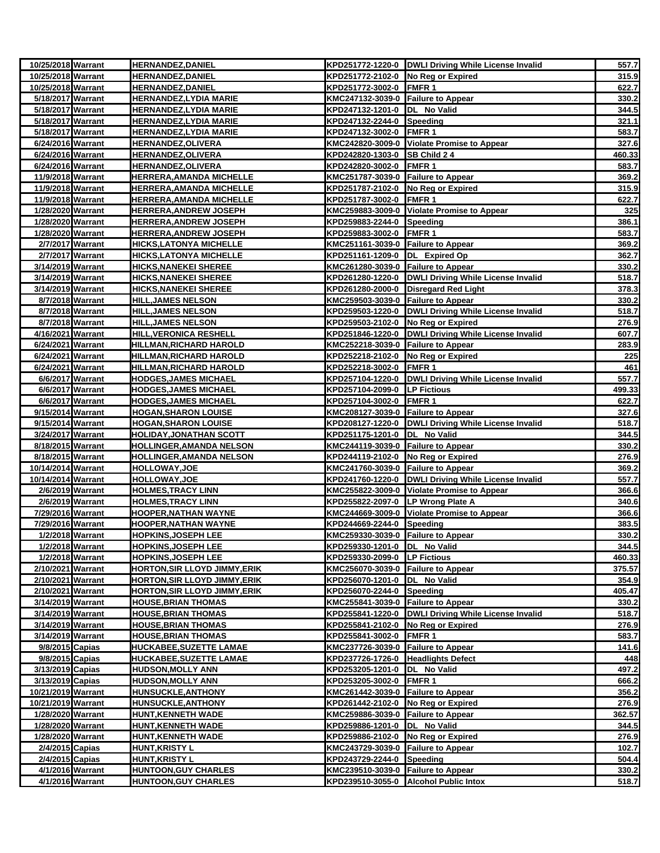| 10/25/2018 Warrant |                  | <b>HERNANDEZ, DANIEL</b>             |                                    | KPD251772-1220-0 DWLI Driving While License Invalid   | 557.7  |
|--------------------|------------------|--------------------------------------|------------------------------------|-------------------------------------------------------|--------|
| 10/25/2018 Warrant |                  | <b>HERNANDEZ, DANIEL</b>             | KPD251772-2102-0 No Reg or Expired |                                                       | 315.9  |
| 10/25/2018 Warrant |                  | <b>HERNANDEZ,DANIEL</b>              | KPD251772-3002-0 FMFR 1            |                                                       | 622.7  |
| 5/18/2017 Warrant  |                  | <b>HERNANDEZ,LYDIA MARIE</b>         | KMC247132-3039-0 Failure to Appear |                                                       | 330.2  |
| 5/18/2017 Warrant  |                  | <b>HERNANDEZ,LYDIA MARIE</b>         | KPD247132-1201-0  DL No Valid      |                                                       | 344.5  |
| 5/18/2017 Warrant  |                  | <b>HERNANDEZ,LYDIA MARIE</b>         | KPD247132-2244-0 Speeding          |                                                       | 321.1  |
| 5/18/2017 Warrant  |                  | <b>HERNANDEZ,LYDIA MARIE</b>         | KPD247132-3002-0 FMFR 1            |                                                       | 583.7  |
| 6/24/2016 Warrant  |                  | <b>HERNANDEZ,OLIVERA</b>             |                                    | KMC242820-3009-0 Violate Promise to Appear            | 327.6  |
| 6/24/2016 Warrant  |                  | <b>HERNANDEZ,OLIVERA</b>             | KPD242820-1303-0 SB Child 2 4      |                                                       | 460.33 |
| 6/24/2016 Warrant  |                  | <b>HERNANDEZ,OLIVERA</b>             | KPD242820-3002-0 FMFR 1            |                                                       | 583.7  |
| 11/9/2018 Warrant  |                  | <b>HERRERA, AMANDA MICHELLE</b>      | KMC251787-3039-0 Failure to Appear |                                                       | 369.2  |
| 11/9/2018 Warrant  |                  | <b>HERRERA, AMANDA MICHELLE</b>      | KPD251787-2102-0 No Reg or Expired |                                                       | 315.9  |
| 11/9/2018 Warrant  |                  | <b>HERRERA, AMANDA MICHELLE</b>      | KPD251787-3002-0 FMFR 1            |                                                       | 622.7  |
| 1/28/2020 Warrant  |                  | <b>HERRERA, ANDREW JOSEPH</b>        |                                    | KMC259883-3009-0 Violate Promise to Appear            | 325    |
| 1/28/2020 Warrant  |                  | <b>HERRERA, ANDREW JOSEPH</b>        | KPD259883-2244-0 Speeding          |                                                       | 386.1  |
| 1/28/2020 Warrant  |                  | <b>HERRERA, ANDREW JOSEPH</b>        | KPD259883-3002-0 FMFR 1            |                                                       | 583.7  |
| 2/7/2017 Warrant   |                  | <b>HICKS, LATONYA MICHELLE</b>       | KMC251161-3039-0 Failure to Appear |                                                       | 369.2  |
| 2/7/2017 Warrant   |                  | <u>HICKS, LATONYA MICHELLE</u>       | KPD251161-1209-0 DL Expired Op     |                                                       | 362.7  |
| 3/14/2019 Warrant  |                  | HICKS,NANEKEI SHEREE                 | KMC261280-3039-0 Failure to Appear |                                                       | 330.2  |
| 3/14/2019 Warrant  |                  | <b>HICKS, NANEKEI SHEREE</b>         |                                    | KPD261280-1220-0  DWLI Driving While License Invalid  | 518.7  |
| 3/14/2019 Warrant  |                  | <b>HICKS,NANEKEI SHEREE</b>          |                                    | KPD261280-2000-0 Disregard Red Light                  | 378.3  |
| 8/7/2018 Warrant   |                  | <b>HILL, JAMES NELSON</b>            | KMC259503-3039-0 Failure to Appear |                                                       | 330.2  |
| 8/7/2018 Warrant   |                  | <u>HILL,JAMES NELSON</u>             |                                    | KPD259503-1220-0   DWLI Driving While License Invalid | 518.7  |
| 8/7/2018 Warrant   |                  | <b>HILL,JAMES NELSON</b>             | KPD259503-2102-0 No Reg or Expired |                                                       | 276.9  |
| 4/16/2021 Warrant  |                  | HILL, VERONICA RESHELL               |                                    | KPD251846-1220-0   DWLI Driving While License Invalid | 607.7  |
| 6/24/2021 Warrant  |                  | <b>HILLMAN, RICHARD HAROLD</b>       | KMC252218-3039-0 Failure to Appear |                                                       | 283.9  |
| 6/24/2021 Warrant  |                  | <u>HILLMAN,RICHARD HAROLD</u>        | KPD252218-2102-0 No Reg or Expired |                                                       | 225    |
| 6/24/2021 Warrant  |                  | <b>HILLMAN, RICHARD HAROLD</b>       | KPD252218-3002-0 FMFR 1            |                                                       | 461    |
| 6/6/2017 Warrant   |                  | <b>HODGES, JAMES MICHAEL</b>         |                                    | KPD257104-1220-0   DWLI Driving While License Invalid | 557.7  |
|                    | 6/6/2017 Warrant | <b>HODGES,JAMES MICHAEL</b>          | KPD257104-2099-0 LP Fictious       |                                                       | 499.33 |
| 6/6/2017 Warrant   |                  | <b>HODGES,JAMES MICHAEL</b>          | KPD257104-3002-0                   | FMFR <sub>1</sub>                                     | 622.7  |
| 9/15/2014 Warrant  |                  | HOGAN,SHARON LOUISE                  | KMC208127-3039-0 Failure to Appear |                                                       | 327.6  |
| 9/15/2014 Warrant  |                  | HOGAN,SHARON LOUISE                  |                                    | KPD208127-1220-0  DWLI Driving While License Invalid  | 518.7  |
| 3/24/2017 Warrant  |                  | HOLIDAY,JONATHAN SCOTT               | KPD251175-1201-0  DL No Valid      |                                                       | 344.5  |
| 8/18/2015 Warrant  |                  | <b>HOLLINGER, AMANDA NELSON</b>      | KMC244119-3039-0 Failure to Appear |                                                       | 330.2  |
| 8/18/2015 Warrant  |                  | <b>HOLLINGER, AMANDA NELSON</b>      | KPD244119-2102-0 No Reg or Expired |                                                       | 276.9  |
| 10/14/2014 Warrant |                  | <b>HOLLOWAY,JOE</b>                  | KMC241760-3039-0 Failure to Appear |                                                       | 369.2  |
| 10/14/2014 Warrant |                  | <u>HOLLOWAY,JOE</u>                  |                                    | KPD241760-1220-0 DWLI Driving While License Invalid   | 557.7  |
| 2/6/2019 Warrant   |                  | <b>HOLMES,TRACY LINN</b>             |                                    | KMC255822-3009-0 Violate Promise to Appear            | 366.6  |
| 2/6/2019 Warrant   |                  | <u>HOLMES,TRACY LINN</u>             | KPD255822-2097-0 LP Wrong Plate A  |                                                       | 340.6  |
| 7/29/2016 Warrant  |                  | <b>HOOPER, NATHAN WAYNE</b>          |                                    | KMC244669-3009-0 Violate Promise to Appear            | 366.6  |
| 7/29/2016 Warrant  |                  | HOOPER,NATHAN WAYNE                  | KPD244669-2244-0 Speeding          |                                                       | 383.5  |
| 1/2/2018 Warrant   |                  | <b>HOPKINS, JOSEPH LEE</b>           | KMC259330-3039-0 Failure to Appear |                                                       | 330.2  |
| 1/2/2018 Warrant   |                  | <b>HOPKINS, JOSEPH LEE</b>           | KPD259330-1201-0 DL No Valid       |                                                       | 344.5  |
| 1/2/2018 Warrant   |                  | <b>HOPKINS, JOSEPH LEE</b>           | KPD259330-2099-0 LP Fictious       |                                                       | 460.33 |
| 2/10/2021 Warrant  |                  | <b>HORTON, SIR LLOYD JIMMY, ERIK</b> | KMC256070-3039-0 Failure to Appear |                                                       | 375.57 |
| 2/10/2021 Warrant  |                  | <b>HORTON, SIR LLOYD JIMMY, ERIK</b> | KPD256070-1201-0  DL No Valid      |                                                       | 354.9  |
| 2/10/2021 Warrant  |                  | <b>HORTON, SIR LLOYD JIMMY, ERIK</b> | KPD256070-2244-0 Speeding          |                                                       | 405.47 |
| 3/14/2019 Warrant  |                  | <b>HOUSE, BRIAN THOMAS</b>           | KMC255841-3039-0 Failure to Appear |                                                       | 330.2  |
| 3/14/2019 Warrant  |                  | <b>HOUSE, BRIAN THOMAS</b>           |                                    | KPD255841-1220-0   DWLI Driving While License Invalid | 518.7  |
| 3/14/2019 Warrant  |                  | <b>HOUSE,BRIAN THOMAS</b>            | KPD255841-2102-0 No Reg or Expired |                                                       | 276.9  |
| 3/14/2019 Warrant  |                  | <b>HOUSE,BRIAN THOMAS</b>            | KPD255841-3002-0 FMFR 1            |                                                       | 583.7  |
| 9/8/2015 Capias    |                  | <b>HUCKABEE, SUZETTE LAMAE</b>       | KMC237726-3039-0 Failure to Appear |                                                       | 141.6  |
| 9/8/2015 Capias    |                  | <b>HUCKABEE,SUZETTE LAMAE</b>        | KPD237726-1726-0 Headlights Defect |                                                       | 448    |
| 3/13/2019 Capias   |                  | <b>HUDSON,MOLLY ANN</b>              | KPD253205-1201-0 DL No Valid       |                                                       | 497.2  |
| 3/13/2019 Capias   |                  | <b>HUDSON, MOLLY ANN</b>             | KPD253205-3002-0 FMFR 1            |                                                       | 666.2  |
| 10/21/2019 Warrant |                  | <b>HUNSUCKLE, ANTHONY</b>            | KMC261442-3039-0 Failure to Appear |                                                       | 356.2  |
| 10/21/2019 Warrant |                  | <b>HUNSUCKLE, ANTHONY</b>            | KPD261442-2102-0 No Reg or Expired |                                                       | 276.9  |
| 1/28/2020 Warrant  |                  | <b>HUNT,KENNETH WADE</b>             | KMC259886-3039-0 Failure to Appear |                                                       | 362.57 |
| 1/28/2020 Warrant  |                  | <b>HUNT, KENNETH WADE</b>            | KPD259886-1201-0  DL No Valid      |                                                       | 344.5  |
| 1/28/2020 Warrant  |                  | HUNT,KENNETH WADE                    | KPD259886-2102-0 No Reg or Expired |                                                       | 276.9  |
| 2/4/2015 Capias    |                  | HUNT,KRISTY L                        | KMC243729-3039-0 Failure to Appear |                                                       | 102.7  |
| 2/4/2015 Capias    |                  | <b>HUNT, KRISTY L</b>                | KPD243729-2244-0 Speeding          |                                                       | 504.4  |
|                    | 4/1/2016 Warrant | <b>HUNTOON,GUY CHARLES</b>           | KMC239510-3039-0 Failure to Appear |                                                       | 330.2  |
|                    | 4/1/2016 Warrant | <b>HUNTOON, GUY CHARLES</b>          |                                    | KPD239510-3055-0 Alcohol Public Intox                 | 518.7  |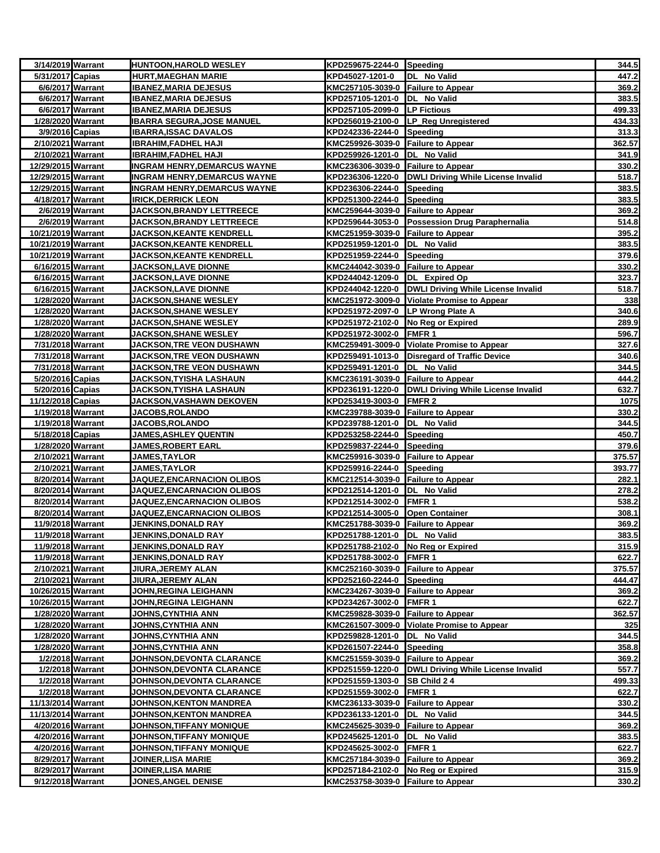| 3/14/2019 Warrant                     |                  | <b>HUNTOON, HAROLD WESLEY</b>                     | KPD259675-2244-0 Speeding                                       |                                                      | 344.5           |
|---------------------------------------|------------------|---------------------------------------------------|-----------------------------------------------------------------|------------------------------------------------------|-----------------|
| 5/31/2017 Capias                      |                  | <b>HURT, MAEGHAN MARIE</b>                        | KPD45027-1201-0                                                 | DL No Valid                                          | 447.2           |
| 6/6/2017 Warrant                      |                  | <b>IBANEZ, MARIA DEJESUS</b>                      | KMC257105-3039-0 Failure to Appear                              |                                                      | 369.2           |
|                                       | 6/6/2017 Warrant | <b>IBANEZ, MARIA DEJESUS</b>                      | KPD257105-1201-0  DL No Valid                                   |                                                      | 383.5           |
|                                       | 6/6/2017 Warrant | <b>IBANEZ, MARIA DEJESUS</b>                      | KPD257105-2099-0 LP Fictious                                    |                                                      | 499.33          |
| 1/28/2020 Warrant                     |                  | <b>IBARRA SEGURA, JOSE MANUEL</b>                 |                                                                 | KPD256019-2100-0 LP_Reg Unregistered                 | 434.33          |
| 3/9/2016 Capias                       |                  | <b>IBARRA, ISSAC DAVALOS</b>                      | KPD242336-2244-0 Speeding                                       |                                                      | 313.3           |
| 2/10/2021 Warrant                     |                  | <b>IBRAHIM, FADHEL HAJI</b>                       | KMC259926-3039-0 Failure to Appear                              |                                                      | 362.57          |
| 2/10/2021 Warrant                     |                  | <b>IBRAHIM, FADHEL HAJI</b>                       | KPD259926-1201-0  DL No Valid                                   |                                                      | 341.9           |
| 12/29/2015 Warrant                    |                  | <b>INGRAM HENRY, DEMARCUS WAYNE</b>               | KMC236306-3039-0 Failure to Appear                              |                                                      | 330.2           |
| 12/29/2015 Warrant                    |                  | <b>INGRAM HENRY, DEMARCUS WAYNE</b>               |                                                                 | KPD236306-1220-0 DWLI Driving While License Invalid  | 518.7           |
| 12/29/2015 Warrant                    |                  | <b>INGRAM HENRY, DEMARCUS WAYNE</b>               | KPD236306-2244-0 Speeding                                       |                                                      | 383.5           |
| 4/18/2017 Warrant                     |                  | <b>IRICK, DERRICK LEON</b>                        | KPD251300-2244-0 Speeding                                       |                                                      | 383.5           |
|                                       | 2/6/2019 Warrant | JACKSON, BRANDY LETTREECE                         | KMC259644-3039-0 Failure to Appear                              |                                                      | 369.2           |
| 2/6/2019 Warrant                      |                  | <b>JACKSON,BRANDY LETTREECE</b>                   |                                                                 | KPD259644-3053-0 Possession Drug Paraphernalia       | 514.8           |
| 10/21/2019 Warrant                    |                  | <b>JACKSON, KEANTE KENDRELL</b>                   | KMC251959-3039-0 Failure to Appear                              |                                                      | 395.2           |
| 10/21/2019 Warrant                    |                  | <b>JACKSON,KEANTE KENDRELL</b>                    | KPD251959-1201-0 DL No Valid                                    |                                                      | 383.5           |
| 10/21/2019 Warrant                    |                  | <b>JACKSON, KEANTE KENDRELL</b>                   | KPD251959-2244-0 Speeding                                       |                                                      | 379.6           |
| 6/16/2015 Warrant                     |                  | <b>JACKSON,LAVE DIONNE</b>                        | KMC244042-3039-0 Failure to Appear                              |                                                      | 330.2           |
| 6/16/2015 Warrant                     |                  | <b>JACKSON,LAVE DIONNE</b>                        | KPD244042-1209-0 DL Expired Op                                  |                                                      | 323.7           |
| 6/16/2015 Warrant                     |                  | <b>JACKSON,LAVE DIONNE</b>                        |                                                                 | KPD244042-1220-0  DWLI Driving While License Invalid | 518.7           |
| 1/28/2020 Warrant                     |                  | <b>JACKSON, SHANE WESLEY</b>                      |                                                                 | KMC251972-3009-0 Violate Promise to Appear           | 338             |
| 1/28/2020 Warrant                     |                  | <b>JACKSON, SHANE WESLEY</b>                      | KPD251972-2097-0 LP Wrong Plate A                               |                                                      | 340.6           |
| 1/28/2020 Warrant                     |                  | <b>JACKSON,SHANE WESLEY</b>                       | KPD251972-2102-0 No Reg or Expired                              |                                                      | 289.9           |
| 1/28/2020 Warrant                     |                  | <b>JACKSON, SHANE WESLEY</b>                      | KPD251972-3002-0 FMFR 1                                         |                                                      | 596.7           |
| 7/31/2018 Warrant                     |                  | JACKSON,TRE VEON DUSHAWN                          |                                                                 | KMC259491-3009-0 Violate Promise to Appear           | 327.6           |
| 7/31/2018 Warrant                     |                  | <u>JACKSON,TRE VEON DUSHAWN</u>                   |                                                                 | KPD259491-1013-0 Disregard of Traffic Device         | 340.6           |
| 7/31/2018 Warrant                     |                  | <b>JACKSON,TRE VEON DUSHAWN</b>                   | KPD259491-1201-0 DL No Valid                                    |                                                      | 344.5           |
| 5/20/2016 Capias                      |                  | <b>JACKSON,TYISHA LASHAUN</b>                     | KMC236191-3039-0 Failure to Appear                              |                                                      | 444.2           |
| 5/20/2016 Capias                      |                  | JACKSON,TYISHA LASHAUN                            |                                                                 | KPD236191-1220-0 DWLI Driving While License Invalid  | 632.7           |
| 11/12/2018 Capias                     |                  | JACKSON,VASHAWN DEKOVEN                           | KPD253419-3003-0                                                | <b>FMFR2</b>                                         | 1075            |
| 1/19/2018 Warrant                     |                  | JACOBS, ROLANDO                                   | KMC239788-3039-0 Failure to Appear                              |                                                      | 330.2           |
| 1/19/2018 Warrant                     |                  | <b>JACOBS,ROLANDO</b>                             | KPD239788-1201-0                                                | DL No Valid                                          | 344.5           |
| 5/18/2018 Capias<br>1/28/2020 Warrant |                  | <b>JAMES, ASHLEY QUENTIN</b>                      | KPD253258-2244-0 Speeding                                       |                                                      | 450.7           |
| 2/10/2021 Warrant                     |                  | <b>JAMES, ROBERT EARL</b><br><b>JAMES, TAYLOR</b> | KPD259837-2244-0 Speeding<br>KMC259916-3039-0 Failure to Appear |                                                      | 379.6<br>375.57 |
| 2/10/2021 Warrant                     |                  | <b>JAMES, TAYLOR</b>                              | KPD259916-2244-0 Speeding                                       |                                                      | 393.77          |
| 8/20/2014 Warrant                     |                  | <b>JAQUEZ,ENCARNACION OLIBOS</b>                  | KMC212514-3039-0 Failure to Appear                              |                                                      | 282.1           |
| 8/20/2014 Warrant                     |                  | <b>JAQUEZ,ENCARNACION OLIBOS</b>                  | KPD212514-1201-0 DL No Valid                                    |                                                      | 278.2           |
| 8/20/2014 Warrant                     |                  | <b>JAQUEZ,ENCARNACION OLIBOS</b>                  | KPD212514-3002-0 FMFR 1                                         |                                                      | 538.2           |
| 8/20/2014 Warrant                     |                  | JAQUEZ, ENCARNACION OLIBOS                        | KPD212514-3005-0 Open Container                                 |                                                      | 308.1           |
| 11/9/2018 Warrant                     |                  | JENKINS,DONALD RAY                                | KMC251788-3039-0 Failure to Appear                              |                                                      | 369.2           |
| 11/9/2018 Warrant                     |                  | <b>JENKINS, DONALD RAY</b>                        | KPD251788-1201-0 DL No Valid                                    |                                                      | 383.5           |
| 11/9/2018 Warrant                     |                  | <b>JENKINS, DONALD RAY</b>                        | KPD251788-2102-0 No Reg or Expired                              |                                                      | 315.9           |
| 11/9/2018 Warrant                     |                  | <b>JENKINS, DONALD RAY</b>                        | KPD251788-3002-0                                                | FMFR 1                                               | 622.7           |
| 2/10/2021 Warrant                     |                  | <b>JIURA, JEREMY ALAN</b>                         | KMC252160-3039-0 Failure to Appear                              |                                                      | 375.57          |
| 2/10/2021 Warrant                     |                  | JIURA, JEREMY ALAN                                | KPD252160-2244-0 Speeding                                       |                                                      | 444.47          |
| 10/26/2015 Warrant                    |                  | JOHN, REGINA LEIGHANN                             | KMC234267-3039-0 Failure to Appear                              |                                                      | 369.2           |
| 10/26/2015 Warrant                    |                  | JOHN, REGINA LEIGHANN                             | KPD234267-3002-0 FMFR 1                                         |                                                      | 622.7           |
| 1/28/2020 Warrant                     |                  | <b>JOHNS, CYNTHIA ANN</b>                         | KMC259828-3039-0 Failure to Appear                              |                                                      | 362.57          |
| 1/28/2020 Warrant                     |                  | JOHNS, CYNTHIA ANN                                |                                                                 | KMC261507-3009-0 Violate Promise to Appear           | 325             |
| 1/28/2020 Warrant                     |                  | <b>JOHNS, CYNTHIA ANN</b>                         | KPD259828-1201-0                                                | DL No Valid                                          | 344.5           |
| 1/28/2020 Warrant                     |                  | <b>JOHNS,CYNTHIA ANN</b>                          | KPD261507-2244-0 Speeding                                       |                                                      | 358.8           |
|                                       | 1/2/2018 Warrant | <b>JOHNSON, DEVONTA CLARANCE</b>                  | KMC251559-3039-0 Failure to Appear                              |                                                      | 369.2           |
|                                       | 1/2/2018 Warrant | JOHNSON, DEVONTA CLARANCE                         |                                                                 | KPD251559-1220-0  DWLI Driving While License Invalid | 557.7           |
|                                       | 1/2/2018 Warrant | <b>JOHNSON, DEVONTA CLARANCE</b>                  | KPD251559-1303-0 SB Child 2 4                                   |                                                      | 499.33          |
|                                       | 1/2/2018 Warrant | <b>JOHNSON,DEVONTA CLARANCE</b>                   | KPD251559-3002-0                                                | FMFR 1                                               | 622.7           |
| 11/13/2014 Warrant                    |                  | <b>JOHNSON, KENTON MANDREA</b>                    | KMC236133-3039-0                                                | <b>Failure to Appear</b>                             | 330.2           |
| 11/13/2014 Warrant                    |                  | <b>JOHNSON, KENTON MANDREA</b>                    | KPD236133-1201-0                                                | <b>No Valid</b><br>IDL.                              | 344.5           |
| 4/20/2016 Warrant                     |                  | <b>JOHNSON,TIFFANY MONIQUE</b>                    | KMC245625-3039-0 Failure to Appear                              |                                                      | 369.2           |
| 4/20/2016 Warrant                     |                  | <u>JOHNSON,TIFFANY MONIQUE</u>                    | KPD245625-1201-0 DL No Valid                                    |                                                      | 383.5           |
| 4/20/2016 Warrant                     |                  | JOHNSON,TIFFANY MONIQUE                           | KPD245625-3002-0                                                | <b>FMFR1</b>                                         | 622.7           |
| 8/29/2017 Warrant                     |                  | <b>JOINER, LISA MARIE</b>                         | KMC257184-3039-0 Failure to Appear                              |                                                      | 369.2           |
| 8/29/2017 Warrant                     |                  | <b>JOINER, LISA MARIE</b>                         | KPD257184-2102-0 No Reg or Expired                              |                                                      | 315.9           |
| 9/12/2018 Warrant                     |                  | <u>JONES,ANGEL DENISE</u>                         | KMC253758-3039-0 Failure to Appear                              |                                                      | 330.2           |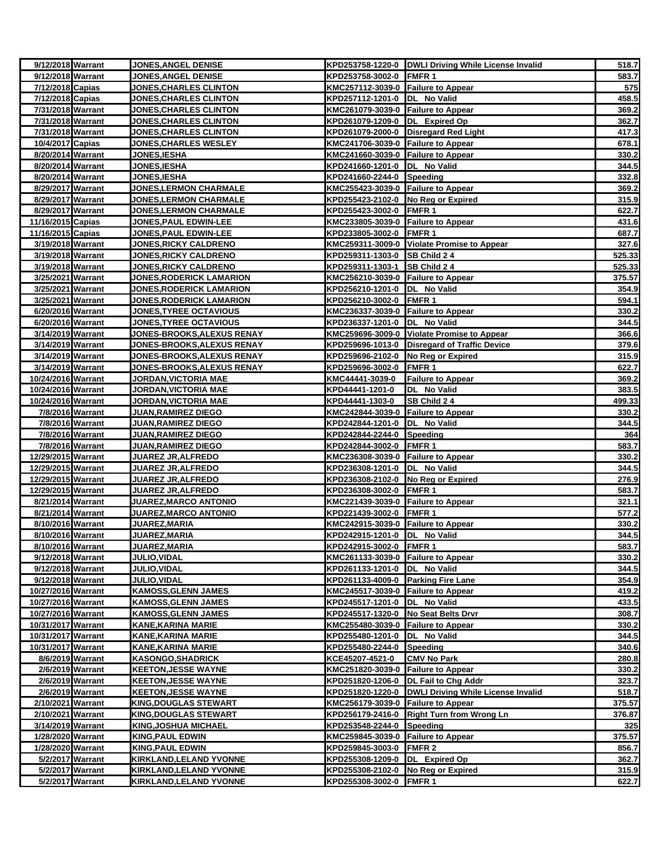| 9/12/2018 Warrant                      | JONES, ANGEL DENISE                                         |                                                               | KPD253758-1220-0 DWLI Driving While License Invalid | 518.7          |
|----------------------------------------|-------------------------------------------------------------|---------------------------------------------------------------|-----------------------------------------------------|----------------|
| 9/12/2018 Warrant                      | JONES, ANGEL DENISE                                         | KPD253758-3002-0 FMFR 1                                       |                                                     | 583.7          |
| 7/12/2018 Capias                       | <b>JONES, CHARLES CLINTON</b>                               | KMC257112-3039-0 Failure to Appear                            |                                                     | 575            |
| 7/12/2018 Capias                       | <b>JONES,CHARLES CLINTON</b>                                | KPD257112-1201-0  DL No Valid                                 |                                                     | 458.5          |
| 7/31/2018 Warrant                      | <u><b>JONES,CHARLES CLINTON</b></u>                         | KMC261079-3039-0 Failure to Appear                            |                                                     | 369.2          |
| 7/31/2018 Warrant                      | <b>JONES,CHARLES CLINTON</b>                                | KPD261079-1209-0 DL Expired Op                                |                                                     | 362.7          |
| 7/31/2018 Warrant                      | <b>JONES,CHARLES CLINTON</b>                                |                                                               | KPD261079-2000-0 Disregard Red Light                | 417.3          |
| 10/4/2017 Capias                       | <b>JONES,CHARLES WESLEY</b>                                 | KMC241706-3039-0 Failure to Appear                            |                                                     | 678.1          |
| 8/20/2014 Warrant                      | <b>JONES, IESHA</b>                                         | KMC241660-3039-0 Failure to Appear                            |                                                     | 330.2          |
| 8/20/2014 Warrant                      | JONES, IESHA                                                | KPD241660-1201-0 DL No Valid                                  |                                                     | 344.5          |
| 8/20/2014 Warrant                      | <b>JONES, IESHA</b>                                         | KPD241660-2244-0 Speeding                                     |                                                     | 332.8          |
| 8/29/2017 Warrant                      | <b>JONES,LERMON CHARMALE</b>                                | KMC255423-3039-0 Failure to Appear                            |                                                     | 369.2          |
| 8/29/2017 Warrant                      | <b>JONES, LERMON CHARMALE</b>                               | KPD255423-2102-0 No Reg or Expired                            |                                                     | 315.9          |
| 8/29/2017 Warrant                      | <b>JONES,LERMON CHARMALE</b>                                | KPD255423-3002-0 FMFR 1                                       |                                                     | 622.7          |
| 11/16/2015 Capias                      | <b>JONES,PAUL EDWIN-LEE</b>                                 | KMC233805-3039-0 Failure to Appear                            |                                                     | 431.6          |
| 11/16/2015 Capias                      | <b>JONES, PAUL EDWIN-LEE</b>                                | KPD233805-3002-0 FMFR 1                                       |                                                     | 687.7          |
| 3/19/2018 Warrant                      | <b>JONES, RICKY CALDRENO</b>                                |                                                               | KMC259311-3009-0 Violate Promise to Appear          | 327.6          |
| 3/19/2018 Warrant                      | <b>JONES,RICKY CALDRENO</b>                                 | KPD259311-1303-0 SB Child 2 4                                 |                                                     | 525.33         |
| 3/19/2018 Warrant                      | <b>JONES,RICKY CALDRENO</b>                                 | KPD259311-1303-1                                              | <b>SB Child 24</b>                                  | 525.33         |
| 3/25/2021 Warrant                      | <b>JONES,RODERICK LAMARION</b>                              | KMC256210-3039-0 Failure to Appear                            |                                                     | 375.57         |
| 3/25/2021 Warrant                      | <b>JONES,RODERICK LAMARION</b>                              | KPD256210-1201-0 DL No Valid                                  |                                                     | 354.9          |
| 3/25/2021 Warrant                      | <b>JONES, RODERICK LAMARION</b>                             | KPD256210-3002-0 FMFR 1                                       |                                                     | 594.1          |
| 6/20/2016 Warrant                      | <b>JONES, TYREE OCTAVIOUS</b>                               | KMC236337-3039-0 Failure to Appear                            |                                                     | 330.2          |
| 6/20/2016 Warrant                      | <b>JONES, TYREE OCTAVIOUS</b>                               | KPD236337-1201-0  DL No Valid                                 |                                                     | 344.5          |
| 3/14/2019 Warrant                      | <b>JONES-BROOKS, ALEXUS RENAY</b>                           |                                                               | KMC259696-3009-0 Violate Promise to Appear          | 366.6          |
| 3/14/2019 Warrant                      | <b>JONES-BROOKS, ALEXUS RENAY</b>                           |                                                               | KPD259696-1013-0 Disregard of Traffic Device        | 379.6          |
| 3/14/2019 Warrant                      | <b>JONES-BROOKS,ALEXUS RENAY</b>                            | KPD259696-2102-0 No Reg or Expired                            |                                                     | 315.9          |
| 3/14/2019 Warrant                      | <u><b>JONES-BROOKS, ALEXUS RENAY</b></u>                    | KPD259696-3002-0 FMFR 1                                       |                                                     | 622.7          |
| 10/24/2016 Warrant                     | <b>JORDAN, VICTORIA MAE</b>                                 | KMC44441-3039-0                                               | <b>Failure to Appear</b>                            | 369.2          |
| 10/24/2016 Warrant                     | JORDAN,VICTORIA MAE                                         | KPD44441-1201-0                                               | DL No Valid                                         | 383.5          |
| 10/24/2016 Warrant                     | JORDAN, VICTORIA MAE                                        | KPD44441-1303-0                                               | SB Child 24                                         | 499.33         |
| 7/8/2016 Warrant                       | <b>JUAN, RAMIREZ DIEGO</b>                                  | KMC242844-3039-0 Failure to Appear                            |                                                     | 330.2          |
| 7/8/2016 Warrant                       | <b>JUAN, RAMIREZ DIEGO</b>                                  | KPD242844-1201-0 DL No Valid                                  |                                                     | 344.5          |
| 7/8/2016 Warrant                       | <b>JUAN,RAMIREZ DIEGO</b>                                   | KPD242844-2244-0 Speeding                                     |                                                     | 364            |
| 7/8/2016 Warrant                       | <b>JUAN, RAMIREZ DIEGO</b>                                  | KPD242844-3002-0                                              | <b>FMFR1</b>                                        | 583.7          |
| 12/29/2015 Warrant                     | <b>JUAREZ JR, ALFREDO</b>                                   | KMC236308-3039-0 Failure to Appear                            |                                                     | 330.2          |
| 12/29/2015 Warrant                     | JUAREZ JR, ALFREDO                                          | KPD236308-1201-0  DL No Valid                                 |                                                     | 344.5          |
| 12/29/2015 Warrant                     | <b>JUAREZ JR, ALFREDO</b>                                   | KPD236308-2102-0 No Reg or Expired                            |                                                     | 276.9          |
| 12/29/2015 Warrant                     | <b>JUAREZ JR, ALFREDO</b>                                   | KPD236308-3002-0 FMFR 1                                       |                                                     | 583.7          |
| 8/21/2014 Warrant<br>8/21/2014 Warrant | <b>JUAREZ, MARCO ANTONIO</b><br><b>JUAREZ,MARCO ANTONIO</b> | KMC221439-3039-0 Failure to Appear<br>KPD221439-3002-0 FMFR 1 |                                                     | 321.1<br>577.2 |
| 8/10/2016 Warrant                      | <b>JUAREZ,MARIA</b>                                         | KMC242915-3039-0 Failure to Appear                            |                                                     | 330.2          |
| 8/10/2016 Warrant                      | JUAREZ, MARIA                                               | KPD242915-1201-0 DL No Valid                                  |                                                     | 344.5          |
| 8/10/2016 Warrant                      | JUAREZ, MARIA                                               | KPD242915-3002-0 FMFR 1                                       |                                                     | 583.7          |
| 9/12/2018 Warrant                      | <b>JULIO, VIDAL</b>                                         | KMC261133-3039-0 Failure to Appear                            |                                                     | 330.2          |
| 9/12/2018 Warrant                      | <b>JULIO, VIDAL</b>                                         | KPD261133-1201-0 DL No Valid                                  |                                                     | 344.5          |
| 9/12/2018 Warrant                      | <b>JULIO, VIDAL</b>                                         | KPD261133-4009-0 Parking Fire Lane                            |                                                     | 354.9          |
| 10/27/2016 Warrant                     | <b>KAMOSS, GLENN JAMES</b>                                  | KMC245517-3039-0 Failure to Appear                            |                                                     | 419.2          |
| 10/27/2016 Warrant                     | <b>KAMOSS, GLENN JAMES</b>                                  | KPD245517-1201-0  DL No Valid                                 |                                                     | 433.5          |
| 10/27/2016 Warrant                     | <b>KAMOSS, GLENN JAMES</b>                                  | KPD245517-1320-0                                              | No Seat Belts Drvr                                  | 308.7          |
| 10/31/2017 Warrant                     | <b>KANE, KARINA MARIE</b>                                   | KMC255480-3039-0 Failure to Appear                            |                                                     | 330.2          |
| 10/31/2017 Warrant                     | <b>KANE, KARINA MARIE</b>                                   | KPD255480-1201-0                                              | DL No Valid                                         | 344.5          |
| 10/31/2017 Warrant                     | <b>KANE, KARINA MARIE</b>                                   | KPD255480-2244-0 Speeding                                     |                                                     | 340.6          |
| 8/6/2019 Warrant                       | <b>KASONGO, SHADRICK</b>                                    | KCE45207-4521-0                                               | <b>CMV No Park</b>                                  | 280.8          |
| 2/6/2019 Warrant                       | <b>KEETON, JESSE WAYNE</b>                                  | KMC251820-3039-0 Failure to Appear                            |                                                     | 330.2          |
| 2/6/2019 Warrant                       | <b>KEETON, JESSE WAYNE</b>                                  |                                                               | KPD251820-1206-0 DL Fail to Chg Addr                | 323.7          |
| 2/6/2019 Warrant                       | <b>KEETON, JESSE WAYNE</b>                                  | KPD251820-1220-0                                              | DWLI Driving While License Invalid                  | 518.7          |
| 2/10/2021 Warrant                      | <b>KING, DOUGLAS STEWART</b>                                | KMC256179-3039-0                                              | <b>Failure to Appear</b>                            | 375.57         |
| 2/10/2021 Warrant                      | <b>KING, DOUGLAS STEWART</b>                                | KPD256179-2416-0                                              | <b>Right Turn from Wrong Ln</b>                     | 376.87         |
| 3/14/2019 Warrant                      | <b>KING, JOSHUA MICHAEL</b>                                 | KPD253548-2244-0                                              | Speeding                                            | 325            |
| 1/28/2020 Warrant                      | <b>KING, PAUL EDWIN</b>                                     | KMC259845-3039-0 Failure to Appear                            |                                                     | 375.57         |
| 1/28/2020 Warrant                      | <b>KING, PAUL EDWIN</b>                                     | KPD259845-3003-0 FMFR 2                                       |                                                     | 856.7          |
| 5/2/2017 Warrant                       | KIRKLAND, LELAND YVONNE                                     | KPD255308-1209-0 DL Expired Op                                |                                                     | 362.7          |
| 5/2/2017 Warrant                       | <b>KIRKLAND, LELAND YVONNE</b>                              | KPD255308-2102-0                                              | No Reg or Expired                                   | 315.9          |
| 5/2/2017 Warrant                       | KIRKLAND,LELAND YVONNE                                      | KPD255308-3002-0 FMFR 1                                       |                                                     | 622.7          |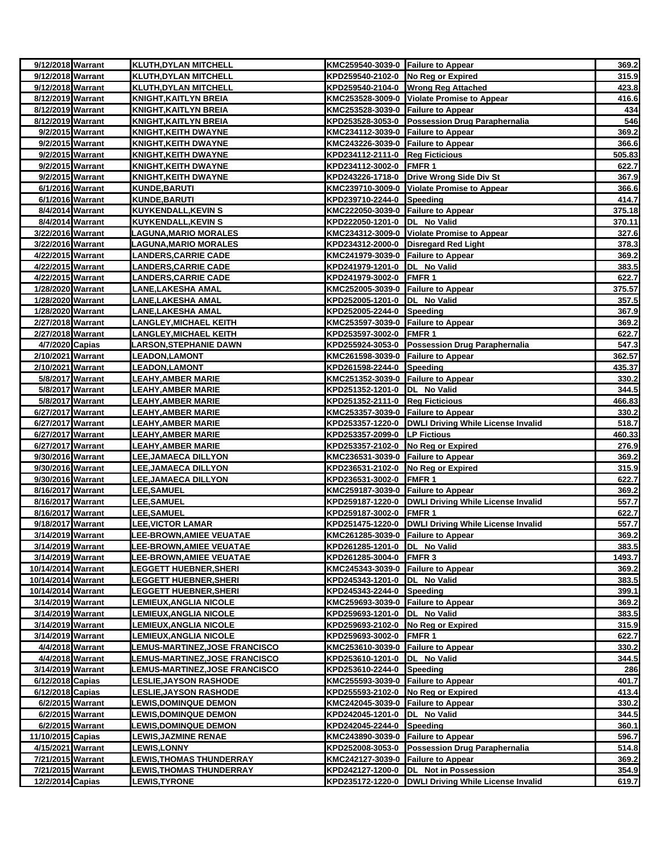| 9/12/2018 Warrant                      | <b>KLUTH, DYLAN MITCHELL</b>                       | KMC259540-3039-0 Failure to Appear                            |                                                       | 369.2          |
|----------------------------------------|----------------------------------------------------|---------------------------------------------------------------|-------------------------------------------------------|----------------|
| 9/12/2018 Warrant                      | KLUTH, DYLAN MITCHELL                              | KPD259540-2102-0 No Reg or Expired                            |                                                       | 315.9          |
| 9/12/2018 Warrant                      | KLUTH, DYLAN MITCHELL                              |                                                               | KPD259540-2104-0 Wrong Reg Attached                   | 423.8          |
| 8/12/2019 Warrant                      | <b>KNIGHT, KAITLYN BREIA</b>                       |                                                               | KMC253528-3009-0 Violate Promise to Appear            | 416.6          |
| 8/12/2019 Warrant                      | <b>KNIGHT, KAITLYN BREIA</b>                       | KMC253528-3039-0 Failure to Appear                            |                                                       | 434            |
| 8/12/2019 Warrant                      | <u>KNIGHT,KAITLYN BREIA</u>                        |                                                               | KPD253528-3053-0 Possession Drug Paraphernalia        | 546            |
| 9/2/2015 Warrant                       | <b>KNIGHT, KEITH DWAYNE</b>                        | KMC234112-3039-0 Failure to Appear                            |                                                       | 369.2          |
| 9/2/2015 Warrant                       | <u>KNIGHT,KEITH DWAYNE</u>                         | KMC243226-3039-0 Failure to Appear                            |                                                       | 366.6          |
| 9/2/2015 Warrant                       | <b>KNIGHT, KEITH DWAYNE</b>                        | KPD234112-2111-0 Reg Ficticious                               |                                                       | 505.83         |
| 9/2/2015 Warrant                       | <b>KNIGHT, KEITH DWAYNE</b>                        | KPD234112-3002-0 FMFR 1                                       |                                                       | 622.7          |
| 9/2/2015 Warrant                       | KNIGHT,KEITH DWAYNE                                |                                                               | KPD243226-1718-0 Drive Wrong Side Div St              | 367.9          |
| 6/1/2016 Warrant                       | <u>KUNDE,BARUTI</u>                                |                                                               | KMC239710-3009-0 Violate Promise to Appear            | 366.6          |
| 6/1/2016 Warrant                       | KUNDE, BARUTI                                      | KPD239710-2244-0 Speeding                                     |                                                       | 414.7          |
| 8/4/2014 Warrant                       | KUYKENDALL, KEVIN S                                | KMC222050-3039-0 Failure to Appear                            |                                                       | 375.18         |
| 8/4/2014 Warrant                       | KUYKENDALL,KEVIN S                                 | KPD222050-1201-0  DL No Valid                                 |                                                       | 370.11         |
| 3/22/2016 Warrant                      | <u>LAGUNA,MARIO MORALES</u>                        |                                                               | KMC234312-3009-0 Violate Promise to Appear            | 327.6          |
| 3/22/2016 Warrant                      | <b>LAGUNA,MARIO MORALES</b>                        |                                                               | KPD234312-2000-0 Disregard Red Light                  | 378.3          |
| 4/22/2015 Warrant                      | <b>LANDERS,CARRIE CADE</b>                         | KMC241979-3039-0 Failure to Appear                            |                                                       | 369.2          |
| 4/22/2015 Warrant                      | <u>LANDERS,CARRIE CADE</u>                         | KPD241979-1201-0  DL No Valid                                 |                                                       | 383.5          |
| 4/22/2015 Warrant                      | <b>LANDERS,CARRIE CADE</b>                         | KPD241979-3002-0 FMFR 1                                       |                                                       | 622.7          |
| 1/28/2020 Warrant                      | LANE,LAKESHA AMAL                                  | KMC252005-3039-0 Failure to Appear                            |                                                       | 375.57         |
| 1/28/2020 Warrant<br>1/28/2020 Warrant | LANE,LAKESHA AMAL                                  | KPD252005-1201-0  DL No Valid                                 |                                                       | 357.5          |
|                                        | <u>LANE,LAKESHA AMAL</u><br>LANGLEY, MICHAEL KEITH | KPD252005-2244-0 Speeding                                     |                                                       | 367.9<br>369.2 |
| 2/27/2018 Warrant<br>2/27/2018 Warrant | <u>LANGLEY, MICHAEL KEITH</u>                      | KMC253597-3039-0 Failure to Appear<br>KPD253597-3002-0 FMFR 1 |                                                       | 622.7          |
| 4/7/2020 Capias                        | LARSON,STEPHANIE DAWN                              |                                                               | KPD255924-3053-0 Possession Drug Paraphernalia        | 547.3          |
| 2/10/2021 Warrant                      | <b>LEADON, LAMONT</b>                              | KMC261598-3039-0 Failure to Appear                            |                                                       | 362.57         |
| 2/10/2021 Warrant                      | <b>_EADON,LAMONT</b>                               | KPD261598-2244-0 Speeding                                     |                                                       | 435.37         |
| 5/8/2017 Warrant                       | LEAHY,AMBER MARIE                                  | KMC251352-3039-0 Failure to Appear                            |                                                       | 330.2          |
| 5/8/2017 Warrant                       | LEAHY,AMBER MARIE                                  | KPD251352-1201-0  DL No Valid                                 |                                                       | 344.5          |
| 5/8/2017 Warrant                       | LEAHY,AMBER MARIE                                  | KPD251352-2111-0 Reg Ficticious                               |                                                       | 466.83         |
| 6/27/2017 Warrant                      | LEAHY,AMBER MARIE                                  | KMC253357-3039-0 Failure to Appear                            |                                                       | 330.2          |
| 6/27/2017 Warrant                      | <u>LEAHY,AMBER MARIE</u>                           |                                                               | KPD253357-1220-0  DWLI Driving While License Invalid  | 518.7          |
| 6/27/2017 Warrant                      | <u>LEAHY,AMBER MARIE</u>                           | KPD253357-2099-0 LP Fictious                                  |                                                       | 460.33         |
| 6/27/2017 Warrant                      | LEAHY,AMBER MARIE                                  | KPD253357-2102-0 No Reg or Expired                            |                                                       | 276.9          |
| 9/30/2016 Warrant                      | LEE,JAMAECA DILLYON                                | KMC236531-3039-0 Failure to Appear                            |                                                       | 369.2          |
| 9/30/2016 Warrant                      | LEE,JAMAECA DILLYON                                | KPD236531-2102-0 No Reg or Expired                            |                                                       | 315.9          |
| 9/30/2016 Warrant                      | LEE,JAMAECA DILLYON                                | KPD236531-3002-0 FMFR 1                                       |                                                       | 622.7          |
| 8/16/2017 Warrant                      | <b>LEE,SAMUEL</b>                                  | KMC259187-3039-0 Failure to Appear                            |                                                       | 369.2          |
| 8/16/2017 Warrant                      | <b>LEE,SAMUEL</b>                                  |                                                               | KPD259187-1220-0   DWLI Driving While License Invalid | 557.7          |
| 8/16/2017 Warrant                      | <b>LEE,SAMUEL</b>                                  | KPD259187-3002-0                                              | FMFR <sub>1</sub>                                     | 622.7          |
| 9/18/2017 Warrant                      | <b>LEE, VICTOR LAMAR</b>                           | KPD251475-1220-0                                              | <b>DWLI Driving While License Invalid</b>             | 557.7          |
| 3/14/2019 Warrant                      | <b>LEE-BROWN,AMIEE VEUATAE</b>                     | KMC261285-3039-0 Failure to Appear                            |                                                       | 369.2          |
| 3/14/2019 Warrant                      | LEE-BROWN, AMIEE VEUATAE                           | KPD261285-1201-0 DL No Valid                                  |                                                       | 383.5          |
| 3/14/2019 Warrant                      | <b>LEE-BROWN,AMIEE VEUATAE</b>                     | KPD261285-3004-0 FMFR 3                                       |                                                       | 1493.7         |
| 10/14/2014 Warrant                     | <b>LEGGETT HUEBNER,SHERI</b>                       | KMC245343-3039-0 Failure to Appear                            |                                                       | 369.2          |
| 10/14/2014 Warrant                     | <b>LEGGETT HUEBNER, SHERI</b>                      | KPD245343-1201-0  DL No Valid                                 |                                                       | 383.5          |
| 10/14/2014 Warrant                     | <b>LEGGETT HUEBNER,SHERI</b>                       | KPD245343-2244-0 Speeding                                     |                                                       | 399.1          |
| 3/14/2019 Warrant                      | LEMIEUX,ANGLIA NICOLE                              | KMC259693-3039-0 Failure to Appear                            |                                                       | 369.2          |
| 3/14/2019 Warrant                      | <b>LEMIEUX, ANGLIA NICOLE</b>                      | KPD259693-1201-0 DL No Valid                                  |                                                       | 383.5          |
| 3/14/2019 Warrant                      | LEMIEUX,ANGLIA NICOLE                              | KPD259693-2102-0 No Reg or Expired                            |                                                       | 315.9          |
| 3/14/2019 Warrant                      | <b>LEMIEUX,ANGLIA NICOLE</b>                       | KPD259693-3002-0 FMFR 1                                       |                                                       | 622.7          |
| 4/4/2018 Warrant                       | <b>LEMUS-MARTINEZ,JOSE FRANCISCO</b>               | KMC253610-3039-0 Failure to Appear                            |                                                       | 330.2          |
| 4/4/2018 Warrant                       | <b>LEMUS-MARTINEZ,JOSE FRANCISCO</b>               | KPD253610-1201-0 DL No Valid                                  |                                                       | 344.5          |
| 3/14/2019 Warrant                      | LEMUS-MARTINEZ,JOSE FRANCISCO                      | KPD253610-2244-0                                              | Speeding                                              | 286            |
| 6/12/2018 Capias                       | <b>LESLIE, JAYSON RASHODE</b>                      | KMC255593-3039-0 Failure to Appear                            |                                                       | 401.7          |
| 6/12/2018 Capias                       | <b>LESLIE, JAYSON RASHODE</b>                      | KPD255593-2102-0 No Reg or Expired                            |                                                       | 413.4          |
| 6/2/2015 Warrant                       | <b>LEWIS,DOMINQUE DEMON</b>                        | KMC242045-3039-0 Failure to Appear                            |                                                       | 330.2          |
| 6/2/2015 Warrant                       | <b>LEWIS,DOMINQUE DEMON</b>                        | KPD242045-1201-0 DL No Valid                                  |                                                       | 344.5          |
| 6/2/2015 Warrant                       | <b>LEWIS,DOMINQUE DEMON</b>                        | KPD242045-2244-0 Speeding                                     |                                                       | 360.1          |
| 11/10/2015 Capias                      | <b>LEWIS,JAZMINE RENAE</b>                         | KMC243890-3039-0 Failure to Appear                            |                                                       | 596.7          |
| 4/15/2021 Warrant                      | <b>LEWIS,LONNY</b>                                 |                                                               | KPD252008-3053-0 Possession Drug Paraphernalia        | 514.8          |
| 7/21/2015 Warrant                      | <b>LEWIS,THOMAS THUNDERRAY</b>                     | KMC242127-3039-0 Failure to Appear                            |                                                       | 369.2          |
| 7/21/2015 Warrant                      | <b>LEWIS,THOMAS THUNDERRAY</b>                     |                                                               | KPD242127-1200-0 DL Not in Possession                 | 354.9          |
| 12/2/2014 Capias                       | <b>LEWIS, TYRONE</b>                               |                                                               | KPD235172-1220-0 DWLI Driving While License Invalid   | 619.7          |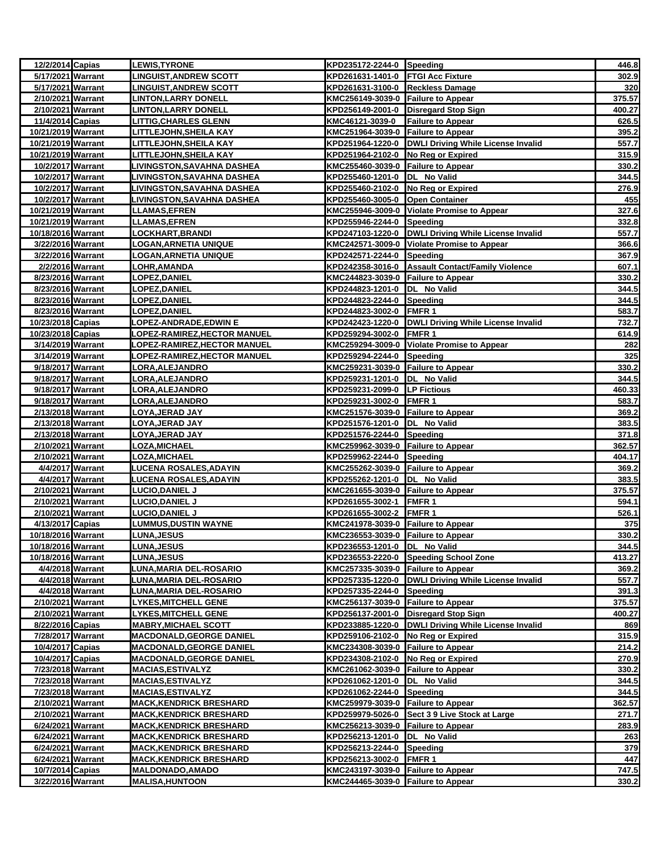| 12/2/2014 Capias                       |                  | <b>LEWIS, TYRONE</b>                | KPD235172-2244-0 Speeding                              |                                                      | 446.8           |
|----------------------------------------|------------------|-------------------------------------|--------------------------------------------------------|------------------------------------------------------|-----------------|
| 5/17/2021 Warrant                      |                  | <b>LINGUIST, ANDREW SCOTT</b>       | KPD261631-1401-0 FTGI Acc Fixture                      |                                                      | 302.9           |
| 5/17/2021 Warrant                      |                  | <b>LINGUIST,ANDREW SCOTT</b>        | KPD261631-3100-0 Reckless Damage                       |                                                      | 320             |
| 2/10/2021 Warrant                      |                  | INTON,LARRY DONELL                  | KMC256149-3039-0 Failure to Appear                     |                                                      | 375.57          |
| 2/10/2021 Warrant                      |                  | LINTON,LARRY DONELL                 |                                                        | KPD256149-2001-0 Disregard Stop Sign                 | 400.27          |
| 11/4/2014 Capias                       |                  | <b>LITTIG,CHARLES GLENN</b>         | KMC46121-3039-0                                        | Failure to Appear                                    | 626.5           |
| 10/21/2019 Warrant                     |                  | LITTLEJOHN,SHEILA KAY               | KMC251964-3039-0 Failure to Appear                     |                                                      | 395.2           |
| 10/21/2019 Warrant                     |                  | LITTLEJOHN,SHEILA KAY               |                                                        | KPD251964-1220-0 DWLI Driving While License Invalid  | 557.7           |
| 10/21/2019 Warrant                     |                  | <u>LITTLEJOHN, SHEILA KAY</u>       | KPD251964-2102-0 No Reg or Expired                     |                                                      | 315.9           |
| 10/2/2017 Warrant                      |                  | <b>LIVINGSTON, SAVAHNA DASHEA</b>   | KMC255460-3039-0 Failure to Appear                     |                                                      | 330.2           |
| 10/2/2017 Warrant                      |                  | LIVINGSTON,SAVAHNA DASHEA           | KPD255460-1201-0  DL No Valid                          |                                                      | 344.5           |
| 10/2/2017 Warrant                      |                  | <b>LIVINGSTON, SAVAHNA DASHEA</b>   | KPD255460-2102-0 No Reg or Expired                     |                                                      | 276.9           |
| 10/2/2017 Warrant                      |                  | LIVINGSTON,SAVAHNA DASHEA           | KPD255460-3005-0 Open Container                        |                                                      | 455             |
| 10/21/2019 Warrant                     |                  | <b>LLAMAS,EFREN</b>                 |                                                        | KMC255946-3009-0 Violate Promise to Appear           | 327.6           |
| 10/21/2019 Warrant                     |                  | LL <u>AMAS,EFREN</u>                | KPD255946-2244-0 Speeding                              |                                                      | 332.8           |
| 10/18/2016 Warrant                     |                  | <u>LOCKHART,BRANDI</u>              |                                                        | KPD247103-1220-0 DWLI Driving While License Invalid  | 557.7           |
| 3/22/2016 Warrant                      |                  | <b>LOGAN, ARNETIA UNIQUE</b>        |                                                        | KMC242571-3009-0 Violate Promise to Appear           | 366.6           |
| 3/22/2016 Warrant                      |                  | LOGAN,ARNETIA UNIQUE                | KPD242571-2244-0 Speeding                              |                                                      | 367.9           |
| 2/2/2016 Warrant                       |                  | <b>_OHR,AMANDA</b>                  |                                                        | KPD242358-3016-0 Assault Contact/Family Violence     | 607.1           |
| 8/23/2016 Warrant                      |                  | <b>LOPEZ,DANIEL</b>                 | KMC244823-3039-0 Failure to Appear                     |                                                      | 330.2           |
| 8/23/2016 Warrant                      |                  | <b>LOPEZ,DANIEL</b>                 | KPD244823-1201-0  DL No Valid                          |                                                      | 344.5           |
| 8/23/2016 Warrant                      |                  | LOPEZ, DANIEL                       | KPD244823-2244-0 Speeding                              |                                                      | 344.5           |
| 8/23/2016 Warrant                      |                  | <b>LOPEZ,DANIEL</b>                 | KPD244823-3002-0 FMFR 1                                |                                                      | 583.7           |
| 10/23/2018 Capias                      |                  | OPEZ-ANDRADE,EDWIN E                |                                                        | KPD242423-1220-0 DWLI Driving While License Invalid  | 732.7           |
| 10/23/2018 Capias                      |                  | <u> LOPEZ-RAMIREZ,HECTOR MANUEL</u> | KPD259294-3002-0 FMFR 1                                |                                                      | 614.9           |
| 3/14/2019 Warrant                      |                  | OPEZ-RAMIREZ,HECTOR MANUEL.         |                                                        | KMC259294-3009-0 Violate Promise to Appear           | 282             |
| 3/14/2019 Warrant                      |                  | OPEZ-RAMIREZ,HECTOR MANUEL.         | KPD259294-2244-0 Speeding                              |                                                      | 325             |
| 9/18/2017 Warrant                      |                  | <b>LORA,ALEJANDRO</b>               | KMC259231-3039-0 Failure to Appear                     |                                                      | 330.2           |
| 9/18/2017 Warrant                      |                  | LORA, ALEJANDRO                     | KPD259231-1201-0 DL No Valid                           |                                                      | 344.5           |
| 9/18/2017 Warrant<br>9/18/2017 Warrant |                  | <b>_ORA,ALEJANDRO</b>               | KPD259231-2099-0 LP Fictious                           | <b>TFMER 1</b>                                       | 460.33<br>583.7 |
| 2/13/2018 Warrant                      |                  | <b>ORA, ALEJANDRO</b>               | KPD259231-3002-0<br>KMC251576-3039-0 Failure to Appear |                                                      | 369.2           |
| 2/13/2018 Warrant                      |                  | -OYA,JERAD JAY<br>LOYA, JERAD JAY   | KPD251576-1201-0                                       | DL No Valid                                          | 383.5           |
| 2/13/2018 Warrant                      |                  | LOYA,JERAD JAY                      | KPD251576-2244-0 Speeding                              |                                                      | 371.8           |
| 2/10/2021 Warrant                      |                  | <b>LOZA,MICHAEL</b>                 | KMC259962-3039-0 Failure to Appear                     |                                                      | 362.57          |
| 2/10/2021 Warrant                      |                  | <b>LOZA,MICHAEL</b>                 | KPD259962-2244-0 Speeding                              |                                                      | 404.17          |
| 4/4/2017 Warrant                       |                  | <b>LUCENA ROSALES, ADAYIN</b>       | KMC255262-3039-0 Failure to Appear                     |                                                      | 369.2           |
| 4/4/2017 Warrant                       |                  | LUCENA ROSALES,ADAYIN               | KPD255262-1201-0 DL No Valid                           |                                                      | 383.5           |
| 2/10/2021 Warrant                      |                  | LUCIO,DANIEL J                      | KMC261655-3039-0 Failure to Appear                     |                                                      | 375.57          |
| 2/10/2021 Warrant                      |                  | <u>LUCIO,DANIEL J</u>               | KPD261655-3002-1 FMFR 1                                |                                                      | 594.1           |
| 2/10/2021 Warrant                      |                  | LUCIO,DANIEL J                      | KPD261655-3002-2 FMFR 1                                |                                                      | 526.1           |
| 4/13/2017 Capias                       |                  | <b>LUMMUS,DUSTIN WAYNE</b>          | KMC241978-3039-0 Failure to Appear                     |                                                      | 375             |
| 10/18/2016 Warrant                     |                  | <b>LUNA,JESUS</b>                   | KMC236553-3039-0 Failure to Appear                     |                                                      | 330.2           |
| 10/18/2016 Warrant                     |                  | <b>LUNA, JESUS</b>                  | KPD236553-1201-0 DL No Valid                           |                                                      | 344.5           |
| 10/18/2016 Warrant                     |                  | <b>LUNA,JESUS</b>                   |                                                        | KPD236553-2220-0 Speeding School Zone                | 413.27          |
| 4/4/2018 Warrant                       |                  | LUNA, MARIA DEL-ROSARIO             | KMC257335-3039-0 Failure to Appear                     |                                                      | 369.2           |
|                                        | 4/4/2018 Warrant | LUNA,MARIA DEL-ROSARIO              |                                                        | KPD257335-1220-0  DWLI Driving While License Invalid | 557.7           |
|                                        | 4/4/2018 Warrant | <b>LUNA,MARIA DEL-ROSARIO</b>       | KPD257335-2244-0 Speeding                              |                                                      | 391.3           |
| 2/10/2021 Warrant                      |                  | <b>LYKES,MITCHELL GENE</b>          | KMC256137-3039-0 Failure to Appear                     |                                                      | 375.57          |
| 2/10/2021 Warrant                      |                  | <u>LYKES,MITCHELL GENE</u>          |                                                        | KPD256137-2001-0 Disregard Stop Sign                 | 400.27          |
| 8/22/2016 Capias                       |                  | <b>MABRY, MICHAEL SCOTT</b>         |                                                        | KPD233885-1220-0 DWLI Driving While License Invalid  | 869             |
| 7/28/2017 Warrant                      |                  | <b>MACDONALD, GEORGE DANIEL</b>     | KPD259106-2102-0 No Reg or Expired                     |                                                      | 315.9           |
| 10/4/2017 Capias                       |                  | <b>MACDONALD, GEORGE DANIEL</b>     | KMC234308-3039-0 Failure to Appear                     |                                                      | 214.2           |
| 10/4/2017 Capias                       |                  | MACDONALD, GEORGE DANIEL            | KPD234308-2102-0 No Reg or Expired                     |                                                      | 270.9           |
| 7/23/2018 Warrant                      |                  | <b>MACIAS, ESTIVALYZ</b>            | KMC261062-3039-0 Failure to Appear                     |                                                      | 330.2           |
| 7/23/2018 Warrant                      |                  | <b>MACIAS, ESTIVALYZ</b>            | KPD261062-1201-0  DL No Valid                          |                                                      | 344.5           |
| 7/23/2018 Warrant                      |                  | <u>MACIAS,ESTIVALYZ</u>             | KPD261062-2244-0 Speeding                              |                                                      | 344.5           |
| 2/10/2021 Warrant                      |                  | <b>MACK, KENDRICK BRESHARD</b>      | KMC259979-3039-0 Failure to Appear                     |                                                      | 362.57          |
| 2/10/2021 Warrant                      |                  | <b>MACK, KENDRICK BRESHARD</b>      | KPD259979-5026-0                                       | Sect 3 9 Live Stock at Large                         | 271.7           |
| 6/24/2021 Warrant                      |                  | <b>MACK, KENDRICK BRESHARD</b>      | KMC256213-3039-0 Failure to Appear                     |                                                      | 283.9           |
| 6/24/2021 Warrant                      |                  | <b>MACK,KENDRICK BRESHARD</b>       | KPD256213-1201-0 DL No Valid                           |                                                      | 263             |
| 6/24/2021 Warrant                      |                  | <b>MACK, KENDRICK BRESHARD</b>      | KPD256213-2244-0 Speeding                              |                                                      | 379             |
| 6/24/2021 Warrant                      |                  | <b>MACK, KENDRICK BRESHARD</b>      | KPD256213-3002-0 FMFR 1                                |                                                      | 447             |
| 10/7/2014 Capias                       |                  | <b>MALDONADO, AMADO</b>             | KMC243197-3039-0 Failure to Appear                     |                                                      | 747.5           |
| 3/22/2016 Warrant                      |                  | <b>MALISA, HUNTOON</b>              | KMC244465-3039-0 Failure to Appear                     |                                                      | 330.2           |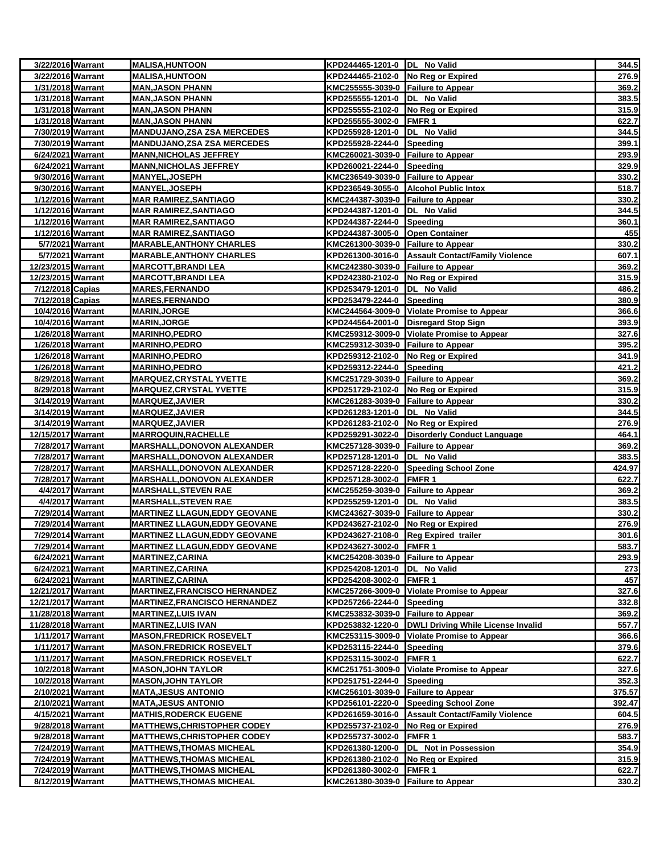| 3/22/2016 Warrant                      | <b>MALISA, HUNTOON</b>                                  | KPD244465-1201-0 DL No Valid       |                                                  | 344.5          |
|----------------------------------------|---------------------------------------------------------|------------------------------------|--------------------------------------------------|----------------|
| 3/22/2016 Warrant                      | <b>MALISA, HUNTOON</b>                                  | KPD244465-2102-0 No Reg or Expired |                                                  | 276.9          |
| 1/31/2018 Warrant                      | <b>MAN, JASON PHANN</b>                                 | KMC255555-3039-0 Failure to Appear |                                                  | 369.2          |
| 1/31/2018 Warrant                      | <b>MAN,JASON PHANN</b>                                  | KPD255555-1201-0  DL No Valid      |                                                  | 383.5          |
| 1/31/2018 Warrant                      | <b>MAN, JASON PHANN</b>                                 | KPD255555-2102-0 No Reg or Expired |                                                  | 315.9          |
| 1/31/2018 Warrant                      | <b>MAN, JASON PHANN</b>                                 | KPD255555-3002-0 FMFR 1            |                                                  | 622.7          |
| 7/30/2019 Warrant                      | <b>MANDUJANO, ZSA ZSA MERCEDES</b>                      | KPD255928-1201-0 DL No Valid       |                                                  | 344.5          |
| 7/30/2019 Warrant                      | <b>MANDUJANO, ZSA ZSA MERCEDES</b>                      | KPD255928-2244-0 Speeding          |                                                  | 399.1          |
| 6/24/2021 Warrant                      | <b>MANN, NICHOLAS JEFFREY</b>                           | KMC260021-3039-0 Failure to Appear |                                                  | 293.9          |
| 6/24/2021 Warrant                      | <b>MANN, NICHOLAS JEFFREY</b>                           | KPD260021-2244-0 Speeding          |                                                  | 329.9          |
| 9/30/2016 Warrant                      | <b>MANYEL, JOSEPH</b>                                   | KMC236549-3039-0 Failure to Appear |                                                  | 330.2          |
| 9/30/2016 Warrant                      | <b>MANYEL, JOSEPH</b>                                   |                                    | KPD236549-3055-0 Alcohol Public Intox            | 518.7          |
| 1/12/2016 Warrant                      | <b>MAR RAMIREZ, SANTIAGO</b>                            | KMC244387-3039-0 Failure to Appear |                                                  | 330.2          |
| 1/12/2016 Warrant                      | <b>MAR RAMIREZ, SANTIAGO</b>                            | KPD244387-1201-0  DL No Valid      |                                                  | 344.5          |
| 1/12/2016 Warrant                      | MAR RAMIREZ,SANTIAGO                                    | KPD244387-2244-0 Speeding          |                                                  | 360.1          |
| 1/12/2016 Warrant                      | <b>MAR RAMIREZ, SANTIAGO</b>                            | KPD244387-3005-0 Open Container    |                                                  | 455            |
| 5/7/2021 Warrant                       | <b>MARABLE, ANTHONY CHARLES</b>                         | KMC261300-3039-0 Failure to Appear |                                                  | 330.2          |
| 5/7/2021 Warrant                       | <b>MARABLE, ANTHONY CHARLES</b>                         |                                    | KPD261300-3016-0 Assault Contact/Family Violence | 607.1          |
| 12/23/2015 Warrant                     | <b>MARCOTT,BRANDI LEA</b><br><b>MARCOTT, BRANDI LEA</b> | KMC242380-3039-0 Failure to Appear |                                                  | 369.2          |
| 12/23/2015 Warrant<br>7/12/2018 Capias |                                                         | KPD242380-2102-0 No Reg or Expired |                                                  | 315.9          |
|                                        | <b>MARES,FERNANDO</b>                                   | KPD253479-1201-0  DL No Valid      |                                                  | 486.2<br>380.9 |
| 7/12/2018 Capias<br>10/4/2016 Warrant  | <b>MARES,FERNANDO</b><br><b>MARIN, JORGE</b>            | KPD253479-2244-0 Speeding          | KMC244564-3009-0 Violate Promise to Appear       | 366.6          |
| 10/4/2016 Warrant                      | <b>MARIN, JORGE</b>                                     |                                    | KPD244564-2001-0 Disregard Stop Sign             | 393.9          |
| 1/26/2018 Warrant                      | <b>MARINHO, PEDRO</b>                                   |                                    | KMC259312-3009-0 Violate Promise to Appear       | 327.6          |
| 1/26/2018 Warrant                      | <b>MARINHO,PEDRO</b>                                    | KMC259312-3039-0 Failure to Appear |                                                  | 395.2          |
| 1/26/2018 Warrant                      | <b>MARINHO, PEDRO</b>                                   | KPD259312-2102-0 No Reg or Expired |                                                  | 341.9          |
| 1/26/2018 Warrant                      | <b>MARINHO, PEDRO</b>                                   | KPD259312-2244-0 Speeding          |                                                  | 421.2          |
| 8/29/2018 Warrant                      | <b>MARQUEZ, CRYSTAL YVETTE</b>                          | KMC251729-3039-0 Failure to Appear |                                                  | 369.2          |
| 8/29/2018 Warrant                      | <b>MARQUEZ, CRYSTAL YVETTE</b>                          | KPD251729-2102-0 No Reg or Expired |                                                  | 315.9          |
| 3/14/2019 Warrant                      | <b>MARQUEZ, JAVIER</b>                                  | KMC261283-3039-0 Failure to Appear |                                                  | 330.2          |
| 3/14/2019 Warrant                      | <b>MARQUEZ, JAVIER</b>                                  | KPD261283-1201-0  DL No Valid      |                                                  | 344.5          |
| 3/14/2019 Warrant                      | <b>MARQUEZ, JAVIER</b>                                  | KPD261283-2102-0 No Reg or Expired |                                                  | 276.9          |
| 12/15/2017 Warrant                     | <b>MARROQUIN,RACHELLE</b>                               |                                    | KPD259291-3022-0 Disorderly Conduct Language     | 464.1          |
| 7/28/2017 Warrant                      | <b>MARSHALL, DONOVON ALEXANDER</b>                      | KMC257128-3039-0 Failure to Appear |                                                  | 369.2          |
| 7/28/2017 Warrant                      | <b>MARSHALL, DONOVON ALEXANDER</b>                      | KPD257128-1201-0  DL No Valid      |                                                  | 383.5          |
| 7/28/2017 Warrant                      | <b>MARSHALL, DONOVON ALEXANDER</b>                      |                                    | KPD257128-2220-0 Speeding School Zone            | 424.97         |
| 7/28/2017 Warrant                      | <b>MARSHALL, DONOVON ALEXANDER</b>                      | KPD257128-3002-0 FMFR 1            |                                                  | 622.7          |
| 4/4/2017 Warrant                       | <b>MARSHALL, STEVEN RAE</b>                             | KMC255259-3039-0 Failure to Appear |                                                  | 369.2          |
| 4/4/2017 Warrant                       | <b>MARSHALL, STEVEN RAE</b>                             | KPD255259-1201-0  DL No Valid      |                                                  | 383.5          |
| 7/29/2014 Warrant                      | <b>MARTINEZ LLAGUN, EDDY GEOVANE</b>                    | KMC243627-3039-0 Failure to Appear |                                                  | 330.2          |
| 7/29/2014 Warrant                      | <b>MARTINEZ LLAGUN, EDDY GEOVANE</b>                    | KPD243627-2102-0 No Reg or Expired |                                                  | 276.9          |
| 7/29/2014 Warrant                      | <b>MARTINEZ LLAGUN, EDDY GEOVANE</b>                    |                                    | KPD243627-2108-0 Reg Expired trailer             | 301.6          |
| 7/29/2014 Warrant                      | <b>MARTINEZ LLAGUN, EDDY GEOVANE</b>                    | KPD243627-3002-0 FMFR 1            |                                                  | 583.7          |
| 6/24/2021 Warrant                      | MARTINEZ,CARINA                                         | KMC254208-3039-0 Failure to Appear |                                                  | 293.9          |
| 6/24/2021 Warrant                      | <b>MARTINEZ, CARINA</b>                                 | KPD254208-1201-0 DL No Valid       |                                                  | 273            |
| 6/24/2021 Warrant                      | <b>MARTINEZ, CARINA</b>                                 | KPD254208-3002-0 FMFR 1            |                                                  | 457            |
| 12/21/2017 Warrant                     | <b>MARTINEZ, FRANCISCO HERNANDEZ</b>                    |                                    | KMC257266-3009-0 Violate Promise to Appear       | 327.6          |
| 12/21/2017 Warrant                     | <b>MARTINEZ, FRANCISCO HERNANDEZ</b>                    | KPD257266-2244-0 Speeding          |                                                  | 332.8          |
| 11/28/2018 Warrant                     | <b>MARTINEZ, LUIS IVAN</b>                              | KMC253832-3039-0 Failure to Appear |                                                  | 369.2          |
| 11/28/2018 Warrant                     | <b>MARTINEZ, LUIS IVAN</b>                              | KPD253832-1220-0                   | <b>DWLI Driving While License Invalid</b>        | 557.7          |
| 1/11/2017 Warrant                      | <b>MASON, FREDRICK ROSEVELT</b>                         |                                    | KMC253115-3009-0 Violate Promise to Appear       | 366.6          |
| 1/11/2017 Warrant                      | <b>MASON, FREDRICK ROSEVELT</b>                         | KPD253115-2244-0 Speeding          |                                                  | 379.6          |
| 1/11/2017 Warrant                      | <b>MASON, FREDRICK ROSEVELT</b>                         | KPD253115-3002-0 FMFR 1            |                                                  | 622.7          |
| 10/2/2018 Warrant                      | <b>MASON, JOHN TAYLOR</b>                               |                                    | KMC251751-3009-0 Violate Promise to Appear       | 327.6          |
| 10/2/2018 Warrant                      | <u>MASON, JOHN TAYLOR</u>                               | KPD251751-2244-0 Speeding          |                                                  | 352.3          |
| 2/10/2021 Warrant                      | <u> MATA,JESUS ANTONIO</u>                              | KMC256101-3039-0 Failure to Appear |                                                  | 375.57         |
| 2/10/2021 Warrant                      | <b>MATA, JESUS ANTONIO</b>                              | KPD256101-2220-0                   | Speeding School Zone                             | 392.47         |
| 4/15/2021 Warrant                      | <b>MATHIS, RODERCK EUGENE</b>                           | KPD261659-3016-0                   | <b>Assault Contact/Family Violence</b>           | 604.5          |
| 9/28/2018 Warrant                      | <b>MATTHEWS, CHRISTOPHER CODEY</b>                      | KPD255737-2102-0 No Reg or Expired |                                                  | 276.9          |
| 9/28/2018 Warrant                      | <b>MATTHEWS, CHRISTOPHER CODEY</b>                      | KPD255737-3002-0                   | FMFR <sub>1</sub>                                | 583.7          |
| 7/24/2019 Warrant                      | <b>MATTHEWS, THOMAS MICHEAL</b>                         | KPD261380-1200-0                   | DL Not in Possession                             | 354.9          |
| 7/24/2019 Warrant                      | <b>MATTHEWS, THOMAS MICHEAL</b>                         | KPD261380-2102-0                   | No Reg or Expired                                | 315.9          |
| 7/24/2019 Warrant<br>8/12/2019 Warrant | <b>MATTHEWS, THOMAS MICHEAL</b>                         | KPD261380-3002-0                   | FMFR <sub>1</sub>                                | 622.7          |
|                                        | <b>MATTHEWS, THOMAS MICHEAL</b>                         | KMC261380-3039-0 Failure to Appear |                                                  | 330.2          |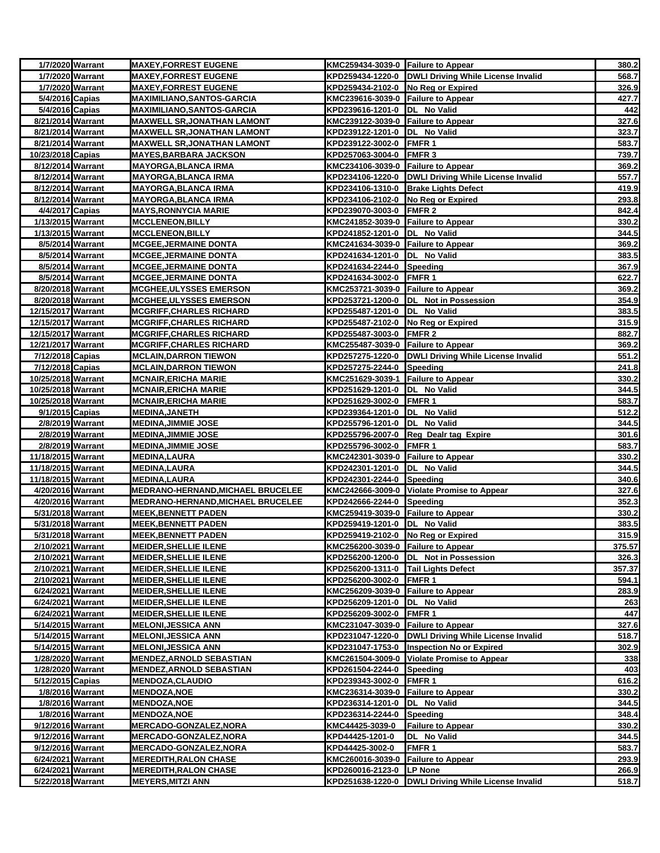|                                          | 1/7/2020 Warrant | <b>MAXEY, FORREST EUGENE</b>                               | KMC259434-3039-0 Failure to Appear                |                                                       | 380.2          |
|------------------------------------------|------------------|------------------------------------------------------------|---------------------------------------------------|-------------------------------------------------------|----------------|
|                                          | 1/7/2020 Warrant | <b>MAXEY, FORREST EUGENE</b>                               |                                                   | KPD259434-1220-0  DWLI Driving While License Invalid  | 568.7          |
|                                          | 1/7/2020 Warrant | <b>MAXEY, FORREST EUGENE</b>                               | KPD259434-2102-0 No Reg or Expired                |                                                       | 326.9          |
| 5/4/2016 Capias                          |                  | <b>MAXIMILIANO,SANTOS-GARCIA</b>                           | KMC239616-3039-0 Failure to Appear                |                                                       | 427.7          |
| 5/4/2016 Capias                          |                  | <b>MAXIMILIANO, SANTOS-GARCIA</b>                          | KPD239616-1201-0 DL No Valid                      |                                                       | 442            |
| 8/21/2014 Warrant                        |                  | <b>MAXWELL SR, JONATHAN LAMONT</b>                         | KMC239122-3039-0 Failure to Appear                |                                                       | 327.6          |
| 8/21/2014 Warrant                        |                  | <b>MAXWELL SR, JONATHAN LAMONT</b>                         | KPD239122-1201-0  DL No Valid                     |                                                       | 323.7          |
| 8/21/2014 Warrant                        |                  | <b>MAXWELL SR, JONATHAN LAMONT</b>                         | KPD239122-3002-0 FMFR 1                           |                                                       | 583.7          |
| 10/23/2018 Capias                        |                  | <b>MAYES, BARBARA JACKSON</b>                              | KPD257063-3004-0 FMFR 3                           |                                                       | 739.7          |
| 8/12/2014 Warrant                        |                  | <b>MAYORGA, BLANCA IRMA</b>                                | KMC234106-3039-0 Failure to Appear                |                                                       | 369.2          |
| 8/12/2014 Warrant                        |                  | <b>MAYORGA, BLANCA IRMA</b>                                |                                                   | KPD234106-1220-0   DWLI Driving While License Invalid | 557.7          |
| 8/12/2014 Warrant                        |                  | <b>MAYORGA, BLANCA IRMA</b>                                |                                                   | KPD234106-1310-0 Brake Lights Defect                  | 419.9          |
| 8/12/2014 Warrant                        |                  | <b>MAYORGA, BLANCA IRMA</b>                                | KPD234106-2102-0 No Reg or Expired                |                                                       | 293.8          |
| 4/4/2017 Capias                          |                  | <b>MAYS, RONNYCIA MARIE</b>                                | KPD239070-3003-0 FMFR 2                           |                                                       | 842.4          |
| 1/13/2015 Warrant                        |                  | <b>MCCLENEON, BILLY</b>                                    | KMC241852-3039-0 Failure to Appear                |                                                       | 330.2          |
| 1/13/2015 Warrant                        |                  | <b>MCCLENEON, BILLY</b>                                    | KPD241852-1201-0 DL No Valid                      |                                                       | 344.5          |
|                                          | 8/5/2014 Warrant | <b>MCGEE, JERMAINE DONTA</b>                               | KMC241634-3039-0 Failure to Appear                |                                                       | 369.2          |
|                                          | 8/5/2014 Warrant | <b>MCGEE, JERMAINE DONTA</b>                               | KPD241634-1201-0 DL No Valid                      |                                                       | 383.5          |
|                                          | 8/5/2014 Warrant | <b>MCGEE, JERMAINE DONTA</b>                               | KPD241634-2244-0 Speeding                         |                                                       | 367.9          |
|                                          | 8/5/2014 Warrant | <b>MCGEE, JERMAINE DONTA</b>                               | KPD241634-3002-0 FMFR 1                           |                                                       | 622.7          |
| 8/20/2018 Warrant                        |                  | <b>MCGHEE, ULYSSES EMERSON</b>                             | KMC253721-3039-0 Failure to Appear                |                                                       | 369.2          |
| 8/20/2018 Warrant                        |                  | <b>MCGHEE, ULYSSES EMERSON</b>                             |                                                   | KPD253721-1200-0  DL Not in Possession                | 354.9          |
| 12/15/2017 Warrant                       |                  | <b>MCGRIFF, CHARLES RICHARD</b>                            | KPD255487-1201-0  DL No Valid                     |                                                       | 383.5          |
| 12/15/2017 Warrant                       |                  | <b>MCGRIFF, CHARLES RICHARD</b>                            | KPD255487-2102-0 No Reg or Expired                |                                                       | 315.9          |
| 12/15/2017 Warrant                       |                  | <b>MCGRIFF, CHARLES RICHARD</b>                            | KPD255487-3003-0 FMFR 2                           |                                                       | 882.7          |
| 12/21/2017 Warrant                       |                  | <b>MCGRIFF, CHARLES RICHARD</b>                            | KMC255487-3039-0 Failure to Appear                |                                                       | 369.2          |
| 7/12/2018 Capias                         |                  | <b>MCLAIN, DARRON TIEWON</b>                               |                                                   | KPD257275-1220-0  DWLI Driving While License Invalid  | 551.2          |
| 7/12/2018 Capias                         |                  | <b>MCLAIN, DARRON TIEWON</b>                               | KPD257275-2244-0 Speeding                         |                                                       | 241.8          |
| 10/25/2018 Warrant                       |                  | <b>MCNAIR, ERICHA MARIE</b>                                | KMC251629-3039-1 Failure to Appear                |                                                       | 330.2          |
| 10/25/2018 Warrant<br>10/25/2018 Warrant |                  | <b>MCNAIR, ERICHA MARIE</b><br><b>MCNAIR, ERICHA MARIE</b> | KPD251629-1201-0  DL No Valid<br>KPD251629-3002-0 | <b>FMFR1</b>                                          | 344.5<br>583.7 |
| 9/1/2015 Capias                          |                  | <b>MEDINA, JANETH</b>                                      | KPD239364-1201-0                                  | DL No Valid                                           | 512.2          |
|                                          | 2/8/2019 Warrant | <b>MEDINA, JIMMIE JOSE</b>                                 | KPD255796-1201-0                                  | DL No Valid                                           | 344.5          |
|                                          | 2/8/2019 Warrant | <b>MEDINA,JIMMIE JOSE</b>                                  |                                                   | KPD255796-2007-0 Reg Dealr tag Expire                 | 301.6          |
|                                          | 2/8/2019 Warrant | <b>MEDINA, JIMMIE JOSE</b>                                 | KPD255796-3002-0                                  | <b>FMFR1</b>                                          | 583.7          |
| 11/18/2015 Warrant                       |                  | <b>MEDINA, LAURA</b>                                       | KMC242301-3039-0 Failure to Appear                |                                                       | 330.2          |
| 11/18/2015 Warrant                       |                  | <b>MEDINA, LAURA</b>                                       | KPD242301-1201-0  DL No Valid                     |                                                       | 344.5          |
| 11/18/2015 Warrant                       |                  | <b>MEDINA,LAURA</b>                                        | KPD242301-2244-0 Speeding                         |                                                       | 340.6          |
| 4/20/2016 Warrant                        |                  | <b>MEDRANO-HERNAND, MICHAEL BRUCELEE</b>                   |                                                   | KMC242666-3009-0 Violate Promise to Appear            | 327.6          |
| 4/20/2016 Warrant                        |                  | <b>MEDRANO-HERNAND, MICHAEL BRUCELEE</b>                   | KPD242666-2244-0 Speeding                         |                                                       | 352.3          |
| 5/31/2018 Warrant                        |                  | <b>MEEK,BENNETT PADEN</b>                                  | KMC259419-3039-0 Failure to Appear                |                                                       | 330.2          |
| 5/31/2018 Warrant                        |                  | <b>MEEK,BENNETT PADEN</b>                                  | KPD259419-1201-0  DL No Valid                     |                                                       | 383.5          |
| 5/31/2018 Warrant                        |                  | <b>MEEK, BENNETT PADEN</b>                                 | KPD259419-2102-0 No Reg or Expired                |                                                       | 315.9          |
| 2/10/2021 Warrant                        |                  | <b>MEIDER, SHELLIE ILENE</b>                               | KMC256200-3039-0 Failure to Appear                |                                                       | 375.57         |
| 2/10/2021 Warrant                        |                  | <b>MEIDER, SHELLIE ILENE</b>                               |                                                   | KPD256200-1200-0  DL Not in Possession                | 326.3          |
| 2/10/2021 Warrant                        |                  | <b>MEIDER, SHELLIE ILENE</b>                               | KPD256200-1311-0 Tail Lights Defect               |                                                       | 357.37         |
| 2/10/2021 Warrant                        |                  | <b>MEIDER, SHELLIE ILENE</b>                               | KPD256200-3002-0 FMFR 1                           |                                                       | 594.1          |
| 6/24/2021 Warrant                        |                  | <b>MEIDER, SHELLIE ILENE</b>                               | KMC256209-3039-0 Failure to Appear                |                                                       | 283.9          |
| 6/24/2021 Warrant                        |                  | <b>MEIDER, SHELLIE ILENE</b>                               | KPD256209-1201-0  DL No Valid                     |                                                       | 263            |
| 6/24/2021 Warrant                        |                  | <b>MEIDER, SHELLIE ILENE</b>                               | KPD256209-3002-0                                  | FMFR 1                                                | 447            |
| 5/14/2015 Warrant                        |                  | <b>MELONI, JESSICA ANN</b>                                 | KMC231047-3039-0 Failure to Appear                |                                                       | 327.6          |
| 5/14/2015 Warrant                        |                  | <b>MELONI, JESSICA ANN</b>                                 |                                                   | KPD231047-1220-0  DWLI Driving While License Invalid  | 518.7          |
| 5/14/2015 Warrant                        |                  | <b>MELONI, JESSICA ANN</b>                                 |                                                   | KPD231047-1753-0 Inspection No or Expired             | 302.9          |
| 1/28/2020 Warrant                        |                  | <b>MENDEZ, ARNOLD SEBASTIAN</b>                            |                                                   | KMC261504-3009-0 Violate Promise to Appear            | 338            |
| 1/28/2020 Warrant                        |                  | <b>MENDEZ, ARNOLD SEBASTIAN</b>                            | KPD261504-2244-0                                  | Speeding                                              | 403            |
| 5/12/2015 Capias                         |                  | <b>MENDOZA, CLAUDIO</b>                                    | KPD239343-3002-0                                  | FMFR <sub>1</sub>                                     | 616.2          |
|                                          | 1/8/2016 Warrant | <b>MENDOZA, NOE</b>                                        | KMC236314-3039-0                                  | <b>Failure to Appear</b>                              | 330.2          |
|                                          | 1/8/2016 Warrant | <b>MENDOZA, NOE</b>                                        | KPD236314-1201-0                                  | DL No Valid                                           | 344.5          |
|                                          | 1/8/2016 Warrant | <b>MENDOZA, NOE</b>                                        | KPD236314-2244-0                                  | Speeding                                              | 348.4          |
| 9/12/2016 Warrant                        |                  | <b>MERCADO-GONZALEZ, NORA</b>                              | KMC44425-3039-0                                   | <b>Failure to Appear</b>                              | 330.2          |
| 9/12/2016 Warrant                        |                  | <b>MERCADO-GONZALEZ, NORA</b>                              | KPD44425-1201-0                                   | DL No Valid                                           | 344.5          |
| 9/12/2016 Warrant                        |                  | MERCADO-GONZALEZ, NORA                                     | KPD44425-3002-0                                   | <b>FMFR1</b>                                          | 583.7          |
| 6/24/2021 Warrant                        |                  | <b>MEREDITH, RALON CHASE</b>                               | KMC260016-3039-0 Failure to Appear                |                                                       | 293.9          |
| 6/24/2021 Warrant                        |                  | <b>MEREDITH, RALON CHASE</b>                               | KPD260016-2123-0 LP None                          |                                                       | 266.9          |
| 5/22/2018 Warrant                        |                  | <b>MEYERS, MITZI ANN</b>                                   |                                                   | KPD251638-1220-0  DWLI Driving While License Invalid  | 518.7          |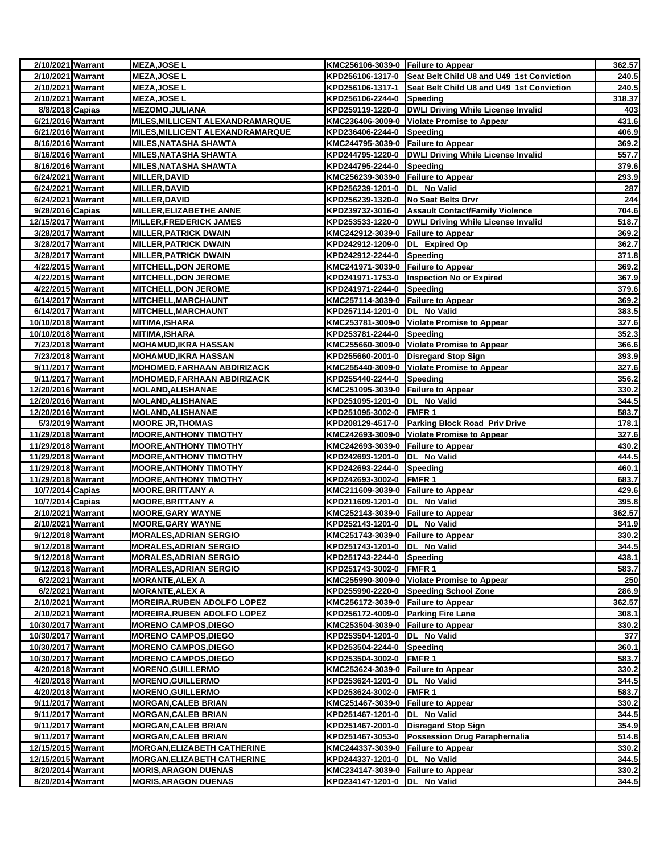| 2/10/2021 Warrant  |                  | <b>MEZA, JOSE L</b>                     | KMC256106-3039-0 Failure to Appear  |                                                            | 362.57     |
|--------------------|------------------|-----------------------------------------|-------------------------------------|------------------------------------------------------------|------------|
| 2/10/2021 Warrant  |                  | <b>MEZA, JOSE L</b>                     |                                     | KPD256106-1317-0 Seat Belt Child U8 and U49 1st Conviction | 240.5      |
| 2/10/2021 Warrant  |                  | <b>MEZA, JOSE L</b>                     |                                     | KPD256106-1317-1 Seat Belt Child U8 and U49 1st Conviction | 240.5      |
| 2/10/2021 Warrant  |                  | MEZA,JOSE L                             | KPD256106-2244-0 Speeding           |                                                            | 318.37     |
| 8/8/2018 Capias    |                  | <b>MEZOMO, JULIANA</b>                  |                                     | KPD259119-1220-0 DWLI Driving While License Invalid        | 403        |
| 6/21/2016 Warrant  |                  | MILES, MILLICENT ALEXANDRAMARQUE        |                                     | KMC236406-3009-0 Violate Promise to Appear                 | 431.6      |
| 6/21/2016 Warrant  |                  | <b>MILES, MILLICENT ALEXANDRAMARQUE</b> | KPD236406-2244-0 Speeding           |                                                            | 406.9      |
| 8/16/2016 Warrant  |                  | <b>MILES, NATASHA SHAWTA</b>            | KMC244795-3039-0 Failure to Appear  |                                                            | 369.2      |
| 8/16/2016 Warrant  |                  | <b>MILES, NATASHA SHAWTA</b>            |                                     | KPD244795-1220-0 DWLI Driving While License Invalid        | 557.7      |
| 8/16/2016 Warrant  |                  | <b>MILES, NATASHA SHAWTA</b>            | KPD244795-2244-0 Speeding           |                                                            | 379.6      |
| 6/24/2021 Warrant  |                  | <b>MILLER, DAVID</b>                    | KMC256239-3039-0 Failure to Appear  |                                                            | 293.9      |
| 6/24/2021 Warrant  |                  | <b>MILLER, DAVID</b>                    | KPD256239-1201-0  DL No Valid       |                                                            | <u>287</u> |
| 6/24/2021 Warrant  |                  | <b>MILLER, DAVID</b>                    | KPD256239-1320-0 No Seat Belts Drvr |                                                            | 244        |
| 9/28/2016 Capias   |                  | MILLER, ELIZABETHE ANNE                 |                                     | KPD239732-3016-0 Assault Contact/Family Violence           | 704.6      |
| 12/15/2017 Warrant |                  | <b>MILLER,FREDERICK JAMES</b>           |                                     | KPD253533-1220-0   DWLI Driving While License Invalid      | 518.7      |
| 3/28/2017 Warrant  |                  | <b>MILLER, PATRICK DWAIN</b>            | KMC242912-3039-0 Failure to Appear  |                                                            | 369.2      |
| 3/28/2017 Warrant  |                  | <b>MILLER, PATRICK DWAIN</b>            | KPD242912-1209-0 DL Expired Op      |                                                            | 362.7      |
| 3/28/2017 Warrant  |                  | <b>MILLER, PATRICK DWAIN</b>            | KPD242912-2244-0 Speeding           |                                                            | 371.8      |
| 4/22/2015 Warrant  |                  | <b>MITCHELL,DON JEROME</b>              | KMC241971-3039-0 Failure to Appear  |                                                            | 369.2      |
| 4/22/2015 Warrant  |                  | <b>MITCHELL, DON JEROME</b>             |                                     | KPD241971-1753-0  Inspection No or Expired                 | 367.9      |
| 4/22/2015 Warrant  |                  | <b>MITCHELL, DON JEROME</b>             | KPD241971-2244-0 Speeding           |                                                            | 379.6      |
| 6/14/2017 Warrant  |                  | MITCHELL, MARCHAUNT                     | KMC257114-3039-0 Failure to Appear  |                                                            | 369.2      |
| 6/14/2017 Warrant  |                  | <b>MITCHELL, MARCHAUNT</b>              | KPD257114-1201-0  DL No Valid       |                                                            | 383.5      |
| 10/10/2018 Warrant |                  | <b>MITIMA, ISHARA</b>                   |                                     | KMC253781-3009-0 Violate Promise to Appear                 | 327.6      |
| 10/10/2018 Warrant |                  | <b>MITIMA, ISHARA</b>                   | KPD253781-2244-0 Speeding           |                                                            | 352.3      |
| 7/23/2018 Warrant  |                  | <b>MOHAMUD, IKRA HASSAN</b>             |                                     | KMC255660-3009-0 Violate Promise to Appear                 | 366.6      |
| 7/23/2018 Warrant  |                  | <b>MOHAMUD, IKRA HASSAN</b>             |                                     | KPD255660-2001-0 Disregard Stop Sign                       | 393.9      |
| 9/11/2017 Warrant  |                  | <b>MOHOMED, FARHAAN ABDIRIZACK</b>      |                                     | KMC255440-3009-0 Violate Promise to Appear                 | 327.6      |
| 9/11/2017 Warrant  |                  | <b>MOHOMED, FARHAAN ABDIRIZACK</b>      | KPD255440-2244-0 Speeding           |                                                            | 356.2      |
| 12/20/2016 Warrant |                  | <b>MOLAND, ALISHANAE</b>                | KMC251095-3039-0 Failure to Appear  |                                                            | 330.2      |
| 12/20/2016 Warrant |                  | <b>MOLAND, ALISHANAE</b>                | KPD251095-1201-0 DL No Valid        |                                                            | 344.5      |
| 12/20/2016 Warrant |                  | <b>MOLAND, ALISHANAE</b>                | KPD251095-3002-0 FMFR 1             |                                                            | 583.7      |
| 5/3/2019 Warrant   |                  | <b>MOORE JR, THOMAS</b>                 |                                     | KPD208129-4517-0 Parking Block Road Priv Drive             | 178.1      |
| 11/29/2018 Warrant |                  | <b>MOORE, ANTHONY TIMOTHY</b>           |                                     | KMC242693-3009-0 Violate Promise to Appear                 | 327.6      |
| 11/29/2018 Warrant |                  | <b>MOORE, ANTHONY TIMOTHY</b>           | KMC242693-3039-0 Failure to Appear  |                                                            | 430.2      |
| 11/29/2018 Warrant |                  | <b>MOORE, ANTHONY TIMOTHY</b>           | KPD242693-1201-0  DL No Valid       |                                                            | 444.5      |
| 11/29/2018 Warrant |                  | <b>MOORE, ANTHONY TIMOTHY</b>           | KPD242693-2244-0 Speeding           |                                                            | 460.1      |
| 11/29/2018 Warrant |                  | <b>MOORE, ANTHONY TIMOTHY</b>           | KPD242693-3002-0 FMFR 1             |                                                            | 683.7      |
| 10/7/2014 Capias   |                  | <b>MOORE, BRITTANY A</b>                | KMC211609-3039-0 Failure to Appear  |                                                            | 429.6      |
| 10/7/2014 Capias   |                  | <b>MOORE, BRITTANY A</b>                | KPD211609-1201-0  DL No Valid       |                                                            | 395.8      |
| 2/10/2021 Warrant  |                  | <b>MOORE, GARY WAYNE</b>                | KMC252143-3039-0 Failure to Appear  |                                                            | 362.57     |
| 2/10/2021 Warrant  |                  | <b>MOORE, GARY WAYNE</b>                | KPD252143-1201-0  DL No Valid       |                                                            | 341.9      |
| 9/12/2018 Warrant  |                  | <b>MORALES, ADRIAN SERGIO</b>           | KMC251743-3039-0 Failure to Appear  |                                                            | 330.2      |
| 9/12/2018 Warrant  |                  | <b>MORALES, ADRIAN SERGIO</b>           | KPD251743-1201-0 DL No Valid        |                                                            | 344.5      |
| 9/12/2018 Warrant  |                  | <b>MORALES,ADRIAN SERGIO</b>            | KPD251743-2244-0 Speeding           |                                                            | 438.1      |
| 9/12/2018 Warrant  |                  | <b>MORALES, ADRIAN SERGIO</b>           | KPD251743-3002-0                    | FMFR <sub>1</sub>                                          | 583.7      |
| 6/2/2021 Warrant   |                  | MORANTE,ALEX A                          |                                     | KMC255990-3009-0 Violate Promise to Appear                 | 250        |
|                    | 6/2/2021 Warrant | <b>MORANTE, ALEX A</b>                  |                                     | KPD255990-2220-0 Speeding School Zone                      | 286.9      |
| 2/10/2021 Warrant  |                  | <b>MOREIRA, RUBEN ADOLFO LOPEZ</b>      | KMC256172-3039-0 Failure to Appear  |                                                            | 362.57     |
| 2/10/2021 Warrant  |                  | <b>MOREIRA, RUBEN ADOLFO LOPEZ</b>      | KPD256172-4009-0 Parking Fire Lane  |                                                            | 308.1      |
| 10/30/2017 Warrant |                  | <b>MORENO CAMPOS, DIEGO</b>             | KMC253504-3039-0 Failure to Appear  |                                                            | 330.2      |
| 10/30/2017 Warrant |                  | <b>MORENO CAMPOS, DIEGO</b>             | KPD253504-1201-0 DL No Valid        |                                                            | 377        |
| 10/30/2017 Warrant |                  | <b>MORENO CAMPOS, DIEGO</b>             | KPD253504-2244-0 Speeding           |                                                            | 360.1      |
| 10/30/2017 Warrant |                  | <b>MORENO CAMPOS, DIEGO</b>             | KPD253504-3002-0 FMFR 1             |                                                            | 583.7      |
| 4/20/2018 Warrant  |                  | <b>MORENO, GUILLERMO</b>                | KMC253624-3039-0 Failure to Appear  |                                                            | 330.2      |
| 4/20/2018 Warrant  |                  | <b>MORENO, GUILLERMO</b>                | KPD253624-1201-0 DL No Valid        |                                                            | 344.5      |
| 4/20/2018 Warrant  |                  | <b>MORENO,GUILLERMO</b>                 | KPD253624-3002-0 FMFR 1             |                                                            | 583.7      |
| 9/11/2017 Warrant  |                  | <b>MORGAN, CALEB BRIAN</b>              | KMC251467-3039-0 Failure to Appear  |                                                            | 330.2      |
| 9/11/2017 Warrant  |                  | <b>MORGAN, CALEB BRIAN</b>              | KPD251467-1201-0                    | DL No Valid                                                | 344.5      |
| 9/11/2017 Warrant  |                  | <b>MORGAN, CALEB BRIAN</b>              |                                     | KPD251467-2001-0 Disregard Stop Sign                       | 354.9      |
| 9/11/2017 Warrant  |                  | <b>MORGAN, CALEB BRIAN</b>              |                                     | KPD251467-3053-0 Possession Drug Paraphernalia             | 514.8      |
| 12/15/2015 Warrant |                  | <b>MORGAN, ELIZABETH CATHERINE</b>      | KMC244337-3039-0 Failure to Appear  |                                                            | 330.2      |
| 12/15/2015 Warrant |                  | <b>MORGAN, ELIZABETH CATHERINE</b>      | KPD244337-1201-0 DL No Valid        |                                                            | 344.5      |
| 8/20/2014 Warrant  |                  | <b>MORIS, ARAGON DUENAS</b>             | KMC234147-3039-0 Failure to Appear  |                                                            | 330.2      |
| 8/20/2014 Warrant  |                  | <b>MORIS, ARAGON DUENAS</b>             | KPD234147-1201-0 DL No Valid        |                                                            | 344.5      |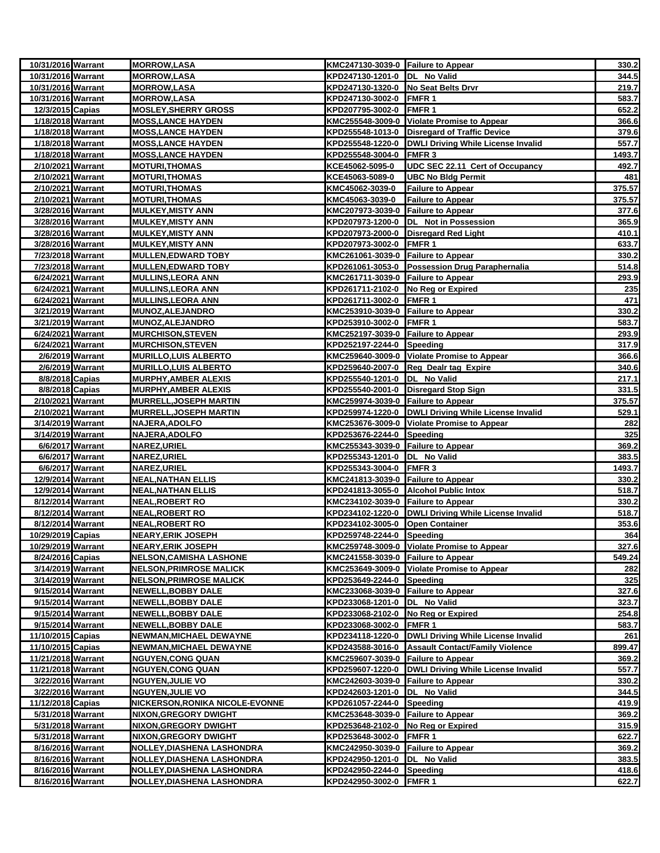| 10/31/2016 Warrant                     |                  | <b>MORROW,LASA</b>                           | KMC247130-3039-0 Failure to Appear                              |                                                       | 330.2          |
|----------------------------------------|------------------|----------------------------------------------|-----------------------------------------------------------------|-------------------------------------------------------|----------------|
| 10/31/2016 Warrant                     |                  | <b>MORROW,LASA</b>                           | KPD247130-1201-0  DL No Valid                                   |                                                       | 344.5          |
| 10/31/2016 Warrant                     |                  | <b>MORROW,LASA</b>                           | KPD247130-1320-0 No Seat Belts Drvr                             |                                                       | 219.7          |
| 10/31/2016 Warrant                     |                  | <b>MORROW,LASA</b>                           | KPD247130-3002-0 FMFR 1                                         |                                                       | 583.7          |
| 12/3/2015 Capias                       |                  | <b>MOSLEY, SHERRY GROSS</b>                  | KPD207795-3002-0 FMFR 1                                         |                                                       | 652.2          |
| 1/18/2018 Warrant                      |                  | <b>MOSS, LANCE HAYDEN</b>                    |                                                                 | KMC255548-3009-0 Violate Promise to Appear            | 366.6          |
| 1/18/2018 Warrant                      |                  | <b>MOSS, LANCE HAYDEN</b>                    |                                                                 | KPD255548-1013-0 Disregard of Traffic Device          | 379.6          |
| 1/18/2018 Warrant                      |                  | <b>MOSS, LANCE HAYDEN</b>                    |                                                                 | KPD255548-1220-0   DWLI Driving While License Invalid | 557.7          |
| 1/18/2018 Warrant                      |                  | <b>MOSS, LANCE HAYDEN</b>                    | KPD255548-3004-0 FMFR 3                                         |                                                       | 1493.7         |
| 2/10/2021 Warrant                      |                  | <b>MOTURI, THOMAS</b>                        | KCE45062-5095-0                                                 | UDC SEC 22.11 Cert of Occupancy                       | 492.7          |
| 2/10/2021 Warrant                      |                  | <b>MOTURI, THOMAS</b>                        | KCE45063-5089-0                                                 | <b>UBC No Bldg Permit</b>                             | 481            |
| 2/10/2021 Warrant                      |                  | <u>MOTURI,THOMAS</u>                         | KMC45062-3039-0                                                 | <b>Failure to Appear</b>                              | 375.57         |
| 2/10/2021 Warrant                      |                  | <b>MOTURI, THOMAS</b>                        | KMC45063-3039-0                                                 | <b>Failure to Appear</b>                              | 375.57         |
| 3/28/2016 Warrant                      |                  | <b>MULKEY, MISTY ANN</b>                     | KMC207973-3039-0 Failure to Appear                              |                                                       | 377.6          |
| 3/28/2016 Warrant                      |                  | MULKEY,MISTY ANN                             |                                                                 | KPD207973-1200-0  DL Not in Possession                | 365.9          |
| 3/28/2016 Warrant                      |                  | <b>MULKEY, MISTY ANN</b>                     |                                                                 | KPD207973-2000-0 Disregard Red Light                  | 410.1          |
| 3/28/2016 Warrant                      |                  | <b>MULKEY, MISTY ANN</b>                     | KPD207973-3002-0 FMFR 1                                         |                                                       | 633.7          |
| 7/23/2018 Warrant                      |                  | <b>MULLEN, EDWARD TOBY</b>                   | KMC261061-3039-0 Failure to Appear                              |                                                       | 330.2          |
| 7/23/2018 Warrant                      |                  | <b>MULLEN,EDWARD TOBY</b>                    |                                                                 | KPD261061-3053-0 Possession Drug Paraphernalia        | 514.8          |
| 6/24/2021 Warrant                      |                  | <b>MULLINS, LEORA ANN</b>                    | KMC261711-3039-0 Failure to Appear                              |                                                       | 293.9          |
| 6/24/2021 Warrant                      |                  | <b>MULLINS, LEORA ANN</b>                    | KPD261711-2102-0 No Reg or Expired                              |                                                       | 235            |
| 6/24/2021 Warrant                      |                  | <b>MULLINS, LEORA ANN</b>                    | KPD261711-3002-0 FMFR 1                                         |                                                       | 471            |
| 3/21/2019 Warrant<br>3/21/2019 Warrant |                  | <b>MUNOZ, ALEJANDRO</b>                      | KMC253910-3039-0 Failure to Appear                              |                                                       | 330.2          |
|                                        |                  | MUNOZ, ALEJANDRO<br><b>MURCHISON, STEVEN</b> | KPD253910-3002-0 FMFR 1                                         |                                                       | 583.7          |
| 6/24/2021 Warrant                      |                  | <b>MURCHISON, STEVEN</b>                     | KMC252197-3039-0 Failure to Appear<br>KPD252197-2244-0 Speeding |                                                       | 293.9<br>317.9 |
| 6/24/2021 Warrant<br>2/6/2019 Warrant  |                  | MURILLO,LUIS ALBERTO                         |                                                                 | KMC259640-3009-0 Violate Promise to Appear            | 366.6          |
| 2/6/2019 Warrant                       |                  | <b>MURILLO, LUIS ALBERTO</b>                 |                                                                 | KPD259640-2007-0 Reg Dealr tag Expire                 | 340.6          |
| 8/8/2018 Capias                        |                  | <b>MURPHY, AMBER ALEXIS</b>                  | KPD255540-1201-0 DL No Valid                                    |                                                       | 217.1          |
| 8/8/2018 Capias                        |                  | <b>MURPHY, AMBER ALEXIS</b>                  |                                                                 | KPD255540-2001-0 Disregard Stop Sign                  | 331.5          |
| 2/10/2021 Warrant                      |                  | <b>MURRELL, JOSEPH MARTIN</b>                | KMC259974-3039-0 Failure to Appear                              |                                                       | 375.57         |
| 2/10/2021 Warrant                      |                  | <b>MURRELL, JOSEPH MARTIN</b>                |                                                                 | KPD259974-1220-0 DWLI Driving While License Invalid   | 529.1          |
| 3/14/2019 Warrant                      |                  | NAJERA, ADOLFO                               |                                                                 | KMC253676-3009-0 Violate Promise to Appear            | 282            |
| 3/14/2019 Warrant                      |                  | NAJERA,ADOLFO                                | KPD253676-2244-0 Speeding                                       |                                                       | 325            |
| 6/6/2017 Warrant                       |                  | NAREZ, URIEL                                 | KMC255343-3039-0 Failure to Appear                              |                                                       | 369.2          |
|                                        | 6/6/2017 Warrant | <b>NAREZ, URIEL</b>                          | KPD255343-1201-0  DL No Valid                                   |                                                       | 383.5          |
|                                        | 6/6/2017 Warrant | NAREZ, URIEL                                 | KPD255343-3004-0 FMFR 3                                         |                                                       | 1493.7         |
| 12/9/2014 Warrant                      |                  | <b>NEAL,NATHAN ELLIS</b>                     | KMC241813-3039-0 Failure to Appear                              |                                                       | 330.2          |
| 12/9/2014 Warrant                      |                  | <b>NEAL, NATHAN ELLIS</b>                    |                                                                 | KPD241813-3055-0 Alcohol Public Intox                 | 518.7          |
| 8/12/2014 Warrant                      |                  | <u>NEAL,ROBERT RO</u>                        | KMC234102-3039-0 Failure to Appear                              |                                                       | 330.2          |
| 8/12/2014 Warrant                      |                  | NEAL,ROBERT RO                               |                                                                 | KPD234102-1220-0  DWLI Driving While License Invalid  | 518.7          |
| 8/12/2014 Warrant                      |                  | NEAL,ROBERT RO                               | KPD234102-3005-0                                                | <b>Open Container</b>                                 | 353.6          |
| 10/29/2019 Capias                      |                  | <b>NEARY, ERIK JOSEPH</b>                    | KPD259748-2244-0 Speeding                                       |                                                       | 364            |
| 10/29/2019 Warrant                     |                  | <b>NEARY, ERIK JOSEPH</b>                    |                                                                 | KMC259748-3009-0 Violate Promise to Appear            | 327.6          |
| 8/24/2016 Capias                       |                  | <b>NELSON,CAMISHA LASHONE</b>                | KMC241558-3039-0 Failure to Appear                              |                                                       | 549.24         |
| 3/14/2019 Warrant                      |                  | <b>NELSON, PRIMROSE MALICK</b>               |                                                                 | KMC253649-3009-0 Violate Promise to Appear            | 282            |
| 3/14/2019 Warrant                      |                  | <b>NELSON, PRIMROSE MALICK</b>               | KPD253649-2244-0 Speeding                                       |                                                       | 325            |
| 9/15/2014 Warrant                      |                  | <b>NEWELL, BOBBY DALE</b>                    | KMC233068-3039-0 Failure to Appear                              |                                                       | 327.6          |
| 9/15/2014 Warrant                      |                  | <b>NEWELL,BOBBY DALE</b>                     | KPD233068-1201-0  DL No Valid                                   |                                                       | 323.7          |
| 9/15/2014 Warrant                      |                  | <b>NEWELL, BOBBY DALE</b>                    | KPD233068-2102-0 No Reg or Expired                              |                                                       | 254.8          |
| 9/15/2014 Warrant                      |                  | <b>NEWELL, BOBBY DALE</b>                    | KPD233068-3002-0                                                | FMFR <sub>1</sub>                                     | 583.7          |
| 11/10/2015 Capias                      |                  | <b>NEWMAN, MICHAEL DEWAYNE</b>               |                                                                 | KPD234118-1220-0   DWLI Driving While License Invalid | 261            |
| 11/10/2015 Capias                      |                  | <b>NEWMAN, MICHAEL DEWAYNE</b>               |                                                                 | KPD243588-3016-0 Assault Contact/Family Violence      | 899.47         |
| 11/21/2018 Warrant                     |                  | <b>NGUYEN,CONG QUAN</b>                      | KMC259607-3039-0 Failure to Appear                              |                                                       | 369.2          |
| 11/21/2018 Warrant                     |                  | <b>NGUYEN, CONG QUAN</b>                     |                                                                 | KPD259607-1220-0 DWLI Driving While License Invalid   | 557.7          |
| 3/22/2016 Warrant                      |                  | <b>NGUYEN, JULIE VO</b>                      | KMC242603-3039-0 Failure to Appear                              |                                                       | 330.2          |
| 3/22/2016 Warrant                      |                  | <b>NGUYEN, JULIE VO</b>                      | KPD242603-1201-0 DL No Valid                                    |                                                       | 344.5          |
| 11/12/2018 Capias                      |                  | NICKERSON, RONIKA NICOLE-EVONNE              | KPD261057-2244-0                                                | Speeding                                              | 419.9          |
| 5/31/2018 Warrant                      |                  | <b>NIXON, GREGORY DWIGHT</b>                 | KMC253648-3039-0                                                | <b>Failure to Appear</b>                              | 369.2          |
| 5/31/2018 Warrant                      |                  | <b>NIXON, GREGORY DWIGHT</b>                 | KPD253648-2102-0 No Reg or Expired                              |                                                       | 315.9          |
| 5/31/2018 Warrant                      |                  | NIXON,GREGORY DWIGHT                         | KPD253648-3002-0                                                | FMFR <sub>1</sub>                                     | 622.7          |
| 8/16/2016 Warrant                      |                  | <b>NOLLEY, DIASHENA LASHONDRA</b>            | KMC242950-3039-0 Failure to Appear                              |                                                       | 369.2          |
| 8/16/2016 Warrant                      |                  | <b>NOLLEY, DIASHENA LASHONDRA</b>            | KPD242950-1201-0 DL No Valid                                    |                                                       | 383.5          |
| 8/16/2016 Warrant                      |                  | <b>NOLLEY, DIASHENA LASHONDRA</b>            | KPD242950-2244-0 Speeding                                       |                                                       | 418.6          |
| 8/16/2016 Warrant                      |                  | <b>NOLLEY, DIASHENA LASHONDRA</b>            | KPD242950-3002-0 FMFR 1                                         |                                                       | 622.7          |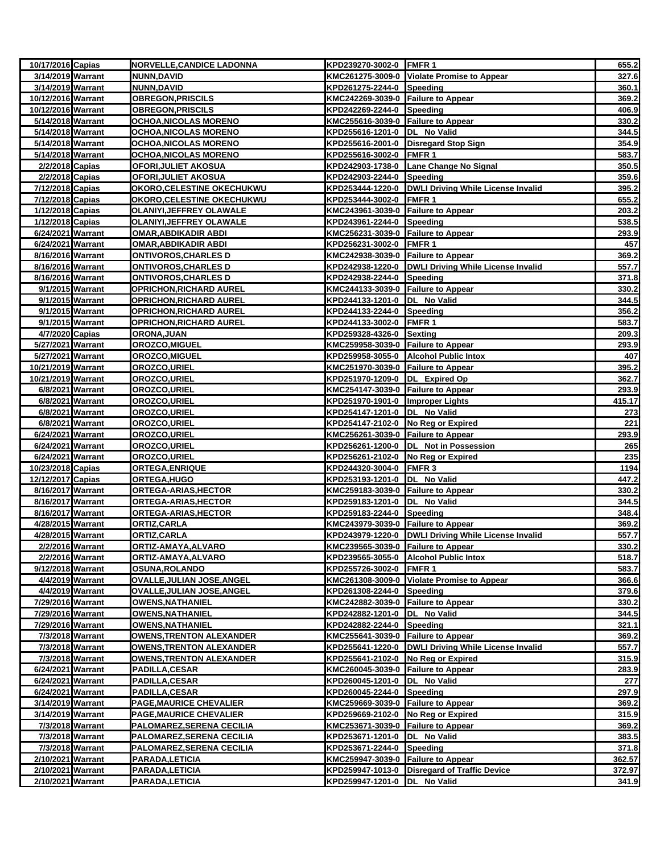| 10/17/2016 Capias                      |                  | <b>NORVELLE, CANDICE LADONNA</b>             | KPD239270-3002-0 FMFR 1                                        |                                                       | 655.2          |
|----------------------------------------|------------------|----------------------------------------------|----------------------------------------------------------------|-------------------------------------------------------|----------------|
| 3/14/2019 Warrant                      |                  | NUNN, DAVID                                  |                                                                | KMC261275-3009-0 Violate Promise to Appear            | 327.6          |
| 3/14/2019 Warrant                      |                  | <b>NUNN, DAVID</b>                           | KPD261275-2244-0 Speeding                                      |                                                       | 360.1          |
| 10/12/2016 Warrant                     |                  | <b>OBREGON,PRISCILS</b>                      | KMC242269-3039-0 Failure to Appear                             |                                                       | 369.2          |
| 10/12/2016 Warrant                     |                  | <b>OBREGON, PRISCILS</b>                     | KPD242269-2244-0 Speeding                                      |                                                       | 406.9          |
| 5/14/2018 Warrant                      |                  | OCHOA, NICOLAS MORENO                        | KMC255616-3039-0 Failure to Appear                             |                                                       | 330.2          |
| 5/14/2018 Warrant                      |                  | OCHOA, NICOLAS MORENO                        | KPD255616-1201-0  DL No Valid                                  |                                                       | 344.5          |
| 5/14/2018 Warrant                      |                  | <b>OCHOA, NICOLAS MORENO</b>                 |                                                                | KPD255616-2001-0 Disregard Stop Sign                  | 354.9          |
| 5/14/2018 Warrant                      |                  | <b>OCHOA, NICOLAS MORENO</b>                 | KPD255616-3002-0 FMFR 1                                        |                                                       | 583.7          |
| 2/2/2018 Capias                        |                  | OFORI, JULIET AKOSUA                         |                                                                | KPD242903-1738-0 Lane Change No Signal                | 350.5          |
| 2/2/2018 Capias                        |                  | OFORI, JULIET AKOSUA                         | KPD242903-2244-0 Speeding                                      |                                                       | 359.6          |
| 7/12/2018 Capias                       |                  | <b>OKORO, CELESTINE OKECHUKWU</b>            |                                                                | KPD253444-1220-0 DWLI Driving While License Invalid   | 395.2          |
| 7/12/2018 Capias                       |                  | <b>OKORO, CELESTINE OKECHUKWU</b>            | KPD253444-3002-0 FMFR 1                                        |                                                       | 655.2          |
| 1/12/2018 Capias                       |                  | OLANIYI, JEFFREY OLAWALE                     | KMC243961-3039-0 Failure to Appear                             |                                                       | 203.2          |
| 1/12/2018 Capias                       |                  | <b>OLANIYI, JEFFREY OLAWALE</b>              | KPD243961-2244-0 Speeding                                      |                                                       | 538.5          |
| 6/24/2021 Warrant                      |                  | <u>OMAR,ABDIKADIR ABDI</u>                   | KMC256231-3039-0 Failure to Appear                             |                                                       | 293.9          |
| 6/24/2021 Warrant                      |                  | <b>OMAR, ABDIKADIR ABDI</b>                  | KPD256231-3002-0 FMFR 1                                        |                                                       | 457            |
| 8/16/2016 Warrant                      |                  | <u>ONTIVOROS, CHARLES D</u>                  | KMC242938-3039-0 Failure to Appear                             |                                                       | 369.2          |
| 8/16/2016 Warrant                      |                  | ONTIVOROS,CHARLES D                          |                                                                | KPD242938-1220-0   DWLI Driving While License Invalid | 557.7          |
| 8/16/2016 Warrant                      |                  | <b>ONTIVOROS, CHARLES D</b>                  | KPD242938-2244-0 Speeding                                      |                                                       | 371.8          |
|                                        | 9/1/2015 Warrant | <b>OPRICHON, RICHARD AUREL</b>               | KMC244133-3039-0 Failure to Appear                             |                                                       | 330.2          |
|                                        | 9/1/2015 Warrant | <b>OPRICHON, RICHARD AUREL</b>               | KPD244133-1201-0  DL No Valid                                  |                                                       | 344.5          |
|                                        | 9/1/2015 Warrant | <b>OPRICHON, RICHARD AUREL</b>               | KPD244133-2244-0 Speeding                                      |                                                       | 356.2          |
|                                        | 9/1/2015 Warrant | <b>OPRICHON,RICHARD AUREL</b>                | KPD244133-3002-0 FMFR 1                                        |                                                       | 583.7          |
| 4/7/2020 Capias                        |                  | ORONA, JUAN                                  | KPD259328-4326-0 Sexting<br>KMC259958-3039-0 Failure to Appear |                                                       | 209.3<br>293.9 |
| 5/27/2021 Warrant<br>5/27/2021 Warrant |                  | <b>OROZCO,MIGUEL</b><br><b>OROZCO,MIGUEL</b> |                                                                | KPD259958-3055-0 Alcohol Public Intox                 | 407            |
| 10/21/2019 Warrant                     |                  | OROZCO, URIEL                                | KMC251970-3039-0 Failure to Appear                             |                                                       | 395.2          |
| 10/21/2019 Warrant                     |                  | OROZCO, URIEL                                | KPD251970-1209-0 DL Expired Op                                 |                                                       | 362.7          |
|                                        | 6/8/2021 Warrant | <b>OROZCO,URIEL</b>                          | KMC254147-3039-0 Failure to Appear                             |                                                       | 293.9          |
| 6/8/2021 Warrant                       |                  | <b>OROZCO,URIEL</b>                          | KPD251970-1901-0 Improper Lights                               |                                                       | 415.17         |
|                                        | 6/8/2021 Warrant | <b>OROZCO,URIEL</b>                          | KPD254147-1201-0  DL No Valid                                  |                                                       | 273            |
|                                        | 6/8/2021 Warrant | OROZCO, URIEL                                | KPD254147-2102-0 No Reg or Expired                             |                                                       | 221            |
| 6/24/2021 Warrant                      |                  | <b>OROZCO,URIEL</b>                          | KMC256261-3039-0 Failure to Appear                             |                                                       | 293.9          |
| 6/24/2021 Warrant                      |                  | OROZCO, URIEL                                |                                                                | KPD256261-1200-0 DL Not in Possession                 | 265            |
| 6/24/2021 Warrant                      |                  | OROZCO, URIEL                                | KPD256261-2102-0 No Reg or Expired                             |                                                       | 235            |
| 10/23/2018 Capias                      |                  | <b>ORTEGA,ENRIQUE</b>                        | KPD244320-3004-0 FMFR 3                                        |                                                       | 1194           |
| 12/12/2017 Capias                      |                  | ORTEGA, HUGO                                 | KPD253193-1201-0  DL No Valid                                  |                                                       | 447.2          |
| 8/16/2017 Warrant                      |                  | <b>ORTEGA-ARIAS, HECTOR</b>                  | KMC259183-3039-0 Failure to Appear                             |                                                       | 330.2          |
| 8/16/2017 Warrant                      |                  | <b>ORTEGA-ARIAS, HECTOR</b>                  | KPD259183-1201-0  DL No Valid                                  |                                                       | 344.5          |
| 8/16/2017 Warrant                      |                  | ORTEGA-ARIAS,HECTOR                          | KPD259183-2244-0 Speeding                                      |                                                       | 348.4          |
| 4/28/2015 Warrant                      |                  | ORTIZ,CARLA                                  | KMC243979-3039-0 Failure to Appear                             |                                                       | 369.2          |
| 4/28/2015 Warrant                      |                  | ORTIZ, CARLA                                 |                                                                | KPD243979-1220-0 DWLI Driving While License Invalid   | 557.7          |
|                                        | 2/2/2016 Warrant | ORTIZ-AMAYA, ALVARO                          | KMC239565-3039-0 Failure to Appear                             |                                                       | 330.2          |
|                                        | 2/2/2016 Warrant | ORTIZ-AMAYA,ALVARO                           |                                                                | KPD239565-3055-0 Alcohol Public Intox                 | 518.7          |
| 9/12/2018 Warrant                      |                  | <b>OSUNA,ROLANDO</b>                         | KPD255726-3002-0 FMFR 1                                        |                                                       | 583.7          |
|                                        | 4/4/2019 Warrant | OVALLE, JULIAN JOSE, ANGEL                   |                                                                | KMC261308-3009-0 Violate Promise to Appear            | 366.6          |
|                                        | 4/4/2019 Warrant | OVALLE, JULIAN JOSE, ANGEL                   | KPD261308-2244-0 Speeding                                      |                                                       | 379.6          |
| 7/29/2016 Warrant                      |                  | <b>OWENS, NATHANIEL</b>                      | KMC242882-3039-0 Failure to Appear                             |                                                       | 330.2          |
| 7/29/2016 Warrant                      |                  | <b>OWENS, NATHANIEL</b>                      | KPD242882-1201-0 DL No Valid                                   |                                                       | 344.5          |
| 7/29/2016 Warrant                      |                  | <b>OWENS, NATHANIEL</b>                      | KPD242882-2244-0                                               | Speeding                                              | 321.1          |
| 7/3/2018 Warrant                       |                  | <b>OWENS, TRENTON ALEXANDER</b>              | KMC255641-3039-0 Failure to Appear                             |                                                       | 369.2          |
|                                        | 7/3/2018 Warrant | <b>OWENS, TRENTON ALEXANDER</b>              |                                                                | KPD255641-1220-0   DWLI Driving While License Invalid | 557.7          |
|                                        | 7/3/2018 Warrant | <b>OWENS, TRENTON ALEXANDER</b>              | KPD255641-2102-0 No Reg or Expired                             |                                                       | 315.9          |
| 6/24/2021 Warrant                      |                  | <b>PADILLA,CESAR</b>                         | KMC260045-3039-0 Failure to Appear                             |                                                       | 283.9          |
| 6/24/2021 Warrant                      |                  | PADILLA, CESAR                               | KPD260045-1201-0  DL No Valid                                  |                                                       | 277            |
| 6/24/2021 Warrant                      |                  | <b>PADILLA,CESAR</b>                         | KPD260045-2244-0 Speeding                                      |                                                       | 297.9          |
| 3/14/2019 Warrant                      |                  | PAGE, MAURICE CHEVALIER                      | KMC259669-3039-0 Failure to Appear                             |                                                       | 369.2          |
| 3/14/2019 Warrant                      |                  | <b>PAGE, MAURICE CHEVALIER</b>               | KPD259669-2102-0                                               | No Reg or Expired                                     | 315.9          |
|                                        | 7/3/2018 Warrant | PALOMAREZ, SERENA CECILIA                    | KMC253671-3039-0 Failure to Appear                             |                                                       | 369.2          |
| 7/3/2018 Warrant                       |                  | PALOMAREZ, SERENA CECILIA                    | KPD253671-1201-0  DL No Valid                                  |                                                       | 383.5          |
|                                        | 7/3/2018 Warrant | PALOMAREZ, SERENA CECILIA                    | KPD253671-2244-0 Speeding                                      |                                                       | 371.8          |
| 2/10/2021 Warrant                      |                  | PARADA,LETICIA                               | KMC259947-3039-0 Failure to Appear                             |                                                       | 362.57         |
| 2/10/2021 Warrant                      |                  | PARADA, LETICIA                              |                                                                | KPD259947-1013-0 Disregard of Traffic Device          | 372.97         |
| 2/10/2021 Warrant                      |                  | PARADA,LETICIA                               | KPD259947-1201-0 DL No Valid                                   |                                                       | 341.9          |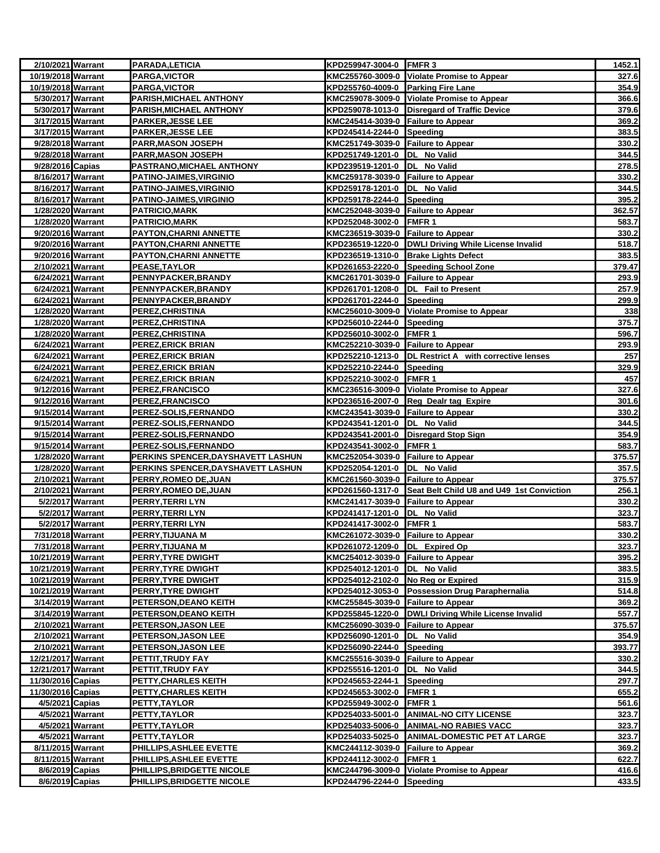| 2/10/2021 Warrant                      |                  | PARADA, LETICIA                                         | KPD259947-3004-0 FMFR 3                                            |                                                            | 1452.1          |
|----------------------------------------|------------------|---------------------------------------------------------|--------------------------------------------------------------------|------------------------------------------------------------|-----------------|
| 10/19/2018 Warrant                     |                  | PARGA, VICTOR                                           |                                                                    | KMC255760-3009-0 Violate Promise to Appear                 | 327.6           |
| 10/19/2018 Warrant                     |                  | <b>PARGA, VICTOR</b>                                    | KPD255760-4009-0 Parking Fire Lane                                 |                                                            | 354.9           |
| 5/30/2017 Warrant                      |                  | PARISH, MICHAEL ANTHONY                                 |                                                                    | KMC259078-3009-0 Violate Promise to Appear                 | 366.6           |
| 5/30/2017 Warrant                      |                  | <b>PARISH, MICHAEL ANTHONY</b>                          |                                                                    | KPD259078-1013-0 Disregard of Traffic Device               | 379.6           |
| 3/17/2015 Warrant                      |                  | <b>PARKER, JESSE LEE</b>                                | KMC245414-3039-0 Failure to Appear                                 |                                                            | 369.2           |
| 3/17/2015 Warrant                      |                  | <b>PARKER,JESSE LEE</b>                                 | KPD245414-2244-0 Speeding                                          |                                                            | 383.5           |
| 9/28/2018 Warrant                      |                  | PARR,MASON JOSEPH                                       | KMC251749-3039-0 Failure to Appear                                 |                                                            | 330.2           |
| 9/28/2018 Warrant                      |                  | <b>PARR, MASON JOSEPH</b>                               | KPD251749-1201-0 DL No Valid                                       |                                                            | 344.5           |
| 9/28/2016 Capias                       |                  | PASTRANO, MICHAEL ANTHONY                               | KPD239519-1201-0  DL No Valid                                      |                                                            | 278.5           |
| 8/16/2017 Warrant                      |                  | <b>PATINO-JAIMES, VIRGINIO</b>                          | KMC259178-3039-0 Failure to Appear                                 |                                                            | 330.2           |
| 8/16/2017 Warrant                      |                  | PATINO-JAIMES, VIRGINIO                                 | KPD259178-1201-0  DL No Valid                                      |                                                            | 344.5           |
| 8/16/2017 Warrant                      |                  | <b>PATINO-JAIMES, VIRGINIO</b>                          | KPD259178-2244-0 Speeding                                          |                                                            | 395.2           |
| 1/28/2020 Warrant                      |                  | <b>PATRICIO, MARK</b>                                   | KMC252048-3039-0 Failure to Appear                                 |                                                            | 362.57          |
| 1/28/2020 Warrant                      |                  | PATRICIO, MARK                                          | KPD252048-3002-0 FMFR 1                                            |                                                            | 583.7           |
| 9/20/2016 Warrant                      |                  | <b>PAYTON, CHARNI ANNETTE</b>                           | KMC236519-3039-0 Failure to Appear                                 |                                                            | 330.2           |
| 9/20/2016 Warrant                      |                  | PAYTON, CHARNI ANNETTE                                  |                                                                    | KPD236519-1220-0 DWLI Driving While License Invalid        | 518.7           |
| 9/20/2016 Warrant                      |                  | PAYTON, CHARNI ANNETTE                                  |                                                                    | KPD236519-1310-0 Brake Lights Defect                       | 383.5           |
| 2/10/2021 Warrant                      |                  | <b>PEASE,TAYLOR</b>                                     |                                                                    | KPD261653-2220-0 Speeding School Zone                      | 379.47          |
| 6/24/2021 Warrant                      |                  | PENNYPACKER, BRANDY                                     | KMC261701-3039-0 Failure to Appear                                 |                                                            | 293.9           |
| 6/24/2021 Warrant                      |                  | PENNYPACKER, BRANDY                                     |                                                                    | KPD261701-1208-0 DL Fail to Present                        | 257.9           |
| 6/24/2021 Warrant                      |                  | PENNYPACKER, BRANDY                                     | KPD261701-2244-0 Speeding                                          |                                                            | 299.9           |
| 1/28/2020 Warrant                      |                  | PEREZ, CHRISTINA                                        |                                                                    | KMC256010-3009-0 Violate Promise to Appear                 | 338             |
| 1/28/2020 Warrant                      |                  | <b>PEREZ,CHRISTINA</b>                                  | KPD256010-2244-0 Speeding                                          |                                                            | 375.7           |
| 1/28/2020 Warrant                      |                  | PEREZ, CHRISTINA                                        | KPD256010-3002-0 FMFR 1                                            |                                                            | 596.7           |
| 6/24/2021 Warrant                      |                  | <b>PEREZ,ERICK BRIAN</b>                                | KMC252210-3039-0 Failure to Appear                                 |                                                            | 293.9           |
| 6/24/2021 Warrant                      |                  | PEREZ,ERICK BRIAN                                       |                                                                    | KPD252210-1213-0 DL Restrict A with corrective lenses      | 257             |
| 6/24/2021 Warrant                      |                  | PEREZ, ERICK BRIAN                                      | KPD252210-2244-0 Speeding                                          |                                                            | 329.9           |
| 6/24/2021 Warrant                      |                  | PEREZ, ERICK BRIAN                                      | KPD252210-3002-0 FMFR 1                                            |                                                            | 457             |
| 9/12/2016 Warrant                      |                  | <b>PEREZ,FRANCISCO</b>                                  |                                                                    | KMC236516-3009-0 Violate Promise to Appear                 | 327.6           |
| 9/12/2016 Warrant                      |                  | <b>PEREZ,FRANCISCO</b>                                  |                                                                    | KPD236516-2007-0 Reg Dealr tag Expire                      | 301.6           |
| 9/15/2014 Warrant                      |                  | PEREZ-SOLIS, FERNANDO                                   | KMC243541-3039-0 Failure to Appear                                 |                                                            | 330.2           |
| 9/15/2014 Warrant                      |                  | <b>PEREZ-SOLIS,FERNANDO</b>                             | KPD243541-1201-0 DL No Valid                                       |                                                            | 344.5           |
| 9/15/2014 Warrant                      |                  | <b>PEREZ-SOLIS,FERNANDO</b>                             |                                                                    | KPD243541-2001-0 Disregard Stop Sign                       | 354.9           |
| 9/15/2014 Warrant                      |                  | PEREZ-SOLIS, FERNANDO                                   | KPD243541-3002-0                                                   | <b>FMFR1</b>                                               | 583.7           |
| 1/28/2020 Warrant                      |                  | PERKINS SPENCER, DAYSHAVETT LASHUN                      | KMC252054-3039-0 Failure to Appear                                 |                                                            | 375.57          |
| 1/28/2020 Warrant                      |                  | PERKINS SPENCER, DAYSHAVETT LASHUN                      | KPD252054-1201-0 DL No Valid                                       |                                                            | 357.5           |
| 2/10/2021 Warrant                      |                  | <b>PERRY, ROMEO DE, JUAN</b>                            | KMC261560-3039-0 Failure to Appear                                 |                                                            | 375.57          |
| 2/10/2021 Warrant                      |                  | PERRY, ROMEO DE, JUAN                                   |                                                                    | KPD261560-1317-0 Seat Belt Child U8 and U49 1st Conviction | 256.1           |
|                                        | 5/2/2017 Warrant | PERRY, TERRI LYN                                        | KMC241417-3039-0 Failure to Appear                                 |                                                            | 330.2           |
|                                        | 5/2/2017 Warrant | PERRY,TERRI LYN                                         | KPD241417-1201-0  DL No Valid                                      |                                                            | 323.7           |
|                                        | 5/2/2017 Warrant | <u>PERRY,TERRI LYN</u>                                  | KPD241417-3002-0 FMFR 1                                            |                                                            | 583.7           |
| 7/31/2018 Warrant                      |                  | PERRY, TIJUANA M                                        | KMC261072-3039-0 Failure to Appear                                 |                                                            | 330.2           |
| 7/31/2018 Warrant                      |                  | PERRY, TIJUANA M                                        | KPD261072-1209-0 DL Expired Op                                     |                                                            | 323.7           |
| 10/21/2019 Warrant                     |                  | PERRY, TYRE DWIGHT                                      | KMC254012-3039-0 Failure to Appear                                 |                                                            | 395.2           |
| 10/21/2019 Warrant                     |                  | <b>PERRY,TYRE DWIGHT</b>                                | KPD254012-1201-0 DL No Valid                                       |                                                            | 383.5           |
| 10/21/2019 Warrant                     |                  | PERRY, TYRE DWIGHT                                      | KPD254012-2102-0 No Reg or Expired                                 |                                                            | 315.9           |
| 10/21/2019 Warrant                     |                  | PERRY, TYRE DWIGHT                                      |                                                                    | KPD254012-3053-0 Possession Drug Paraphernalia             | 514.8           |
| 3/14/2019 Warrant                      |                  | PETERSON, DEANO KEITH                                   | KMC255845-3039-0 Failure to Appear                                 |                                                            | 369.2           |
| 3/14/2019 Warrant<br>2/10/2021 Warrant |                  | PETERSON, DEANO KEITH<br><b>PETERSON, JASON LEE</b>     | KMC256090-3039-0 Failure to Appear                                 | KPD255845-1220-0 DWLI Driving While License Invalid        | 557.7<br>375.57 |
|                                        |                  |                                                         |                                                                    |                                                            |                 |
| 2/10/2021 Warrant<br>2/10/2021 Warrant |                  | <b>PETERSON,JASON LEE</b><br><b>PETERSON, JASON LEE</b> | KPD256090-1201-0 DL No Valid<br>KPD256090-2244-0 Speeding          |                                                            | 354.9<br>393.77 |
| 12/21/2017 Warrant                     |                  | PETTIT,TRUDY FAY                                        |                                                                    |                                                            | 330.2           |
| 12/21/2017 Warrant                     |                  | PETTIT, TRUDY FAY                                       | KMC255516-3039-0 Failure to Appear<br>KPD255516-1201-0 DL No Valid |                                                            | 344.5           |
| 11/30/2016 Capias                      |                  | PETTY,CHARLES KEITH                                     | KPD245653-2244-1                                                   | Speeding                                                   | 297.7           |
| 11/30/2016 Capias                      |                  | PETTY, CHARLES KEITH                                    | KPD245653-3002-0 FMFR 1                                            |                                                            | 655.2           |
| 4/5/2021 Capias                        |                  | PETTY, TAYLOR                                           | KPD255949-3002-0 FMFR 1                                            |                                                            | 561.6           |
|                                        | 4/5/2021 Warrant | PETTY, TAYLOR                                           |                                                                    | KPD254033-5001-0 ANIMAL-NO CITY LICENSE                    | 323.7           |
|                                        | 4/5/2021 Warrant | PETTY, TAYLOR                                           |                                                                    | KPD254033-5006-0 ANIMAL-NO RABIES VACC                     | 323.7           |
|                                        | 4/5/2021 Warrant | PETTY,TAYLOR                                            | KPD254033-5025-0                                                   | <b>ANIMAL-DOMESTIC PET AT LARGE</b>                        | 323.7           |
| 8/11/2015 Warrant                      |                  | PHILLIPS, ASHLEE EVETTE                                 | KMC244112-3039-0 Failure to Appear                                 |                                                            | 369.2           |
| 8/11/2015 Warrant                      |                  | PHILLIPS, ASHLEE EVETTE                                 | KPD244112-3002-0                                                   | FMFR 1                                                     | 622.7           |
| 8/6/2019 Capias                        |                  | PHILLIPS, BRIDGETTE NICOLE                              |                                                                    | KMC244796-3009-0 Violate Promise to Appear                 | 416.6           |
| 8/6/2019 Capias                        |                  | PHILLIPS, BRIDGETTE NICOLE                              | KPD244796-2244-0 Speeding                                          |                                                            | 433.5           |
|                                        |                  |                                                         |                                                                    |                                                            |                 |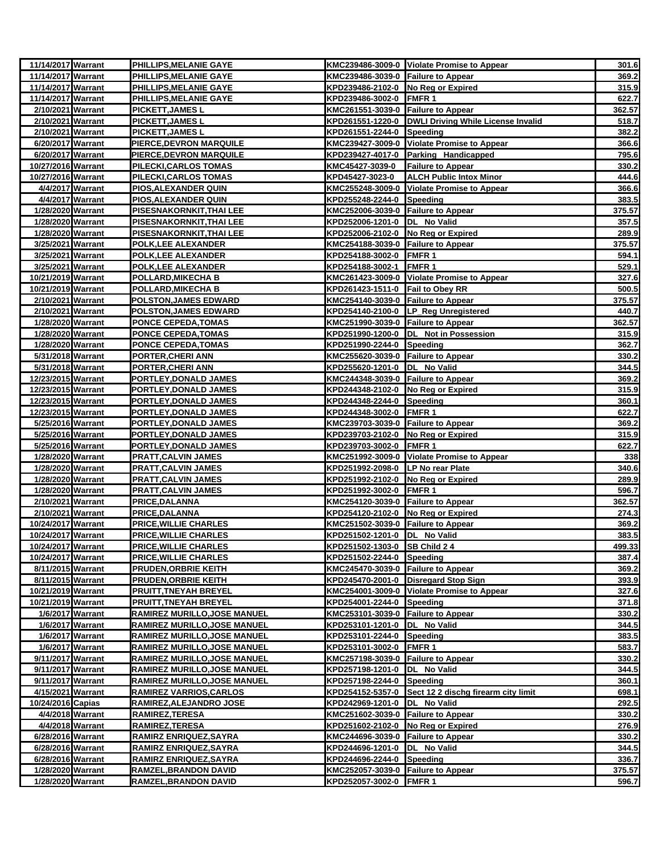| 11/14/2017 Warrant |                  | PHILLIPS, MELANIE GAYE              |                                    | KMC239486-3009-0 Violate Promise to Appear            | 301.6  |
|--------------------|------------------|-------------------------------------|------------------------------------|-------------------------------------------------------|--------|
| 11/14/2017 Warrant |                  | PHILLIPS, MELANIE GAYE              | KMC239486-3039-0 Failure to Appear |                                                       | 369.2  |
| 11/14/2017 Warrant |                  | PHILLIPS, MELANIE GAYE              | KPD239486-2102-0 No Reg or Expired |                                                       | 315.9  |
| 11/14/2017 Warrant |                  | <b>PHILLIPS,MELANIE GAYE</b>        | KPD239486-3002-0 FMFR 1            |                                                       | 622.7  |
| 2/10/2021 Warrant  |                  | <b>PICKETT, JAMES L</b>             | KMC261551-3039-0 Failure to Appear |                                                       | 362.57 |
| 2/10/2021 Warrant  |                  | PICKETT, JAMES L                    |                                    | KPD261551-1220-0   DWLI Driving While License Invalid | 518.7  |
| 2/10/2021 Warrant  |                  | PICKETT, JAMES L                    | KPD261551-2244-0 Speeding          |                                                       | 382.2  |
| 6/20/2017 Warrant  |                  | PIERCE, DEVRON MARQUILE             |                                    | KMC239427-3009-0 Violate Promise to Appear            | 366.6  |
| 6/20/2017 Warrant  |                  | PIERCE, DEVRON MARQUILE             |                                    | KPD239427-4017-0 Parking Handicapped                  | 795.6  |
| 10/27/2016 Warrant |                  | PILECKI, CARLOS TOMAS               | KMC45427-3039-0                    | <b>Failure to Appear</b>                              | 330.2  |
| 10/27/2016 Warrant |                  | PILECKI, CARLOS TOMAS               | KPD45427-3023-0                    | <b>ALCH Public Intox Minor</b>                        | 444.6  |
| 4/4/2017 Warrant   |                  | PIOS, ALEXANDER QUIN                |                                    | KMC255248-3009-0 Violate Promise to Appear            | 366.6  |
|                    | 4/4/2017 Warrant | PIOS, ALEXANDER QUIN                | KPD255248-2244-0 Speeding          |                                                       | 383.5  |
| 1/28/2020 Warrant  |                  | PISESNAKORNKIT, THAI LEE            | KMC252006-3039-0 Failure to Appear |                                                       | 375.57 |
| 1/28/2020 Warrant  |                  | PISESNAKORNKIT,THAI LEE             | KPD252006-1201-0  DL No Valid      |                                                       | 357.5  |
| 1/28/2020 Warrant  |                  | <u>PISESNAKORNKIT, THAI LEE</u>     | KPD252006-2102-0 No Reg or Expired |                                                       | 289.9  |
| 3/25/2021 Warrant  |                  | POLK, LEE ALEXANDER                 | KMC254188-3039-0 Failure to Appear |                                                       | 375.57 |
| 3/25/2021 Warrant  |                  | <b>POLK, LEE ALEXANDER</b>          | KPD254188-3002-0 FMFR 1            |                                                       | 594.1  |
| 3/25/2021 Warrant  |                  | POLK,LEE ALEXANDER                  | KPD254188-3002-1 FMFR 1            |                                                       | 529.1  |
| 10/21/2019 Warrant |                  | POLLARD,MIKECHA B                   |                                    | KMC261423-3009-0 Violate Promise to Appear            | 327.6  |
| 10/21/2019 Warrant |                  | POLLARD, MIKECHA B                  | KPD261423-1511-0 Fail to Obey RR   |                                                       | 500.5  |
| 2/10/2021 Warrant  |                  | <b>POLSTON, JAMES EDWARD</b>        | KMC254140-3039-0 Failure to Appear |                                                       | 375.57 |
| 2/10/2021 Warrant  |                  | <b>POLSTON, JAMES EDWARD</b>        |                                    | KPD254140-2100-0 LP_Reg Unregistered                  | 440.7  |
| 1/28/2020 Warrant  |                  | PONCE CEPEDA, TOMAS                 | KMC251990-3039-0 Failure to Appear |                                                       | 362.57 |
| 1/28/2020 Warrant  |                  | <b>PONCE CEPEDA, TOMAS</b>          |                                    | KPD251990-1200-0 DL Not in Possession                 | 315.9  |
| 1/28/2020 Warrant  |                  | <b>PONCE CEPEDA,TOMAS</b>           | KPD251990-2244-0 Speeding          |                                                       | 362.7  |
| 5/31/2018 Warrant  |                  | <u>PORTER,CHERI ANN</u>             | KMC255620-3039-0 Failure to Appear |                                                       | 330.2  |
| 5/31/2018 Warrant  |                  | <b>PORTER, CHERI ANN</b>            | KPD255620-1201-0 DL No Valid       |                                                       | 344.5  |
| 12/23/2015 Warrant |                  | PORTLEY, DONALD JAMES               | KMC244348-3039-0 Failure to Appear |                                                       | 369.2  |
| 12/23/2015 Warrant |                  | PORTLEY, DONALD JAMES               | KPD244348-2102-0 No Reg or Expired |                                                       | 315.9  |
| 12/23/2015 Warrant |                  | PORTLEY, DONALD JAMES               | KPD244348-2244-0 Speeding          |                                                       | 360.1  |
| 12/23/2015 Warrant |                  | PORTLEY, DONALD JAMES               | KPD244348-3002-0 FMFR 1            |                                                       | 622.7  |
| 5/25/2016 Warrant  |                  | PORTLEY, DONALD JAMES               | KMC239703-3039-0 Failure to Appear |                                                       | 369.2  |
| 5/25/2016 Warrant  |                  | PORTLEY, DONALD JAMES               | KPD239703-2102-0 No Reg or Expired |                                                       | 315.9  |
| 5/25/2016 Warrant  |                  | PORTLEY, DONALD JAMES               | KPD239703-3002-0 FMFR 1            |                                                       | 622.7  |
| 1/28/2020 Warrant  |                  | <b>PRATT, CALVIN JAMES</b>          |                                    | KMC251992-3009-0 Violate Promise to Appear            | 338    |
| 1/28/2020 Warrant  |                  | <b>PRATT, CALVIN JAMES</b>          | KPD251992-2098-0 LP No rear Plate  |                                                       | 340.6  |
| 1/28/2020 Warrant  |                  | <u>PRATT,CALVIN JAMES</u>           | KPD251992-2102-0 No Reg or Expired |                                                       | 289.9  |
| 1/28/2020 Warrant  |                  | <b>PRATT, CALVIN JAMES</b>          | KPD251992-3002-0 FMFR 1            |                                                       | 596.7  |
| 2/10/2021 Warrant  |                  | PRICE, DALANNA                      | KMC254120-3039-0 Failure to Appear |                                                       | 362.57 |
| 2/10/2021 Warrant  |                  | <b>PRICE, DALANNA</b>               | KPD254120-2102-0 No Reg or Expired |                                                       | 274.3  |
| 10/24/2017 Warrant |                  | <b>PRICE, WILLIE CHARLES</b>        | KMC251502-3039-0 Failure to Appear |                                                       | 369.2  |
| 10/24/2017 Warrant |                  | PRICE, WILLIE CHARLES               | KPD251502-1201-0 DL No Valid       |                                                       | 383.5  |
| 10/24/2017 Warrant |                  | <b>PRICE, WILLIE CHARLES</b>        | KPD251502-1303-0 SB Child 2 4      |                                                       | 499.33 |
| 10/24/2017 Warrant |                  | <b>PRICE, WILLIE CHARLES</b>        | KPD251502-2244-0 Speeding          |                                                       | 387.4  |
| 8/11/2015 Warrant  |                  | <b>PRUDEN, ORBRIE KEITH</b>         | KMC245470-3039-0 Failure to Appear |                                                       | 369.2  |
| 8/11/2015 Warrant  |                  | PRUDEN, ORBRIE KEITH                |                                    | KPD245470-2001-0 Disregard Stop Sign                  | 393.9  |
| 10/21/2019 Warrant |                  | PRUITT, TNEYAH BREYEL               |                                    | KMC254001-3009-0 Violate Promise to Appear            | 327.6  |
| 10/21/2019 Warrant |                  | PRUITT, TNEYAH BREYEL               | KPD254001-2244-0 Speeding          |                                                       | 371.8  |
|                    | 1/6/2017 Warrant | RAMIREZ MURILLO, JOSE MANUEL        | KMC253101-3039-0 Failure to Appear |                                                       | 330.2  |
|                    | 1/6/2017 Warrant | RAMIREZ MURILLO, JOSE MANUEL        | KPD253101-1201-0 DL No Valid       |                                                       | 344.5  |
|                    | 1/6/2017 Warrant | RAMIREZ MURILLO, JOSE MANUEL        | KPD253101-2244-0 Speeding          |                                                       | 383.5  |
| 1/6/2017 Warrant   |                  | RAMIREZ MURILLO, JOSE MANUEL        | KPD253101-3002-0 FMFR 1            |                                                       | 583.7  |
| 9/11/2017 Warrant  |                  | RAMIREZ MURILLO, JOSE MANUEL        | KMC257198-3039-0 Failure to Appear |                                                       | 330.2  |
| 9/11/2017 Warrant  |                  | <b>RAMIREZ MURILLO, JOSE MANUEL</b> | KPD257198-1201-0 DL No Valid       |                                                       | 344.5  |
| 9/11/2017 Warrant  |                  | RAMIREZ MURILLO, JOSE MANUEL        | KPD257198-2244-0 Speeding          |                                                       | 360.1  |
| 4/15/2021 Warrant  |                  | <b>RAMIREZ VARRIOS, CARLOS</b>      |                                    | KPD254152-5357-0 Sect 12 2 dischg firearm city limit  | 698.1  |
| 10/24/2016 Capias  |                  | RAMIREZ, ALEJANDRO JOSE             | KPD242969-1201-0                   | DL No Valid                                           | 292.5  |
|                    | 4/4/2018 Warrant | <b>RAMIREZ,TERESA</b>               | KMC251602-3039-0 Failure to Appear |                                                       | 330.2  |
|                    | 4/4/2018 Warrant | <b>RAMIREZ,TERESA</b>               | KPD251602-2102-0 No Reg or Expired |                                                       | 276.9  |
| 6/28/2016 Warrant  |                  | <u>RAMIRZ ENRIQUEZ,SAYRA</u>        | KMC244696-3039-0 Failure to Appear |                                                       | 330.2  |
| 6/28/2016 Warrant  |                  | <b>RAMIRZ ENRIQUEZ,SAYRA</b>        | KPD244696-1201-0  DL No Valid      |                                                       | 344.5  |
| 6/28/2016 Warrant  |                  | <b>RAMIRZ ENRIQUEZ,SAYRA</b>        | KPD244696-2244-0 Speeding          |                                                       | 336.7  |
| 1/28/2020 Warrant  |                  | <b>RAMZEL, BRANDON DAVID</b>        | KMC252057-3039-0 Failure to Appear |                                                       | 375.57 |
| 1/28/2020 Warrant  |                  | RAMZEL, BRANDON DAVID               | KPD252057-3002-0 FMFR 1            |                                                       | 596.7  |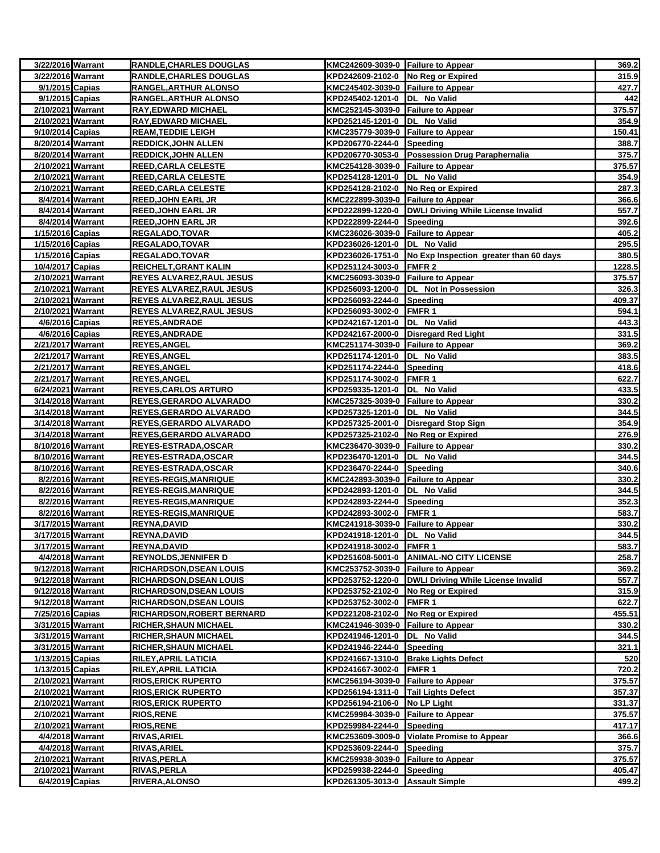| 3/22/2016 Warrant                      |                  | <b>RANDLE, CHARLES DOUGLAS</b>             | KMC242609-3039-0 Failure to Appear                         |                                                         | 369.2           |
|----------------------------------------|------------------|--------------------------------------------|------------------------------------------------------------|---------------------------------------------------------|-----------------|
| 3/22/2016 Warrant                      |                  | <b>RANDLE, CHARLES DOUGLAS</b>             | KPD242609-2102-0 No Reg or Expired                         |                                                         | 315.9           |
| 9/1/2015 Capias                        |                  | RANGEL, ARTHUR ALONSO                      | KMC245402-3039-0 Failure to Appear                         |                                                         | 427.7           |
| 9/1/2015 Capias                        |                  | <b>RANGEL, ARTHUR ALONSO</b>               | KPD245402-1201-0  DL No Valid                              |                                                         | 442             |
| 2/10/2021 Warrant                      |                  | <b>RAY, EDWARD MICHAEL</b>                 | KMC252145-3039-0 Failure to Appear                         |                                                         | 375.57          |
| 2/10/2021 Warrant                      |                  | <b>RAY, EDWARD MICHAEL</b>                 | KPD252145-1201-0  DL No Valid                              |                                                         | 354.9           |
| 9/10/2014 Capias                       |                  | <b>REAM, TEDDIE LEIGH</b>                  | KMC235779-3039-0 Failure to Appear                         |                                                         | 150.41          |
| 8/20/2014 Warrant                      |                  | <b>REDDICK, JOHN ALLEN</b>                 | KPD206770-2244-0 Speeding                                  |                                                         | 388.7           |
| 8/20/2014 Warrant                      |                  | <b>REDDICK, JOHN ALLEN</b>                 |                                                            | KPD206770-3053-0 Possession Drug Paraphernalia          | 375.7           |
| 2/10/2021 Warrant                      |                  | <b>REED, CARLA CELESTE</b>                 | KMC254128-3039-0 Failure to Appear                         |                                                         | 375.57          |
| 2/10/2021 Warrant                      |                  | <b>REED, CARLA CELESTE</b>                 | KPD254128-1201-0  DL No Valid                              |                                                         | 354.9           |
| 2/10/2021 Warrant                      |                  | <b>REED, CARLA CELESTE</b>                 | KPD254128-2102-0 No Reg or Expired                         |                                                         | 287.3           |
|                                        | 8/4/2014 Warrant | <b>REED, JOHN EARL JR</b>                  | KMC222899-3039-0 Failure to Appear                         |                                                         | 366.6           |
|                                        | 8/4/2014 Warrant | <b>REED, JOHN EARL JR</b>                  |                                                            | KPD222899-1220-0 DWLI Driving While License Invalid     | 557.7           |
|                                        | 8/4/2014 Warrant | <b>REED, JOHN EARL JR</b>                  | KPD222899-2244-0 Speeding                                  |                                                         | 392.6           |
| 1/15/2016 Capias                       |                  | REGALADO, TOVAR                            | KMC236026-3039-0 Failure to Appear                         |                                                         | 405.2           |
| 1/15/2016 Capias                       |                  | <b>REGALADO,TOVAR</b>                      | KPD236026-1201-0 DL No Valid                               |                                                         | 295.5           |
| 1/15/2016 Capias                       |                  | <b>REGALADO,TOVAR</b>                      |                                                            | KPD236026-1751-0 No Exp Inspection greater than 60 days | 380.5           |
| 10/4/2017 Capias                       |                  | <b>REICHELT, GRANT KALIN</b>               | KPD251124-3003-0 FMFR 2                                    |                                                         | 1228.5          |
| 2/10/2021 Warrant                      |                  | <b>REYES ALVAREZ, RAUL JESUS</b>           | KMC256093-3039-0 Failure to Appear                         |                                                         | 375.57          |
| 2/10/2021 Warrant                      |                  | <b>REYES ALVAREZ, RAUL JESUS</b>           |                                                            | KPD256093-1200-0  DL Not in Possession                  | 326.3           |
| 2/10/2021 Warrant                      |                  | <b>REYES ALVAREZ, RAUL JESUS</b>           | KPD256093-2244-0 Speeding                                  |                                                         | 409.37          |
| 2/10/2021 Warrant                      |                  | <b>REYES ALVAREZ, RAUL JESUS</b>           | KPD256093-3002-0 FMFR 1                                    |                                                         | 594.1           |
| 4/6/2016 Capias                        |                  | <b>REYES, ANDRADE</b>                      | KPD242167-1201-0  DL No Valid                              |                                                         | 443.3           |
| 4/6/2016 Capias                        |                  | <b>REYES, ANDRADE</b>                      |                                                            | KPD242167-2000-0 Disregard Red Light                    | 331.5           |
| 2/21/2017 Warrant                      |                  | <b>REYES, ANGEL</b>                        | KMC251174-3039-0 Failure to Appear                         |                                                         | 369.2           |
| 2/21/2017 Warrant<br>2/21/2017 Warrant |                  | <b>REYES, ANGEL</b>                        | KPD251174-1201-0  DL No Valid<br>KPD251174-2244-0 Speeding |                                                         | 383.5<br>418.6  |
| 2/21/2017 Warrant                      |                  | <b>REYES, ANGEL</b><br><b>REYES, ANGEL</b> | KPD251174-3002-0 FMFR 1                                    |                                                         | 622.7           |
| 6/24/2021 Warrant                      |                  | <b>REYES, CARLOS ARTURO</b>                | KPD259335-1201-0  DL No Valid                              |                                                         | 433.5           |
| 3/14/2018 Warrant                      |                  | REYES, GERARDO ALVARADO                    | KMC257325-3039-0 Failure to Appear                         |                                                         | 330.2           |
| 3/14/2018 Warrant                      |                  | REYES, GERARDO ALVARADO                    | KPD257325-1201-0  DL No Valid                              |                                                         | 344.5           |
| 3/14/2018 Warrant                      |                  | <b>REYES, GERARDO ALVARADO</b>             |                                                            | KPD257325-2001-0 Disregard Stop Sign                    | 354.9           |
| 3/14/2018 Warrant                      |                  | REYES,GERARDO ALVARADO                     | KPD257325-2102-0 No Reg or Expired                         |                                                         | 276.9           |
| 8/10/2016 Warrant                      |                  | REYES-ESTRADA, OSCAR                       | KMC236470-3039-0 Failure to Appear                         |                                                         | 330.2           |
| 8/10/2016 Warrant                      |                  | REYES-ESTRADA, OSCAR                       | KPD236470-1201-0 DL No Valid                               |                                                         | 344.5           |
| 8/10/2016 Warrant                      |                  | <b>REYES-ESTRADA, OSCAR</b>                | KPD236470-2244-0 Speeding                                  |                                                         | 340.6           |
|                                        | 8/2/2016 Warrant | <b>REYES-REGIS, MANRIQUE</b>               | KMC242893-3039-0 Failure to Appear                         |                                                         | 330.2           |
|                                        | 8/2/2016 Warrant | <b>REYES-REGIS, MANRIQUE</b>               | KPD242893-1201-0 DL No Valid                               |                                                         | 344.5           |
|                                        | 8/2/2016 Warrant | <b>REYES-REGIS, MANRIQUE</b>               | KPD242893-2244-0 Speeding                                  |                                                         | 352.3           |
|                                        | 8/2/2016 Warrant | <b>REYES-REGIS,MANRIQUE</b>                | KPD242893-3002-0 FMFR 1                                    |                                                         | 583.7           |
| 3/17/2015 Warrant                      |                  | <b>REYNA, DAVID</b>                        | KMC241918-3039-0 Failure to Appear                         |                                                         | 330.2           |
| 3/17/2015 Warrant                      |                  | <b>REYNA, DAVID</b>                        | KPD241918-1201-0 DL No Valid                               |                                                         | 344.5           |
| 3/17/2015 Warrant                      |                  | REYNA, DAVID                               | KPD241918-3002-0 FMFR 1                                    |                                                         | 583.7           |
|                                        | 4/4/2018 Warrant | <b>REYNOLDS, JENNIFER D</b>                | KPD251608-5001-0                                           | <b>JANIMAL-NO CITY LICENSE</b>                          | 258.7           |
| 9/12/2018 Warrant                      |                  | RICHARDSON, DSEAN LOUIS                    | KMC253752-3039-0 Failure to Appear                         |                                                         | 369.2           |
| 9/12/2018 Warrant                      |                  | <b>RICHARDSON, DSEAN LOUIS</b>             |                                                            | KPD253752-1220-0  DWLI Driving While License Invalid    | 557.7           |
| 9/12/2018 Warrant                      |                  | <b>RICHARDSON, DSEAN LOUIS</b>             | KPD253752-2102-0 No Reg or Expired                         |                                                         | 315.9           |
| 9/12/2018 Warrant                      |                  | <b>RICHARDSON, DSEAN LOUIS</b>             | KPD253752-3002-0 FMFR 1                                    |                                                         | 622.7           |
| 7/25/2016 Capias                       |                  | <b>RICHARDSON, ROBERT BERNARD</b>          | KPD221208-2102-0                                           | No Reg or Expired                                       | 455.51          |
| 3/31/2015 Warrant                      |                  | <b>RICHER, SHAUN MICHAEL</b>               | KMC241946-3039-0 Failure to Appear                         |                                                         | 330.2           |
| 3/31/2015 Warrant                      |                  | <b>RICHER, SHAUN MICHAEL</b>               | KPD241946-1201-0 DL No Valid                               |                                                         | 344.5           |
| 3/31/2015 Warrant                      |                  | <b>RICHER, SHAUN MICHAEL</b>               | KPD241946-2244-0 Speeding                                  |                                                         | 321.1           |
| 1/13/2015 Capias                       |                  | <b>RILEY, APRIL LATICIA</b>                |                                                            | KPD241667-1310-0 Brake Lights Defect                    | 520             |
| 1/13/2015 Capias                       |                  | <b>RILEY, APRIL LATICIA</b>                | KPD241667-3002-0 FMFR 1                                    |                                                         | 720.2           |
| 2/10/2021 Warrant                      |                  | <b>RIOS, ERICK RUPERTO</b>                 | KMC256194-3039-0 Failure to Appear                         |                                                         | 375.57          |
| 2/10/2021 Warrant                      |                  | <b>RIOS, ERICK RUPERTO</b>                 | KPD256194-1311-0 Tail Lights Defect                        |                                                         | 357.37          |
| 2/10/2021 Warrant                      |                  | <b>RIOS, ERICK RUPERTO</b>                 | KPD256194-2106-0                                           | No LP Light                                             | 331.37          |
| 2/10/2021 Warrant                      |                  | <b>RIOS, RENE</b>                          | KMC259984-3039-0                                           | <b>Failure to Appear</b>                                | 375.57          |
| 2/10/2021 Warrant                      | 4/4/2018 Warrant | <b>RIOS, RENE</b><br><b>RIVAS, ARIEL</b>   | KPD259984-2244-0                                           | Speeding<br>KMC253609-3009-0 Violate Promise to Appear  | 417.17<br>366.6 |
|                                        | 4/4/2018 Warrant | <b>RIVAS, ARIEL</b>                        | KPD253609-2244-0                                           | Speeding                                                | 375.7           |
| 2/10/2021 Warrant                      |                  | <b>RIVAS, PERLA</b>                        | KMC259938-3039-0 Failure to Appear                         |                                                         | 375.57          |
| 2/10/2021 Warrant                      |                  | <b>RIVAS, PERLA</b>                        | KPD259938-2244-0 Speeding                                  |                                                         | 405.47          |
| 6/4/2019 Capias                        |                  | <b>RIVERA, ALONSO</b>                      | KPD261305-3013-0 Assault Simple                            |                                                         | 499.2           |
|                                        |                  |                                            |                                                            |                                                         |                 |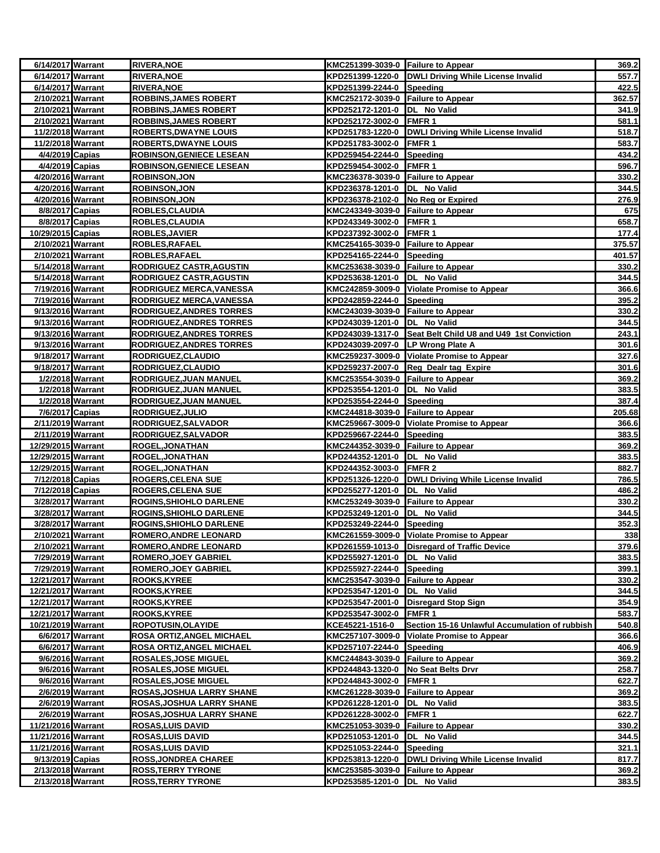| 6/14/2017 Warrant                      |                  | <b>RIVERA, NOE</b>                       | KMC251399-3039-0 Failure to Appear  |                                                                                     | 369.2          |
|----------------------------------------|------------------|------------------------------------------|-------------------------------------|-------------------------------------------------------------------------------------|----------------|
| 6/14/2017 Warrant                      |                  | <b>RIVERA, NOE</b>                       |                                     | KPD251399-1220-0   DWLI Driving While License Invalid                               | 557.7          |
| 6/14/2017 Warrant                      |                  | <b>RIVERA, NOE</b>                       | KPD251399-2244-0 Speeding           |                                                                                     | 422.5          |
| 2/10/2021 Warrant                      |                  | <b>ROBBINS, JAMES ROBERT</b>             | KMC252172-3039-0 Failure to Appear  |                                                                                     | 362.57         |
| 2/10/2021 Warrant                      |                  | <b>ROBBINS, JAMES ROBERT</b>             | KPD252172-1201-0 DL No Valid        |                                                                                     | 341.9          |
| 2/10/2021 Warrant                      |                  | <b>ROBBINS, JAMES ROBERT</b>             | KPD252172-3002-0 FMFR 1             |                                                                                     | 581.1          |
| 11/2/2018 Warrant                      |                  | <b>ROBERTS, DWAYNE LOUIS</b>             |                                     | KPD251783-1220-0 DWLI Driving While License Invalid                                 | 518.7          |
| 11/2/2018 Warrant                      |                  | <b>ROBERTS, DWAYNE LOUIS</b>             | KPD251783-3002-0 FMFR 1             |                                                                                     | 583.7          |
| 4/4/2019 Capias                        |                  | <b>ROBINSON, GENIECE LESEAN</b>          | KPD259454-2244-0 Speeding           |                                                                                     | 434.2          |
| 4/4/2019 Capias                        |                  | <b>ROBINSON, GENIECE LESEAN</b>          | KPD259454-3002-0 FMFR 1             |                                                                                     | 596.7          |
| 4/20/2016 Warrant                      |                  | <b>ROBINSON, JON</b>                     | KMC236378-3039-0 Failure to Appear  |                                                                                     | 330.2          |
| 4/20/2016 Warrant                      |                  | <u>ROBINSON,JON</u>                      | KPD236378-1201-0  DL No Valid       |                                                                                     | 344.5          |
| 4/20/2016 Warrant                      |                  | <b>ROBINSON, JON</b>                     | KPD236378-2102-0 No Reg or Expired  |                                                                                     | 276.9          |
| 8/8/2017 Capias                        |                  | ROBLES, CLAUDIA                          | KMC243349-3039-0 Failure to Appear  |                                                                                     | 675            |
| 8/8/2017 Capias                        |                  | ROBLES, CLAUDIA                          | KPD243349-3002-0 FMFR 1             |                                                                                     | 658.7          |
| 10/29/2015 Capias                      |                  | <b>ROBLES, JAVIER</b>                    | KPD237392-3002-0 FMFR 1             |                                                                                     | 177.4          |
| 2/10/2021 Warrant                      |                  | ROBLES, RAFAEL                           | KMC254165-3039-0 Failure to Appear  |                                                                                     | 375.57         |
| 2/10/2021 Warrant                      |                  | ROBLES, RAFAEL                           | KPD254165-2244-0 Speeding           |                                                                                     | 401.57         |
| 5/14/2018 Warrant                      |                  | <b>RODRIGUEZ CASTR,AGUSTIN</b>           | KMC253638-3039-0 Failure to Appear  |                                                                                     | 330.2          |
| 5/14/2018 Warrant                      |                  | RODRIGUEZ CASTR, AGUSTIN                 | KPD253638-1201-0  DL No Valid       |                                                                                     | 344.5          |
| 7/19/2016 Warrant                      |                  | RODRIGUEZ MERCA, VANESSA                 |                                     | KMC242859-3009-0 Violate Promise to Appear                                          | 366.6          |
| 7/19/2016 Warrant                      |                  | RODRIGUEZ MERCA, VANESSA                 | KPD242859-2244-0 Speeding           |                                                                                     | 395.2          |
| 9/13/2016 Warrant                      |                  | RODRIGUEZ, ANDRES TORRES                 | KMC243039-3039-0 Failure to Appear  |                                                                                     | 330.2          |
| 9/13/2016 Warrant                      |                  | <b>RODRIGUEZ, ANDRES TORRES</b>          | KPD243039-1201-0  DL No Valid       |                                                                                     | 344.5          |
| 9/13/2016 Warrant                      |                  | <b>RODRIGUEZ, ANDRES TORRES</b>          | KPD243039-2097-0 LP Wrong Plate A   | KPD243039-1317-0 Seat Belt Child U8 and U49 1st Conviction                          | 243.1          |
| 9/13/2016 Warrant                      |                  | <b>RODRIGUEZ, ANDRES TORRES</b>          |                                     |                                                                                     | 301.6          |
| 9/18/2017 Warrant<br>9/18/2017 Warrant |                  | RODRIGUEZ, CLAUDIO<br>RODRIGUEZ, CLAUDIO |                                     | KMC259237-3009-0 Violate Promise to Appear<br>KPD259237-2007-0 Reg Dealr tag Expire | 327.6<br>301.6 |
| 1/2/2018 Warrant                       |                  | RODRIGUEZ, JUAN MANUEL                   | KMC253554-3039-0 Failure to Appear  |                                                                                     | 369.2          |
| 1/2/2018 Warrant                       |                  | RODRIGUEZ, JUAN MANUEL                   | KPD253554-1201-0  DL No Valid       |                                                                                     | 383.5          |
| 1/2/2018 Warrant                       |                  | RODRIGUEZ, JUAN MANUEL                   | KPD253554-2244-0 Speeding           |                                                                                     | 387.4          |
| 7/6/2017 Capias                        |                  | RODRIGUEZ, JULIO                         | KMC244818-3039-0 Failure to Appear  |                                                                                     | 205.68         |
| 2/11/2019 Warrant                      |                  | RODRIGUEZ, SALVADOR                      |                                     | KMC259667-3009-0 Violate Promise to Appear                                          | 366.6          |
| 2/11/2019 Warrant                      |                  | <b>RODRIGUEZ, SALVADOR</b>               | KPD259667-2244-0 Speeding           |                                                                                     | 383.5          |
| 12/29/2015 Warrant                     |                  | <b>ROGEL, JONATHAN</b>                   | KMC244352-3039-0 Failure to Appear  |                                                                                     | 369.2          |
| 12/29/2015 Warrant                     |                  | ROGEL, JONATHAN                          | KPD244352-1201-0  DL No Valid       |                                                                                     | 383.5          |
| 12/29/2015 Warrant                     |                  | <b>ROGEL,JONATHAN</b>                    | KPD244352-3003-0 FMFR 2             |                                                                                     | 882.7          |
| 7/12/2018 Capias                       |                  | <u>ROGERS,CELENA SUE</u>                 |                                     | KPD251326-1220-0 DWLI Driving While License Invalid                                 | 786.5          |
| 7/12/2018 Capias                       |                  | <b>ROGERS,CELENA SUE</b>                 | KPD255277-1201-0  DL No Valid       |                                                                                     | 486.2          |
| 3/28/2017 Warrant                      |                  | <b>ROGINS, SHIOHLO DARLENE</b>           | KMC253249-3039-0 Failure to Appear  |                                                                                     | 330.2          |
| 3/28/2017 Warrant                      |                  | <b>ROGINS SHIOHLO DARLENE</b>            | KPD253249-1201-0  DL No Valid       |                                                                                     | 344.5          |
| 3/28/2017 Warrant                      |                  | <b>ROGINS,SHIOHLO DARLENE</b>            | KPD253249-2244-0                    | Speeding                                                                            | 352.3          |
| 2/10/2021 Warrant                      |                  | ROMERO, ANDRE LEONARD                    |                                     | KMC261559-3009-0 Violate Promise to Appear                                          | 338            |
| 2/10/2021 Warrant                      |                  | <b>ROMERO, ANDRE LEONARD</b>             |                                     | KPD261559-1013-0 Disregard of Traffic Device                                        | 379.6          |
| 7/29/2019 Warrant                      |                  | <b>ROMERO, JOEY GABRIEL</b>              | KPD255927-1201-0  DL No Valid       |                                                                                     | 383.5          |
| 7/29/2019 Warrant                      |                  | <b>ROMERO, JOEY GABRIEL</b>              | KPD255927-2244-0 Speeding           |                                                                                     | 399.1          |
| 12/21/2017 Warrant                     |                  | ROOKS, KYREE                             | KMC253547-3039-0 Failure to Appear  |                                                                                     | 330.2          |
| 12/21/2017 Warrant                     |                  | <b>ROOKS,KYREE</b>                       | KPD253547-1201-0 DL No Valid        |                                                                                     | 344.5          |
| 12/21/2017 Warrant                     |                  | <b>ROOKS,KYREE</b>                       |                                     | KPD253547-2001-0 Disregard Stop Sign                                                | 354.9          |
| 12/21/2017 Warrant                     |                  | <b>ROOKS,KYREE</b>                       | KPD253547-3002-0                    | <b>FMFR1</b>                                                                        | 583.7          |
| 10/21/2019 Warrant                     |                  | ROPOTUSIN, OLAYIDE                       | KCE45221-1516-0                     | Section 15-16 Unlawful Accumulation of rubbish                                      | 540.8          |
| 6/6/2017 Warrant                       |                  | <b>ROSA ORTIZ, ANGEL MICHAEL</b>         |                                     | KMC257107-3009-0 Violate Promise to Appear                                          | 366.6          |
| 6/6/2017 Warrant                       |                  | ROSA ORTIZ, ANGEL MICHAEL                | KPD257107-2244-0 Speeding           |                                                                                     | 406.9          |
|                                        | 9/6/2016 Warrant | <b>ROSALES, JOSE MIGUEL</b>              | KMC244843-3039-0 Failure to Appear  |                                                                                     | 369.2          |
|                                        | 9/6/2016 Warrant | <b>ROSALES, JOSE MIGUEL</b>              | KPD244843-1320-0 No Seat Belts Drvr |                                                                                     | 258.7          |
|                                        | 9/6/2016 Warrant | <u>ROSALES, JOSE MIGUEL</u>              | KPD244843-3002-0 FMFR 1             |                                                                                     | 622.7          |
| 2/6/2019 Warrant                       |                  | <b>ROSAS, JOSHUA LARRY SHANE</b>         | KMC261228-3039-0 Failure to Appear  |                                                                                     | 369.2          |
| 2/6/2019 Warrant                       |                  | ROSAS, JOSHUA LARRY SHANE                | KPD261228-1201-0  DL No Valid       |                                                                                     | 383.5          |
|                                        | 2/6/2019 Warrant | ROSAS, JOSHUA LARRY SHANE                | KPD261228-3002-0                    | FMFR <sub>1</sub>                                                                   | 622.7          |
| 11/21/2016 Warrant                     |                  | <b>ROSAS,LUIS DAVID</b>                  | KMC251053-3039-0 Failure to Appear  |                                                                                     | 330.2          |
| 11/21/2016 Warrant                     |                  | <b>ROSAS,LUIS DAVID</b>                  | KPD251053-1201-0 DL No Valid        |                                                                                     | 344.5          |
| 11/21/2016 Warrant                     |                  | <b>ROSAS,LUIS DAVID</b>                  | KPD251053-2244-0 Speeding           |                                                                                     | 321.1          |
| 9/13/2019 Capias                       |                  | <b>ROSS,JONDREA CHAREE</b>               |                                     | KPD253813-1220-0 DWLI Driving While License Invalid                                 | 817.7          |
| 2/13/2018 Warrant                      |                  | <b>ROSS,TERRY TYRONE</b>                 | KMC253585-3039-0 Failure to Appear  |                                                                                     | 369.2          |
| 2/13/2018 Warrant                      |                  | <u>ROSS,TERRY TYRONE</u>                 | KPD253585-1201-0 DL No Valid        |                                                                                     | 383.5          |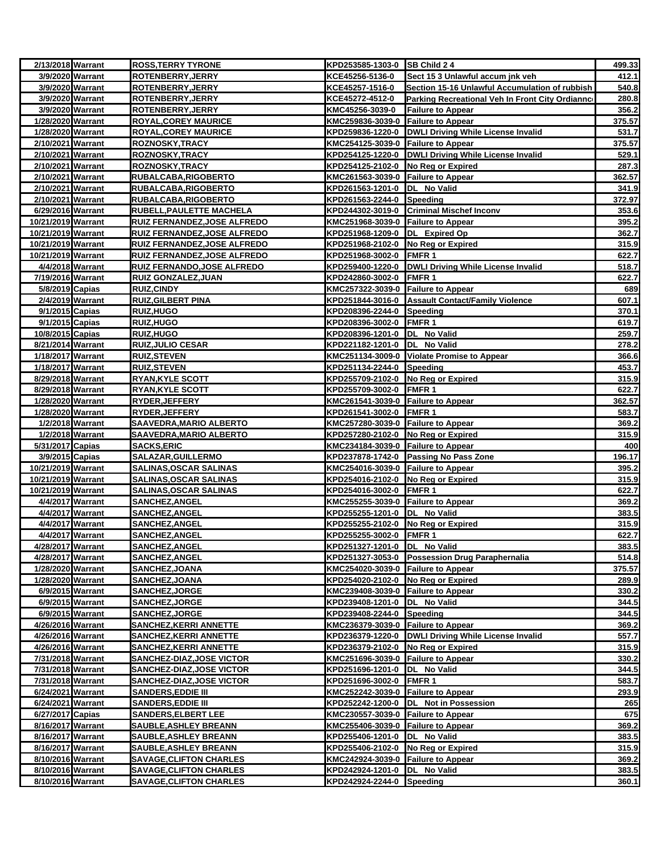| 2/13/2018 Warrant                      |                  | <b>ROSS, TERRY TYRONE</b>                                      | KPD253585-1303-0 SB Child 2 4                                      |                                                      | 499.33         |
|----------------------------------------|------------------|----------------------------------------------------------------|--------------------------------------------------------------------|------------------------------------------------------|----------------|
|                                        | 3/9/2020 Warrant | ROTENBERRY, JERRY                                              | KCE45256-5136-0                                                    | Sect 15 3 Unlawful accum jnk veh                     | 412.1          |
|                                        | 3/9/2020 Warrant | ROTENBERRY, JERRY                                              | KCE45257-1516-0                                                    | Section 15-16 Unlawful Accumulation of rubbish       | 540.8          |
|                                        | 3/9/2020 Warrant | <b>ROTENBERRY, JERRY</b>                                       | KCE45272-4512-0                                                    | Parking Recreational Veh In Front City Ordianno      | 280.8          |
|                                        | 3/9/2020 Warrant | <b>ROTENBERRY, JERRY</b>                                       | KMC45256-3039-0                                                    | <b>Failure to Appear</b>                             | 356.2          |
| 1/28/2020 Warrant                      |                  | <b>ROYAL, COREY MAURICE</b>                                    | KMC259836-3039-0 Failure to Appear                                 |                                                      | 375.57         |
| 1/28/2020 Warrant                      |                  | <b>ROYAL, COREY MAURICE</b>                                    |                                                                    | KPD259836-1220-0 DWLI Driving While License Invalid  | 531.7          |
| 2/10/2021 Warrant                      |                  | <b>ROZNOSKY, TRACY</b>                                         | KMC254125-3039-0 Failure to Appear                                 |                                                      | 375.57         |
| 2/10/2021 Warrant                      |                  | <b>ROZNOSKY, TRACY</b>                                         |                                                                    | KPD254125-1220-0 DWLI Driving While License Invalid  | 529.1          |
| 2/10/2021 Warrant                      |                  | <b>ROZNOSKY, TRACY</b>                                         | KPD254125-2102-0 No Reg or Expired                                 |                                                      | 287.3          |
| 2/10/2021 Warrant                      |                  | RUBALCABA, RIGOBERTO                                           | KMC261563-3039-0 Failure to Appear                                 |                                                      | 362.57         |
| 2/10/2021 Warrant                      |                  | RUBALCABA, RIGOBERTO                                           | KPD261563-1201-0  DL No Valid                                      |                                                      | 341.9          |
| 2/10/2021 Warrant                      |                  | RUBALCABA, RIGOBERTO                                           | KPD261563-2244-0 Speeding                                          |                                                      | 372.97         |
| 6/29/2016 Warrant                      |                  | RUBELL, PAULETTE MACHELA                                       |                                                                    | KPD244302-3019-0 Criminal Mischef Inconv             | 353.6          |
| 10/21/2019 Warrant                     |                  | RUIZ FERNANDEZ, JOSE ALFREDO                                   | KMC251968-3039-0 Failure to Appear                                 |                                                      | 395.2          |
| 10/21/2019 Warrant                     |                  | RUIZ FERNANDEZ, JOSE ALFREDO                                   | KPD251968-1209-0 DL Expired Op                                     |                                                      | 362.7          |
| 10/21/2019 Warrant                     |                  | RUIZ FERNANDEZ, JOSE ALFREDO                                   | KPD251968-2102-0                                                   | No Reg or Expired                                    | 315.9          |
| 10/21/2019 Warrant                     |                  | RUIZ FERNANDEZ, JOSE ALFREDO                                   | KPD251968-3002-0                                                   | <b>FMFR1</b>                                         | 622.7          |
|                                        | 4/4/2018 Warrant | <b>RUIZ FERNANDO, JOSE ALFREDO</b>                             |                                                                    | KPD259400-1220-0  DWLI Driving While License Invalid | 518.7          |
| 7/19/2016 Warrant                      |                  | RUIZ GONZALEZ, JUAN                                            | KPD242860-3002-0                                                   | <b>FMFR1</b>                                         | 622.7          |
| 5/8/2019 Capias                        |                  | <b>RUIZ,CINDY</b>                                              | KMC257322-3039-0 Failure to Appear                                 |                                                      | 689            |
|                                        | 2/4/2019 Warrant | <b>RUIZ, GILBERT PINA</b>                                      |                                                                    | KPD251844-3016-0 Assault Contact/Family Violence     | 607.1          |
| 9/1/2015 Capias                        |                  | RUIZ, HUGO                                                     | KPD208396-2244-0 Speeding                                          |                                                      | 370.1          |
| 9/1/2015 Capias                        |                  | <b>RUIZ,HUGO</b>                                               | KPD208396-3002-0 FMFR 1                                            |                                                      | 619.7          |
| 10/8/2015 Capias                       |                  | <b>RUIZ,HUGO</b>                                               | KPD208396-1201-0 DL No Valid                                       |                                                      | 259.7          |
| 8/21/2014 Warrant                      |                  | <b>RUIZ,JULIO CESAR</b>                                        | KPD221182-1201-0  DL No Valid                                      |                                                      | 278.2          |
| 1/18/2017 Warrant<br>1/18/2017 Warrant |                  | <b>RUIZ,STEVEN</b><br><b>RUIZ, STEVEN</b>                      | KPD251134-2244-0 Speeding                                          | KMC251134-3009-0 Violate Promise to Appear           | 366.6<br>453.7 |
| 8/29/2018 Warrant                      |                  | <b>RYAN, KYLE SCOTT</b>                                        |                                                                    |                                                      | 315.9          |
| 8/29/2018 Warrant                      |                  | <b>RYAN, KYLE SCOTT</b>                                        | KPD255709-2102-0 No Reg or Expired<br>KPD255709-3002-0 FMFR 1      |                                                      | 622.7          |
| 1/28/2020 Warrant                      |                  | RYDER, JEFFERY                                                 | KMC261541-3039-0 Failure to Appear                                 |                                                      | 362.57         |
| 1/28/2020 Warrant                      |                  | RYDER, JEFFERY                                                 | KPD261541-3002-0 FMFR 1                                            |                                                      | 583.7          |
|                                        | 1/2/2018 Warrant | <b>SAAVEDRA, MARIO ALBERTO</b>                                 | KMC257280-3039-0 Failure to Appear                                 |                                                      | 369.2          |
|                                        | 1/2/2018 Warrant | SAAVEDRA,MARIO ALBERTO                                         | KPD257280-2102-0 No Reg or Expired                                 |                                                      | 315.9          |
| 5/31/2017 Capias                       |                  | <b>SACKS, ERIC</b>                                             | KMC234184-3039-0 Failure to Appear                                 |                                                      | 400            |
| 3/9/2015 Capias                        |                  | <b>SALAZAR, GUILLERMO</b>                                      |                                                                    | KPD237878-1742-0 Passing No Pass Zone                | 196.17         |
| 10/21/2019 Warrant                     |                  | <b>SALINAS, OSCAR SALINAS</b>                                  | KMC254016-3039-0 Failure to Appear                                 |                                                      | 395.2          |
| 10/21/2019 Warrant                     |                  | <b>SALINAS, OSCAR SALINAS</b>                                  | KPD254016-2102-0 No Reg or Expired                                 |                                                      | 315.9          |
| 10/21/2019 Warrant                     |                  | <b>SALINAS, OSCAR SALINAS</b>                                  | KPD254016-3002-0 FMFR 1                                            |                                                      | 622.7          |
|                                        | 4/4/2017 Warrant | <b>SANCHEZ, ANGEL</b>                                          | KMC255255-3039-0 Failure to Appear                                 |                                                      | 369.2          |
|                                        | 4/4/2017 Warrant | <b>SANCHEZ, ANGEL</b>                                          | KPD255255-1201-0  DL No Valid                                      |                                                      | 383.5          |
|                                        | 4/4/2017 Warrant | SANCHEZ, ANGEL                                                 | KPD255255-2102-0 No Reg or Expired                                 |                                                      | 315.9          |
|                                        | 4/4/2017 Warrant | SANCHEZ, ANGEL                                                 | KPD255255-3002-0 FMFR 1                                            |                                                      | 622.7          |
| 4/28/2017 Warrant                      |                  | <b>SANCHEZ, ANGEL</b>                                          | KPD251327-1201-0  DL No Valid                                      |                                                      | 383.5          |
| 4/28/2017 Warrant                      |                  | <b>SANCHEZ, ANGEL</b>                                          |                                                                    | KPD251327-3053-0 Possession Drug Paraphernalia       | 514.8          |
| 1/28/2020 Warrant                      |                  | SANCHEZ, JOANA                                                 | KMC254020-3039-0 Failure to Appear                                 |                                                      | 375.57         |
| 1/28/2020 Warrant                      |                  | <b>SANCHEZ,JOANA</b>                                           | KPD254020-2102-0 No Reg or Expired                                 |                                                      | 289.9          |
|                                        | 6/9/2015 Warrant | <b>SANCHEZ, JORGE</b>                                          | KMC239408-3039-0 Failure to Appear                                 |                                                      | 330.2          |
|                                        | 6/9/2015 Warrant | <b>SANCHEZ, JORGE</b>                                          | KPD239408-1201-0  DL No Valid                                      |                                                      | 344.5          |
|                                        | 6/9/2015 Warrant | <b>SANCHEZ, JORGE</b>                                          | KPD239408-2244-0 Speeding                                          |                                                      | 344.5          |
| 4/26/2016 Warrant                      |                  | <b>SANCHEZ, KERRI ANNETTE</b>                                  | KMC236379-3039-0 Failure to Appear                                 |                                                      | 369.2          |
| 4/26/2016 Warrant                      |                  | <b>SANCHEZ, KERRI ANNETTE</b>                                  |                                                                    | KPD236379-1220-0 DWLI Driving While License Invalid  | 557.7          |
| 4/26/2016 Warrant                      |                  | <b>SANCHEZ, KERRI ANNETTE</b>                                  | KPD236379-2102-0 No Reg or Expired                                 |                                                      | 315.9          |
| 7/31/2018 Warrant                      |                  | <b>SANCHEZ-DIAZ, JOSE VICTOR</b>                               | KMC251696-3039-0 Failure to Appear                                 |                                                      | 330.2          |
| 7/31/2018 Warrant                      |                  | <b>SANCHEZ-DIAZ, JOSE VICTOR</b>                               | KPD251696-1201-0 DL No Valid                                       |                                                      | 344.5          |
| 7/31/2018 Warrant                      |                  | <b>SANCHEZ-DIAZ, JOSE VICTOR</b>                               | KPD251696-3002-0                                                   | FMFR 1                                               | 583.7          |
| 6/24/2021 Warrant                      |                  | <b>SANDERS, EDDIE III</b>                                      | KMC252242-3039-0 Failure to Appear                                 |                                                      | 293.9          |
| 6/24/2021 Warrant                      |                  | <b>SANDERS, EDDIE III</b>                                      | KPD252242-1200-0                                                   | DL Not in Possession                                 | 265            |
| 6/27/2017 Capias                       |                  | <b>SANDERS, ELBERT LEE</b>                                     | KMC230557-3039-0                                                   | <b>Failure to Appear</b>                             | 675            |
| 8/16/2017 Warrant                      |                  | <b>SAUBLE, ASHLEY BREANN</b>                                   | KMC255406-3039-0 Failure to Appear                                 |                                                      | 369.2          |
| 8/16/2017 Warrant                      |                  | <b>SAUBLE, ASHLEY BREANN</b>                                   | KPD255406-1201-0 DL No Valid<br>KPD255406-2102-0 No Reg or Expired |                                                      | 383.5          |
| 8/16/2017 Warrant<br>8/10/2016 Warrant |                  | <b>SAUBLE, ASHLEY BREANN</b><br><b>SAVAGE, CLIFTON CHARLES</b> | KMC242924-3039-0 Failure to Appear                                 |                                                      | 315.9<br>369.2 |
| 8/10/2016 Warrant                      |                  | <b>SAVAGE, CLIFTON CHARLES</b>                                 | KPD242924-1201-0 DL No Valid                                       |                                                      | 383.5          |
| 8/10/2016 Warrant                      |                  | <b>SAVAGE, CLIFTON CHARLES</b>                                 | KPD242924-2244-0 Speeding                                          |                                                      | 360.1          |
|                                        |                  |                                                                |                                                                    |                                                      |                |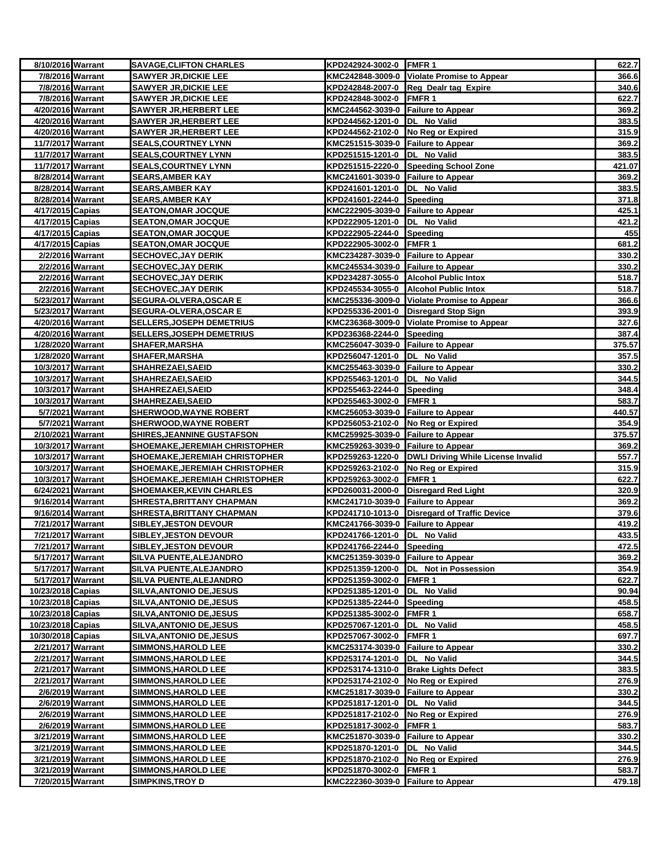| 8/10/2016 Warrant                      |                  | <b>SAVAGE, CLIFTON CHARLES</b>                           | KPD242924-3002-0 FMFR 1                                         |                                                       | 622.7           |
|----------------------------------------|------------------|----------------------------------------------------------|-----------------------------------------------------------------|-------------------------------------------------------|-----------------|
|                                        | 7/8/2016 Warrant | <b>SAWYER JR, DICKIE LEE</b>                             |                                                                 | KMC242848-3009-0 Violate Promise to Appear            | 366.6           |
|                                        | 7/8/2016 Warrant | <b>SAWYER JR, DICKIE LEE</b>                             |                                                                 | KPD242848-2007-0 Reg Dealr tag Expire                 | 340.6           |
|                                        | 7/8/2016 Warrant | <b>SAWYER JR, DICKIE LEE</b>                             | KPD242848-3002-0 FMFR 1                                         |                                                       | 622.7           |
| 4/20/2016 Warrant                      |                  | <b>SAWYER JR, HERBERT LEE</b>                            | KMC244562-3039-0 Failure to Appear                              |                                                       | 369.2           |
| 4/20/2016 Warrant                      |                  | <b>SAWYER JR, HERBERT LEE</b>                            | KPD244562-1201-0  DL No Valid                                   |                                                       | 383.5           |
| 4/20/2016 Warrant                      |                  | <b>SAWYER JR, HERBERT LEE</b>                            | KPD244562-2102-0 No Reg or Expired                              |                                                       | 315.9           |
| 11/7/2017 Warrant                      |                  | <b>SEALS, COURTNEY LYNN</b>                              | KMC251515-3039-0 Failure to Appear                              |                                                       | 369.2           |
| 11/7/2017 Warrant                      |                  | <b>SEALS, COURTNEY LYNN</b>                              | KPD251515-1201-0 DL No Valid                                    |                                                       | 383.5           |
| 11/7/2017 Warrant                      |                  | <b>SEALS, COURTNEY LYNN</b>                              |                                                                 | KPD251515-2220-0 Speeding School Zone                 | 421.07          |
| 8/28/2014 Warrant                      |                  | <b>SEARS, AMBER KAY</b>                                  | KMC241601-3039-0 Failure to Appear                              |                                                       | 369.2           |
| 8/28/2014 Warrant<br>8/28/2014 Warrant |                  | <u>SEARS, AMBER KAY</u>                                  | KPD241601-1201-0 DL No Valid                                    |                                                       | 383.5           |
|                                        |                  | <b>SEARS, AMBER KAY</b>                                  | KPD241601-2244-0 Speeding<br>KMC222905-3039-0 Failure to Appear |                                                       | 371.8<br>425.1  |
| 4/17/2015 Capias<br>4/17/2015 Capias   |                  | <b>SEATON, OMAR JOCQUE</b>                               |                                                                 |                                                       | 421.2           |
| 4/17/2015 Capias                       |                  | <b>SEATON, OMAR JOCQUE</b><br><b>SEATON, OMAR JOCQUE</b> | KPD222905-1201-0  DL No Valid<br>KPD222905-2244-0 Speeding      |                                                       | 455             |
| 4/17/2015 Capias                       |                  | <b>SEATON, OMAR JOCQUE</b>                               | KPD222905-3002-0                                                | <b>FMFR1</b>                                          | 681.2           |
|                                        | 2/2/2016 Warrant | <b>SECHOVEC, JAY DERIK</b>                               | KMC234287-3039-0 Failure to Appear                              |                                                       | 330.2           |
|                                        | 2/2/2016 Warrant | <b>SECHOVEC, JAY DERIK</b>                               | KMC245534-3039-0 Failure to Appear                              |                                                       | 330.2           |
|                                        | 2/2/2016 Warrant | <b>SECHOVEC, JAY DERIK</b>                               |                                                                 | KPD234287-3055-0 Alcohol Public Intox                 | 518.7           |
|                                        | 2/2/2016 Warrant | <b>SECHOVEC, JAY DERIK</b>                               |                                                                 | KPD245534-3055-0 Alcohol Public Intox                 | 518.7           |
| 5/23/2017 Warrant                      |                  | <b>SEGURA-OLVERA, OSCAR E</b>                            |                                                                 | KMC255336-3009-0 Violate Promise to Appear            | 366.6           |
| 5/23/2017 Warrant                      |                  | <b>SEGURA-OLVERA, OSCAR E</b>                            |                                                                 | KPD255336-2001-0 Disregard Stop Sign                  | 393.9           |
| 4/20/2016 Warrant                      |                  | <b>SELLERS, JOSEPH DEMETRIUS</b>                         |                                                                 | KMC236368-3009-0 Violate Promise to Appear            | 327.6           |
| 4/20/2016 Warrant                      |                  | <b>SELLERS, JOSEPH DEMETRIUS</b>                         | KPD236368-2244-0 Speeding                                       |                                                       | 387.4           |
| 1/28/2020 Warrant                      |                  | <b>SHAFER, MARSHA</b>                                    | KMC256047-3039-0 Failure to Appear                              |                                                       | 375.57          |
| 1/28/2020 Warrant                      |                  | <b>SHAFER, MARSHA</b>                                    | KPD256047-1201-0  DL No Valid                                   |                                                       | 357.5           |
| 10/3/2017 Warrant                      |                  | SHAHREZAEI, SAEID                                        | KMC255463-3039-0 Failure to Appear                              |                                                       | 330.2           |
| 10/3/2017 Warrant                      |                  | <b>SHAHREZAEI, SAEID</b>                                 | KPD255463-1201-0  DL No Valid                                   |                                                       | 344.5           |
| 10/3/2017 Warrant                      |                  | <b>SHAHREZAEI, SAEID</b>                                 | KPD255463-2244-0 Speeding                                       |                                                       | 348.4           |
| 10/3/2017 Warrant                      |                  | SHAHREZAEI, SAEID                                        | KPD255463-3002-0                                                | <b>FMFR1</b>                                          | 583.7           |
|                                        | 5/7/2021 Warrant | <b>SHERWOOD, WAYNE ROBERT</b>                            | KMC256053-3039-0 Failure to Appear                              |                                                       | 440.57          |
|                                        | 5/7/2021 Warrant | <b>SHERWOOD, WAYNE ROBERT</b>                            | KPD256053-2102-0 No Reg or Expired                              |                                                       | 354.9           |
| 2/10/2021 Warrant                      |                  | SHIRES, JEANNINE GUSTAFSON                               | KMC259925-3039-0 Failure to Appear                              |                                                       | 375.57          |
| 10/3/2017 Warrant                      |                  | SHOEMAKE, JEREMIAH CHRISTOPHER                           | KMC259263-3039-0 Failure to Appear                              |                                                       | 369.2           |
| 10/3/2017 Warrant                      |                  | <b>SHOEMAKE, JEREMIAH CHRISTOPHER</b>                    |                                                                 | KPD259263-1220-0   DWLI Driving While License Invalid | 557.7           |
| 10/3/2017 Warrant                      |                  | SHOEMAKE, JEREMIAH CHRISTOPHER                           | KPD259263-2102-0 No Reg or Expired                              |                                                       | 315.9           |
| 10/3/2017 Warrant                      |                  | <b>SHOEMAKE, JEREMIAH CHRISTOPHER</b>                    | KPD259263-3002-0 FMFR 1                                         |                                                       | 622.7           |
| 6/24/2021 Warrant                      |                  | <b>SHOEMAKER, KEVIN CHARLES</b>                          |                                                                 | KPD260031-2000-0 Disregard Red Light                  | 320.9           |
| 9/16/2014 Warrant                      |                  | <b>SHRESTA, BRITTANY CHAPMAN</b>                         | KMC241710-3039-0 Failure to Appear                              |                                                       | 369.2           |
| 9/16/2014 Warrant                      |                  | SHRESTA, BRITTANY CHAPMAN                                |                                                                 | KPD241710-1013-0 Disregard of Traffic Device          | 379.6           |
| 7/21/2017 Warrant                      |                  | <b>SIBLEY,JESTON DEVOUR</b>                              | KMC241766-3039-0 Failure to Appear                              |                                                       | 419.2           |
| 7/21/2017 Warrant                      |                  | <b>SIBLEY, JESTON DEVOUR</b>                             | KPD241766-1201-0  DL No Valid                                   |                                                       | 433.5           |
| 7/21/2017 Warrant                      |                  | <b>SIBLEY, JESTON DEVOUR</b>                             | KPD241766-2244-0 Speeding                                       |                                                       | 472.5           |
| 5/17/2017 Warrant                      |                  | SILVA PUENTE, ALEJANDRO                                  | KMC251359-3039-0 Failure to Appear                              |                                                       | 369.2           |
| 5/17/2017 Warrant                      |                  | SILVA PUENTE, ALEJANDRO                                  |                                                                 | KPD251359-1200-0 DL Not in Possession                 | 354.9           |
| 5/17/2017 Warrant                      |                  | SILVA PUENTE, ALEJANDRO                                  | KPD251359-3002-0 FMFR 1                                         |                                                       | 622.7           |
| 10/23/2018 Capias                      |                  | <b>SILVA, ANTONIO DE, JESUS</b>                          | KPD251385-1201-0 DL No Valid                                    |                                                       | 90.94           |
| 10/23/2018 Capias                      |                  | <b>SILVA, ANTONIO DE, JESUS</b>                          | KPD251385-2244-0 Speeding                                       |                                                       | 458.5           |
| 10/23/2018 Capias                      |                  | <b>SILVA, ANTONIO DE, JESUS</b>                          | KPD251385-3002-0                                                | FMFR <sub>1</sub>                                     | 658.7           |
| 10/23/2018 Capias                      |                  | <b>SILVA, ANTONIO DE, JESUS</b>                          | KPD257067-1201-0 DL No Valid                                    |                                                       | 458.5           |
| 10/30/2018 Capias                      |                  | <b>SILVA, ANTONIO DE, JESUS</b>                          | KPD257067-3002-0 FMFR 1                                         |                                                       | 697.7           |
| 2/21/2017 Warrant                      |                  | <b>SIMMONS, HAROLD LEE</b>                               | KMC253174-3039-0 Failure to Appear                              |                                                       | 330.2           |
| 2/21/2017 Warrant                      |                  | <b>SIMMONS, HAROLD LEE</b>                               | KPD253174-1201-0 DL No Valid                                    |                                                       | 344.5           |
| 2/21/2017 Warrant                      |                  | <b>SIMMONS, HAROLD LEE</b>                               |                                                                 | KPD253174-1310-0 Brake Lights Defect                  | 383.5           |
| 2/21/2017 Warrant                      |                  | <b>SIMMONS, HAROLD LEE</b>                               | KPD253174-2102-0 No Reg or Expired                              |                                                       | 276.9           |
|                                        | 2/6/2019 Warrant | <b>SIMMONS, HAROLD LEE</b>                               | KMC251817-3039-0 Failure to Appear                              |                                                       | 330.2           |
|                                        | 2/6/2019 Warrant | <b>SIMMONS, HAROLD LEE</b>                               | KPD251817-1201-0 DL No Valid                                    |                                                       | 344.5           |
|                                        | 2/6/2019 Warrant | <b>SIMMONS, HAROLD LEE</b>                               | KPD251817-2102-0                                                | No Reg or Expired                                     | 276.9           |
|                                        | 2/6/2019 Warrant | <b>SIMMONS, HAROLD LEE</b>                               | KPD251817-3002-0                                                | FMFR 1                                                | 583.7           |
| 3/21/2019 Warrant                      |                  | <b>SIMMONS, HAROLD LEE</b>                               | KMC251870-3039-0 Failure to Appear                              |                                                       | 330.2           |
| 3/21/2019 Warrant                      |                  | <b>SIMMONS, HAROLD LEE</b>                               | KPD251870-1201-0  DL No Valid                                   |                                                       | 344.5           |
| 3/21/2019 Warrant<br>3/21/2019 Warrant |                  | <b>SIMMONS, HAROLD LEE</b>                               | KPD251870-2102-0 No Reg or Expired                              |                                                       | 276.9           |
| 7/20/2015 Warrant                      |                  | <b>SIMMONS, HAROLD LEE</b><br><b>SIMPKINS,TROY D</b>     | KPD251870-3002-0 FMFR 1<br>KMC222360-3039-0 Failure to Appear   |                                                       | 583.7<br>479.18 |
|                                        |                  |                                                          |                                                                 |                                                       |                 |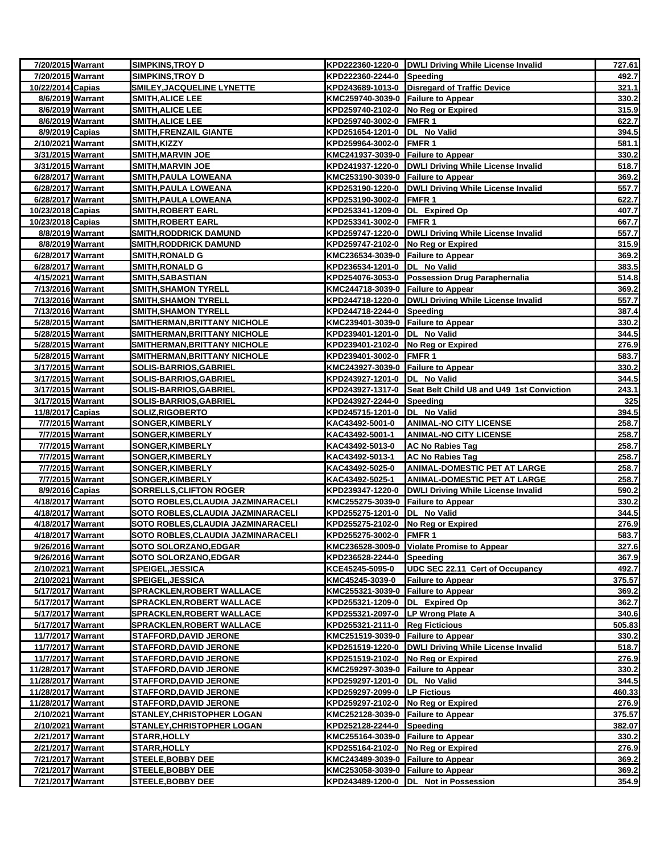| 7/20/2015 Warrant                      | <b>SIMPKINS, TROY D</b>                                             |                                                               | KPD222360-1220-0 DWLI Driving While License Invalid        | 727.61         |
|----------------------------------------|---------------------------------------------------------------------|---------------------------------------------------------------|------------------------------------------------------------|----------------|
| 7/20/2015 Warrant                      | <b>SIMPKINS, TROY D</b>                                             | KPD222360-2244-0 Speeding                                     |                                                            | 492.7          |
| 10/22/2014 Capias                      | SMILEY, JACQUELINE LYNETTE                                          |                                                               | KPD243689-1013-0 Disregard of Traffic Device               | 321.1          |
| 8/6/2019 Warrant                       | <b>SMITH,ALICE LEE</b>                                              | KMC259740-3039-0 Failure to Appear                            |                                                            | 330.2          |
| 8/6/2019 Warrant                       | <b>SMITH, ALICE LEE</b>                                             | KPD259740-2102-0 No Reg or Expired                            |                                                            | 315.9          |
| 8/6/2019 Warrant                       | <b>SMITH, ALICE LEE</b>                                             | KPD259740-3002-0 FMFR 1                                       |                                                            | 622.7          |
| 8/9/2019 Capias                        | <b>SMITH, FRENZAIL GIANTE</b>                                       | KPD251654-1201-0 DL No Valid                                  |                                                            | 394.5          |
| 2/10/2021 Warrant                      | <b>SMITH, KIZZY</b>                                                 | KPD259964-3002-0 FMFR 1                                       |                                                            | 581.1          |
| 3/31/2015 Warrant                      | <b>SMITH, MARVIN JOE</b>                                            | KMC241937-3039-0 Failure to Appear                            |                                                            | 330.2          |
| 3/31/2015 Warrant                      | <b>SMITH, MARVIN JOE</b>                                            |                                                               | KPD241937-1220-0 DWLI Driving While License Invalid        | 518.7          |
| 6/28/2017 Warrant                      | <b>SMITH, PAULA LOWEANA</b>                                         | KMC253190-3039-0 Failure to Appear                            |                                                            | 369.2          |
| 6/28/2017 Warrant                      | <b>SMITH, PAULA LOWEANA</b>                                         |                                                               | KPD253190-1220-0   DWLI Driving While License Invalid      | 557.7          |
| 6/28/2017 Warrant                      | SMITH, PAULA LOWEANA                                                | KPD253190-3002-0 FMFR 1                                       |                                                            | 622.7          |
| 10/23/2018 Capias                      | <b>SMITH, ROBERT EARL</b>                                           | KPD253341-1209-0 DL Expired Op                                |                                                            | 407.7          |
| 10/23/2018 Capias                      | SMITH,ROBERT EARL                                                   | KPD253341-3002-0 FMFR 1                                       |                                                            | 667.7          |
| 8/8/2019 Warrant                       | <b>SMITH,RODDRICK DAMUND</b>                                        |                                                               | KPD259747-1220-0 DWLI Driving While License Invalid        | 557.7          |
| 8/8/2019 Warrant                       | <b>SMITH, RODDRICK DAMUND</b>                                       | KPD259747-2102-0 No Reg or Expired                            |                                                            | 315.9          |
| 6/28/2017 Warrant                      | <b>SMITH,RONALD G</b>                                               | KMC236534-3039-0 Failure to Appear                            |                                                            | 369.2          |
| 6/28/2017 Warrant                      | SMITH,RONALD G                                                      | KPD236534-1201-0  DL No Valid                                 |                                                            | 383.5          |
| 4/15/2021 Warrant                      | <b>SMITH, SABASTIAN</b>                                             |                                                               | KPD254076-3053-0 Possession Drug Paraphernalia             | 514.8          |
| 7/13/2016 Warrant                      | <b>SMITH, SHAMON TYRELL</b>                                         | KMC244718-3039-0 Failure to Appear                            |                                                            | 369.2          |
| 7/13/2016 Warrant                      | <b>SMITH, SHAMON TYRELL</b>                                         |                                                               | KPD244718-1220-0  DWLI Driving While License Invalid       | 557.7          |
| 7/13/2016 Warrant                      | <b>SMITH, SHAMON TYRELL</b>                                         | KPD244718-2244-0 Speeding                                     |                                                            | 387.4          |
| 5/28/2015 Warrant                      | SMITHERMAN, BRITTANY NICHOLE                                        | KMC239401-3039-0 Failure to Appear                            |                                                            | 330.2          |
| 5/28/2015 Warrant                      | <b>SMITHERMAN, BRITTANY NICHOLE</b>                                 | KPD239401-1201-0  DL No Valid                                 |                                                            | 344.5          |
| 5/28/2015 Warrant                      | SMITHERMAN, BRITTANY NICHOLE                                        | KPD239401-2102-0 No Reg or Expired                            |                                                            | 276.9          |
| 5/28/2015 Warrant<br>3/17/2015 Warrant | <b>SMITHERMAN, BRITTANY NICHOLE</b><br><b>SOLIS-BARRIOS,GABRIEL</b> | KPD239401-3002-0 FMFR 1<br>KMC243927-3039-0 Failure to Appear |                                                            | 583.7<br>330.2 |
| 3/17/2015 Warrant                      | <b>SOLIS-BARRIOS, GABRIEL</b>                                       | KPD243927-1201-0 DL No Valid                                  |                                                            | 344.5          |
| 3/17/2015 Warrant                      | SOLIS-BARRIOS,GABRIEL                                               |                                                               | KPD243927-1317-0 Seat Belt Child U8 and U49 1st Conviction | 243.1          |
| 3/17/2015 Warrant                      | <b>SOLIS-BARRIOS,GABRIEL</b>                                        | KPD243927-2244-0                                              | Speeding                                                   | 325            |
| 11/8/2017 Capias                       | <b>SOLIZ,RIGOBERTO</b>                                              | KPD245715-1201-0  DL No Valid                                 |                                                            | 394.5          |
| 7/7/2015 Warrant                       | <b>SONGER,KIMBERLY</b>                                              | KAC43492-5001-0                                               | <b>ANIMAL-NO CITY LICENSE</b>                              | 258.7          |
| 7/7/2015 Warrant                       | <b>SONGER,KIMBERLY</b>                                              | KAC43492-5001-1                                               | <b>ANIMAL-NO CITY LICENSE</b>                              | 258.7          |
| 7/7/2015 Warrant                       | SONGER, KIMBERLY                                                    | KAC43492-5013-0                                               | <b>AC No Rabies Tag</b>                                    | 258.7          |
| 7/7/2015 Warrant                       | <b>SONGER, KIMBERLY</b>                                             | KAC43492-5013-1                                               | AC No Rabies Tag                                           | 258.7          |
| 7/7/2015 Warrant                       | SONGER, KIMBERLY                                                    | KAC43492-5025-0                                               | <b>ANIMAL-DOMESTIC PET AT LARGE</b>                        | 258.7          |
| 7/7/2015 Warrant                       | <u>SONGER,KIMBERLY</u>                                              | KAC43492-5025-1                                               | <b>ANIMAL-DOMESTIC PET AT LARGE</b>                        | 258.7          |
| 8/9/2016 Capias                        | <b>SORRELLS, CLIFTON ROGER</b>                                      |                                                               | KPD239347-1220-0   DWLI Driving While License Invalid      | 590.2          |
| 4/18/2017 Warrant                      | <b>SOTO ROBLES, CLAUDIA JAZMINARACELI</b>                           | KMC255275-3039-0 Failure to Appear                            |                                                            | 330.2          |
| 4/18/2017 Warrant                      | SOTO ROBLES,CLAUDIA JAZMINARACELI                                   | KPD255275-1201-0  DL No Valid                                 |                                                            | 344.5          |
| 4/18/2017 Warrant                      | SOTO ROBLES, CLAUDIA JAZMINARACELI                                  | KPD255275-2102-0 No Reg or Expired                            |                                                            | 276.9          |
| 4/18/2017 Warrant                      | SOTO ROBLES, CLAUDIA JAZMINARACELI                                  | KPD255275-3002-0 FMFR 1                                       |                                                            | 583.7          |
| 9/26/2016 Warrant                      | <b>SOTO SOLORZANO, EDGAR</b>                                        |                                                               | KMC236528-3009-0 Violate Promise to Appear                 | 327.6          |
| 9/26/2016 Warrant                      | <b>SOTO SOLORZANO,EDGAR</b>                                         | KPD236528-2244-0                                              | Speeding                                                   | 367.9          |
| 2/10/2021 Warrant                      | <b>SPEIGEL, JESSICA</b>                                             | KCE45245-5095-0                                               | UDC SEC 22.11 Cert of Occupancy                            | 492.7          |
| 2/10/2021 Warrant                      | SPEIGEL,JESSICA                                                     | KMC45245-3039-0                                               | <b>Failure to Appear</b>                                   | 375.57         |
| 5/17/2017 Warrant                      | <b>SPRACKLEN, ROBERT WALLACE</b>                                    | KMC255321-3039-0 Failure to Appear                            |                                                            | 369.2          |
| 5/17/2017 Warrant                      | <b>SPRACKLEN,ROBERT WALLACE</b>                                     | KPD255321-1209-0 DL Expired Op                                |                                                            | 362.7          |
| 5/17/2017 Warrant                      | <b>SPRACKLEN, ROBERT WALLACE</b>                                    | KPD255321-2097-0                                              | <b>LP Wrong Plate A</b>                                    | 340.6          |
| 5/17/2017 Warrant                      | <b>SPRACKLEN, ROBERT WALLACE</b>                                    | KPD255321-2111-0                                              | <b>Reg Ficticious</b>                                      | 505.83         |
| 11/7/2017 Warrant                      | <b>STAFFORD,DAVID JERONE</b>                                        | KMC251519-3039-0 Failure to Appear                            |                                                            | 330.2          |
| 11/7/2017 Warrant                      | <b>STAFFORD, DAVID JERONE</b>                                       |                                                               | KPD251519-1220-0  DWLI Driving While License Invalid       | 518.7          |
| 11/7/2017 Warrant                      | <b>STAFFORD, DAVID JERONE</b>                                       | KPD251519-2102-0 No Reg or Expired                            |                                                            | 276.9          |
| 11/28/2017 Warrant                     | <b>STAFFORD, DAVID JERONE</b>                                       | KMC259297-3039-0 Failure to Appear                            |                                                            | 330.2          |
| 11/28/2017 Warrant                     | <b>STAFFORD, DAVID JERONE</b>                                       | KPD259297-1201-0  DL No Valid                                 |                                                            | 344.5          |
| 11/28/2017 Warrant                     | <b>STAFFORD, DAVID JERONE</b>                                       | KPD259297-2099-0 LP Fictious                                  |                                                            | 460.33         |
| 11/28/2017 Warrant                     | <b>STAFFORD, DAVID JERONE</b>                                       | KPD259297-2102-0                                              | No Reg or Expired                                          | 276.9          |
| 2/10/2021 Warrant                      | <b>STANLEY, CHRISTOPHER LOGAN</b>                                   | KMC252128-3039-0 Failure to Appear                            |                                                            | 375.57         |
| 2/10/2021 Warrant                      | <b>STANLEY,CHRISTOPHER LOGAN</b>                                    | KPD252128-2244-0 Speeding                                     |                                                            | 382.07         |
| 2/21/2017 Warrant                      | <b>STARR, HOLLY</b>                                                 | KMC255164-3039-0 Failure to Appear                            |                                                            | 330.2          |
| 2/21/2017 Warrant                      | <b>STARR, HOLLY</b>                                                 | KPD255164-2102-0 No Reg or Expired                            |                                                            | 276.9          |
| 7/21/2017 Warrant                      | <b>STEELE, BOBBY DEE</b>                                            | KMC243489-3039-0 Failure to Appear                            |                                                            | 369.2          |
| 7/21/2017 Warrant                      | <b>STEELE, BOBBY DEE</b>                                            | KMC253058-3039-0 Failure to Appear                            |                                                            | 369.2          |
| 7/21/2017 Warrant                      | <b>STEELE,BOBBY DEE</b>                                             |                                                               | KPD243489-1200-0  DL Not in Possession                     | 354.9          |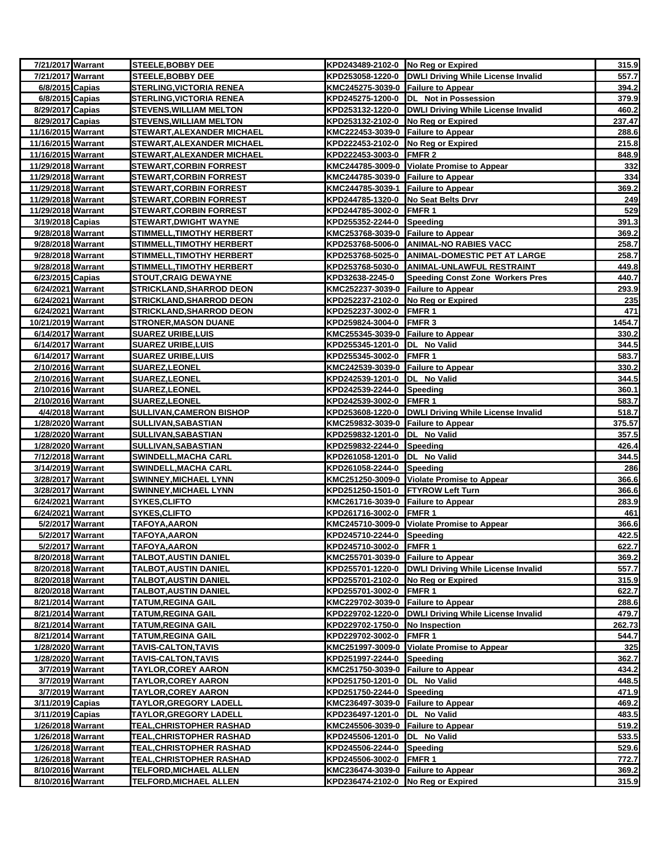| 7/21/2017 Warrant                      |                  | <b>STEELE, BOBBY DEE</b>               | KPD243489-2102-0 No Reg or Expired                        |                                                       | 315.9          |
|----------------------------------------|------------------|----------------------------------------|-----------------------------------------------------------|-------------------------------------------------------|----------------|
| 7/21/2017 Warrant                      |                  | <b>STEELE, BOBBY DEE</b>               |                                                           | KPD253058-1220-0 DWLI Driving While License Invalid   | 557.7          |
| 6/8/2015 Capias                        |                  | <b>STERLING, VICTORIA RENEA</b>        | KMC245275-3039-0 Failure to Appear                        |                                                       | 394.2          |
| 6/8/2015 Capias                        |                  | <b>STERLING, VICTORIA RENEA</b>        |                                                           | KPD245275-1200-0  DL Not in Possession                | 379.9          |
| 8/29/2017 Capias                       |                  | <b>STEVENS, WILLIAM MELTON</b>         |                                                           | KPD253132-1220-0 DWLI Driving While License Invalid   | 460.2          |
| 8/29/2017 Capias                       |                  | <b>STEVENS, WILLIAM MELTON</b>         | KPD253132-2102-0 No Reg or Expired                        |                                                       | 237.47         |
| 11/16/2015 Warrant                     |                  | STEWART, ALEXANDER MICHAEL             | KMC222453-3039-0 Failure to Appear                        |                                                       | 288.6          |
| 11/16/2015 Warrant                     |                  | <b>STEWART, ALEXANDER MICHAEL</b>      | KPD222453-2102-0 No Reg or Expired                        |                                                       | 215.8          |
| 11/16/2015 Warrant                     |                  | <b>STEWART, ALEXANDER MICHAEL</b>      | KPD222453-3003-0 FMFR 2                                   |                                                       | 848.9          |
| 11/29/2018 Warrant                     |                  | <b>STEWART, CORBIN FORREST</b>         |                                                           | KMC244785-3009-0 Violate Promise to Appear            | 332            |
| 11/29/2018 Warrant                     |                  | <b>STEWART, CORBIN FORREST</b>         | KMC244785-3039-0 Failure to Appear                        |                                                       | 334            |
| 11/29/2018 Warrant                     |                  | <b>STEWART, CORBIN FORREST</b>         | KMC244785-3039-1 Failure to Appear                        |                                                       | 369.2          |
| 11/29/2018 Warrant                     |                  | <b>STEWART, CORBIN FORREST</b>         | KPD244785-1320-0 No Seat Belts Drvr                       |                                                       | 249            |
| 11/29/2018 Warrant                     |                  | <b>STEWART, CORBIN FORREST</b>         | KPD244785-3002-0 FMFR 1                                   |                                                       | 529            |
| 3/19/2018 Capias                       |                  | STEWART,DWIGHT WAYNE                   | KPD255352-2244-0 Speeding                                 |                                                       | 391.3          |
| 9/28/2018 Warrant                      |                  | <b>STIMMELL, TIMOTHY HERBERT</b>       | KMC253768-3039-0 Failure to Appear                        |                                                       | 369.2          |
| 9/28/2018 Warrant                      |                  | <b>STIMMELL, TIMOTHY HERBERT</b>       |                                                           | KPD253768-5006-0 ANIMAL-NO RABIES VACC                | 258.7          |
| 9/28/2018 Warrant                      |                  | <b>STIMMELL, TIMOTHY HERBERT</b>       |                                                           | KPD253768-5025-0 ANIMAL-DOMESTIC PET AT LARGE         | 258.7          |
| 9/28/2018 Warrant                      |                  | STIMMELL,TIMOTHY HERBERT               |                                                           | KPD253768-5030-0 ANIMAL-UNLAWFUL RESTRAINT            | 449.8          |
| 6/23/2015 Capias                       |                  | <b>STOUT,CRAIG DEWAYNE</b>             | KPD32638-2245-0                                           | <b>Speeding Const Zone Workers Pres</b>               | 440.7          |
| 6/24/2021 Warrant                      |                  | <b>STRICKLAND, SHARROD DEON</b>        | KMC252237-3039-0 Failure to Appear                        |                                                       | 293.9          |
| 6/24/2021 Warrant                      |                  | <b>STRICKLAND, SHARROD DEON</b>        | KPD252237-2102-0 No Reg or Expired                        |                                                       | 235            |
| 6/24/2021 Warrant                      |                  | <b>STRICKLAND, SHARROD DEON</b>        | KPD252237-3002-0 FMFR 1                                   |                                                       | 471            |
| 10/21/2019 Warrant                     |                  | <b>STRONER, MASON DUANE</b>            | KPD259824-3004-0 FMFR 3                                   |                                                       | 1454.7         |
| 6/14/2017 Warrant                      |                  | <b>SUAREZ URIBE, LUIS</b>              | KMC255345-3039-0 Failure to Appear                        |                                                       | 330.2          |
| 6/14/2017 Warrant                      |                  | <b>SUAREZ URIBE, LUIS</b>              | KPD255345-1201-0  DL No Valid                             |                                                       | 344.5          |
| 6/14/2017 Warrant                      |                  | SUAREZ URIBE,LUIS                      | KPD255345-3002-0 FMFR 1                                   |                                                       | 583.7          |
| 2/10/2016 Warrant                      |                  | SUAREZ,LEONEL                          | KMC242539-3039-0 Failure to Appear                        |                                                       | 330.2<br>344.5 |
| 2/10/2016 Warrant<br>2/10/2016 Warrant |                  | <b>SUAREZ,LEONEL</b><br>SUAREZ, LEONEL | KPD242539-1201-0 DL No Valid<br>KPD242539-2244-0 Speeding |                                                       | 360.1          |
| 2/10/2016 Warrant                      |                  | <b>SUAREZ,LEONEL</b>                   | KPD242539-3002-0 FMFR 1                                   |                                                       | 583.7          |
| 4/4/2018 Warrant                       |                  | <b>SULLIVAN, CAMERON BISHOP</b>        |                                                           | KPD253608-1220-0  DWLI Driving While License Invalid  | 518.7          |
| 1/28/2020 Warrant                      |                  | SULLIVAN,SABASTIAN                     | KMC259832-3039-0 Failure to Appear                        |                                                       | 375.57         |
| 1/28/2020 Warrant                      |                  | SULLIVAN, SABASTIAN                    | KPD259832-1201-0  DL No Valid                             |                                                       | 357.5          |
| 1/28/2020 Warrant                      |                  | SULLIVAN, SABASTIAN                    | KPD259832-2244-0                                          | Speeding                                              | 426.4          |
| 7/12/2018 Warrant                      |                  | <b>SWINDELL, MACHA CARL</b>            | KPD261058-1201-0  DL No Valid                             |                                                       | 344.5          |
| 3/14/2019 Warrant                      |                  | <b>SWINDELL, MACHA CARL</b>            | KPD261058-2244-0 Speeding                                 |                                                       | 286            |
| 3/28/2017 Warrant                      |                  | <b>SWINNEY, MICHAEL LYNN</b>           |                                                           | KMC251250-3009-0 Violate Promise to Appear            | 366.6          |
| 3/28/2017 Warrant                      |                  | <b>SWINNEY, MICHAEL LYNN</b>           | KPD251250-1501-0 FTYROW Left Turn                         |                                                       | 366.6          |
| 6/24/2021 Warrant                      |                  | <b>SYKES, CLIFTO</b>                   | KMC261716-3039-0 Failure to Appear                        |                                                       | 283.9          |
| 6/24/2021 Warrant                      |                  | <b>SYKES, CLIFTO</b>                   | KPD261716-3002-0 FMFR 1                                   |                                                       | 461            |
| 5/2/2017 Warrant                       |                  | <b>TAFOYA,AARON</b>                    |                                                           | KMC245710-3009-0 Violate Promise to Appear            | 366.6          |
| 5/2/2017 Warrant                       |                  | TAFOYA, AARON                          | KPD245710-2244-0 Speeding                                 |                                                       | 422.5          |
|                                        | 5/2/2017 Warrant | <b>TAFOYA, AARON</b>                   | KPD245710-3002-0 FMFR 1                                   |                                                       | 622.7          |
| 8/20/2018 Warrant                      |                  | <u>TALBOT,AUSTIN DANIEL</u>            | KMC255701-3039-0 Failure to Appear                        |                                                       | 369.2          |
| 8/20/2018 Warrant                      |                  | TALBOT,AUSTIN DANIEL                   |                                                           | KPD255701-1220-0 DWLI Driving While License Invalid   | 557.7          |
| 8/20/2018 Warrant                      |                  | TALBOT, AUSTIN DANIEL                  | KPD255701-2102-0 No Reg or Expired                        |                                                       | 315.9          |
| 8/20/2018 Warrant                      |                  | <b>TALBOT, AUSTIN DANIEL</b>           | KPD255701-3002-0 FMFR 1                                   |                                                       | 622.7          |
| 8/21/2014 Warrant                      |                  | <b>TATUM,REGINA GAIL</b>               | KMC229702-3039-0 Failure to Appear                        |                                                       | 288.6          |
| 8/21/2014 Warrant                      |                  | <u>TATUM,REGINA GAIL</u>               |                                                           | KPD229702-1220-0   DWLI Driving While License Invalid | 479.7          |
| 8/21/2014 Warrant                      |                  | TATUM,REGINA GAIL                      | KPD229702-1750-0 No Inspection                            |                                                       | 262.73         |
| 8/21/2014 Warrant                      |                  | <b>TATUM, REGINA GAIL</b>              | KPD229702-3002-0                                          | FMFR 1                                                | 544.7          |
| 1/28/2020 Warrant                      |                  | <b>TAVIS-CALTON,TAVIS</b>              |                                                           | KMC251997-3009-0 Violate Promise to Appear            | 325            |
| 1/28/2020 Warrant                      |                  | <b>TAVIS-CALTON,TAVIS</b>              | KPD251997-2244-0 Speeding                                 |                                                       | 362.7          |
| 3/7/2019 Warrant                       |                  | <b>TAYLOR, COREY AARON</b>             | KMC251750-3039-0 Failure to Appear                        |                                                       | 434.2          |
| 3/7/2019 Warrant                       |                  | <b>TAYLOR, COREY AARON</b>             | KPD251750-1201-0 DL No Valid                              |                                                       | 448.5          |
| 3/7/2019 Warrant                       |                  | <b>TAYLOR, COREY AARON</b>             | KPD251750-2244-0 Speeding                                 |                                                       | 471.9          |
| 3/11/2019 Capias                       |                  | <b>TAYLOR, GREGORY LADELL</b>          | KMC236497-3039-0 Failure to Appear                        |                                                       | 469.2          |
| 3/11/2019 Capias                       |                  | <b>TAYLOR, GREGORY LADELL</b>          | KPD236497-1201-0 DL No Valid                              |                                                       | 483.5          |
| 1/26/2018 Warrant                      |                  | <b>TEAL,CHRISTOPHER RASHAD</b>         | KMC245506-3039-0 Failure to Appear                        |                                                       | 519.2          |
| 1/26/2018 Warrant                      |                  | <u>TEAL,CHRISTOPHER RASHAD</u>         | KPD245506-1201-0                                          | DL No Valid                                           | 533.5          |
| 1/26/2018 Warrant                      |                  | <b>TEAL,CHRISTOPHER RASHAD</b>         | KPD245506-2244-0                                          | Speeding                                              | 529.6          |
| 1/26/2018 Warrant                      |                  | <b>TEAL, CHRISTOPHER RASHAD</b>        | KPD245506-3002-0                                          | FMFR <sub>1</sub>                                     | 772.7          |
| 8/10/2016 Warrant                      |                  | <b>TELFORD, MICHAEL ALLEN</b>          | KMC236474-3039-0 Failure to Appear                        |                                                       | 369.2          |
| 8/10/2016 Warrant                      |                  | <b>TELFORD,MICHAEL ALLEN</b>           | KPD236474-2102-0 No Reg or Expired                        |                                                       | 315.9          |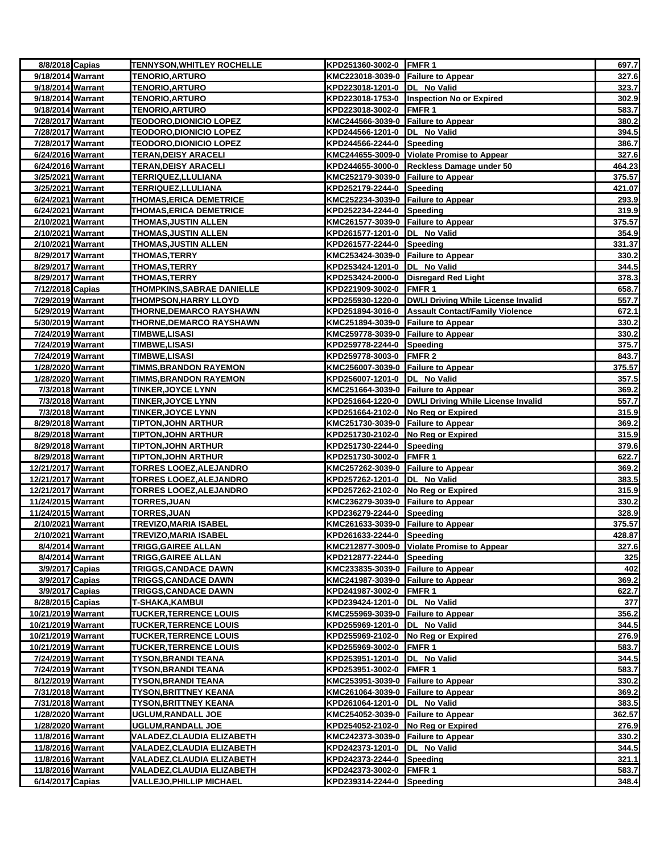| 8/8/2018 Capias                       |                  | <b>TENNYSON, WHITLEY ROCHELLE</b>                       | KPD251360-3002-0 FMFR 1                                |                                                     | 697.7          |
|---------------------------------------|------------------|---------------------------------------------------------|--------------------------------------------------------|-----------------------------------------------------|----------------|
| 9/18/2014 Warrant                     |                  | <b>TENORIO, ARTURO</b>                                  | KMC223018-3039-0 Failure to Appear                     |                                                     | 327.6          |
| 9/18/2014 Warrant                     |                  | <b>TENORIO, ARTURO</b>                                  | KPD223018-1201-0 DL No Valid                           |                                                     | 323.7          |
| 9/18/2014 Warrant                     |                  | <b>TENORIO, ARTURO</b>                                  |                                                        | KPD223018-1753-0 Inspection No or Expired           | 302.9          |
| 9/18/2014 Warrant                     |                  | <b>TENORIO, ARTURO</b>                                  | KPD223018-3002-0 FMFR 1                                |                                                     | 583.7          |
| 7/28/2017 Warrant                     |                  | <b>TEODORO,DIONICIO LOPEZ</b>                           | KMC244566-3039-0 Failure to Appear                     |                                                     | 380.2          |
| 7/28/2017 Warrant                     |                  | <b>TEODORO, DIONICIO LOPEZ</b>                          | KPD244566-1201-0  DL No Valid                          |                                                     | 394.5          |
| 7/28/2017 Warrant                     |                  | <b>TEODORO, DIONICIO LOPEZ</b>                          | KPD244566-2244-0 Speeding                              |                                                     | 386.7          |
| 6/24/2016 Warrant                     |                  | <b>TERAN, DEISY ARACELI</b>                             |                                                        | KMC244655-3009-0 Violate Promise to Appear          | 327.6          |
| 6/24/2016 Warrant                     |                  | <b>TERAN, DEISY ARACELI</b>                             |                                                        | KPD244655-3000-0 Reckless Damage under 50           | 464.23         |
| 3/25/2021 Warrant                     |                  | TERRIQUEZ,LLULIANA                                      | KMC252179-3039-0 Failure to Appear                     |                                                     | 375.57         |
| 3/25/2021 Warrant                     |                  | <b>TERRIQUEZ, LLULIANA</b>                              | KPD252179-2244-0 Speeding                              |                                                     | 421.07         |
| 6/24/2021 Warrant                     |                  | THOMAS, ERICA DEMETRICE                                 | KMC252234-3039-0 Failure to Appear                     |                                                     | 293.9          |
| 6/24/2021 Warrant                     |                  | <b>THOMAS, ERICA DEMETRICE</b>                          | KPD252234-2244-0 Speeding                              |                                                     | 319.9          |
| 2/10/2021 Warrant                     |                  | <b>THOMAS, JUSTIN ALLEN</b>                             | KMC261577-3039-0 Failure to Appear                     |                                                     | 375.57         |
| 2/10/2021 Warrant                     |                  | <b>THOMAS, JUSTIN ALLEN</b>                             | KPD261577-1201-0 DL No Valid                           |                                                     | 354.9          |
| 2/10/2021 Warrant                     |                  | <b>THOMAS, JUSTIN ALLEN</b>                             | KPD261577-2244-0                                       | Speeding                                            | 331.37         |
| 8/29/2017 Warrant                     |                  | THOMAS, TERRY                                           | KMC253424-3039-0 Failure to Appear                     |                                                     | 330.2          |
| 8/29/2017 Warrant                     |                  | <b>THOMAS, TERRY</b>                                    | KPD253424-1201-0  DL No Valid                          |                                                     | 344.5          |
| 8/29/2017 Warrant                     |                  | <b>THOMAS, TERRY</b>                                    |                                                        | KPD253424-2000-0 Disregard Red Light                | 378.3          |
| 7/12/2018 Capias                      |                  | THOMPKINS, SABRAE DANIELLE                              | KPD221909-3002-0 FMFR 1                                |                                                     | 658.7          |
| 7/29/2019 Warrant                     |                  | <b>THOMPSON, HARRY LLOYD</b>                            |                                                        | KPD255930-1220-0 DWLI Driving While License Invalid | 557.7          |
| 5/29/2019 Warrant                     |                  | <b>THORNE, DEMARCO RAYSHAWN</b>                         |                                                        | KPD251894-3016-0 Assault Contact/Family Violence    | 672.1          |
| 5/30/2019 Warrant                     |                  | THORNE, DEMARCO RAYSHAWN                                | KMC251894-3039-0 Failure to Appear                     |                                                     | 330.2          |
| 7/24/2019 Warrant                     |                  | <b>TIMBWE,LISASI</b>                                    | KMC259778-3039-0 Failure to Appear                     |                                                     | 330.2          |
| 7/24/2019 Warrant                     |                  | <b>TIMBWE,LISASI</b>                                    | KPD259778-2244-0 Speeding                              |                                                     | 375.7          |
| 7/24/2019 Warrant                     |                  | <b>TIMBWE,LISASI</b>                                    | KPD259778-3003-0 FMFR 2                                |                                                     | 843.7          |
| 1/28/2020 Warrant                     |                  | <b>TIMMS, BRANDON RAYEMON</b>                           | KMC256007-3039-0 Failure to Appear                     |                                                     | 375.57         |
| 1/28/2020 Warrant                     |                  | <b>TIMMS, BRANDON RAYEMON</b>                           | KPD256007-1201-0 DL No Valid                           |                                                     | 357.5          |
| 7/3/2018 Warrant                      |                  | <b>TINKER, JOYCE LYNN</b>                               | KMC251664-3039-0 Failure to Appear                     |                                                     | 369.2          |
| 7/3/2018 Warrant                      |                  | <b>TINKER, JOYCE LYNN</b>                               |                                                        | KPD251664-1220-0 DWLI Driving While License Invalid | 557.7          |
| 7/3/2018 Warrant<br>8/29/2018 Warrant |                  | <b>TINKER, JOYCE LYNN</b><br><b>TIPTON, JOHN ARTHUR</b> | KPD251664-2102-0<br>KMC251730-3039-0 Failure to Appear | No Reg or Expired                                   | 315.9<br>369.2 |
| 8/29/2018 Warrant                     |                  | <b>TIPTON, JOHN ARTHUR</b>                              | KPD251730-2102-0 No Reg or Expired                     |                                                     | 315.9          |
| 8/29/2018 Warrant                     |                  | <b>TIPTON, JOHN ARTHUR</b>                              | KPD251730-2244-0 Speeding                              |                                                     | 379.6          |
| 8/29/2018 Warrant                     |                  | <b>TIPTON,JOHN ARTHUR</b>                               | KPD251730-3002-0                                       | <b>FMFR1</b>                                        | 622.7          |
| 12/21/2017 Warrant                    |                  | <b>TORRES LOOEZ, ALEJANDRO</b>                          | KMC257262-3039-0 Failure to Appear                     |                                                     | 369.2          |
| 12/21/2017 Warrant                    |                  | <b>TORRES LOOEZ, ALEJANDRO</b>                          | KPD257262-1201-0 DL No Valid                           |                                                     | 383.5          |
| 12/21/2017 Warrant                    |                  | TORRES LOOEZ, ALEJANDRO                                 | KPD257262-2102-0 No Reg or Expired                     |                                                     | 315.9          |
| 11/24/2015 Warrant                    |                  | <b>TORRES, JUAN</b>                                     | KMC236279-3039-0 Failure to Appear                     |                                                     | 330.2          |
| 11/24/2015 Warrant                    |                  | TORRES, JUAN                                            | KPD236279-2244-0 Speeding                              |                                                     | 328.9          |
| 2/10/2021 Warrant                     |                  | <b>TREVIZO, MARIA ISABEL</b>                            | KMC261633-3039-0 Failure to Appear                     |                                                     | 375.57         |
| 2/10/2021 Warrant                     |                  | <b>TREVIZO, MARIA ISABEL</b>                            | KPD261633-2244-0 Speeding                              |                                                     | 428.87         |
| 8/4/2014 Warrant                      |                  | <b>TRIGG, GAIREE ALLAN</b>                              |                                                        | KMC212877-3009-0 Violate Promise to Appear          | 327.6          |
|                                       | 8/4/2014 Warrant | <b>TRIGG, GAIREE ALLAN</b>                              | KPD212877-2244-0 Speeding                              |                                                     | 325            |
| 3/9/2017 Capias                       |                  | <b>TRIGGS, CANDACE DAWN</b>                             | KMC233835-3039-0 Failure to Appear                     |                                                     | 402            |
| 3/9/2017 Capias                       |                  | <b>TRIGGS,CANDACE DAWN</b>                              | KMC241987-3039-0 Failure to Appear                     |                                                     | 369.2          |
| 3/9/2017 Capias                       |                  | <b>TRIGGS, CANDACE DAWN</b>                             | KPD241987-3002-0 FMFR 1                                |                                                     | 622.7          |
| 8/28/2015 Capias                      |                  | T-SHAKA,KAMBUI                                          | KPD239424-1201-0  DL No Valid                          |                                                     | 377            |
| 10/21/2019 Warrant                    |                  | <b>TUCKER, TERRENCE LOUIS</b>                           | KMC255969-3039-0 Failure to Appear                     |                                                     | 356.2          |
| 10/21/2019 Warrant                    |                  | <b>TUCKER, TERRENCE LOUIS</b>                           | KPD255969-1201-0 DL No Valid                           |                                                     | 344.5          |
| 10/21/2019 Warrant                    |                  | <b>TUCKER, TERRENCE LOUIS</b>                           | KPD255969-2102-0 No Reg or Expired                     |                                                     | 276.9          |
| 10/21/2019 Warrant                    |                  | <b>TUCKER, TERRENCE LOUIS</b>                           | KPD255969-3002-0 FMFR 1                                |                                                     | 583.7          |
| 7/24/2019 Warrant                     |                  | <b>TYSON, BRANDI TEANA</b>                              | KPD253951-1201-0 DL No Valid                           |                                                     | 344.5          |
| 7/24/2019 Warrant                     |                  | <b>TYSON, BRANDI TEANA</b>                              | KPD253951-3002-0 FMFR 1                                |                                                     | 583.7          |
| 8/12/2019 Warrant                     |                  | <b>TYSON, BRANDI TEANA</b>                              | KMC253951-3039-0 Failure to Appear                     |                                                     | 330.2          |
| 7/31/2018 Warrant                     |                  | <b>TYSON, BRITTNEY KEANA</b>                            | KMC261064-3039-0 Failure to Appear                     |                                                     | 369.2          |
| 7/31/2018 Warrant                     |                  | <b>TYSON, BRITTNEY KEANA</b>                            | KPD261064-1201-0                                       | DL No Valid                                         | 383.5          |
| 1/28/2020 Warrant                     |                  | <b>UGLUM, RANDALL JOE</b>                               | KMC254052-3039-0 Failure to Appear                     |                                                     | 362.57         |
| 1/28/2020 Warrant                     |                  | <b>UGLUM, RANDALL JOE</b>                               | KPD254052-2102-0 No Reg or Expired                     |                                                     | 276.9          |
| 11/8/2016 Warrant                     |                  | VALADEZ,CLAUDIA ELIZABETH                               | KMC242373-3039-0 Failure to Appear                     |                                                     | 330.2          |
| 11/8/2016 Warrant                     |                  | VALADEZ,CLAUDIA ELIZABETH                               | KPD242373-1201-0  DL No Valid                          |                                                     | 344.5          |
| 11/8/2016 Warrant                     |                  | VALADEZ,CLAUDIA ELIZABETH                               | KPD242373-2244-0 Speeding                              |                                                     | 321.1          |
| 11/8/2016 Warrant                     |                  | VALADEZ, CLAUDIA ELIZABETH                              | KPD242373-3002-0 FMFR 1                                |                                                     | 583.7          |
| 6/14/2017 Capias                      |                  | <b>VALLEJO, PHILLIP MICHAEL</b>                         | KPD239314-2244-0 Speeding                              |                                                     | 348.4          |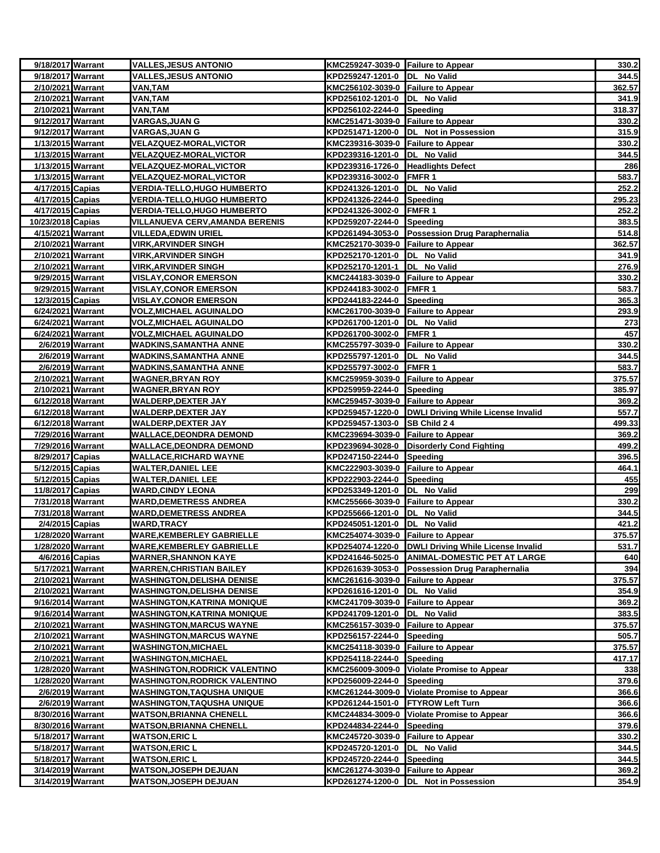| 9/18/2017 Warrant                      | <b>VALLES, JESUS ANTONIO</b>                                    | KMC259247-3039-0 Failure to Appear                                  |                                                       | 330.2            |
|----------------------------------------|-----------------------------------------------------------------|---------------------------------------------------------------------|-------------------------------------------------------|------------------|
| 9/18/2017 Warrant                      | <b>VALLES, JESUS ANTONIO</b>                                    | KPD259247-1201-0  DL No Valid                                       |                                                       | 344.5            |
| 2/10/2021 Warrant                      | VAN,TAM                                                         | KMC256102-3039-0 Failure to Appear                                  |                                                       | 362.57           |
| 2/10/2021 Warrant                      | VAN,TAM                                                         | KPD256102-1201-0  DL No Valid                                       |                                                       | 341.9            |
| 2/10/2021 Warrant                      | VAN,TAM                                                         | KPD256102-2244-0 Speeding                                           |                                                       | 318.37           |
| 9/12/2017 Warrant                      | <b>VARGAS, JUAN G</b>                                           | KMC251471-3039-0 Failure to Appear                                  |                                                       | 330.2            |
| 9/12/2017 Warrant                      | VARGAS,JUAN G                                                   |                                                                     | KPD251471-1200-0  DL Not in Possession                | 315.9            |
| 1/13/2015 Warrant                      | <b>VELAZQUEZ-MORAL, VICTOR</b>                                  | KMC239316-3039-0 Failure to Appear                                  |                                                       | 330.2            |
| 1/13/2015 Warrant                      | <b>VELAZQUEZ-MORAL, VICTOR</b>                                  | KPD239316-1201-0  DL No Valid                                       |                                                       | 344.5            |
| 1/13/2015 Warrant<br>1/13/2015 Warrant | <b>VELAZQUEZ-MORAL, VICTOR</b><br><b>VELAZQUEZ-MORAL,VICTOR</b> | KPD239316-1726-0 Headlights Defect<br>KPD239316-3002-0 FMFR 1       |                                                       | 286<br>583.7     |
| 4/17/2015 Capias                       | <b>VERDIA-TELLO,HUGO HUMBERTO</b>                               | KPD241326-1201-0  DL No Valid                                       |                                                       | 252.2            |
| 4/17/2015 Capias                       | <b>VERDIA-TELLO, HUGO HUMBERTO</b>                              | KPD241326-2244-0 Speeding                                           |                                                       | 295.23           |
| 4/17/2015 Capias                       | <b>VERDIA-TELLO,HUGO HUMBERTO</b>                               | KPD241326-3002-0 FMFR 1                                             |                                                       | 252.2            |
| 10/23/2018 Capias                      | <b>VILLANUEVA CERV, AMANDA BERENIS</b>                          | KPD259207-2244-0 Speeding                                           |                                                       | 383.5            |
| 4/15/2021 Warrant                      | <u>VILLEDA,EDWIN URIEL</u>                                      |                                                                     | KPD261494-3053-0 Possession Drug Paraphernalia        | 514.8            |
| 2/10/2021 Warrant                      | VIRK, ARVINDER SINGH                                            | KMC252170-3039-0 Failure to Appear                                  |                                                       | 362.57           |
| 2/10/2021 Warrant                      | <b>VIRK, ARVINDER SINGH</b>                                     | KPD252170-1201-0  DL No Valid                                       |                                                       | 341.9            |
| 2/10/2021 Warrant                      | <u>VIRK, ARVINDER SINGH</u>                                     | KPD252170-1201-1  DL No Valid                                       |                                                       | 276.9            |
| 9/29/2015 Warrant                      | <b>VISLAY, CONOR EMERSON</b>                                    | KMC244183-3039-0 Failure to Appear                                  |                                                       | 330.2            |
| 9/29/2015 Warrant                      | <b>VISLAY, CONOR EMERSON</b>                                    | KPD244183-3002-0 FMFR 1                                             |                                                       | 583.7            |
| 12/3/2015 Capias                       | <b>VISLAY,CONOR EMERSON</b>                                     | KPD244183-2244-0 Speeding                                           |                                                       | 365.3            |
| 6/24/2021 Warrant                      | <u>VOLZ,MICHAEL AGUINALDO</u>                                   | KMC261700-3039-0 Failure to Appear                                  |                                                       | 293.9            |
| 6/24/2021 Warrant                      | <b>VOLZ, MICHAEL AGUINALDO</b>                                  | KPD261700-1201-0  DL No Valid                                       |                                                       | 273              |
| 6/24/2021 Warrant                      | <b>VOLZ,MICHAEL AGUINALDO</b>                                   | KPD261700-3002-0 FMFR 1                                             |                                                       | 457              |
| 2/6/2019 Warrant                       | WADKINS,SAMANTHA ANNE                                           | KMC255797-3039-0 Failure to Appear                                  |                                                       | 330.2            |
| 2/6/2019 Warrant                       | WADKINS,SAMANTHA ANNE                                           | KPD255797-1201-0  DL No Valid                                       |                                                       | 344.5            |
| 2/6/2019 Warrant                       | WADKINS,SAMANTHA ANNE                                           | KPD255797-3002-0 FMFR 1                                             |                                                       | 583.7            |
| 2/10/2021 Warrant                      | <b>WAGNER, BRYAN ROY</b>                                        | KMC259959-3039-0 Failure to Appear                                  |                                                       | 375.57           |
| 2/10/2021 Warrant                      | <b>WAGNER, BRYAN ROY</b>                                        | KPD259959-2244-0 Speeding                                           |                                                       | 385.97           |
| 6/12/2018 Warrant                      | <b>WALDERP, DEXTER JAY</b>                                      | KMC259457-3039-0 Failure to Appear                                  |                                                       | 369.2            |
| 6/12/2018 Warrant                      | <b>WALDERP, DEXTER JAY</b>                                      |                                                                     | KPD259457-1220-0   DWLI Driving While License Invalid | 557.7            |
| 6/12/2018 Warrant<br>7/29/2016 Warrant | WALDERP,DEXTER JAY<br><u>WALLACE,DEONDRA DEMOND</u>             | KPD259457-1303-0 SB Child 2 4<br>KMC239694-3039-0 Failure to Appear |                                                       | 499.33<br>369.2  |
| 7/29/2016 Warrant                      | WALLACE,DEONDRA DEMOND                                          |                                                                     | KPD239694-3028-0 Disorderly Cond Fighting             | 499.2            |
| 8/29/2017 Capias                       | <b>WALLACE, RICHARD WAYNE</b>                                   | KPD247150-2244-0 Speeding                                           |                                                       | 396.5            |
| 5/12/2015 Capias                       | <b>WALTER,DANIEL LEE</b>                                        | KMC222903-3039-0 Failure to Appear                                  |                                                       | 464.1            |
| 5/12/2015 Capias                       | <b>WALTER, DANIEL LEE</b>                                       | KPD222903-2244-0 Speeding                                           |                                                       | 455              |
| 11/8/2017 Capias                       | <b>WARD, CINDY LEONA</b>                                        | KPD253349-1201-0  DL No Valid                                       |                                                       | 299              |
| 7/31/2018 Warrant                      | <b>WARD, DEMETRESS ANDREA</b>                                   | KMC255666-3039-0 Failure to Appear                                  |                                                       | 330.2            |
| 7/31/2018 Warrant                      | <b>WARD,DEMETRESS ANDREA</b>                                    | KPD255666-1201-0  DL No Valid                                       |                                                       | 344.5            |
| 2/4/2015 Capias                        | <b>WARD,TRACY</b>                                               | KPD245051-1201-0                                                    | DL No Valid                                           | 421.2            |
| 1/28/2020 Warrant                      | WARE,KEMBERLEY GABRIELLE                                        | KMC254074-3039-0 Failure to Appear                                  |                                                       | 375.57           |
| 1/28/2020 Warrant                      | <b>WARE, KEMBERLEY GABRIELLE</b>                                |                                                                     | KPD254074-1220-0 DWLI Driving While License Invalid   | 531.7            |
| 4/6/2016 Capias                        | <b>WARNER,SHANNON KAYE</b>                                      |                                                                     | KPD241646-5025-0 ANIMAL-DOMESTIC PET AT LARGE         | 640              |
| 5/17/2021 Warrant                      | <b>WARREN, CHRISTIAN BAILEY</b>                                 |                                                                     | KPD261639-3053-0 Possession Drug Paraphernalia        | 394              |
| 2/10/2021 Warrant                      | WASHINGTON,DELISHA DENISE                                       | KMC261616-3039-0 Failure to Appear                                  |                                                       | 375.57           |
| 2/10/2021 Warrant                      | WASHINGTON,DELISHA DENISE                                       | KPD261616-1201-0  DL No Valid                                       |                                                       | 354.9            |
| 9/16/2014 Warrant                      | <b>WASHINGTON,KATRINA MONIQUE</b>                               | KMC241709-3039-0 Failure to Appear                                  |                                                       | 369.2            |
| 9/16/2014 Warrant                      | <b>WASHINGTON,KATRINA MONIQUE</b>                               | KPD241709-1201-0 DL No Valid                                        |                                                       | 383.5            |
| 2/10/2021 Warrant                      | <b>WASHINGTON, MARCUS WAYNE</b>                                 | KMC256157-3039-0 Failure to Appear                                  |                                                       | 375.57           |
| 2/10/2021 Warrant                      | <b>WASHINGTON, MARCUS WAYNE</b>                                 | KPD256157-2244-0 Speeding                                           |                                                       | 505.7            |
| 2/10/2021 Warrant<br>2/10/2021 Warrant | <b>WASHINGTON,MICHAEL</b><br><b>WASHINGTON, MICHAEL</b>         | KMC254118-3039-0 Failure to Appear<br>KPD254118-2244-0 Speeding     |                                                       | 375.57<br>417.17 |
| 1/28/2020 Warrant                      | <b>WASHINGTON, RODRICK VALENTINO</b>                            |                                                                     | KMC256009-3009-0 Violate Promise to Appear            | 338              |
| 1/28/2020 Warrant                      | <b>WASHINGTON RODRICK VALENTINO</b>                             | KPD256009-2244-0 Speeding                                           |                                                       | 379.6            |
| 2/6/2019 Warrant                       | WASHINGTON,TAQUSHA UNIQUE                                       |                                                                     | KMC261244-3009-0 Violate Promise to Appear            | 366.6            |
| 2/6/2019 Warrant                       | WASHINGTON,TAQUSHA UNIQUE                                       | KPD261244-1501-0 FTYROW Left Turn                                   |                                                       | 366.6            |
| 8/30/2016 Warrant                      | WATSON,BRIANNA CHENELL                                          |                                                                     | KMC244834-3009-0 Violate Promise to Appear            | 366.6            |
| 8/30/2016 Warrant                      | <b>WATSON, BRIANNA CHENELL</b>                                  | KPD244834-2244-0 Speeding                                           |                                                       | 379.6            |
| 5/18/2017 Warrant                      | <b>WATSON,ERIC L</b>                                            | KMC245720-3039-0 Failure to Appear                                  |                                                       | 330.2            |
| 5/18/2017 Warrant                      | <b>WATSON, ERIC L</b>                                           | KPD245720-1201-0  DL No Valid                                       |                                                       | 344.5            |
| 5/18/2017 Warrant                      | WATSON,ERIC L                                                   | KPD245720-2244-0 Speeding                                           |                                                       | 344.5            |
| 3/14/2019 Warrant                      | <b>WATSON,JOSEPH DEJUAN</b>                                     | KMC261274-3039-0 Failure to Appear                                  |                                                       | 369.2            |
| 3/14/2019 Warrant                      | <b>WATSON, JOSEPH DEJUAN</b>                                    |                                                                     | KPD261274-1200-0 DL Not in Possession                 | 354.9            |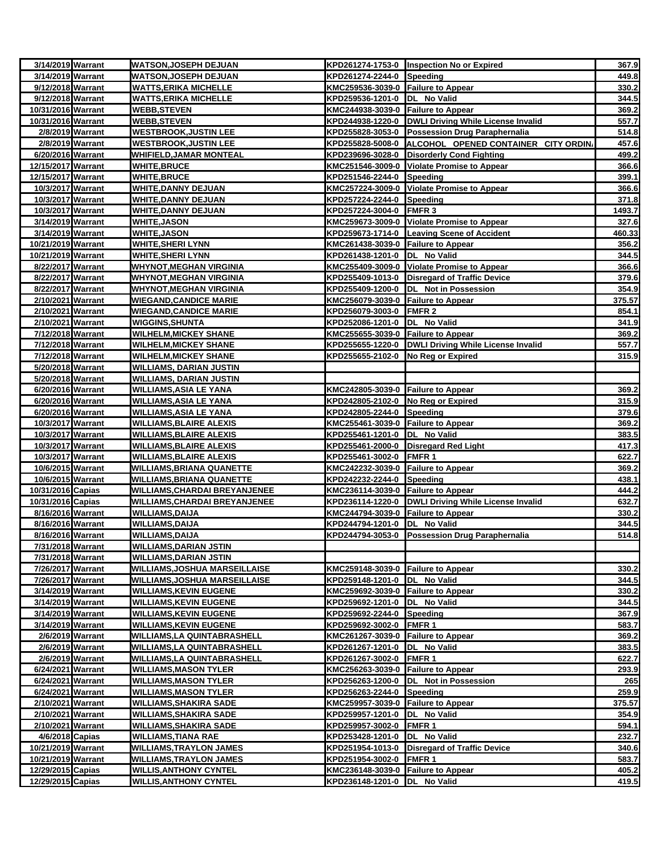| 3/14/2019 Warrant                      | <b>WATSON, JOSEPH DEJUAN</b>                                     |                                    | KPD261274-1753-0 Inspection No or Expired             | 367.9  |
|----------------------------------------|------------------------------------------------------------------|------------------------------------|-------------------------------------------------------|--------|
| 3/14/2019 Warrant                      | <b>WATSON,JOSEPH DEJUAN</b>                                      | KPD261274-2244-0 Speeding          |                                                       | 449.8  |
| 9/12/2018 Warrant                      | <b>WATTS, ERIKA MICHELLE</b>                                     | KMC259536-3039-0 Failure to Appear |                                                       | 330.2  |
| 9/12/2018 Warrant                      | <b>WATTS,ERIKA MICHELLE</b>                                      | KPD259536-1201-0  DL No Valid      |                                                       | 344.5  |
| 10/31/2016 Warrant                     | <b>WEBB,STEVEN</b>                                               | KMC244938-3039-0 Failure to Appear |                                                       | 369.2  |
| 10/31/2016 Warrant                     | <b>WEBB, STEVEN</b>                                              |                                    | KPD244938-1220-0   DWLI Driving While License Invalid | 557.7  |
| 2/8/2019 Warrant                       | <b>WESTBROOK, JUSTIN LEE</b>                                     |                                    | KPD255828-3053-0 Possession Drug Paraphernalia        | 514.8  |
| 2/8/2019 Warrant                       | <b>WESTBROOK, JUSTIN LEE</b>                                     |                                    | KPD255828-5008-0 ALCOHOL OPENED CONTAINER CITY ORDIN. | 457.6  |
| 6/20/2016 Warrant                      | <b>WHIFIELD, JAMAR MONTEAL</b>                                   |                                    | KPD239696-3028-0 Disorderly Cond Fighting             | 499.2  |
| 12/15/2017 Warrant                     | <b>WHITE, BRUCE</b>                                              |                                    | KMC251546-3009-0 Violate Promise to Appear            | 366.6  |
| 12/15/2017 Warrant                     | <b>WHITE, BRUCE</b>                                              | KPD251546-2244-0 Speeding          |                                                       | 399.1  |
| 10/3/2017 Warrant                      | <b>WHITE, DANNY DEJUAN</b>                                       |                                    | KMC257224-3009-0 Violate Promise to Appear            | 366.6  |
| 10/3/2017 Warrant                      | <b>WHITE, DANNY DEJUAN</b>                                       | KPD257224-2244-0 Speeding          |                                                       | 371.8  |
| 10/3/2017 Warrant                      | <b>WHITE, DANNY DEJUAN</b>                                       | KPD257224-3004-0 FMFR 3            |                                                       | 1493.7 |
| 3/14/2019 Warrant                      | <b>WHITE, JASON</b>                                              |                                    | KMC259673-3009-0 Violate Promise to Appear            | 327.6  |
| 3/14/2019 Warrant                      | <b>WHITE, JASON</b>                                              |                                    | KPD259673-1714-0 Leaving Scene of Accident            | 460.33 |
| 10/21/2019 Warrant                     | <b>WHITE, SHERI LYNN</b>                                         | KMC261438-3039-0 Failure to Appear |                                                       | 356.2  |
| 10/21/2019 Warrant                     | <b>WHITE, SHERI LYNN</b>                                         | KPD261438-1201-0 DL No Valid       |                                                       | 344.5  |
| 8/22/2017 Warrant                      | <b>WHYNOT,MEGHAN VIRGINIA</b>                                    |                                    | KMC255409-3009-0 Violate Promise to Appear            | 366.6  |
| 8/22/2017 Warrant                      | <b>WHYNOT, MEGHAN VIRGINIA</b>                                   |                                    | KPD255409-1013-0 Disregard of Traffic Device          | 379.6  |
| 8/22/2017 Warrant                      | <b>WHYNOT, MEGHAN VIRGINIA</b>                                   |                                    | KPD255409-1200-0  DL Not in Possession                | 354.9  |
| 2/10/2021 Warrant                      | <b>WIEGAND, CANDICE MARIE</b>                                    | KMC256079-3039-0 Failure to Appear |                                                       | 375.57 |
| 2/10/2021 Warrant                      | <b>WIEGAND, CANDICE MARIE</b>                                    | KPD256079-3003-0 FMFR 2            |                                                       | 854.1  |
| 2/10/2021 Warrant                      | <b>WIGGINS, SHUNTA</b>                                           | KPD252086-1201-0 DL No Valid       |                                                       | 341.9  |
| 7/12/2018 Warrant                      | <b>WILHELM, MICKEY SHANE</b>                                     | KMC255655-3039-0 Failure to Appear |                                                       | 369.2  |
| 7/12/2018 Warrant                      | <b>WILHELM, MICKEY SHANE</b>                                     |                                    | KPD255655-1220-0  DWLI Driving While License Invalid  | 557.7  |
| 7/12/2018 Warrant                      | <b>WILHELM,MICKEY SHANE</b>                                      | KPD255655-2102-0 No Reg or Expired |                                                       | 315.9  |
| 5/20/2018 Warrant                      | <b>WILLIAMS, DARIAN JUSTIN</b>                                   |                                    |                                                       |        |
| 5/20/2018 Warrant                      | <b>WILLIAMS, DARIAN JUSTIN</b>                                   |                                    |                                                       |        |
| 6/20/2016 Warrant                      | <b>WILLIAMS, ASIA LE YANA</b>                                    | KMC242805-3039-0 Failure to Appear |                                                       | 369.2  |
| 6/20/2016 Warrant                      | <b>WILLIAMS, ASIA LE YANA</b>                                    | KPD242805-2102-0 No Reg or Expired |                                                       | 315.9  |
| 6/20/2016 Warrant                      | <b>WILLIAMS, ASIA LE YANA</b>                                    | KPD242805-2244-0 Speeding          |                                                       | 379.6  |
| 10/3/2017 Warrant                      | <b>WILLIAMS, BLAIRE ALEXIS</b>                                   | KMC255461-3039-0 Failure to Appear |                                                       | 369.2  |
| 10/3/2017 Warrant                      | <b>WILLIAMS, BLAIRE ALEXIS</b>                                   | KPD255461-1201-0  DL No Valid      |                                                       | 383.5  |
| 10/3/2017 Warrant                      | <b>WILLIAMS, BLAIRE ALEXIS</b>                                   |                                    | KPD255461-2000-0 Disregard Red Light                  | 417.3  |
| 10/3/2017 Warrant                      | <b>WILLIAMS, BLAIRE ALEXIS</b>                                   | KPD255461-3002-0 FMFR 1            |                                                       | 622.7  |
| 10/6/2015 Warrant                      | WILLIAMS, BRIANA QUANETTE                                        | KMC242232-3039-0 Failure to Appear |                                                       | 369.2  |
| 10/6/2015 Warrant                      | WILLIAMS, BRIANA QUANETTE                                        | KPD242232-2244-0 Speeding          |                                                       | 438.1  |
| 10/31/2016 Capias                      | <b>WILLIAMS, CHARDAI BREYANJENEE</b>                             | KMC236114-3039-0 Failure to Appear |                                                       | 444.2  |
| 10/31/2016 Capias                      | <b>WILLIAMS, CHARDAI BREYANJENEE</b>                             |                                    | KPD236114-1220-0 DWLI Driving While License Invalid   | 632.7  |
| 8/16/2016 Warrant                      | <b>WILLIAMS, DAIJA</b>                                           | KMC244794-3039-0 Failure to Appear |                                                       | 330.2  |
| 8/16/2016 Warrant                      | <b>WILLIAMS, DAIJA</b>                                           | KPD244794-1201-0  DL No Valid      |                                                       | 344.5  |
| 8/16/2016 Warrant                      | <b>WILLIAMS, DAIJA</b>                                           |                                    | KPD244794-3053-0 Possession Drug Paraphernalia        | 514.8  |
| 7/31/2018 Warrant                      | <b>WILLIAMS, DARIAN JSTIN</b>                                    |                                    |                                                       |        |
| 7/31/2018 Warrant                      | <b>WILLIAMS, DARIAN JSTIN</b>                                    |                                    |                                                       |        |
| 7/26/2017 Warrant                      | WILLIAMS, JOSHUA MARSEILLAISE                                    | KMC259148-3039-0 Failure to Appear |                                                       | 330.2  |
| 7/26/2017 Warrant                      | <b>WILLIAMS, JOSHUA MARSEILLAISE</b>                             | KPD259148-1201-0 DL No Valid       |                                                       | 344.5  |
| 3/14/2019 Warrant                      | <b>WILLIAMS, KEVIN EUGENE</b>                                    | KMC259692-3039-0 Failure to Appear |                                                       | 330.2  |
| 3/14/2019 Warrant                      | <b>WILLIAMS, KEVIN EUGENE</b>                                    | KPD259692-1201-0 DL No Valid       |                                                       | 344.5  |
| 3/14/2019 Warrant                      | <b>WILLIAMS, KEVIN EUGENE</b>                                    | KPD259692-2244-0 Speeding          |                                                       | 367.9  |
| 3/14/2019 Warrant                      | <b>WILLIAMS, KEVIN EUGENE</b>                                    | KPD259692-3002-0                   | <b>FMFR1</b>                                          | 583.7  |
| 2/6/2019 Warrant                       | WILLIAMS,LA QUINTABRASHELL                                       | KMC261267-3039-0 Failure to Appear |                                                       | 369.2  |
| 2/6/2019 Warrant                       | WILLIAMS, LA QUINTABRASHELL                                      | KPD261267-1201-0  DL No Valid      |                                                       | 383.5  |
| 2/6/2019 Warrant                       | WILLIAMS, LA QUINTABRASHELL                                      | KPD261267-3002-0 FMFR 1            |                                                       | 622.7  |
| 6/24/2021 Warrant                      | <b>WILLIAMS, MASON TYLER</b>                                     | KMC256263-3039-0 Failure to Appear |                                                       | 293.9  |
| 6/24/2021 Warrant                      | <b>WILLIAMS, MASON TYLER</b>                                     | KPD256263-1200-0                   | DL Not in Possession                                  | 265    |
| 6/24/2021 Warrant                      | <b>WILLIAMS, MASON TYLER</b>                                     | KPD256263-2244-0                   | Speeding                                              | 259.9  |
| 2/10/2021 Warrant                      | <b>WILLIAMS, SHAKIRA SADE</b>                                    | KMC259957-3039-0                   | <b>Failure to Appear</b>                              | 375.57 |
| 2/10/2021 Warrant                      | <b>WILLIAMS, SHAKIRA SADE</b>                                    | KPD259957-1201-0                   | DL No Valid                                           | 354.9  |
| 2/10/2021 Warrant<br>4/6/2018 Capias   | <b>WILLIAMS, SHAKIRA SADE</b>                                    | KPD259957-3002-0                   | FMFR 1                                                | 594.1  |
| 10/21/2019 Warrant                     | WILLIAMS,TIANA RAE                                               | KPD253428-1201-0                   | DL No Valid                                           | 232.7  |
| 10/21/2019 Warrant                     | <b>WILLIAMS, TRAYLON JAMES</b><br><b>WILLIAMS, TRAYLON JAMES</b> |                                    | KPD251954-1013-0 Disregard of Traffic Device          | 340.6  |
|                                        |                                                                  | KPD251954-3002-0 FMFR 1            |                                                       | 583.7  |
| 12/29/2015 Capias<br>12/29/2015 Capias | <b>WILLIS, ANTHONY CYNTEL</b>                                    | KMC236148-3039-0 Failure to Appear |                                                       | 405.2  |
|                                        | <b>WILLIS, ANTHONY CYNTEL</b>                                    | KPD236148-1201-0 DL No Valid       |                                                       | 419.5  |